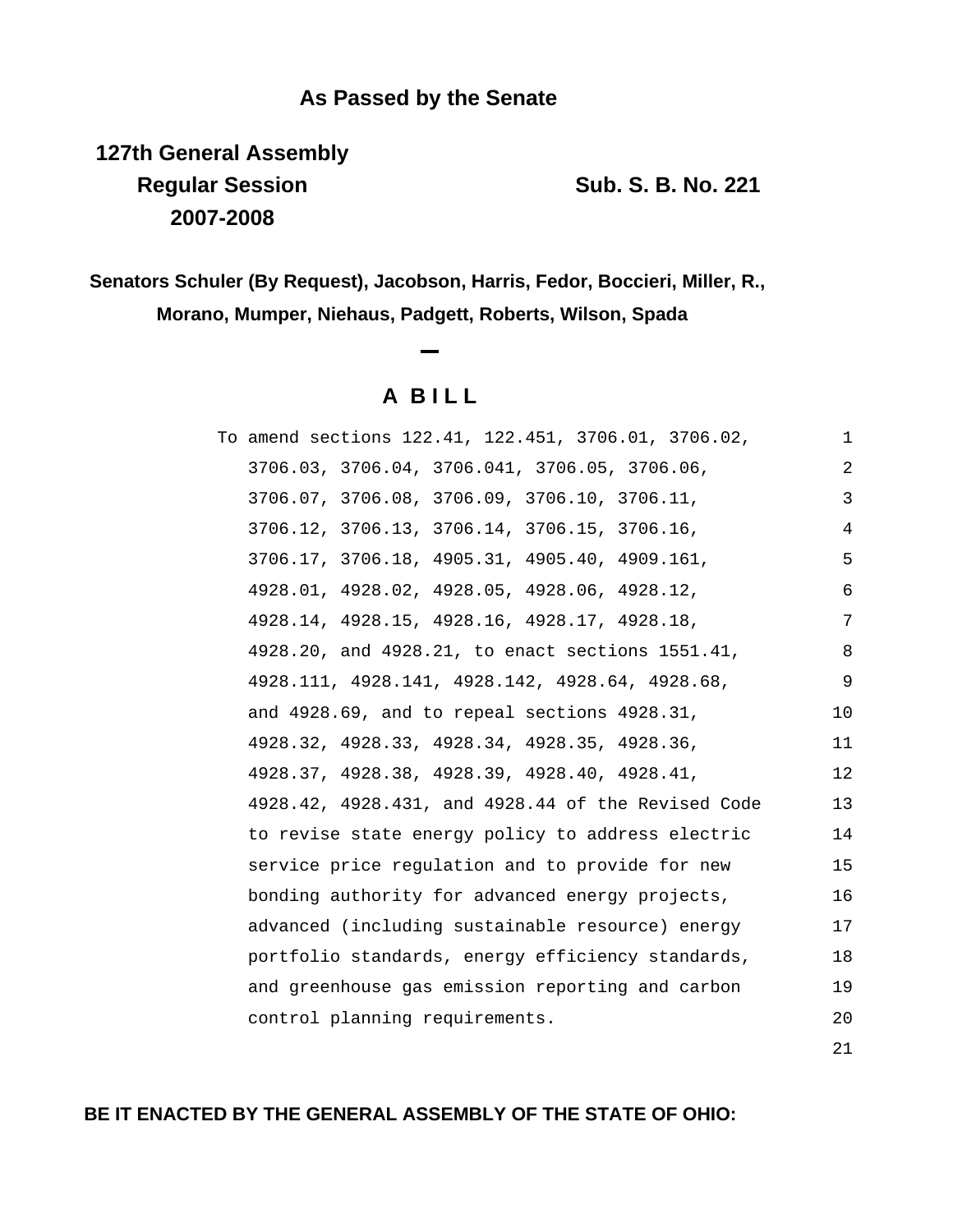## **As Passed by the Senate**

**127th General Assembly Regular Session Sub. S. B. No. 221 2007-2008**

**Senators Schuler (By Request), Jacobson, Harris, Fedor, Boccieri, Miller, R., Morano, Mumper, Niehaus, Padgett, Roberts, Wilson, Spada**

**A B I L L**

| To amend sections 122.41, 122.451, 3706.01, 3706.02, | 1   |
|------------------------------------------------------|-----|
| 3706.03, 3706.04, 3706.041, 3706.05, 3706.06,        | 2   |
| 3706.07, 3706.08, 3706.09, 3706.10, 3706.11,         | 3   |
| 3706.12, 3706.13, 3706.14, 3706.15, 3706.16,         | 4   |
| 3706.17, 3706.18, 4905.31, 4905.40, 4909.161,        | 5   |
| 4928.01, 4928.02, 4928.05, 4928.06, 4928.12,         | 6   |
| 4928.14, 4928.15, 4928.16, 4928.17, 4928.18,         | 7   |
| 4928.20, and 4928.21, to enact sections 1551.41,     | 8   |
| 4928.111, 4928.141, 4928.142, 4928.64, 4928.68,      | 9   |
| and 4928.69, and to repeal sections 4928.31,         | 10  |
| 4928.32, 4928.33, 4928.34, 4928.35, 4928.36,         | 11  |
| 4928.37, 4928.38, 4928.39, 4928.40, 4928.41,         | 12  |
| 4928.42, 4928.431, and 4928.44 of the Revised Code   | 13  |
| to revise state energy policy to address electric    | 14  |
| service price regulation and to provide for new      | 15  |
| bonding authority for advanced energy projects,      | 16  |
| advanced (including sustainable resource) energy     | 17  |
| portfolio standards, energy efficiency standards,    | 18  |
| and greenhouse gas emission reporting and carbon     | 19  |
| control planning requirements.                       | 20  |
|                                                      | 2.1 |

## **BE IT ENACTED BY THE GENERAL ASSEMBLY OF THE STATE OF OHIO:**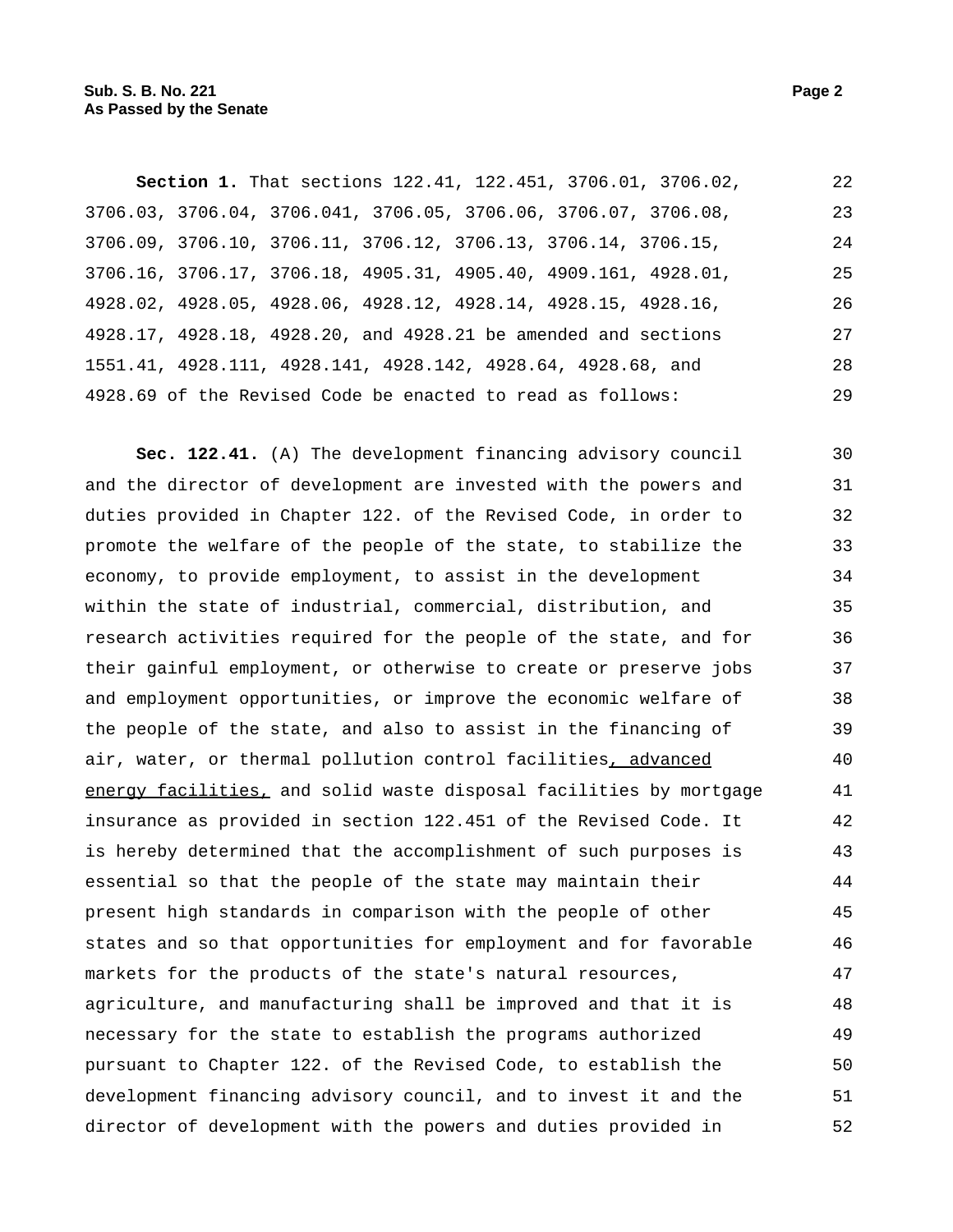**Section 1.** That sections 122.41, 122.451, 3706.01, 3706.02, 3706.03, 3706.04, 3706.041, 3706.05, 3706.06, 3706.07, 3706.08, 3706.09, 3706.10, 3706.11, 3706.12, 3706.13, 3706.14, 3706.15, 3706.16, 3706.17, 3706.18, 4905.31, 4905.40, 4909.161, 4928.01, 4928.02, 4928.05, 4928.06, 4928.12, 4928.14, 4928.15, 4928.16, 4928.17, 4928.18, 4928.20, and 4928.21 be amended and sections 1551.41, 4928.111, 4928.141, 4928.142, 4928.64, 4928.68, and 4928.69 of the Revised Code be enacted to read as follows: 22 23 24 25 26 27 28 29

**Sec. 122.41.** (A) The development financing advisory council and the director of development are invested with the powers and duties provided in Chapter 122. of the Revised Code, in order to promote the welfare of the people of the state, to stabilize the economy, to provide employment, to assist in the development within the state of industrial, commercial, distribution, and research activities required for the people of the state, and for their gainful employment, or otherwise to create or preserve jobs and employment opportunities, or improve the economic welfare of the people of the state, and also to assist in the financing of air, water, or thermal pollution control facilities, advanced energy facilities, and solid waste disposal facilities by mortgage insurance as provided in section 122.451 of the Revised Code. It is hereby determined that the accomplishment of such purposes is essential so that the people of the state may maintain their present high standards in comparison with the people of other states and so that opportunities for employment and for favorable markets for the products of the state's natural resources, agriculture, and manufacturing shall be improved and that it is necessary for the state to establish the programs authorized pursuant to Chapter 122. of the Revised Code, to establish the development financing advisory council, and to invest it and the director of development with the powers and duties provided in 30 31 32 33 34 35 36 37 38 39 40 41 42 43 44 45 46 47 48 49 50 51 52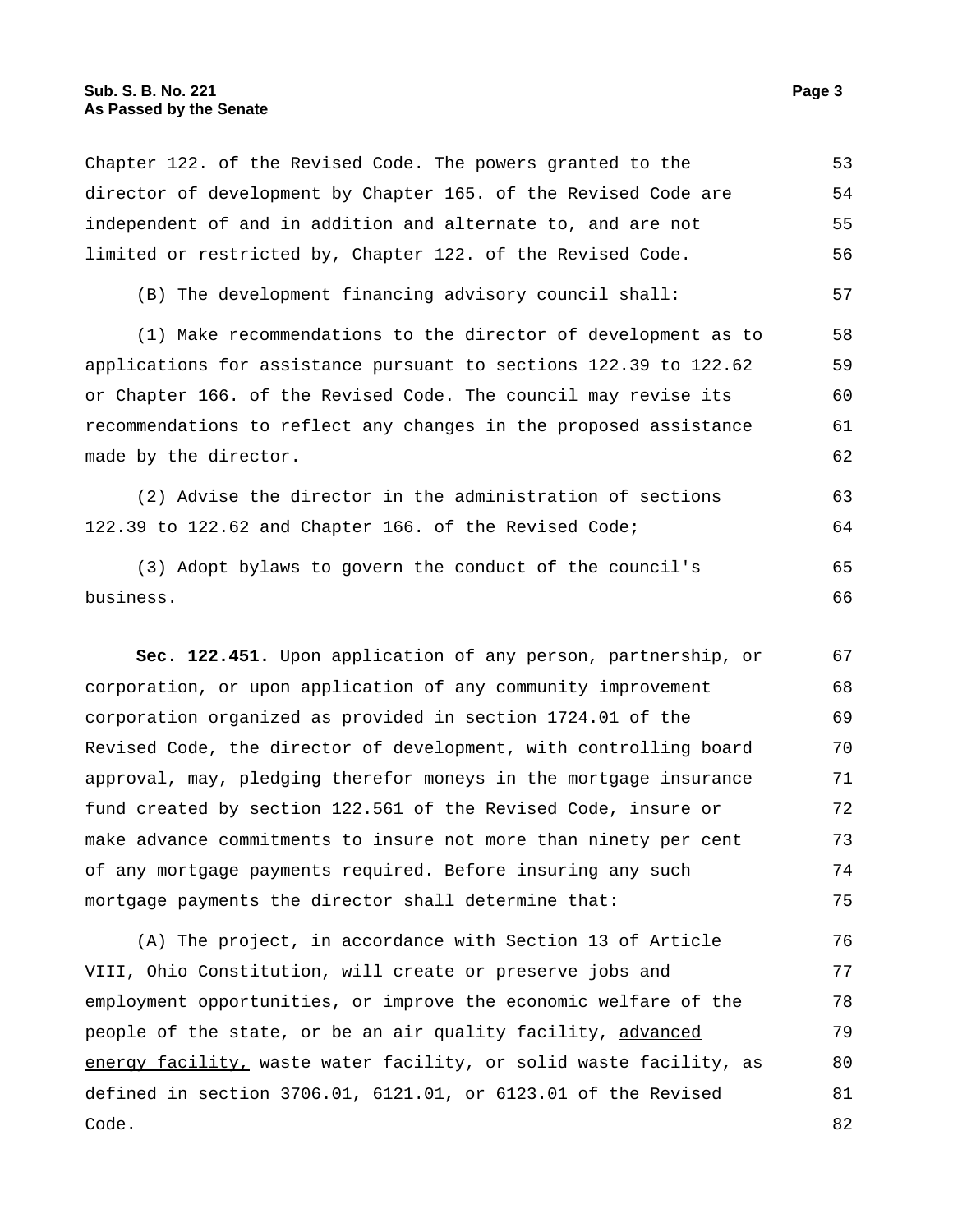Chapter 122. of the Revised Code. The powers granted to the director of development by Chapter 165. of the Revised Code are independent of and in addition and alternate to, and are not limited or restricted by, Chapter 122. of the Revised Code. 53 54 55 56

(B) The development financing advisory council shall: 57

(1) Make recommendations to the director of development as to applications for assistance pursuant to sections 122.39 to 122.62 or Chapter 166. of the Revised Code. The council may revise its recommendations to reflect any changes in the proposed assistance made by the director. 58 59 60 61 62

(2) Advise the director in the administration of sections 122.39 to 122.62 and Chapter 166. of the Revised Code; 63 64

(3) Adopt bylaws to govern the conduct of the council's business. 65 66

**Sec. 122.451.** Upon application of any person, partnership, or corporation, or upon application of any community improvement corporation organized as provided in section 1724.01 of the Revised Code, the director of development, with controlling board approval, may, pledging therefor moneys in the mortgage insurance fund created by section 122.561 of the Revised Code, insure or make advance commitments to insure not more than ninety per cent of any mortgage payments required. Before insuring any such mortgage payments the director shall determine that: 67 68 69 70 71 72 73 74 75

(A) The project, in accordance with Section 13 of Article VIII, Ohio Constitution, will create or preserve jobs and employment opportunities, or improve the economic welfare of the people of the state, or be an air quality facility, advanced energy facility, waste water facility, or solid waste facility, as defined in section 3706.01, 6121.01, or 6123.01 of the Revised Code. 76 77 78 79 80 81 82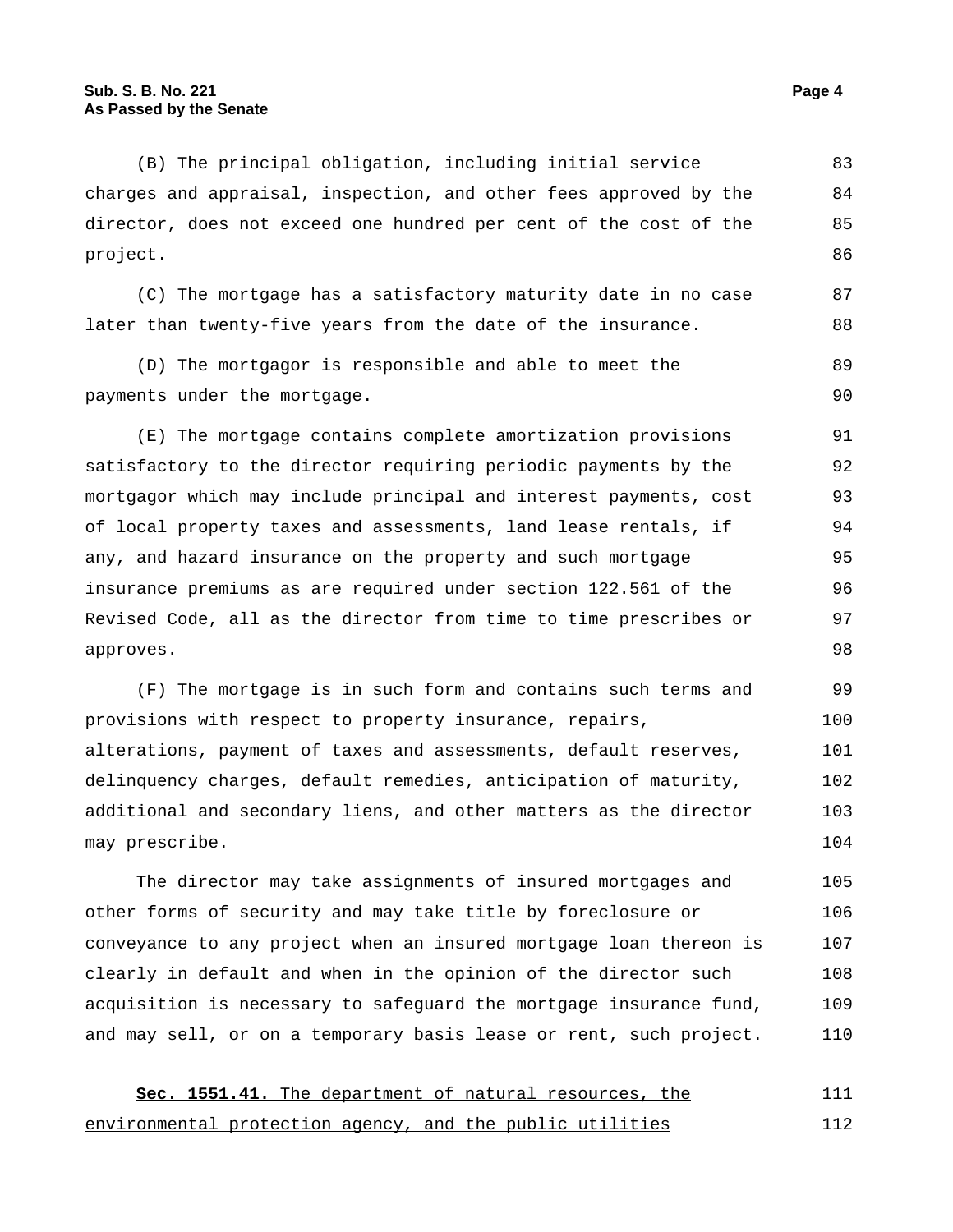(B) The principal obligation, including initial service charges and appraisal, inspection, and other fees approved by the director, does not exceed one hundred per cent of the cost of the project. 83 84 85 86

(C) The mortgage has a satisfactory maturity date in no case later than twenty-five years from the date of the insurance.

(D) The mortgagor is responsible and able to meet the payments under the mortgage. 89 90

(E) The mortgage contains complete amortization provisions satisfactory to the director requiring periodic payments by the mortgagor which may include principal and interest payments, cost of local property taxes and assessments, land lease rentals, if any, and hazard insurance on the property and such mortgage insurance premiums as are required under section 122.561 of the Revised Code, all as the director from time to time prescribes or approves. 91 92 93 94 95 96 97 98

(F) The mortgage is in such form and contains such terms and provisions with respect to property insurance, repairs, alterations, payment of taxes and assessments, default reserves, delinquency charges, default remedies, anticipation of maturity, additional and secondary liens, and other matters as the director may prescribe. 99 100 101 102 103 104

The director may take assignments of insured mortgages and other forms of security and may take title by foreclosure or conveyance to any project when an insured mortgage loan thereon is clearly in default and when in the opinion of the director such acquisition is necessary to safeguard the mortgage insurance fund, and may sell, or on a temporary basis lease or rent, such project. 105 106 107 108 109 110

**Sec. 1551.41.** The department of natural resources, the environmental protection agency, and the public utilities 111 112

87

88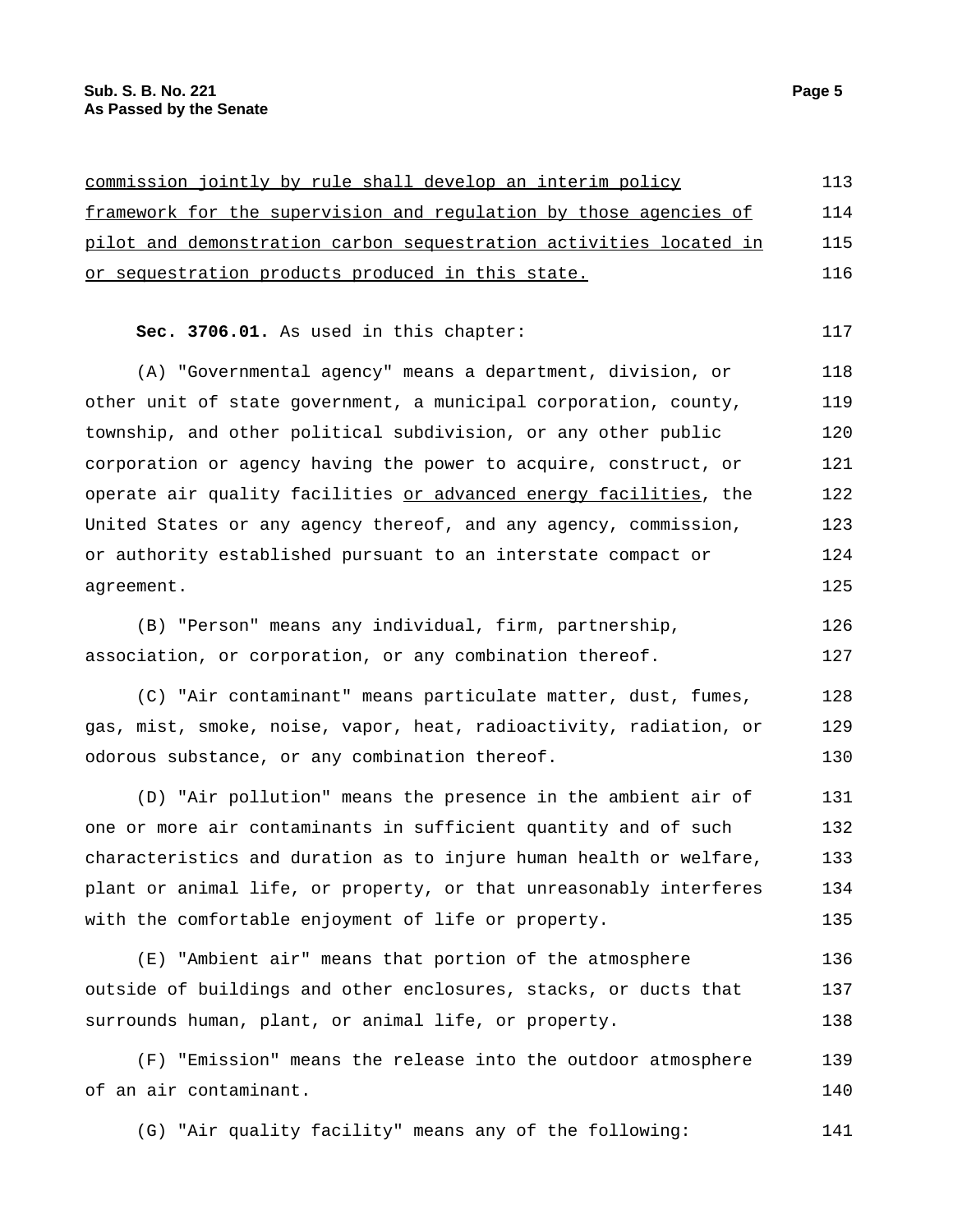| commission jointly by rule shall develop an interim policy         | 113 |
|--------------------------------------------------------------------|-----|
|                                                                    |     |
| framework for the supervision and requlation by those agencies of  | 114 |
| pilot and demonstration carbon sequestration activities located in | 115 |
| or sequestration products produced in this state.                  | 116 |
|                                                                    |     |
| Sec. 3706.01. As used in this chapter:                             | 117 |
| (A) "Governmental agency" means a department, division, or         | 118 |
| other unit of state government, a municipal corporation, county,   | 119 |
| township, and other political subdivision, or any other public     | 120 |
| corporation or agency having the power to acquire, construct, or   | 121 |
| operate air quality facilities or advanced energy facilities, the  | 122 |
| United States or any agency thereof, and any agency, commission,   | 123 |
| or authority established pursuant to an interstate compact or      | 124 |
| agreement.                                                         | 125 |
| (B) "Person" means any individual, firm, partnership,              | 126 |
| association, or corporation, or any combination thereof.           | 127 |
| (C) "Air contaminant" means particulate matter, dust, fumes,       | 128 |
| gas, mist, smoke, noise, vapor, heat, radioactivity, radiation, or | 129 |
| odorous substance, or any combination thereof.                     | 130 |
| (D) "Air pollution" means the presence in the ambient air of       | 131 |
| one or more air contaminants in sufficient quantity and of such    | 132 |
| characteristics and duration as to injure human health or welfare, | 133 |
| plant or animal life, or property, or that unreasonably interferes | 134 |
| with the comfortable enjoyment of life or property.                | 135 |
| (E) "Ambient air" means that portion of the atmosphere             | 136 |
| outside of buildings and other enclosures, stacks, or ducts that   | 137 |
| surrounds human, plant, or animal life, or property.               | 138 |
| (F) "Emission" means the release into the outdoor atmosphere       | 139 |
| of an air contaminant.                                             | 140 |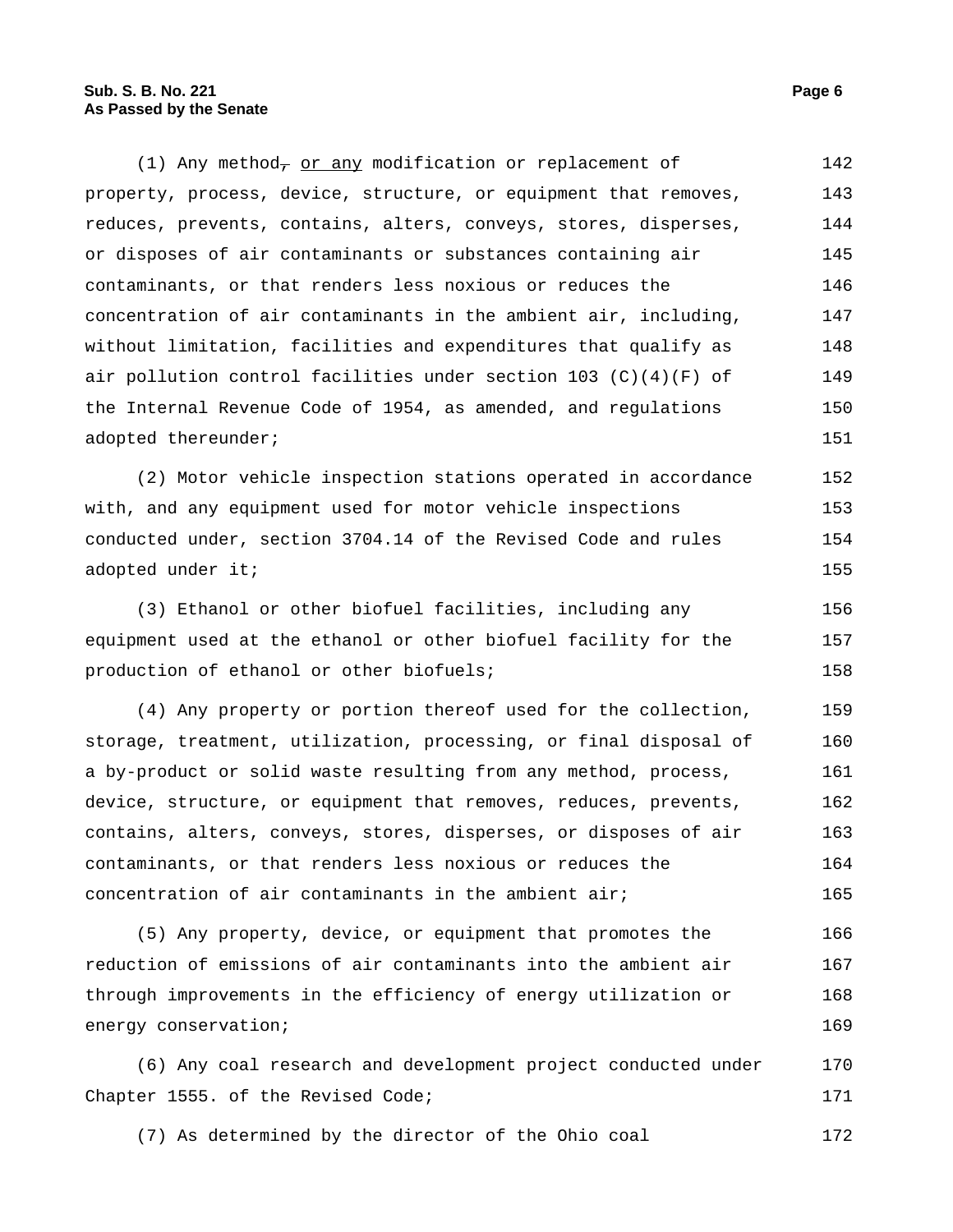(1) Any method<sub> $\tau$ </sub> or any modification or replacement of property, process, device, structure, or equipment that removes, reduces, prevents, contains, alters, conveys, stores, disperses, or disposes of air contaminants or substances containing air contaminants, or that renders less noxious or reduces the concentration of air contaminants in the ambient air, including, without limitation, facilities and expenditures that qualify as air pollution control facilities under section 103  $(C)(4)(F)$  of the Internal Revenue Code of 1954, as amended, and regulations adopted thereunder; 142 143 144 145 146 147 148 149 150 151

(2) Motor vehicle inspection stations operated in accordance with, and any equipment used for motor vehicle inspections conducted under, section 3704.14 of the Revised Code and rules adopted under it; 152 153 154 155

(3) Ethanol or other biofuel facilities, including any equipment used at the ethanol or other biofuel facility for the production of ethanol or other biofuels; 156 157 158

(4) Any property or portion thereof used for the collection, storage, treatment, utilization, processing, or final disposal of a by-product or solid waste resulting from any method, process, device, structure, or equipment that removes, reduces, prevents, contains, alters, conveys, stores, disperses, or disposes of air contaminants, or that renders less noxious or reduces the concentration of air contaminants in the ambient air; 159 160 161 162 163 164 165

(5) Any property, device, or equipment that promotes the reduction of emissions of air contaminants into the ambient air through improvements in the efficiency of energy utilization or energy conservation; 166 167 168 169

(6) Any coal research and development project conducted under Chapter 1555. of the Revised Code; 170 171

(7) As determined by the director of the Ohio coal 172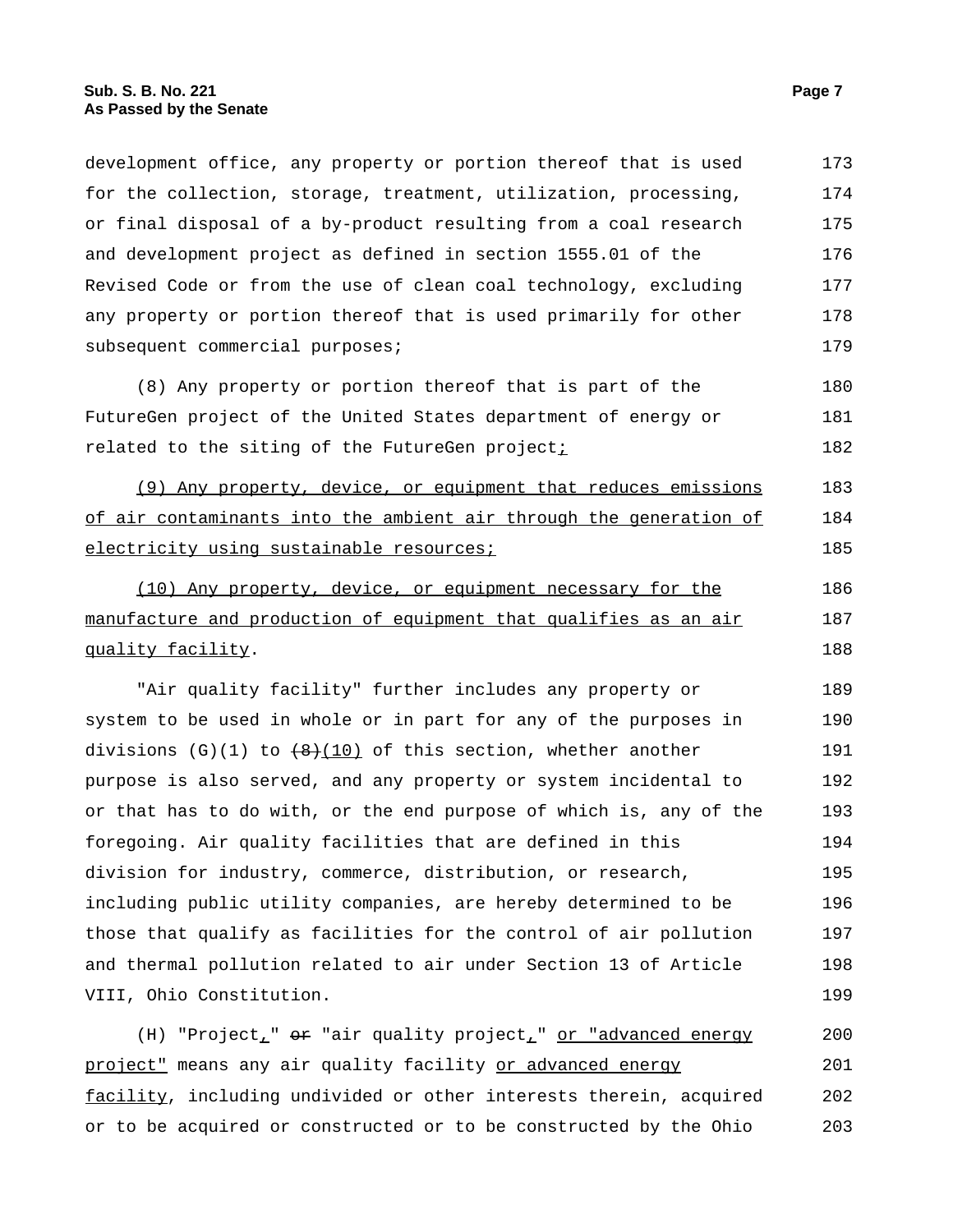development office, any property or portion thereof that is used for the collection, storage, treatment, utilization, processing, or final disposal of a by-product resulting from a coal research and development project as defined in section 1555.01 of the Revised Code or from the use of clean coal technology, excluding any property or portion thereof that is used primarily for other subsequent commercial purposes; 173 174 175 176 177 178 179 (8) Any property or portion thereof that is part of the FutureGen project of the United States department of energy or related to the siting of the FutureGen project; 180 181 182 (9) Any property, device, or equipment that reduces emissions of air contaminants into the ambient air through the generation of electricity using sustainable resources; 183 184 185 (10) Any property, device, or equipment necessary for the manufacture and production of equipment that qualifies as an air quality facility. 186 187 188 "Air quality facility" further includes any property or system to be used in whole or in part for any of the purposes in divisions  $(G)(1)$  to  $(8)(10)$  of this section, whether another purpose is also served, and any property or system incidental to or that has to do with, or the end purpose of which is, any of the foregoing. Air quality facilities that are defined in this division for industry, commerce, distribution, or research, including public utility companies, are hereby determined to be those that qualify as facilities for the control of air pollution and thermal pollution related to air under Section 13 of Article VIII, Ohio Constitution. 189 190 191 192 193 194 195 196 197 198 199 (H) "Project\_" or "air quality project\_" or "advanced energy 200

project" means any air quality facility or advanced energy facility, including undivided or other interests therein, acquired or to be acquired or constructed or to be constructed by the Ohio 201 202 203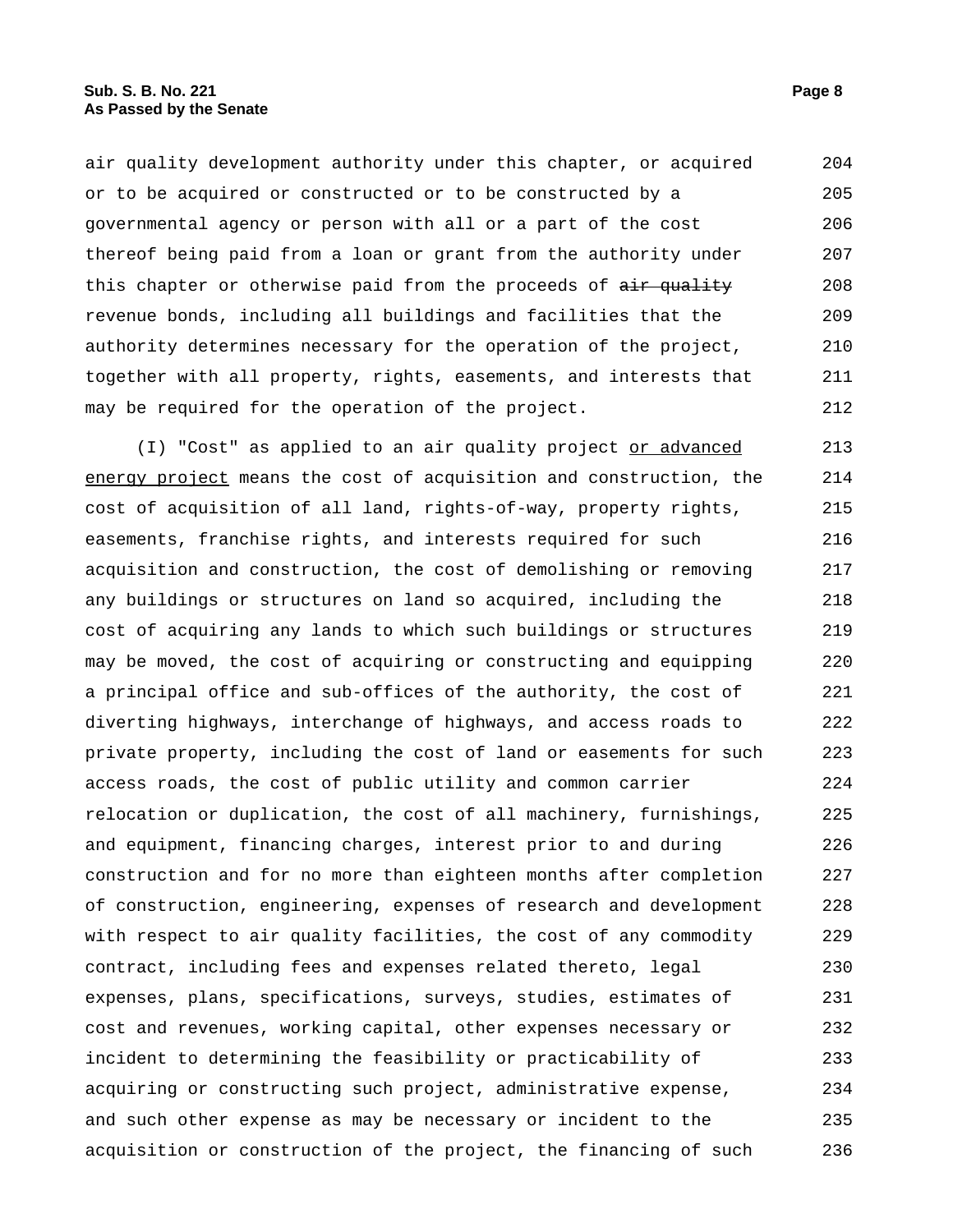air quality development authority under this chapter, or acquired or to be acquired or constructed or to be constructed by a governmental agency or person with all or a part of the cost thereof being paid from a loan or grant from the authority under this chapter or otherwise paid from the proceeds of air quality revenue bonds, including all buildings and facilities that the authority determines necessary for the operation of the project, together with all property, rights, easements, and interests that may be required for the operation of the project. 204 205 206 207 208 209 210 211 212

(I) "Cost" as applied to an air quality project or advanced energy project means the cost of acquisition and construction, the cost of acquisition of all land, rights-of-way, property rights, easements, franchise rights, and interests required for such acquisition and construction, the cost of demolishing or removing any buildings or structures on land so acquired, including the cost of acquiring any lands to which such buildings or structures may be moved, the cost of acquiring or constructing and equipping a principal office and sub-offices of the authority, the cost of diverting highways, interchange of highways, and access roads to private property, including the cost of land or easements for such access roads, the cost of public utility and common carrier relocation or duplication, the cost of all machinery, furnishings, and equipment, financing charges, interest prior to and during construction and for no more than eighteen months after completion of construction, engineering, expenses of research and development with respect to air quality facilities, the cost of any commodity contract, including fees and expenses related thereto, legal expenses, plans, specifications, surveys, studies, estimates of cost and revenues, working capital, other expenses necessary or incident to determining the feasibility or practicability of acquiring or constructing such project, administrative expense, and such other expense as may be necessary or incident to the acquisition or construction of the project, the financing of such 213 214 215 216 217 218 219 220 221 222 223 224 225 226 227 228 229 230 231 232 233 234 235 236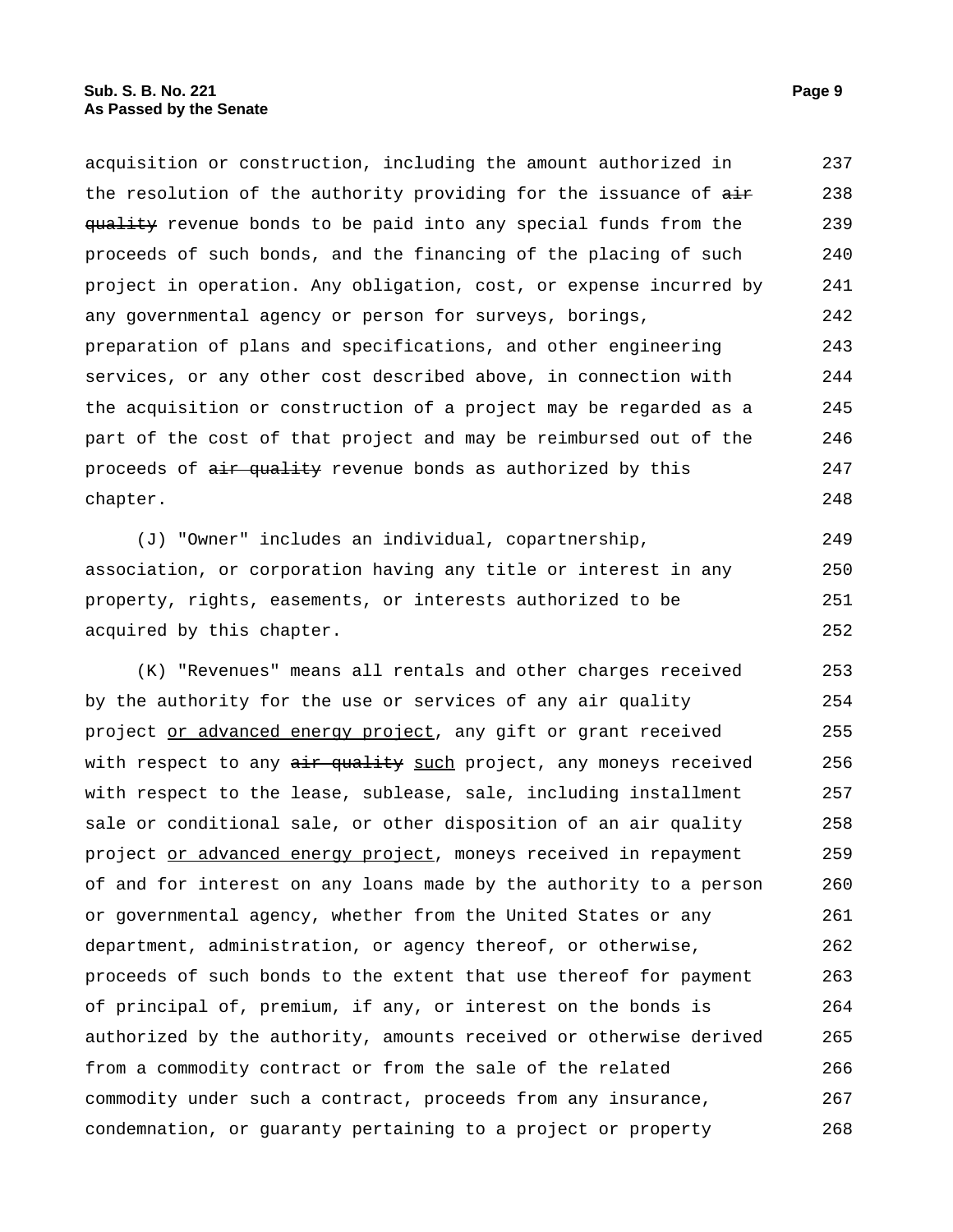acquisition or construction, including the amount authorized in the resolution of the authority providing for the issuance of  $\frac{1}{n+1}$ quality revenue bonds to be paid into any special funds from the proceeds of such bonds, and the financing of the placing of such project in operation. Any obligation, cost, or expense incurred by any governmental agency or person for surveys, borings, preparation of plans and specifications, and other engineering services, or any other cost described above, in connection with the acquisition or construction of a project may be regarded as a part of the cost of that project and may be reimbursed out of the proceeds of  $\frac{air}{quality}$  revenue bonds as authorized by this chapter. 237 238 239 240 241 242 243 244 245 246 247 248

(J) "Owner" includes an individual, copartnership, association, or corporation having any title or interest in any property, rights, easements, or interests authorized to be acquired by this chapter. 249 250 251 252

(K) "Revenues" means all rentals and other charges received by the authority for the use or services of any air quality project or advanced energy project, any gift or grant received with respect to any air quality such project, any moneys received with respect to the lease, sublease, sale, including installment sale or conditional sale, or other disposition of an air quality project or advanced energy project, moneys received in repayment of and for interest on any loans made by the authority to a person or governmental agency, whether from the United States or any department, administration, or agency thereof, or otherwise, proceeds of such bonds to the extent that use thereof for payment of principal of, premium, if any, or interest on the bonds is authorized by the authority, amounts received or otherwise derived from a commodity contract or from the sale of the related commodity under such a contract, proceeds from any insurance, condemnation, or guaranty pertaining to a project or property 253 254 255 256 257 258 259 260 261 262 263 264 265 266 267 268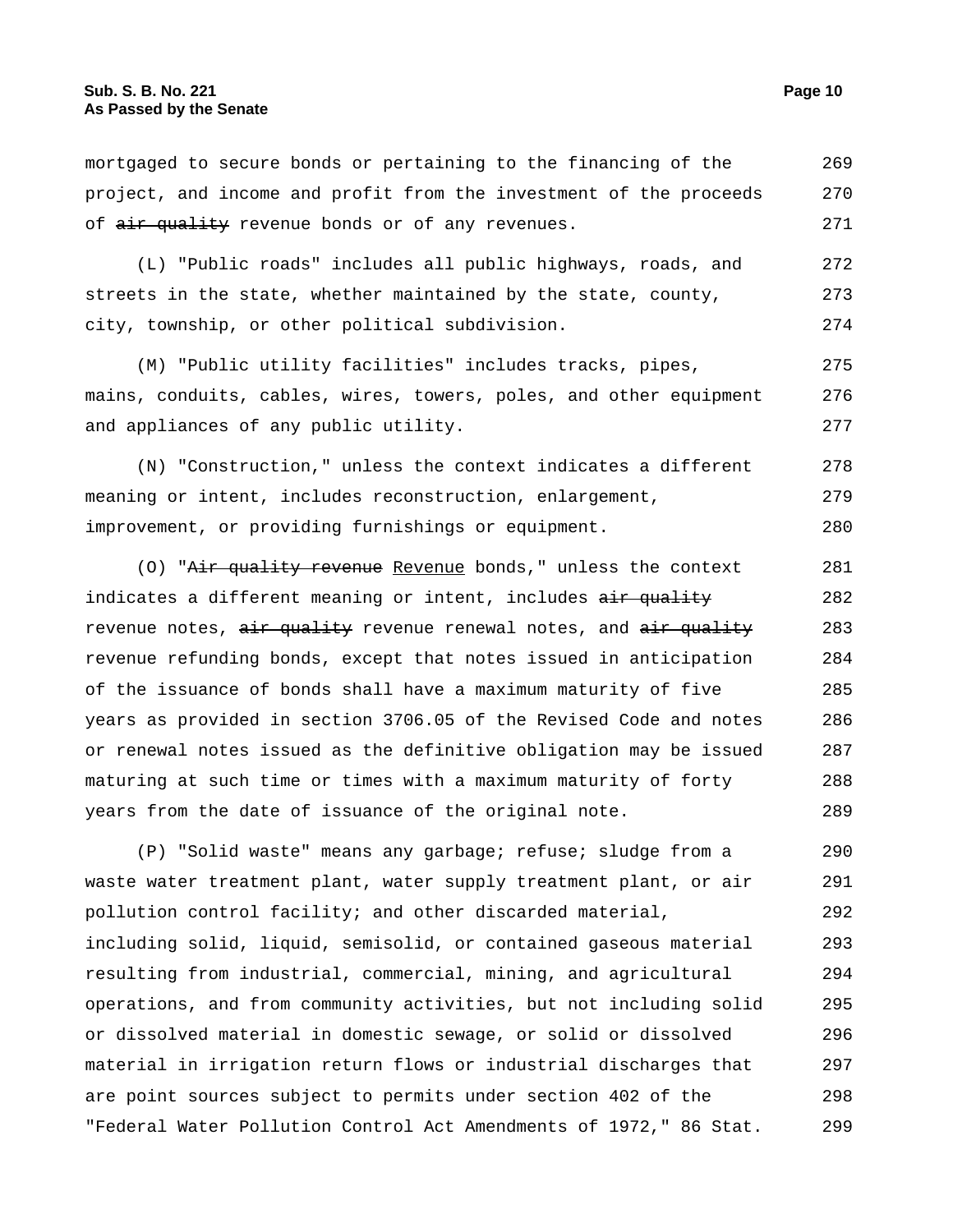mortgaged to secure bonds or pertaining to the financing of the project, and income and profit from the investment of the proceeds of air quality revenue bonds or of any revenues. 269 270 271

(L) "Public roads" includes all public highways, roads, and streets in the state, whether maintained by the state, county, city, township, or other political subdivision. 272 273 274

(M) "Public utility facilities" includes tracks, pipes, mains, conduits, cables, wires, towers, poles, and other equipment and appliances of any public utility. 275 276 277

(N) "Construction," unless the context indicates a different meaning or intent, includes reconstruction, enlargement, improvement, or providing furnishings or equipment. 278 279 280

(O) "Air quality revenue Revenue bonds," unless the context indicates a different meaning or intent, includes air quality revenue notes,  $\frac{air}{b}$  quality revenue renewal notes, and  $\frac{air}{b}$  quality revenue refunding bonds, except that notes issued in anticipation of the issuance of bonds shall have a maximum maturity of five years as provided in section 3706.05 of the Revised Code and notes or renewal notes issued as the definitive obligation may be issued maturing at such time or times with a maximum maturity of forty years from the date of issuance of the original note. 281 282 283 284 285 286 287 288 289

(P) "Solid waste" means any garbage; refuse; sludge from a waste water treatment plant, water supply treatment plant, or air pollution control facility; and other discarded material, including solid, liquid, semisolid, or contained gaseous material resulting from industrial, commercial, mining, and agricultural operations, and from community activities, but not including solid or dissolved material in domestic sewage, or solid or dissolved material in irrigation return flows or industrial discharges that are point sources subject to permits under section 402 of the "Federal Water Pollution Control Act Amendments of 1972," 86 Stat. 290 291 292 293 294 295 296 297 298 299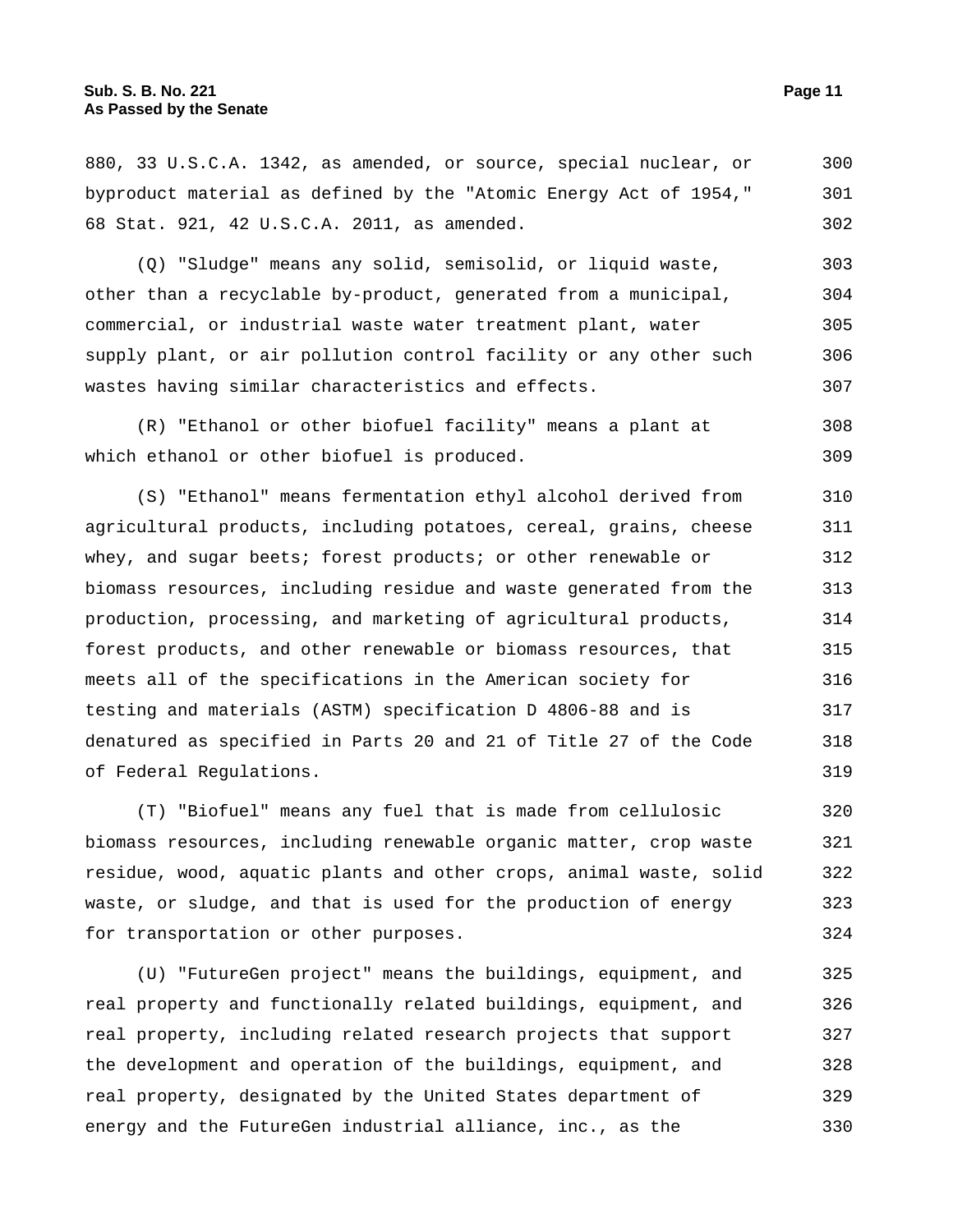880, 33 U.S.C.A. 1342, as amended, or source, special nuclear, or byproduct material as defined by the "Atomic Energy Act of 1954," 68 Stat. 921, 42 U.S.C.A. 2011, as amended. 300 301 302

(Q) "Sludge" means any solid, semisolid, or liquid waste, other than a recyclable by-product, generated from a municipal, commercial, or industrial waste water treatment plant, water supply plant, or air pollution control facility or any other such wastes having similar characteristics and effects. 303 304 305 306 307

(R) "Ethanol or other biofuel facility" means a plant at which ethanol or other biofuel is produced. 308 309

(S) "Ethanol" means fermentation ethyl alcohol derived from agricultural products, including potatoes, cereal, grains, cheese whey, and sugar beets; forest products; or other renewable or biomass resources, including residue and waste generated from the production, processing, and marketing of agricultural products, forest products, and other renewable or biomass resources, that meets all of the specifications in the American society for testing and materials (ASTM) specification D 4806-88 and is denatured as specified in Parts 20 and 21 of Title 27 of the Code of Federal Regulations. 310 311 312 313 314 315 316 317 318 319

(T) "Biofuel" means any fuel that is made from cellulosic biomass resources, including renewable organic matter, crop waste residue, wood, aquatic plants and other crops, animal waste, solid waste, or sludge, and that is used for the production of energy for transportation or other purposes. 320 321 322 323 324

(U) "FutureGen project" means the buildings, equipment, and real property and functionally related buildings, equipment, and real property, including related research projects that support the development and operation of the buildings, equipment, and real property, designated by the United States department of energy and the FutureGen industrial alliance, inc., as the 325 326 327 328 329 330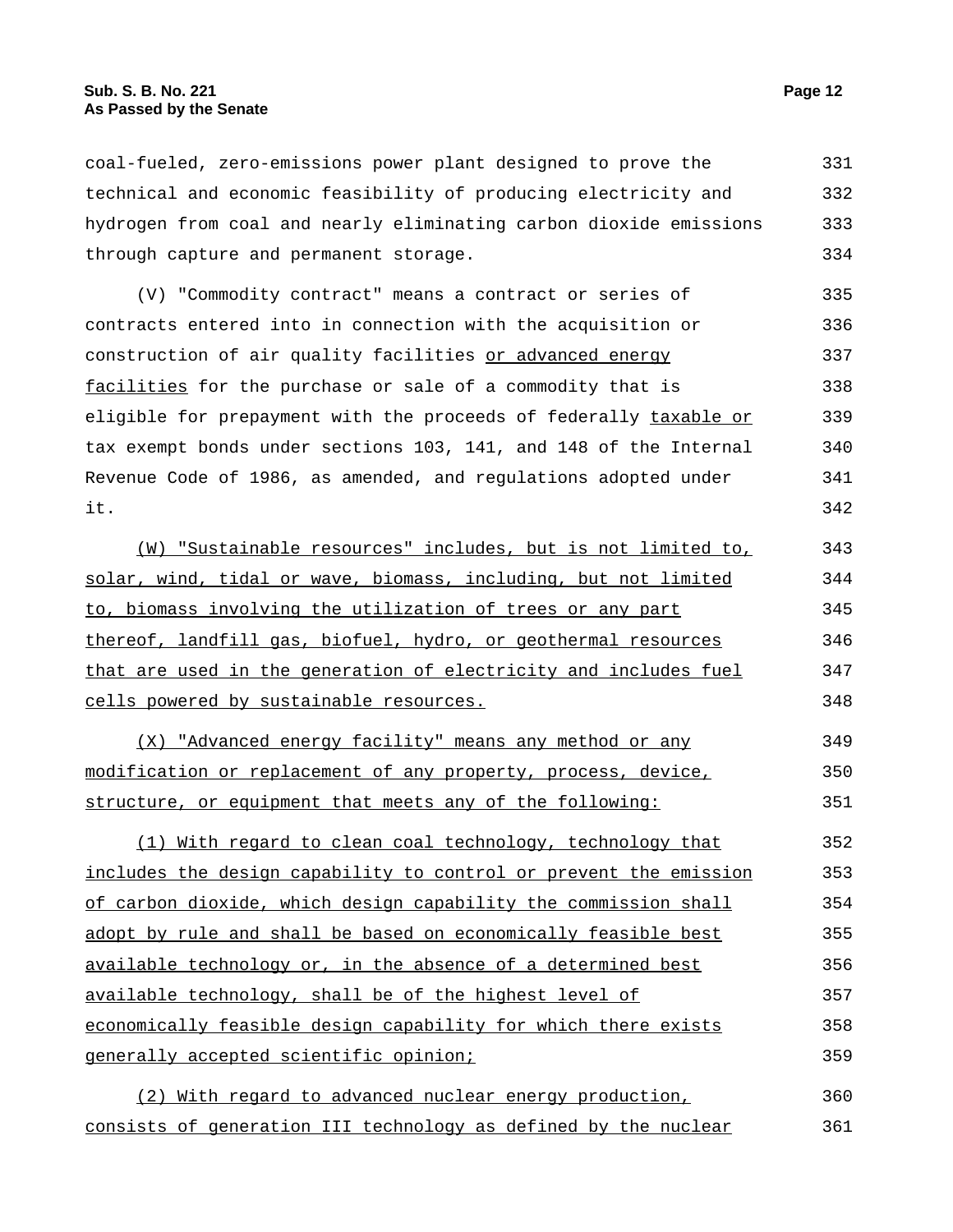coal-fueled, zero-emissions power plant designed to prove the technical and economic feasibility of producing electricity and hydrogen from coal and nearly eliminating carbon dioxide emissions through capture and permanent storage. 331 332 333 334

(V) "Commodity contract" means a contract or series of contracts entered into in connection with the acquisition or construction of air quality facilities or advanced energy facilities for the purchase or sale of a commodity that is eligible for prepayment with the proceeds of federally taxable or tax exempt bonds under sections 103, 141, and 148 of the Internal Revenue Code of 1986, as amended, and regulations adopted under it. 335 336 337 338 339 340 341 342

(W) "Sustainable resources" includes, but is not limited to, solar, wind, tidal or wave, biomass, including, but not limited to, biomass involving the utilization of trees or any part thereof, landfill gas, biofuel, hydro, or geothermal resources that are used in the generation of electricity and includes fuel cells powered by sustainable resources. 343 344 345 346 347 348

(X) "Advanced energy facility" means any method or any modification or replacement of any property, process, device, structure, or equipment that meets any of the following: 349 350 351

(1) With regard to clean coal technology, technology that includes the design capability to control or prevent the emission of carbon dioxide, which design capability the commission shall adopt by rule and shall be based on economically feasible best available technology or, in the absence of a determined best available technology, shall be of the highest level of economically feasible design capability for which there exists generally accepted scientific opinion; 352 353 354 355 356 357 358 359

(2) With regard to advanced nuclear energy production, consists of generation III technology as defined by the nuclear 360 361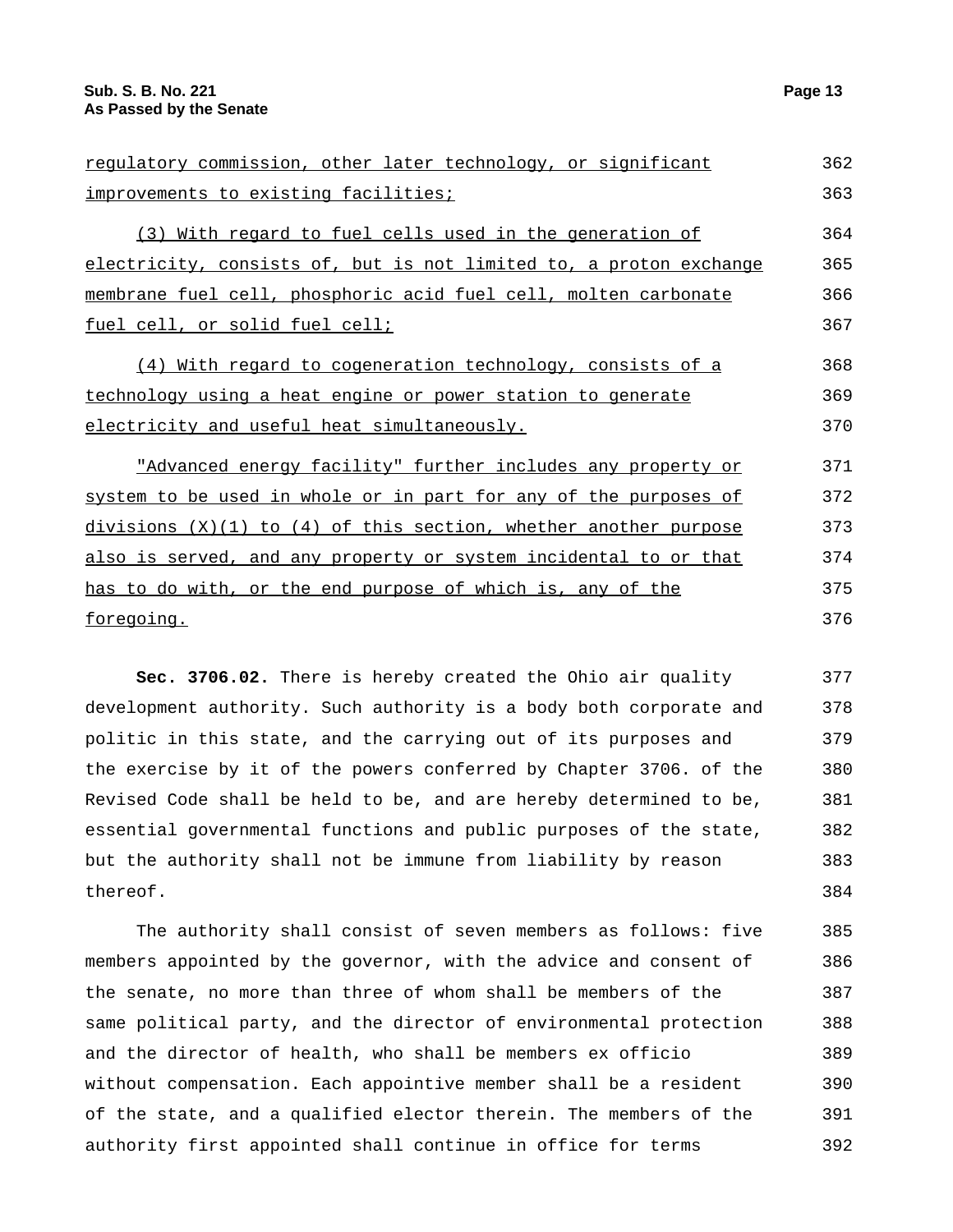| requlatory commission, other later technology, or significant      | 362 |
|--------------------------------------------------------------------|-----|
| improvements to existing facilities;                               |     |
| (3) With regard to fuel cells used in the generation of            | 364 |
| electricity, consists of, but is not limited to, a proton exchange | 365 |
| membrane fuel cell, phosphoric acid fuel cell, molten carbonate    |     |
| fuel cell, or solid fuel cell;                                     | 367 |
| (4) With regard to cogeneration technology, consists of a          | 368 |
| technology using a heat engine or power station to generate        |     |
| electricity and useful heat simultaneously.                        |     |
| "Advanced energy facility" further includes any property or        | 371 |
| system to be used in whole or in part for any of the purposes of   | 372 |
| $divisions (X)(1) to (4) of this section, whether another purpose$ | 373 |
| also is served, and any property or system incidental to or that   | 374 |
| has to do with, or the end purpose of which is, any of the         | 375 |
| <u>foregoing.</u>                                                  |     |
|                                                                    |     |

**Sec. 3706.02.** There is hereby created the Ohio air quality development authority. Such authority is a body both corporate and politic in this state, and the carrying out of its purposes and the exercise by it of the powers conferred by Chapter 3706. of the Revised Code shall be held to be, and are hereby determined to be, essential governmental functions and public purposes of the state, but the authority shall not be immune from liability by reason thereof. 377 378 379 380 381 382 383 384

The authority shall consist of seven members as follows: five members appointed by the governor, with the advice and consent of the senate, no more than three of whom shall be members of the same political party, and the director of environmental protection and the director of health, who shall be members ex officio without compensation. Each appointive member shall be a resident of the state, and a qualified elector therein. The members of the authority first appointed shall continue in office for terms 385 386 387 388 389 390 391 392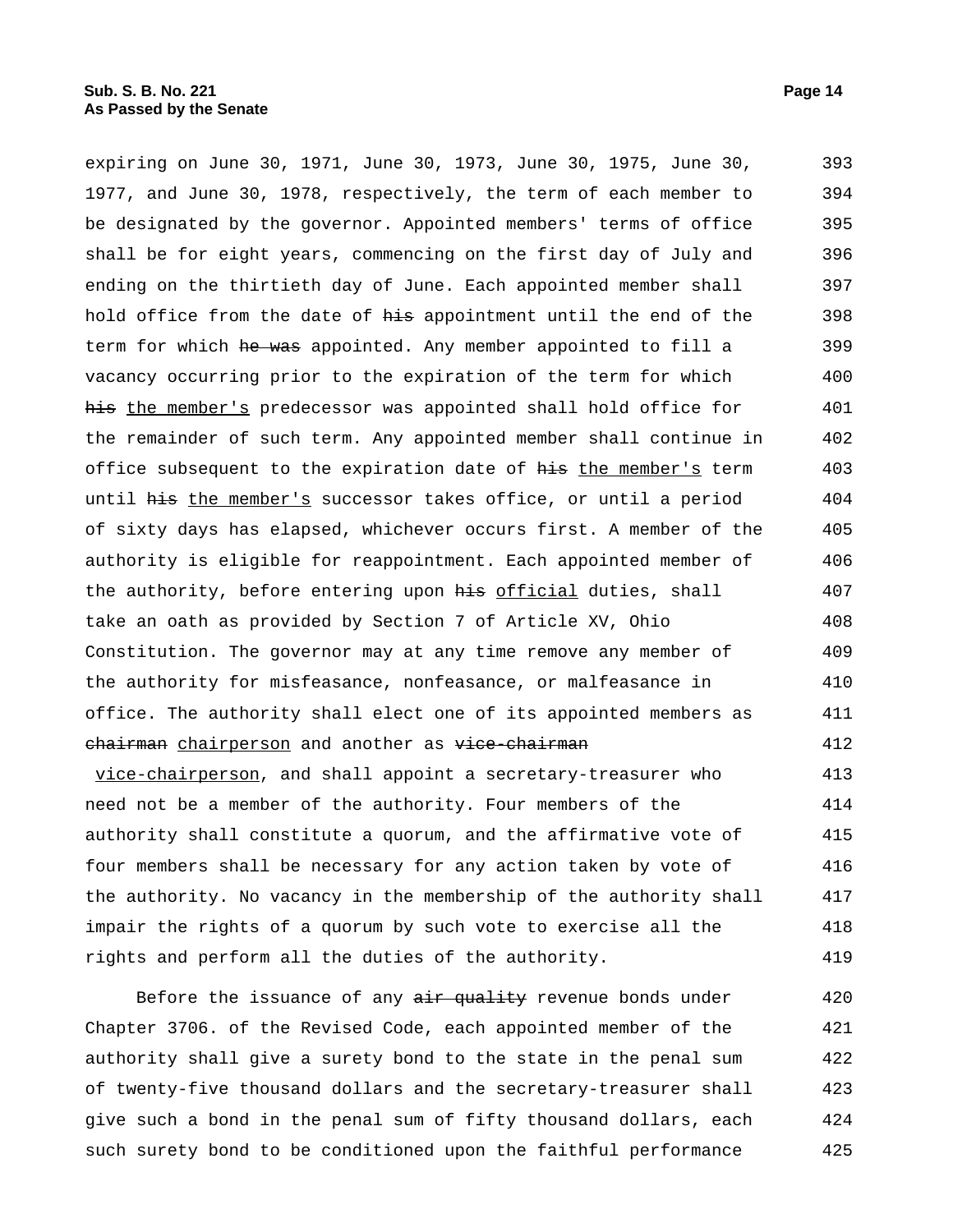expiring on June 30, 1971, June 30, 1973, June 30, 1975, June 30, 1977, and June 30, 1978, respectively, the term of each member to be designated by the governor. Appointed members' terms of office shall be for eight years, commencing on the first day of July and ending on the thirtieth day of June. Each appointed member shall hold office from the date of his appointment until the end of the term for which he was appointed. Any member appointed to fill a vacancy occurring prior to the expiration of the term for which his the member's predecessor was appointed shall hold office for the remainder of such term. Any appointed member shall continue in office subsequent to the expiration date of his the member's term until his the member's successor takes office, or until a period of sixty days has elapsed, whichever occurs first. A member of the authority is eligible for reappointment. Each appointed member of the authority, before entering upon his official duties, shall take an oath as provided by Section 7 of Article XV, Ohio Constitution. The governor may at any time remove any member of the authority for misfeasance, nonfeasance, or malfeasance in office. The authority shall elect one of its appointed members as chairman chairperson and another as vice-chairman vice-chairperson, and shall appoint a secretary-treasurer who need not be a member of the authority. Four members of the authority shall constitute a quorum, and the affirmative vote of 393 394 395 396 397 398 399 400 401 402 403 404 405 406 407 408 409 410 411 412 413 414 415

four members shall be necessary for any action taken by vote of the authority. No vacancy in the membership of the authority shall impair the rights of a quorum by such vote to exercise all the rights and perform all the duties of the authority. 416 417 418 419

Before the issuance of any air quality revenue bonds under Chapter 3706. of the Revised Code, each appointed member of the authority shall give a surety bond to the state in the penal sum of twenty-five thousand dollars and the secretary-treasurer shall give such a bond in the penal sum of fifty thousand dollars, each such surety bond to be conditioned upon the faithful performance 420 421 422 423 424 425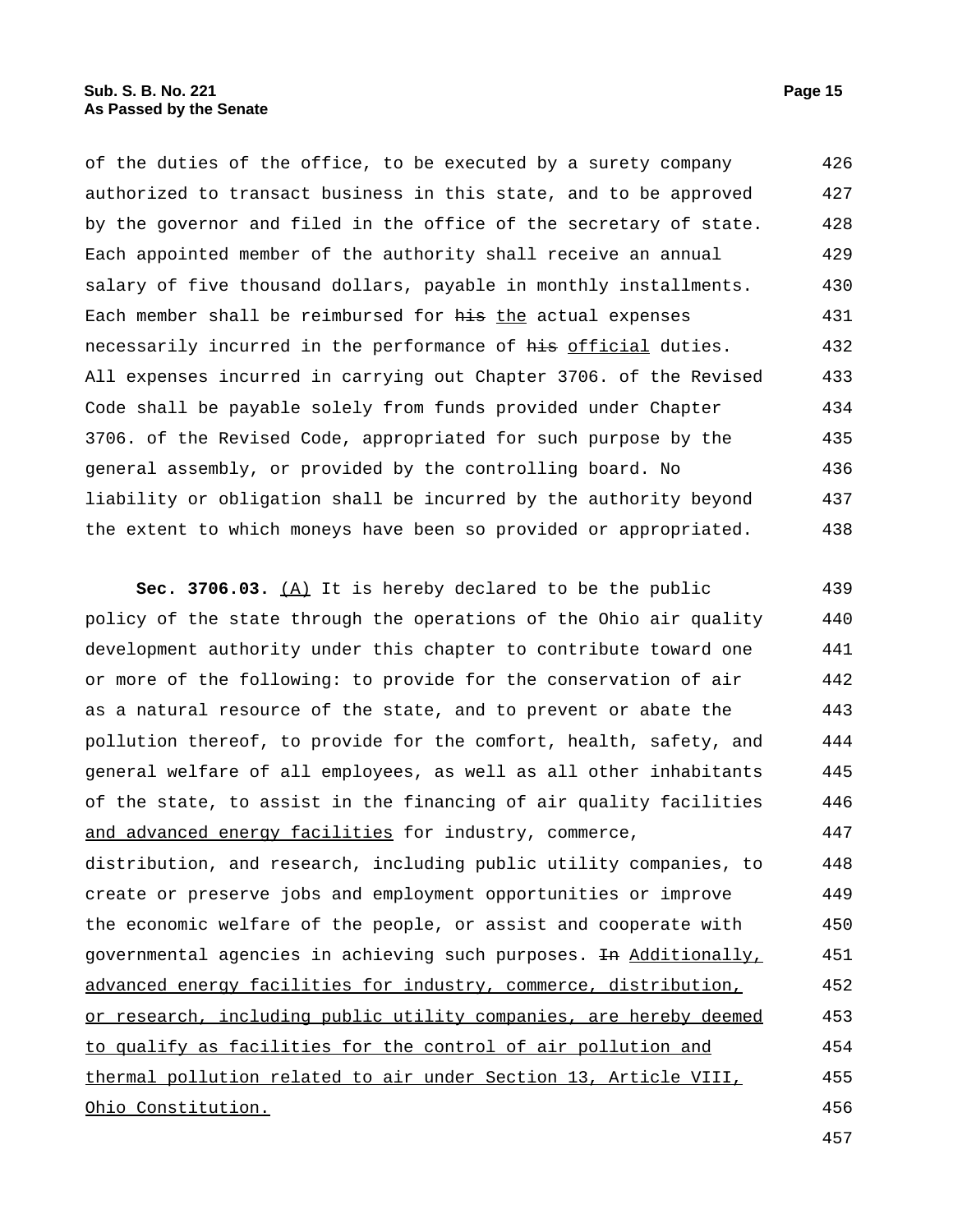of the duties of the office, to be executed by a surety company authorized to transact business in this state, and to be approved by the governor and filed in the office of the secretary of state. Each appointed member of the authority shall receive an annual salary of five thousand dollars, payable in monthly installments. Each member shall be reimbursed for his the actual expenses necessarily incurred in the performance of his official duties. All expenses incurred in carrying out Chapter 3706. of the Revised Code shall be payable solely from funds provided under Chapter 3706. of the Revised Code, appropriated for such purpose by the general assembly, or provided by the controlling board. No liability or obligation shall be incurred by the authority beyond the extent to which moneys have been so provided or appropriated. 426 427 428 429 430 431 432 433 434 435 436 437 438

**Sec. 3706.03.** (A) It is hereby declared to be the public policy of the state through the operations of the Ohio air quality development authority under this chapter to contribute toward one or more of the following: to provide for the conservation of air as a natural resource of the state, and to prevent or abate the pollution thereof, to provide for the comfort, health, safety, and general welfare of all employees, as well as all other inhabitants of the state, to assist in the financing of air quality facilities and advanced energy facilities for industry, commerce, distribution, and research, including public utility companies, to create or preserve jobs and employment opportunities or improve the economic welfare of the people, or assist and cooperate with governmental agencies in achieving such purposes. <del>In</del> Additionally, advanced energy facilities for industry, commerce, distribution, or research, including public utility companies, are hereby deemed to qualify as facilities for the control of air pollution and thermal pollution related to air under Section 13, Article VIII, Ohio Constitution. 439 440 441 442 443 444 445 446 447 448 449 450 451 452 453 454 455 456

457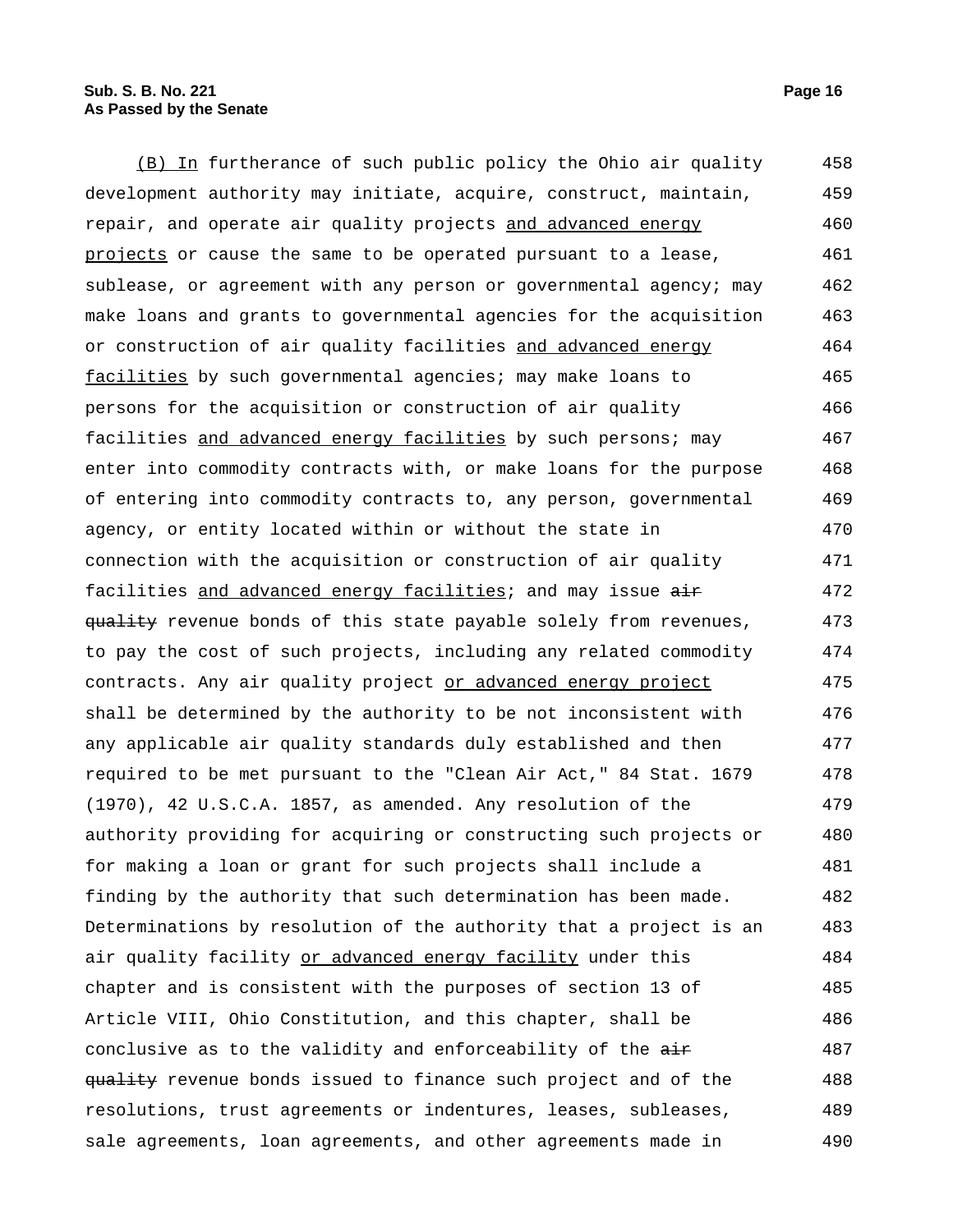(B) In furtherance of such public policy the Ohio air quality development authority may initiate, acquire, construct, maintain, repair, and operate air quality projects and advanced energy projects or cause the same to be operated pursuant to a lease, sublease, or agreement with any person or governmental agency; may make loans and grants to governmental agencies for the acquisition or construction of air quality facilities and advanced energy facilities by such governmental agencies; may make loans to persons for the acquisition or construction of air quality facilities and advanced energy facilities by such persons; may enter into commodity contracts with, or make loans for the purpose of entering into commodity contracts to, any person, governmental agency, or entity located within or without the state in connection with the acquisition or construction of air quality facilities and advanced energy facilities; and may issue air quality revenue bonds of this state payable solely from revenues, to pay the cost of such projects, including any related commodity contracts. Any air quality project or advanced energy project shall be determined by the authority to be not inconsistent with any applicable air quality standards duly established and then required to be met pursuant to the "Clean Air Act," 84 Stat. 1679 (1970), 42 U.S.C.A. 1857, as amended. Any resolution of the authority providing for acquiring or constructing such projects or for making a loan or grant for such projects shall include a finding by the authority that such determination has been made. Determinations by resolution of the authority that a project is an air quality facility or advanced energy facility under this chapter and is consistent with the purposes of section 13 of Article VIII, Ohio Constitution, and this chapter, shall be conclusive as to the validity and enforceability of the air quality revenue bonds issued to finance such project and of the resolutions, trust agreements or indentures, leases, subleases, sale agreements, loan agreements, and other agreements made in 458 459 460 461 462 463 464 465 466 467 468 469 470 471 472 473 474 475 476 477 478 479 480 481 482 483 484 485 486 487 488 489 490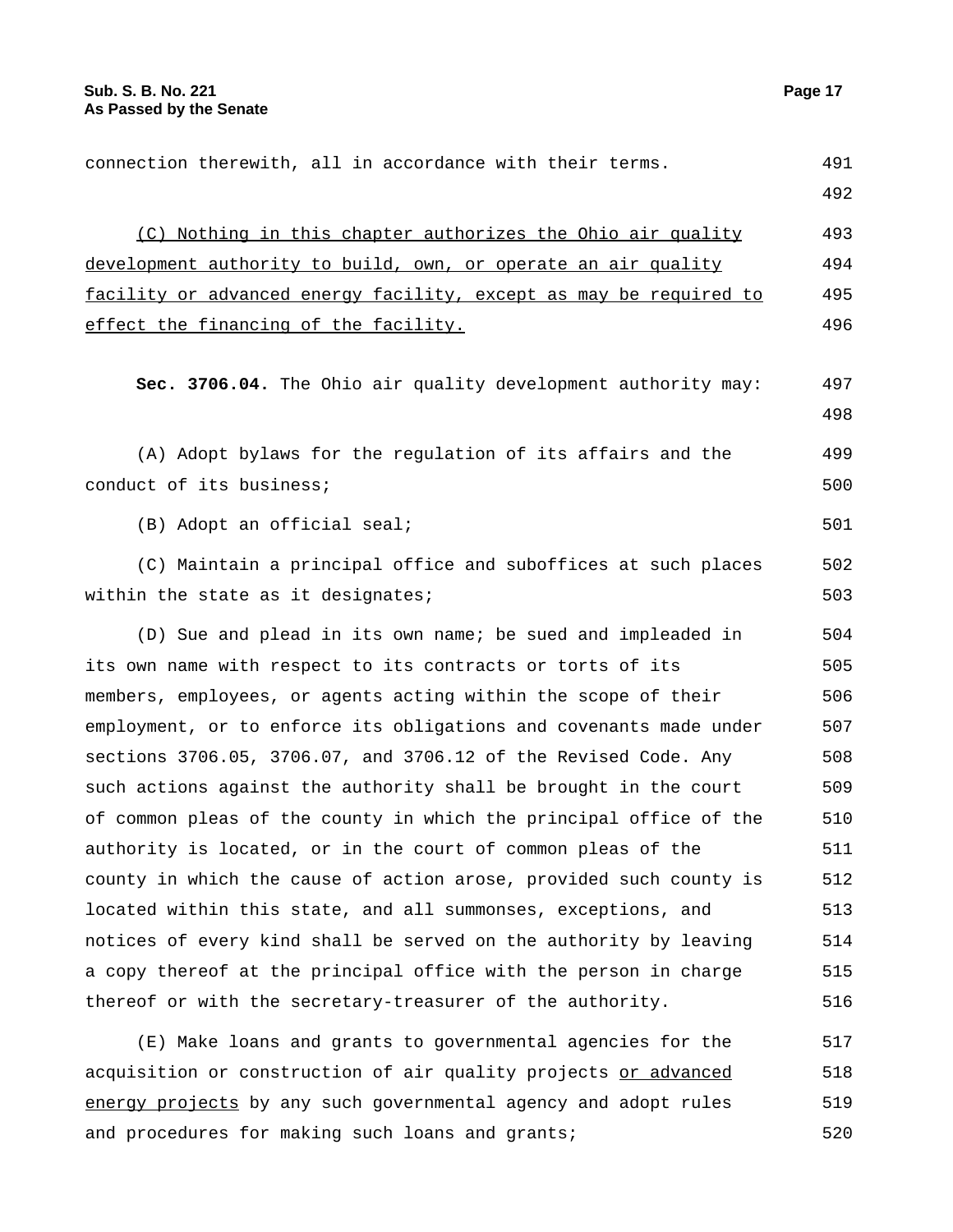connection therewith, all in accordance with their terms. 491 492 (C) Nothing in this chapter authorizes the Ohio air quality development authority to build, own, or operate an air quality facility or advanced energy facility, except as may be required to effect the financing of the facility. 493 494 495 496 **Sec. 3706.04.** The Ohio air quality development authority may: 497 498 (A) Adopt bylaws for the regulation of its affairs and the conduct of its business; 499 500  $(B)$  Adopt an official seal;  $501$ (C) Maintain a principal office and suboffices at such places within the state as it designates; 502 503 (D) Sue and plead in its own name; be sued and impleaded in its own name with respect to its contracts or torts of its members, employees, or agents acting within the scope of their employment, or to enforce its obligations and covenants made under sections 3706.05, 3706.07, and 3706.12 of the Revised Code. Any such actions against the authority shall be brought in the court of common pleas of the county in which the principal office of the authority is located, or in the court of common pleas of the county in which the cause of action arose, provided such county is located within this state, and all summonses, exceptions, and notices of every kind shall be served on the authority by leaving a copy thereof at the principal office with the person in charge thereof or with the secretary-treasurer of the authority. 504 505 506 507 508 509 510 511 512 513 514 515 516

(E) Make loans and grants to governmental agencies for the acquisition or construction of air quality projects or advanced energy projects by any such governmental agency and adopt rules and procedures for making such loans and grants; 517 518 519 520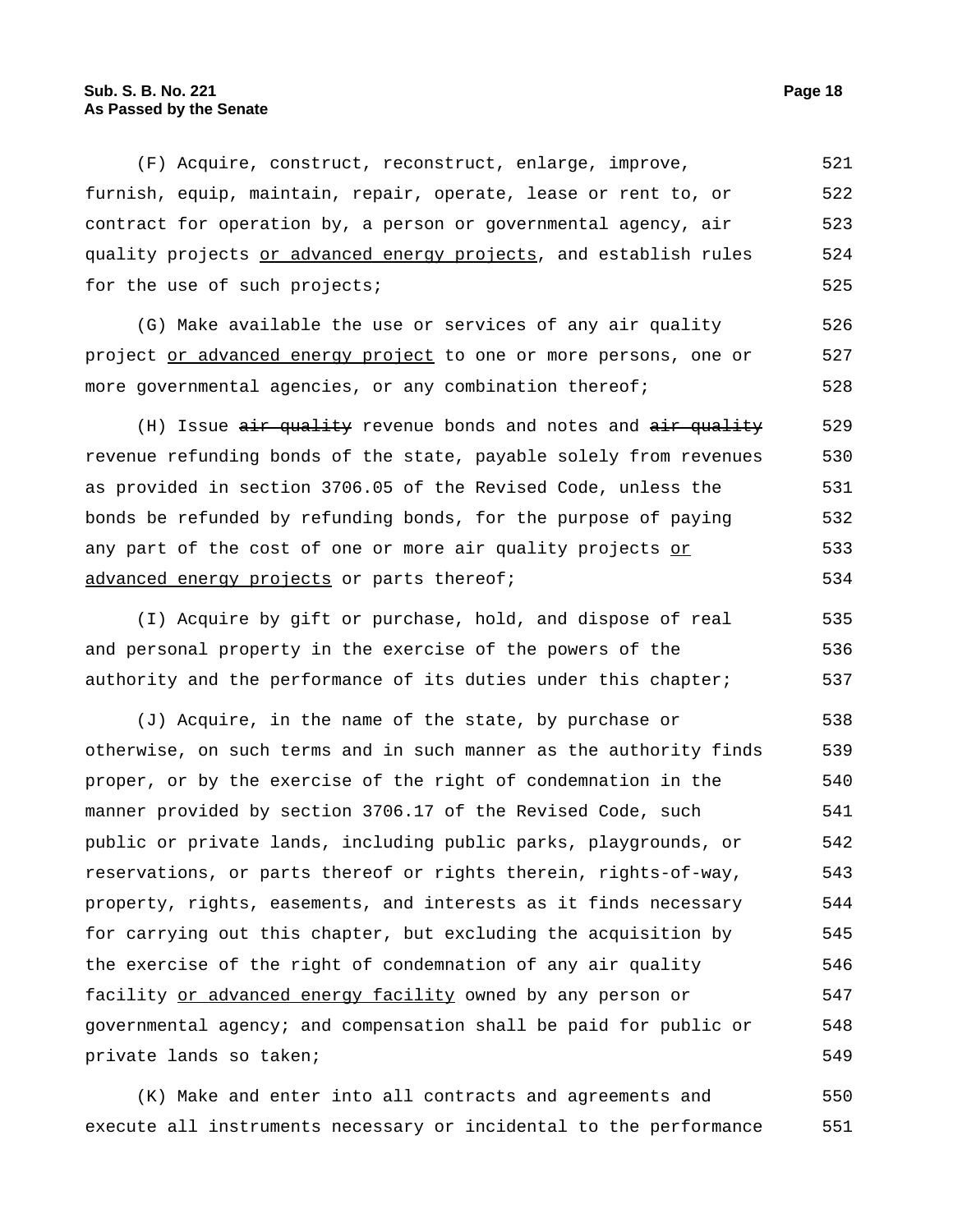## **Sub. S. B. No. 221 Page 18 As Passed by the Senate**

(F) Acquire, construct, reconstruct, enlarge, improve, furnish, equip, maintain, repair, operate, lease or rent to, or contract for operation by, a person or governmental agency, air quality projects or advanced energy projects, and establish rules for the use of such projects; 521 522 523 524 525

(G) Make available the use or services of any air quality project or advanced energy project to one or more persons, one or more governmental agencies, or any combination thereof; 526 527 528

(H) Issue air quality revenue bonds and notes and air quality revenue refunding bonds of the state, payable solely from revenues as provided in section 3706.05 of the Revised Code, unless the bonds be refunded by refunding bonds, for the purpose of paying any part of the cost of one or more air quality projects or advanced energy projects or parts thereof; 529 530 531 532 533 534

(I) Acquire by gift or purchase, hold, and dispose of real and personal property in the exercise of the powers of the authority and the performance of its duties under this chapter; 535 536 537

(J) Acquire, in the name of the state, by purchase or otherwise, on such terms and in such manner as the authority finds proper, or by the exercise of the right of condemnation in the manner provided by section 3706.17 of the Revised Code, such public or private lands, including public parks, playgrounds, or reservations, or parts thereof or rights therein, rights-of-way, property, rights, easements, and interests as it finds necessary for carrying out this chapter, but excluding the acquisition by the exercise of the right of condemnation of any air quality facility or advanced energy facility owned by any person or governmental agency; and compensation shall be paid for public or private lands so taken; 538 539 540 541 542 543 544 545 546 547 548 549

(K) Make and enter into all contracts and agreements and execute all instruments necessary or incidental to the performance 550 551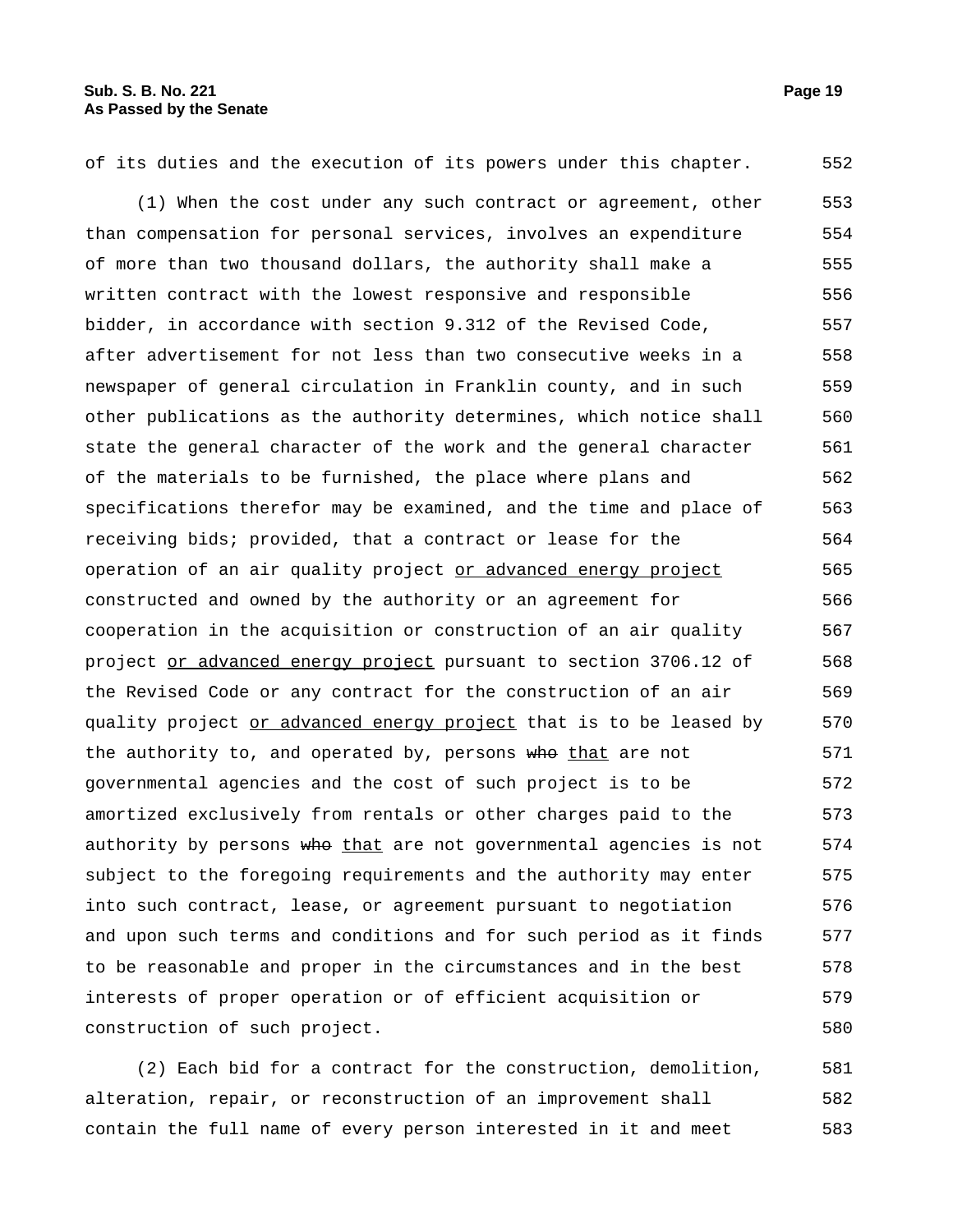of its duties and the execution of its powers under this chapter. 552

(1) When the cost under any such contract or agreement, other than compensation for personal services, involves an expenditure of more than two thousand dollars, the authority shall make a written contract with the lowest responsive and responsible bidder, in accordance with section 9.312 of the Revised Code, after advertisement for not less than two consecutive weeks in a newspaper of general circulation in Franklin county, and in such other publications as the authority determines, which notice shall state the general character of the work and the general character of the materials to be furnished, the place where plans and specifications therefor may be examined, and the time and place of receiving bids; provided, that a contract or lease for the operation of an air quality project or advanced energy project constructed and owned by the authority or an agreement for cooperation in the acquisition or construction of an air quality project or advanced energy project pursuant to section 3706.12 of the Revised Code or any contract for the construction of an air quality project or advanced energy project that is to be leased by the authority to, and operated by, persons who that are not governmental agencies and the cost of such project is to be amortized exclusively from rentals or other charges paid to the authority by persons who that are not governmental agencies is not subject to the foregoing requirements and the authority may enter into such contract, lease, or agreement pursuant to negotiation and upon such terms and conditions and for such period as it finds to be reasonable and proper in the circumstances and in the best interests of proper operation or of efficient acquisition or construction of such project. 553 554 555 556 557 558 559 560 561 562 563 564 565 566 567 568 569 570 571 572 573 574 575 576 577 578 579 580

(2) Each bid for a contract for the construction, demolition, alteration, repair, or reconstruction of an improvement shall contain the full name of every person interested in it and meet 581 582 583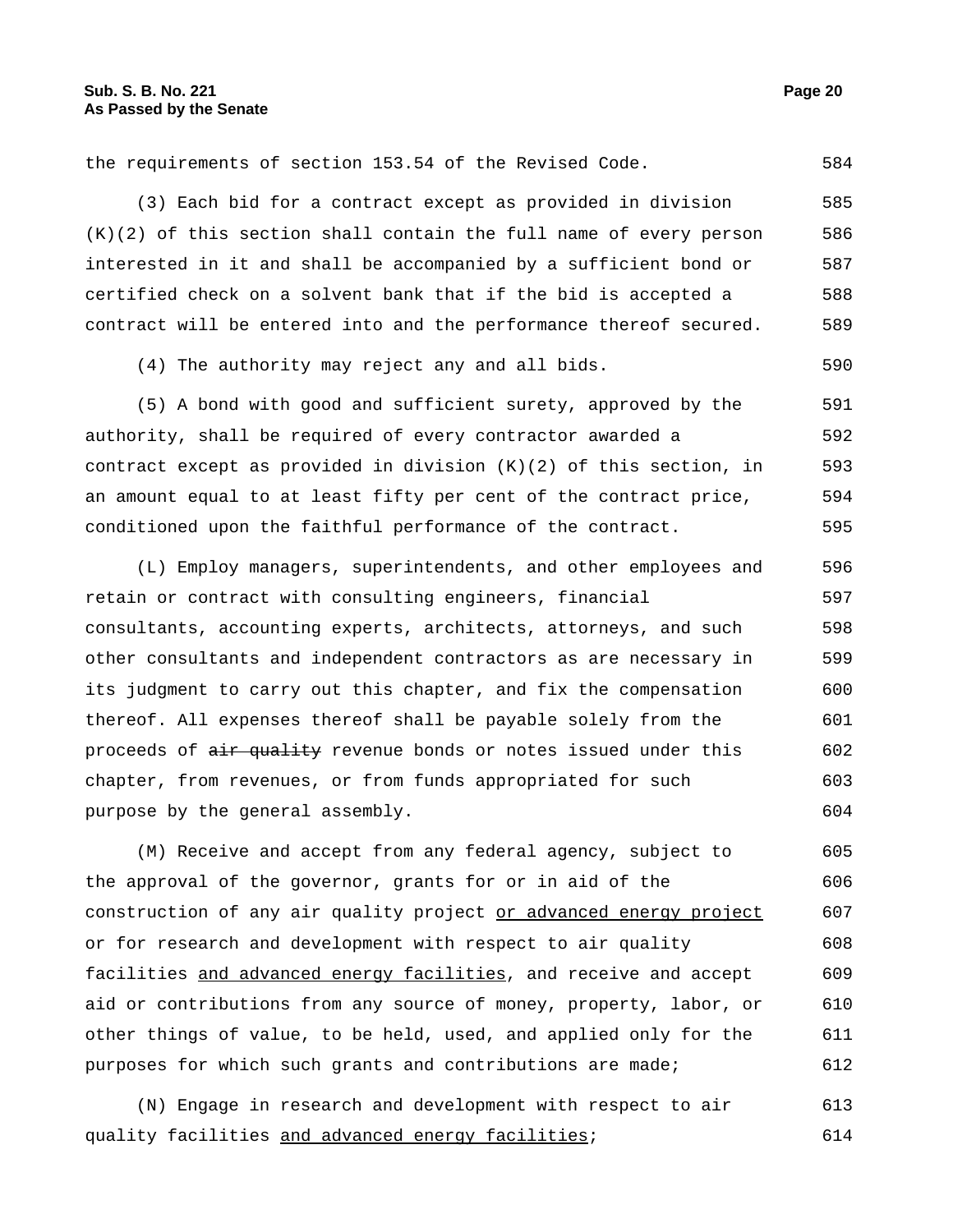the requirements of section 153.54 of the Revised Code. 584

(3) Each bid for a contract except as provided in division  $(K)(2)$  of this section shall contain the full name of every person interested in it and shall be accompanied by a sufficient bond or certified check on a solvent bank that if the bid is accepted a contract will be entered into and the performance thereof secured. 585 586 587 588 589

(4) The authority may reject any and all bids. 590

(5) A bond with good and sufficient surety, approved by the authority, shall be required of every contractor awarded a contract except as provided in division (K)(2) of this section, in an amount equal to at least fifty per cent of the contract price, conditioned upon the faithful performance of the contract. 591 592 593 594 595

(L) Employ managers, superintendents, and other employees and retain or contract with consulting engineers, financial consultants, accounting experts, architects, attorneys, and such other consultants and independent contractors as are necessary in its judgment to carry out this chapter, and fix the compensation thereof. All expenses thereof shall be payable solely from the proceeds of air quality revenue bonds or notes issued under this chapter, from revenues, or from funds appropriated for such purpose by the general assembly. 596 597 598 599 600 601 602 603 604

(M) Receive and accept from any federal agency, subject to the approval of the governor, grants for or in aid of the construction of any air quality project or advanced energy project or for research and development with respect to air quality facilities and advanced energy facilities, and receive and accept aid or contributions from any source of money, property, labor, or other things of value, to be held, used, and applied only for the purposes for which such grants and contributions are made; 605 606 607 608 609 610 611 612

(N) Engage in research and development with respect to air quality facilities and advanced energy facilities; 613 614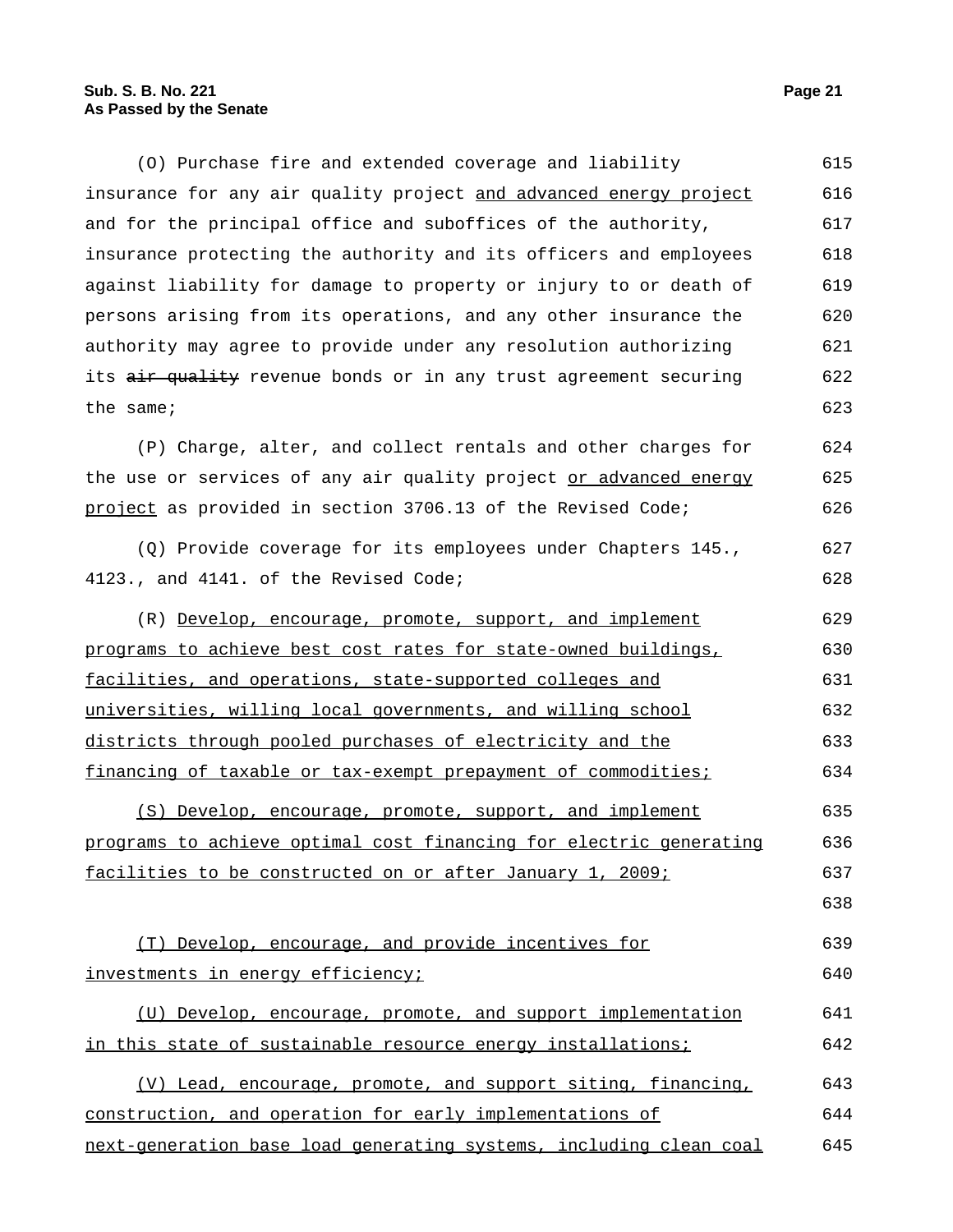(O) Purchase fire and extended coverage and liability insurance for any air quality project and advanced energy project and for the principal office and suboffices of the authority, insurance protecting the authority and its officers and employees against liability for damage to property or injury to or death of persons arising from its operations, and any other insurance the authority may agree to provide under any resolution authorizing its air quality revenue bonds or in any trust agreement securing the same; 615 616 617 618 619 620 621 622 623

(P) Charge, alter, and collect rentals and other charges for the use or services of any air quality project or advanced energy project as provided in section 3706.13 of the Revised Code; 624 625 626

(Q) Provide coverage for its employees under Chapters 145., 4123., and 4141. of the Revised Code; 627 628

(R) Develop, encourage, promote, support, and implement programs to achieve best cost rates for state-owned buildings, facilities, and operations, state-supported colleges and universities, willing local governments, and willing school districts through pooled purchases of electricity and the financing of taxable or tax-exempt prepayment of commodities; 629 630 631 632 633 634

(S) Develop, encourage, promote, support, and implement programs to achieve optimal cost financing for electric generating facilities to be constructed on or after January 1, 2009; 635 636 637

(T) Develop, encourage, and provide incentives for investments in energy efficiency; 639 640

(U) Develop, encourage, promote, and support implementation in this state of sustainable resource energy installations; 641 642

(V) Lead, encourage, promote, and support siting, financing, construction, and operation for early implementations of next-generation base load generating systems, including clean coal 643 644 645

638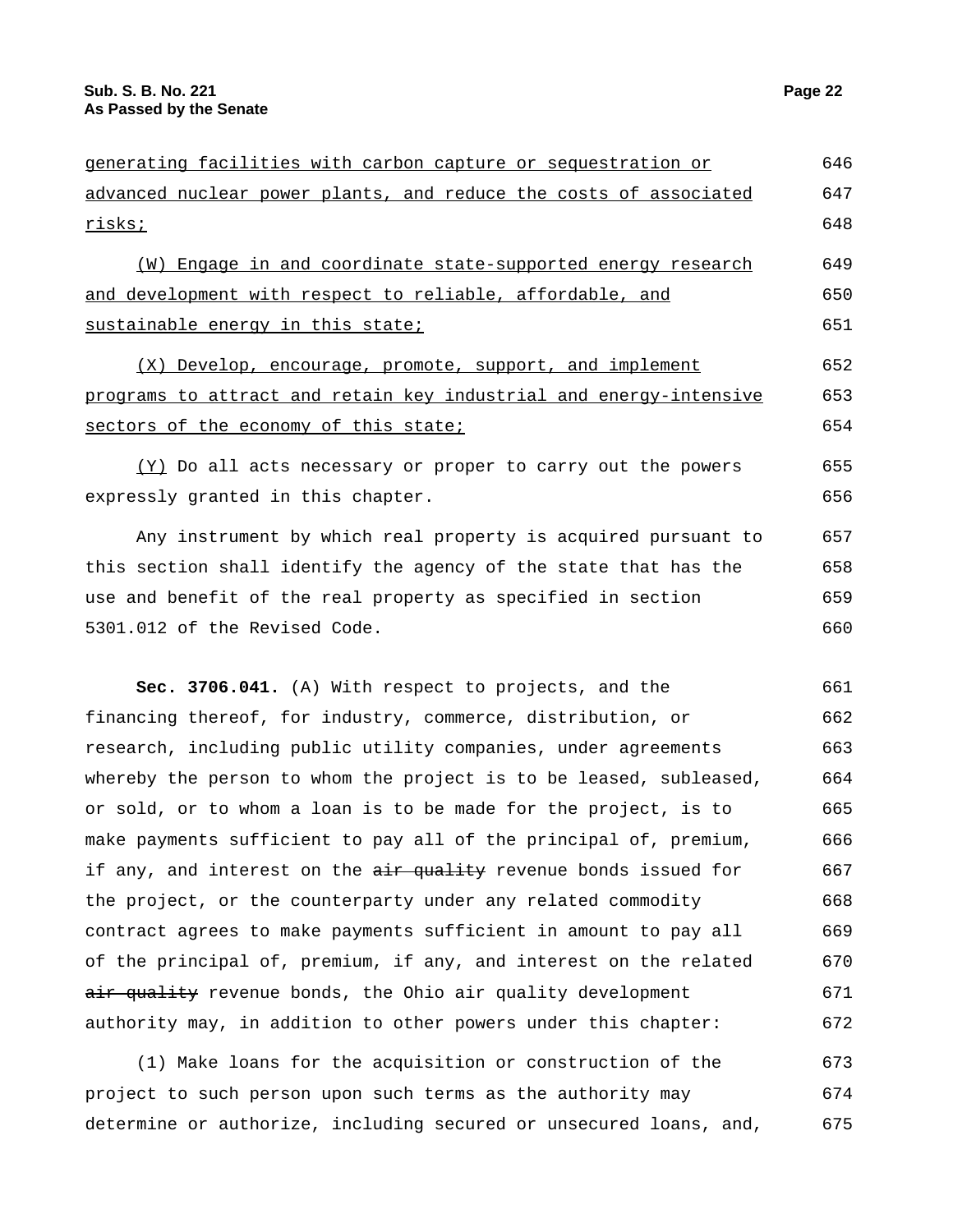| generating facilities with carbon capture or sequestration or      |     |  |
|--------------------------------------------------------------------|-----|--|
| advanced nuclear power plants, and reduce the costs of associated  |     |  |
| <u>risks;</u>                                                      |     |  |
| (W) Engage in and coordinate state-supported energy research       | 649 |  |
| and development with respect to reliable, affordable, and          |     |  |
| sustainable energy in this state;                                  |     |  |
| (X) Develop, encourage, promote, support, and implement            | 652 |  |
| programs to attract and retain key industrial and energy-intensive |     |  |
| sectors of the economy of this state;                              | 654 |  |
| (Y) Do all acts necessary or proper to carry out the powers        | 655 |  |
| expressly granted in this chapter.                                 |     |  |
| Any instrument by which real property is acquired pursuant to      | 657 |  |
| this section shall identify the agency of the state that has the   | 658 |  |
| use and benefit of the real property as specified in section       | 659 |  |
| 5301.012 of the Revised Code.                                      |     |  |
|                                                                    |     |  |
| Sec. 3706.041. (A) With respect to projects, and the               | 661 |  |
| financing thereof, for industry, commerce, distribution, or        | 662 |  |
| research, including public utility companies, under agreements     | 663 |  |
| whereby the person to whom the project is to be leased, subleased, | 664 |  |
| or sold, or to whom a loan is to be made for the project, is to    | 665 |  |
| make payments sufficient to pay all of the principal of, premium,  | 666 |  |
|                                                                    |     |  |

if any, and interest on the air quality revenue bonds issued for the project, or the counterparty under any related commodity contract agrees to make payments sufficient in amount to pay all of the principal of, premium, if any, and interest on the related air quality revenue bonds, the Ohio air quality development authority may, in addition to other powers under this chapter: 667 668 669 670 671 672

(1) Make loans for the acquisition or construction of the project to such person upon such terms as the authority may determine or authorize, including secured or unsecured loans, and, 673 674 675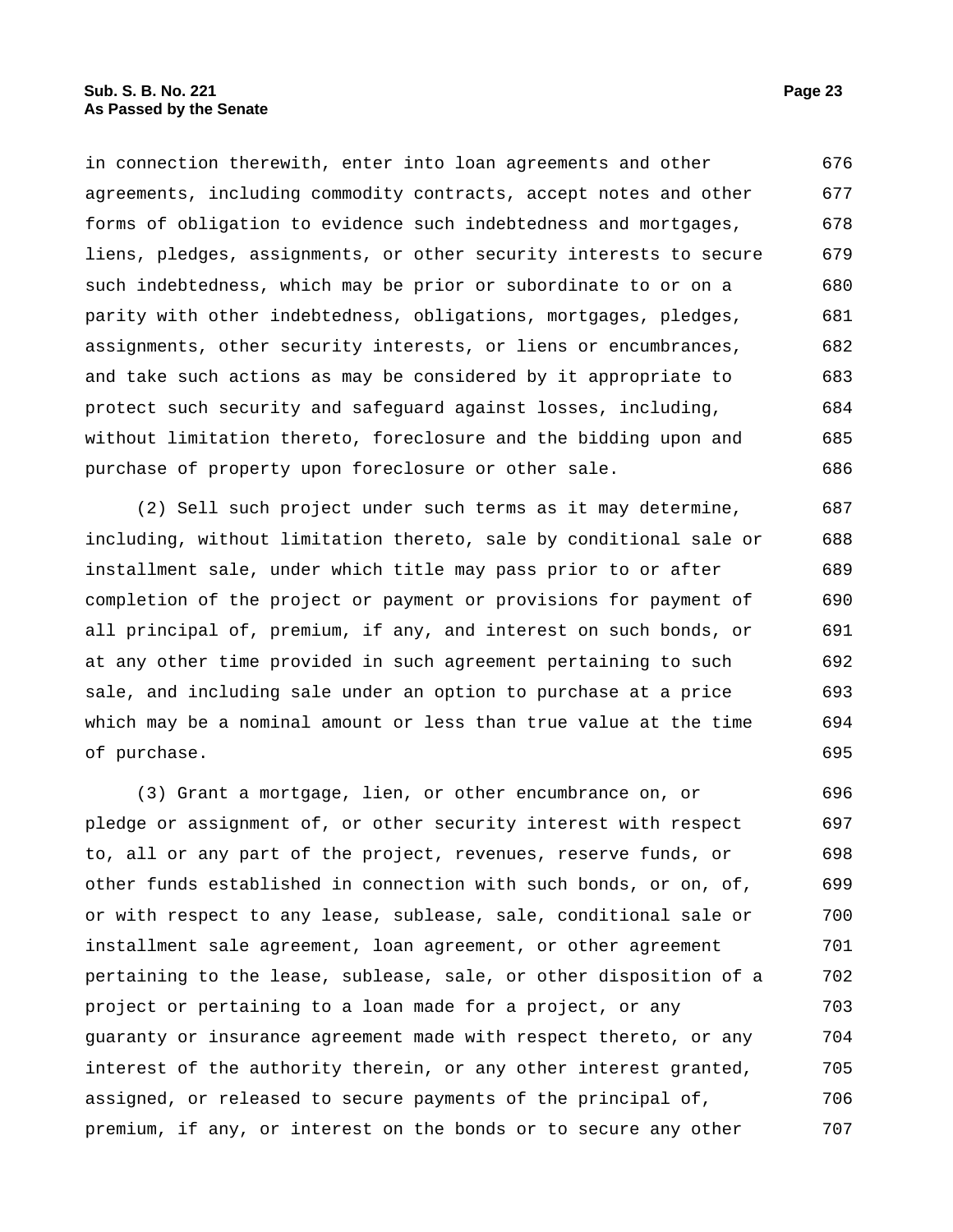in connection therewith, enter into loan agreements and other agreements, including commodity contracts, accept notes and other forms of obligation to evidence such indebtedness and mortgages, liens, pledges, assignments, or other security interests to secure such indebtedness, which may be prior or subordinate to or on a parity with other indebtedness, obligations, mortgages, pledges, assignments, other security interests, or liens or encumbrances, and take such actions as may be considered by it appropriate to protect such security and safeguard against losses, including, without limitation thereto, foreclosure and the bidding upon and purchase of property upon foreclosure or other sale. 676 677 678 679 680 681 682 683 684 685 686

(2) Sell such project under such terms as it may determine, including, without limitation thereto, sale by conditional sale or installment sale, under which title may pass prior to or after completion of the project or payment or provisions for payment of all principal of, premium, if any, and interest on such bonds, or at any other time provided in such agreement pertaining to such sale, and including sale under an option to purchase at a price which may be a nominal amount or less than true value at the time of purchase. 687 688 689 690 691 692 693 694 695

(3) Grant a mortgage, lien, or other encumbrance on, or pledge or assignment of, or other security interest with respect to, all or any part of the project, revenues, reserve funds, or other funds established in connection with such bonds, or on, of, or with respect to any lease, sublease, sale, conditional sale or installment sale agreement, loan agreement, or other agreement pertaining to the lease, sublease, sale, or other disposition of a project or pertaining to a loan made for a project, or any guaranty or insurance agreement made with respect thereto, or any interest of the authority therein, or any other interest granted, assigned, or released to secure payments of the principal of, premium, if any, or interest on the bonds or to secure any other 696 697 698 699 700 701 702 703 704 705 706 707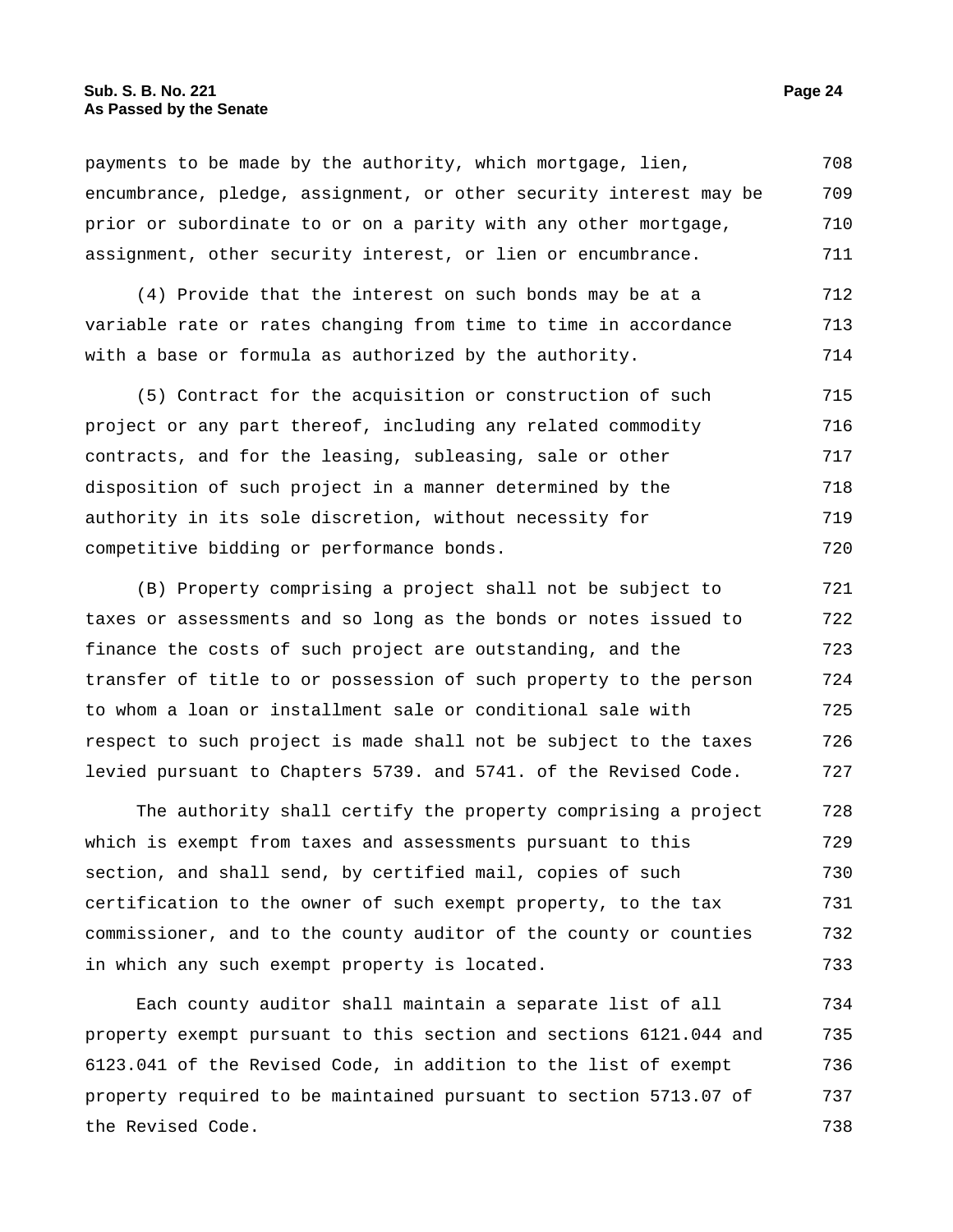payments to be made by the authority, which mortgage, lien, encumbrance, pledge, assignment, or other security interest may be prior or subordinate to or on a parity with any other mortgage, assignment, other security interest, or lien or encumbrance. 708 709 710 711

(4) Provide that the interest on such bonds may be at a variable rate or rates changing from time to time in accordance with a base or formula as authorized by the authority. 712 713 714

(5) Contract for the acquisition or construction of such project or any part thereof, including any related commodity contracts, and for the leasing, subleasing, sale or other disposition of such project in a manner determined by the authority in its sole discretion, without necessity for competitive bidding or performance bonds. 715 716 717 718 719 720

(B) Property comprising a project shall not be subject to taxes or assessments and so long as the bonds or notes issued to finance the costs of such project are outstanding, and the transfer of title to or possession of such property to the person to whom a loan or installment sale or conditional sale with respect to such project is made shall not be subject to the taxes levied pursuant to Chapters 5739. and 5741. of the Revised Code. 721 722 723 724 725 726 727

The authority shall certify the property comprising a project which is exempt from taxes and assessments pursuant to this section, and shall send, by certified mail, copies of such certification to the owner of such exempt property, to the tax commissioner, and to the county auditor of the county or counties in which any such exempt property is located. 728 729 730 731 732 733

Each county auditor shall maintain a separate list of all property exempt pursuant to this section and sections 6121.044 and 6123.041 of the Revised Code, in addition to the list of exempt property required to be maintained pursuant to section 5713.07 of the Revised Code. 734 735 736 737 738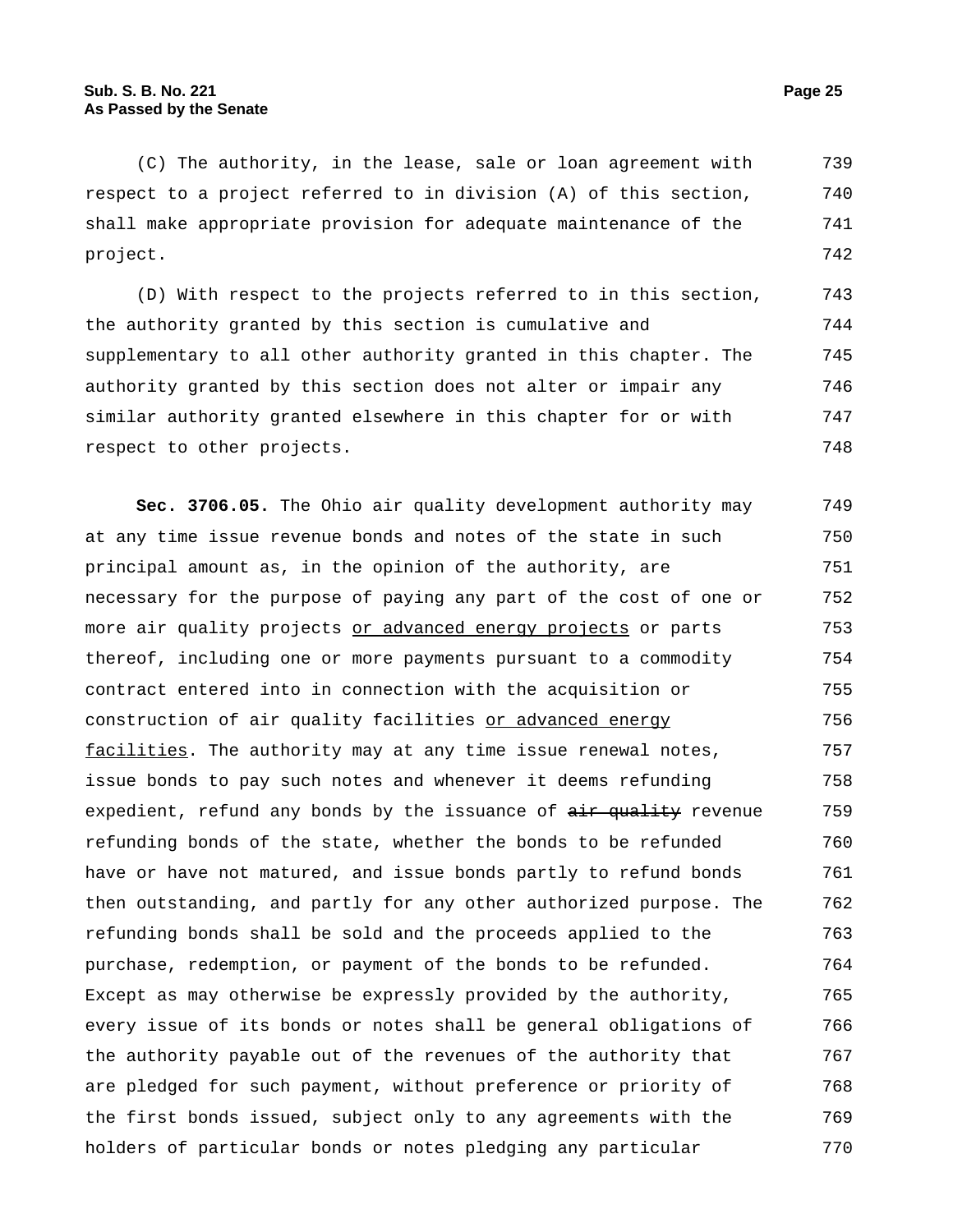(C) The authority, in the lease, sale or loan agreement with respect to a project referred to in division (A) of this section, shall make appropriate provision for adequate maintenance of the project. 739 740 741 742

(D) With respect to the projects referred to in this section, the authority granted by this section is cumulative and supplementary to all other authority granted in this chapter. The authority granted by this section does not alter or impair any similar authority granted elsewhere in this chapter for or with respect to other projects. 743 744 745 746 747 748

**Sec. 3706.05.** The Ohio air quality development authority may at any time issue revenue bonds and notes of the state in such principal amount as, in the opinion of the authority, are necessary for the purpose of paying any part of the cost of one or more air quality projects or advanced energy projects or parts thereof, including one or more payments pursuant to a commodity contract entered into in connection with the acquisition or construction of air quality facilities or advanced energy facilities. The authority may at any time issue renewal notes, issue bonds to pay such notes and whenever it deems refunding expedient, refund any bonds by the issuance of  $\frac{1}{x}$  quality revenue refunding bonds of the state, whether the bonds to be refunded have or have not matured, and issue bonds partly to refund bonds then outstanding, and partly for any other authorized purpose. The refunding bonds shall be sold and the proceeds applied to the purchase, redemption, or payment of the bonds to be refunded. Except as may otherwise be expressly provided by the authority, every issue of its bonds or notes shall be general obligations of the authority payable out of the revenues of the authority that are pledged for such payment, without preference or priority of the first bonds issued, subject only to any agreements with the holders of particular bonds or notes pledging any particular 749 750 751 752 753 754 755 756 757 758 759 760 761 762 763 764 765 766 767 768 769 770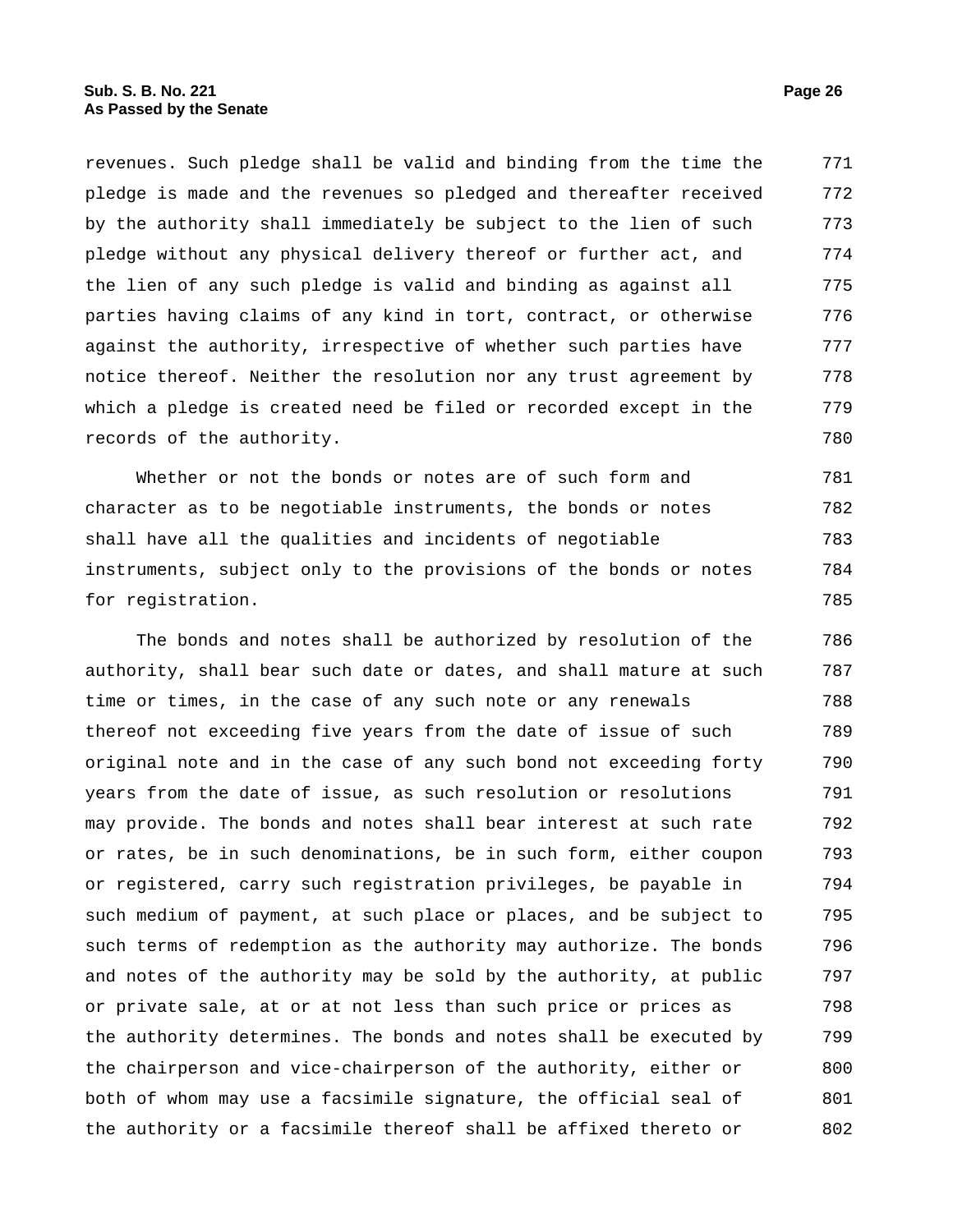revenues. Such pledge shall be valid and binding from the time the pledge is made and the revenues so pledged and thereafter received by the authority shall immediately be subject to the lien of such pledge without any physical delivery thereof or further act, and the lien of any such pledge is valid and binding as against all parties having claims of any kind in tort, contract, or otherwise against the authority, irrespective of whether such parties have notice thereof. Neither the resolution nor any trust agreement by which a pledge is created need be filed or recorded except in the records of the authority. 771 772 773 774 775 776 777 778 779 780

Whether or not the bonds or notes are of such form and character as to be negotiable instruments, the bonds or notes shall have all the qualities and incidents of negotiable instruments, subject only to the provisions of the bonds or notes for registration. 781 782 783 784 785

The bonds and notes shall be authorized by resolution of the authority, shall bear such date or dates, and shall mature at such time or times, in the case of any such note or any renewals thereof not exceeding five years from the date of issue of such original note and in the case of any such bond not exceeding forty years from the date of issue, as such resolution or resolutions may provide. The bonds and notes shall bear interest at such rate or rates, be in such denominations, be in such form, either coupon or registered, carry such registration privileges, be payable in such medium of payment, at such place or places, and be subject to such terms of redemption as the authority may authorize. The bonds and notes of the authority may be sold by the authority, at public or private sale, at or at not less than such price or prices as the authority determines. The bonds and notes shall be executed by the chairperson and vice-chairperson of the authority, either or both of whom may use a facsimile signature, the official seal of the authority or a facsimile thereof shall be affixed thereto or 786 787 788 789 790 791 792 793 794 795 796 797 798 799 800 801 802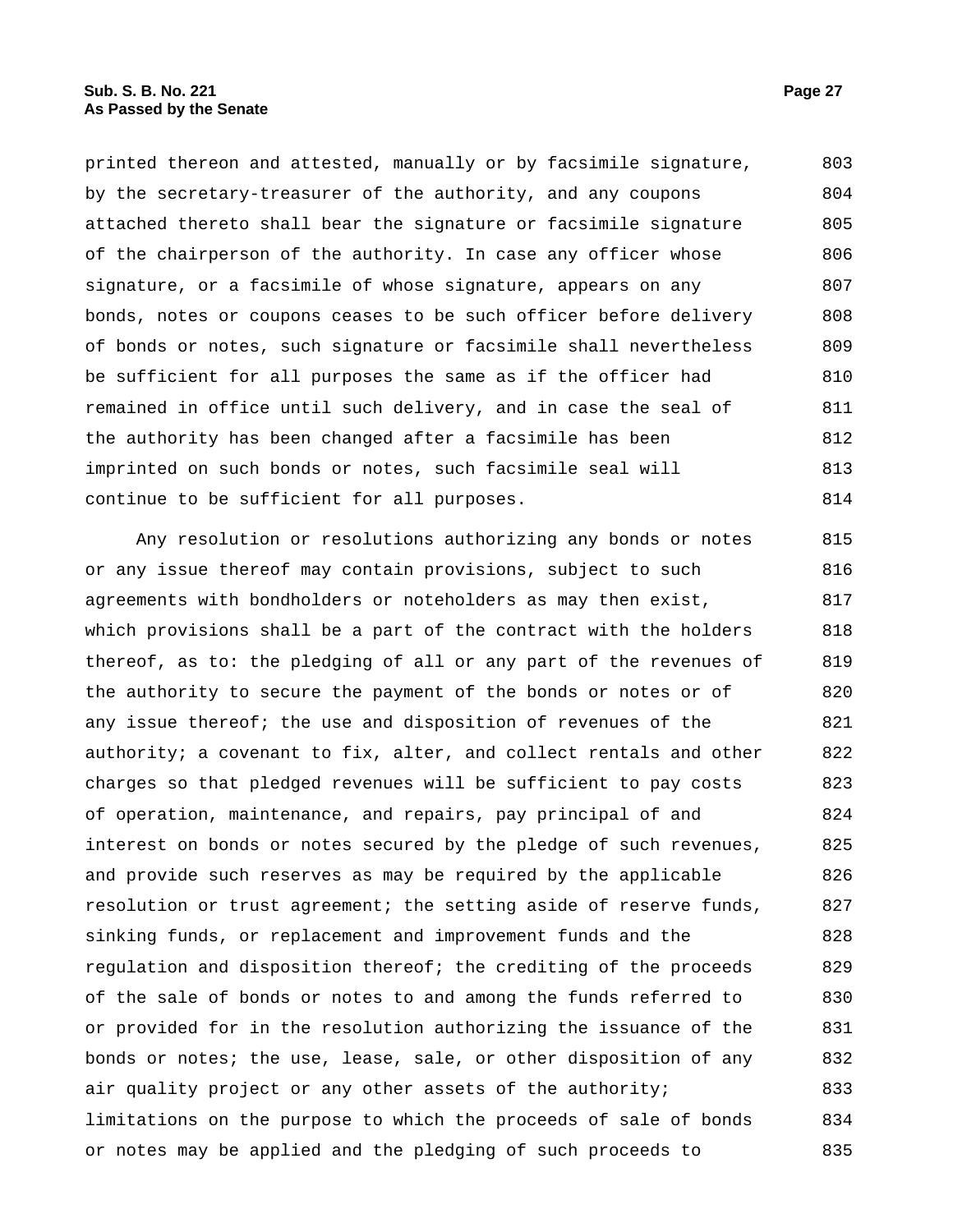printed thereon and attested, manually or by facsimile signature, by the secretary-treasurer of the authority, and any coupons attached thereto shall bear the signature or facsimile signature of the chairperson of the authority. In case any officer whose signature, or a facsimile of whose signature, appears on any bonds, notes or coupons ceases to be such officer before delivery of bonds or notes, such signature or facsimile shall nevertheless be sufficient for all purposes the same as if the officer had remained in office until such delivery, and in case the seal of the authority has been changed after a facsimile has been imprinted on such bonds or notes, such facsimile seal will continue to be sufficient for all purposes. 803 804 805 806 807 808 809 810 811 812 813 814

Any resolution or resolutions authorizing any bonds or notes or any issue thereof may contain provisions, subject to such agreements with bondholders or noteholders as may then exist, which provisions shall be a part of the contract with the holders thereof, as to: the pledging of all or any part of the revenues of the authority to secure the payment of the bonds or notes or of any issue thereof; the use and disposition of revenues of the authority; a covenant to fix, alter, and collect rentals and other charges so that pledged revenues will be sufficient to pay costs of operation, maintenance, and repairs, pay principal of and interest on bonds or notes secured by the pledge of such revenues, and provide such reserves as may be required by the applicable resolution or trust agreement; the setting aside of reserve funds, sinking funds, or replacement and improvement funds and the regulation and disposition thereof; the crediting of the proceeds of the sale of bonds or notes to and among the funds referred to or provided for in the resolution authorizing the issuance of the bonds or notes; the use, lease, sale, or other disposition of any air quality project or any other assets of the authority; limitations on the purpose to which the proceeds of sale of bonds or notes may be applied and the pledging of such proceeds to 815 816 817 818 819 820 821 822 823 824 825 826 827 828 829 830 831 832 833 834 835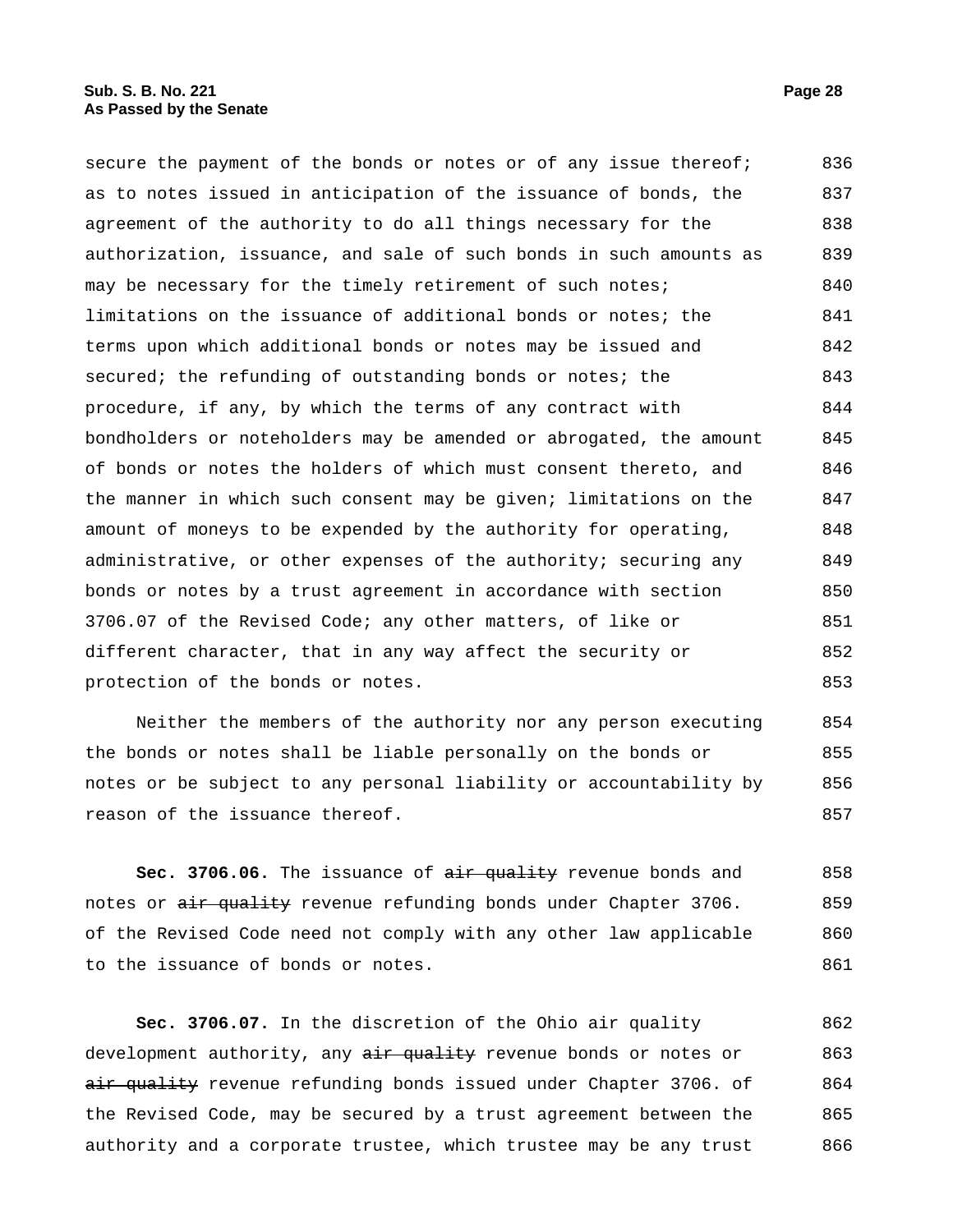secure the payment of the bonds or notes or of any issue thereof; as to notes issued in anticipation of the issuance of bonds, the agreement of the authority to do all things necessary for the authorization, issuance, and sale of such bonds in such amounts as may be necessary for the timely retirement of such notes; limitations on the issuance of additional bonds or notes; the terms upon which additional bonds or notes may be issued and secured; the refunding of outstanding bonds or notes; the procedure, if any, by which the terms of any contract with bondholders or noteholders may be amended or abrogated, the amount of bonds or notes the holders of which must consent thereto, and the manner in which such consent may be given; limitations on the amount of moneys to be expended by the authority for operating, administrative, or other expenses of the authority; securing any bonds or notes by a trust agreement in accordance with section 3706.07 of the Revised Code; any other matters, of like or different character, that in any way affect the security or protection of the bonds or notes. 836 837 838 839 840 841 842 843 844 845 846 847 848 849 850 851 852 853

Neither the members of the authority nor any person executing the bonds or notes shall be liable personally on the bonds or notes or be subject to any personal liability or accountability by reason of the issuance thereof. 854 855 856 857

Sec. 3706.06. The issuance of air quality revenue bonds and notes or air quality revenue refunding bonds under Chapter 3706. of the Revised Code need not comply with any other law applicable to the issuance of bonds or notes. 858 859 860 861

**Sec. 3706.07.** In the discretion of the Ohio air quality development authority, any  $\frac{1}{x}$  and  $\frac{1}{x}$  revenue bonds or notes or air quality revenue refunding bonds issued under Chapter 3706. of the Revised Code, may be secured by a trust agreement between the authority and a corporate trustee, which trustee may be any trust 862 863 864 865 866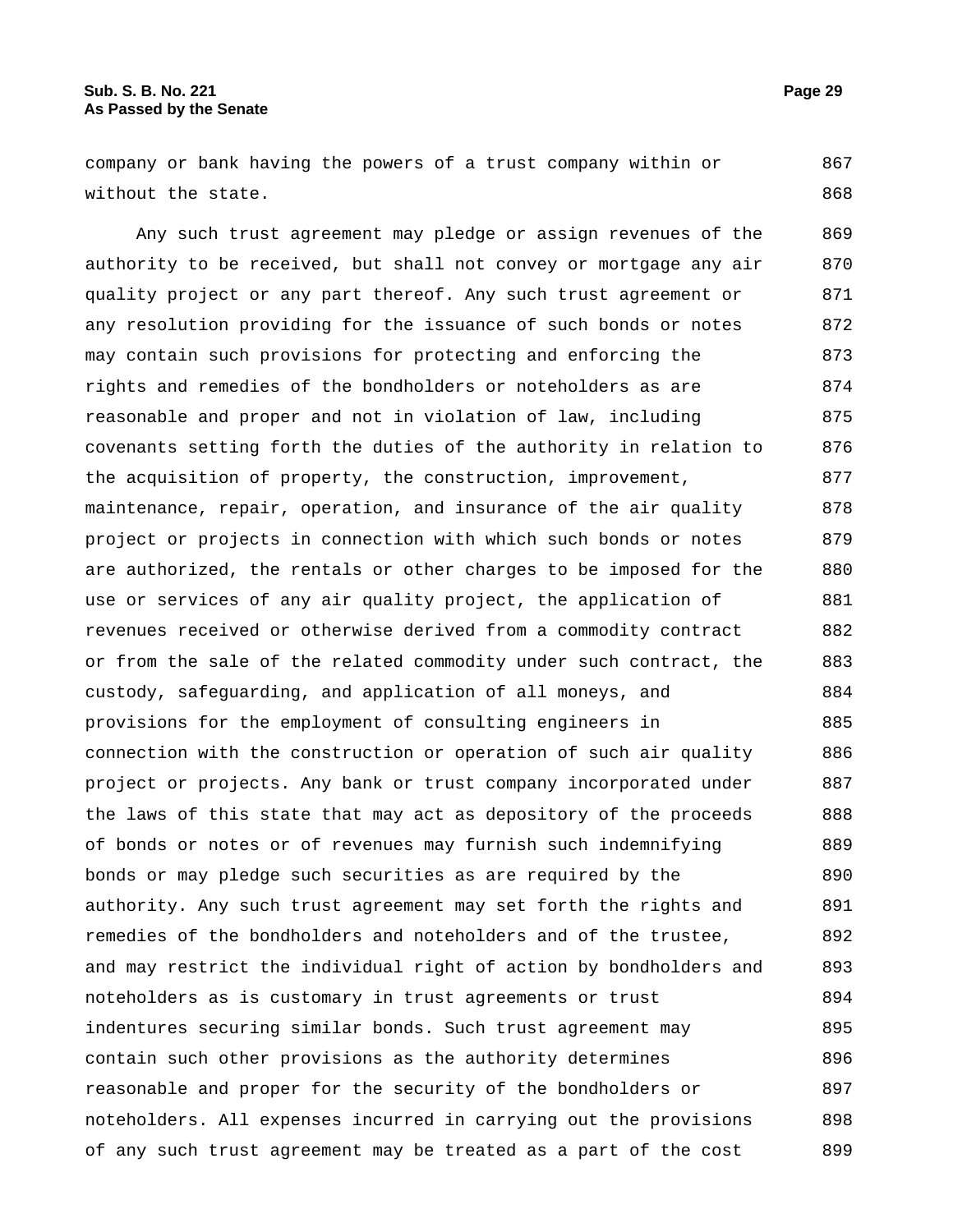company or bank having the powers of a trust company within or without the state. 867 868

Any such trust agreement may pledge or assign revenues of the authority to be received, but shall not convey or mortgage any air quality project or any part thereof. Any such trust agreement or any resolution providing for the issuance of such bonds or notes may contain such provisions for protecting and enforcing the rights and remedies of the bondholders or noteholders as are reasonable and proper and not in violation of law, including covenants setting forth the duties of the authority in relation to the acquisition of property, the construction, improvement, maintenance, repair, operation, and insurance of the air quality project or projects in connection with which such bonds or notes are authorized, the rentals or other charges to be imposed for the use or services of any air quality project, the application of revenues received or otherwise derived from a commodity contract or from the sale of the related commodity under such contract, the custody, safeguarding, and application of all moneys, and provisions for the employment of consulting engineers in connection with the construction or operation of such air quality project or projects. Any bank or trust company incorporated under the laws of this state that may act as depository of the proceeds of bonds or notes or of revenues may furnish such indemnifying bonds or may pledge such securities as are required by the authority. Any such trust agreement may set forth the rights and remedies of the bondholders and noteholders and of the trustee, and may restrict the individual right of action by bondholders and noteholders as is customary in trust agreements or trust indentures securing similar bonds. Such trust agreement may contain such other provisions as the authority determines reasonable and proper for the security of the bondholders or noteholders. All expenses incurred in carrying out the provisions of any such trust agreement may be treated as a part of the cost 869 870 871 872 873 874 875 876 877 878 879 880 881 882 883 884 885 886 887 888 889 890 891 892 893 894 895 896 897 898 899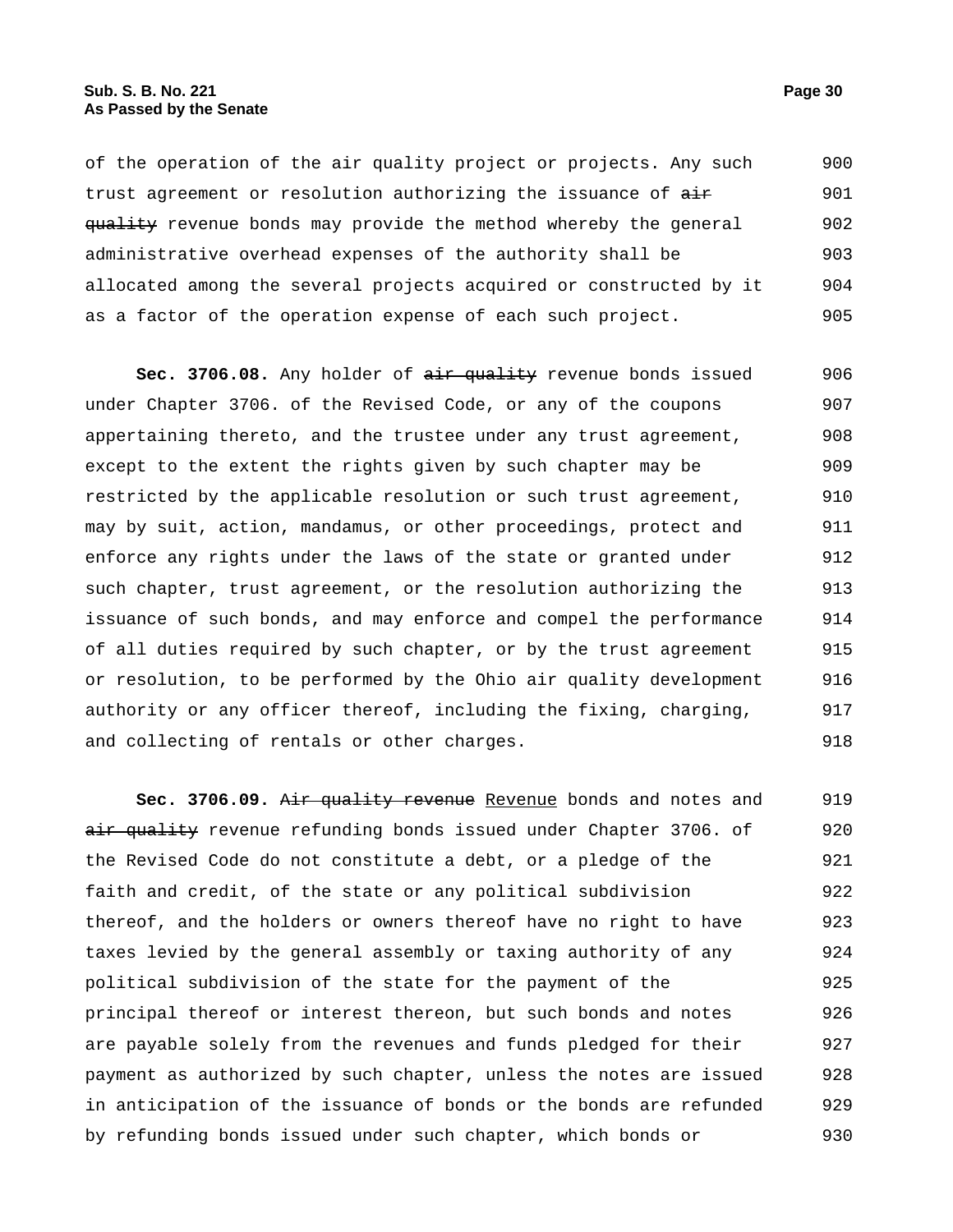of the operation of the air quality project or projects. Any such trust agreement or resolution authorizing the issuance of  $a$ ir quality revenue bonds may provide the method whereby the general administrative overhead expenses of the authority shall be allocated among the several projects acquired or constructed by it as a factor of the operation expense of each such project. 900 901 902 903 904 905

Sec. 3706.08. Any holder of air quality revenue bonds issued under Chapter 3706. of the Revised Code, or any of the coupons appertaining thereto, and the trustee under any trust agreement, except to the extent the rights given by such chapter may be restricted by the applicable resolution or such trust agreement, may by suit, action, mandamus, or other proceedings, protect and enforce any rights under the laws of the state or granted under such chapter, trust agreement, or the resolution authorizing the issuance of such bonds, and may enforce and compel the performance of all duties required by such chapter, or by the trust agreement or resolution, to be performed by the Ohio air quality development authority or any officer thereof, including the fixing, charging, and collecting of rentals or other charges. 906 907 908 909 910 911 912 913 914 915 916 917 918

**Sec. 3706.09.** Air quality revenue Revenue bonds and notes and air quality revenue refunding bonds issued under Chapter 3706. of the Revised Code do not constitute a debt, or a pledge of the faith and credit, of the state or any political subdivision thereof, and the holders or owners thereof have no right to have taxes levied by the general assembly or taxing authority of any political subdivision of the state for the payment of the principal thereof or interest thereon, but such bonds and notes are payable solely from the revenues and funds pledged for their payment as authorized by such chapter, unless the notes are issued in anticipation of the issuance of bonds or the bonds are refunded by refunding bonds issued under such chapter, which bonds or 919 920 921 922 923 924 925 926 927 928 929 930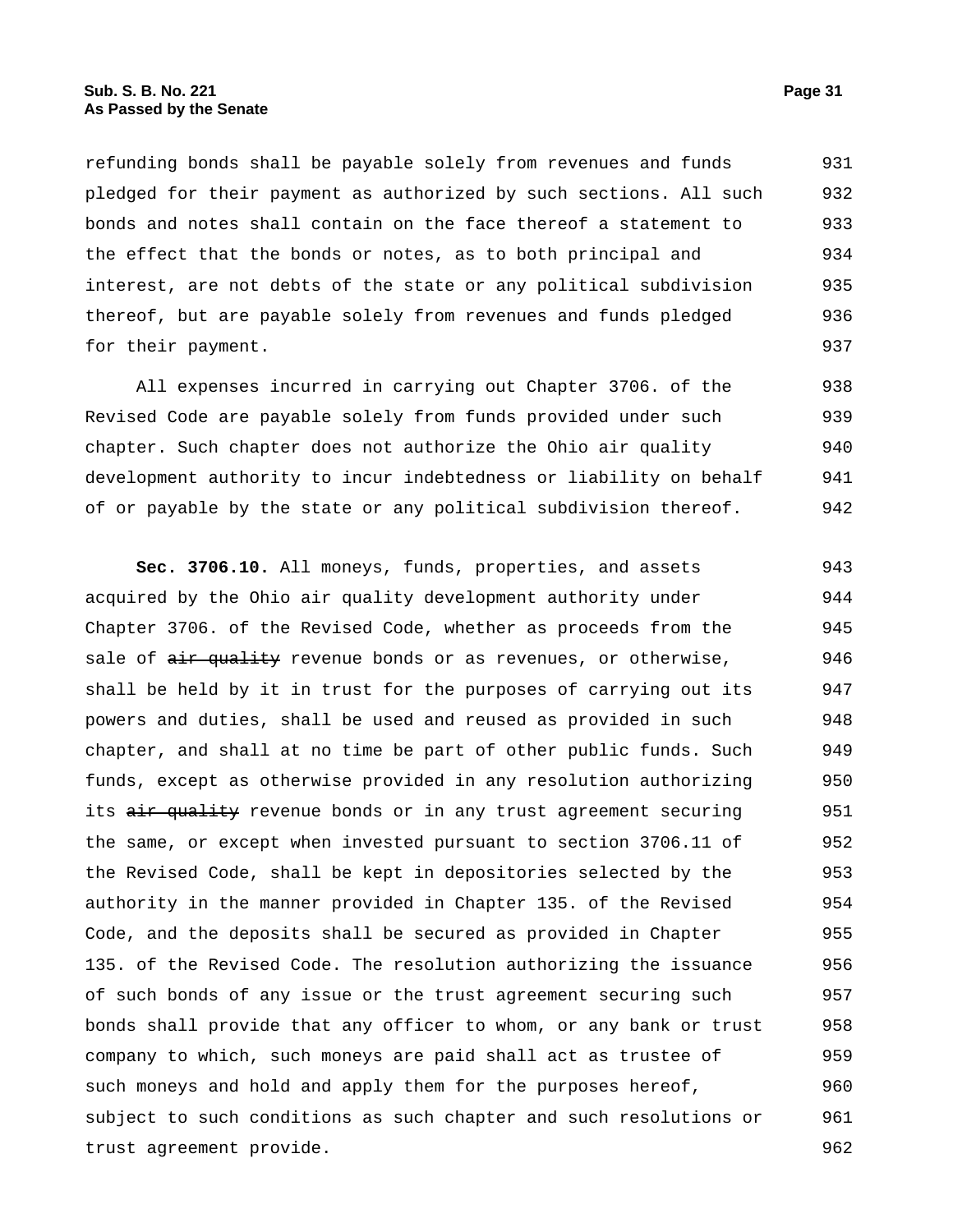refunding bonds shall be payable solely from revenues and funds pledged for their payment as authorized by such sections. All such bonds and notes shall contain on the face thereof a statement to the effect that the bonds or notes, as to both principal and interest, are not debts of the state or any political subdivision thereof, but are payable solely from revenues and funds pledged for their payment. 931 932 933 934 935 936 937

All expenses incurred in carrying out Chapter 3706. of the Revised Code are payable solely from funds provided under such chapter. Such chapter does not authorize the Ohio air quality development authority to incur indebtedness or liability on behalf of or payable by the state or any political subdivision thereof. 938 939 940 941 942

**Sec. 3706.10.** All moneys, funds, properties, and assets acquired by the Ohio air quality development authority under Chapter 3706. of the Revised Code, whether as proceeds from the sale of air quality revenue bonds or as revenues, or otherwise, shall be held by it in trust for the purposes of carrying out its powers and duties, shall be used and reused as provided in such chapter, and shall at no time be part of other public funds. Such funds, except as otherwise provided in any resolution authorizing its air quality revenue bonds or in any trust agreement securing the same, or except when invested pursuant to section 3706.11 of the Revised Code, shall be kept in depositories selected by the authority in the manner provided in Chapter 135. of the Revised Code, and the deposits shall be secured as provided in Chapter 135. of the Revised Code. The resolution authorizing the issuance of such bonds of any issue or the trust agreement securing such bonds shall provide that any officer to whom, or any bank or trust company to which, such moneys are paid shall act as trustee of such moneys and hold and apply them for the purposes hereof, subject to such conditions as such chapter and such resolutions or trust agreement provide. 943 944 945 946 947 948 949 950 951 952 953 954 955 956 957 958 959 960 961 962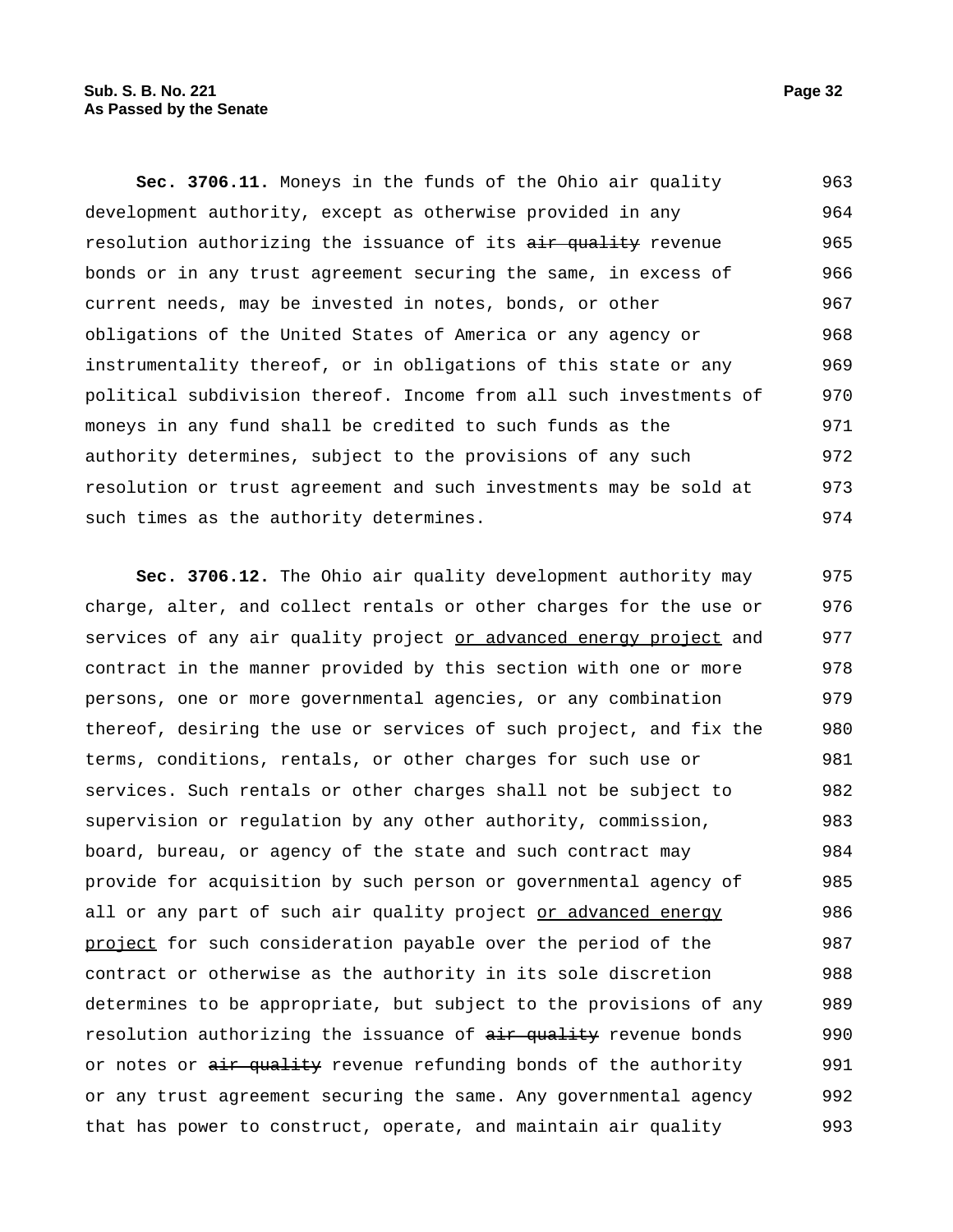**Sec. 3706.11.** Moneys in the funds of the Ohio air quality development authority, except as otherwise provided in any resolution authorizing the issuance of its air quality revenue bonds or in any trust agreement securing the same, in excess of current needs, may be invested in notes, bonds, or other obligations of the United States of America or any agency or instrumentality thereof, or in obligations of this state or any political subdivision thereof. Income from all such investments of moneys in any fund shall be credited to such funds as the authority determines, subject to the provisions of any such resolution or trust agreement and such investments may be sold at such times as the authority determines. 963 964 965 966 967 968 969 970 971 972 973 974

**Sec. 3706.12.** The Ohio air quality development authority may charge, alter, and collect rentals or other charges for the use or services of any air quality project or advanced energy project and contract in the manner provided by this section with one or more persons, one or more governmental agencies, or any combination thereof, desiring the use or services of such project, and fix the terms, conditions, rentals, or other charges for such use or services. Such rentals or other charges shall not be subject to supervision or regulation by any other authority, commission, board, bureau, or agency of the state and such contract may provide for acquisition by such person or governmental agency of all or any part of such air quality project or advanced energy project for such consideration payable over the period of the contract or otherwise as the authority in its sole discretion determines to be appropriate, but subject to the provisions of any resolution authorizing the issuance of  $\frac{air - quality}{}$  revenue bonds or notes or air quality revenue refunding bonds of the authority or any trust agreement securing the same. Any governmental agency that has power to construct, operate, and maintain air quality 975 976 977 978 979 980 981 982 983 984 985 986 987 988 989 990 991 992 993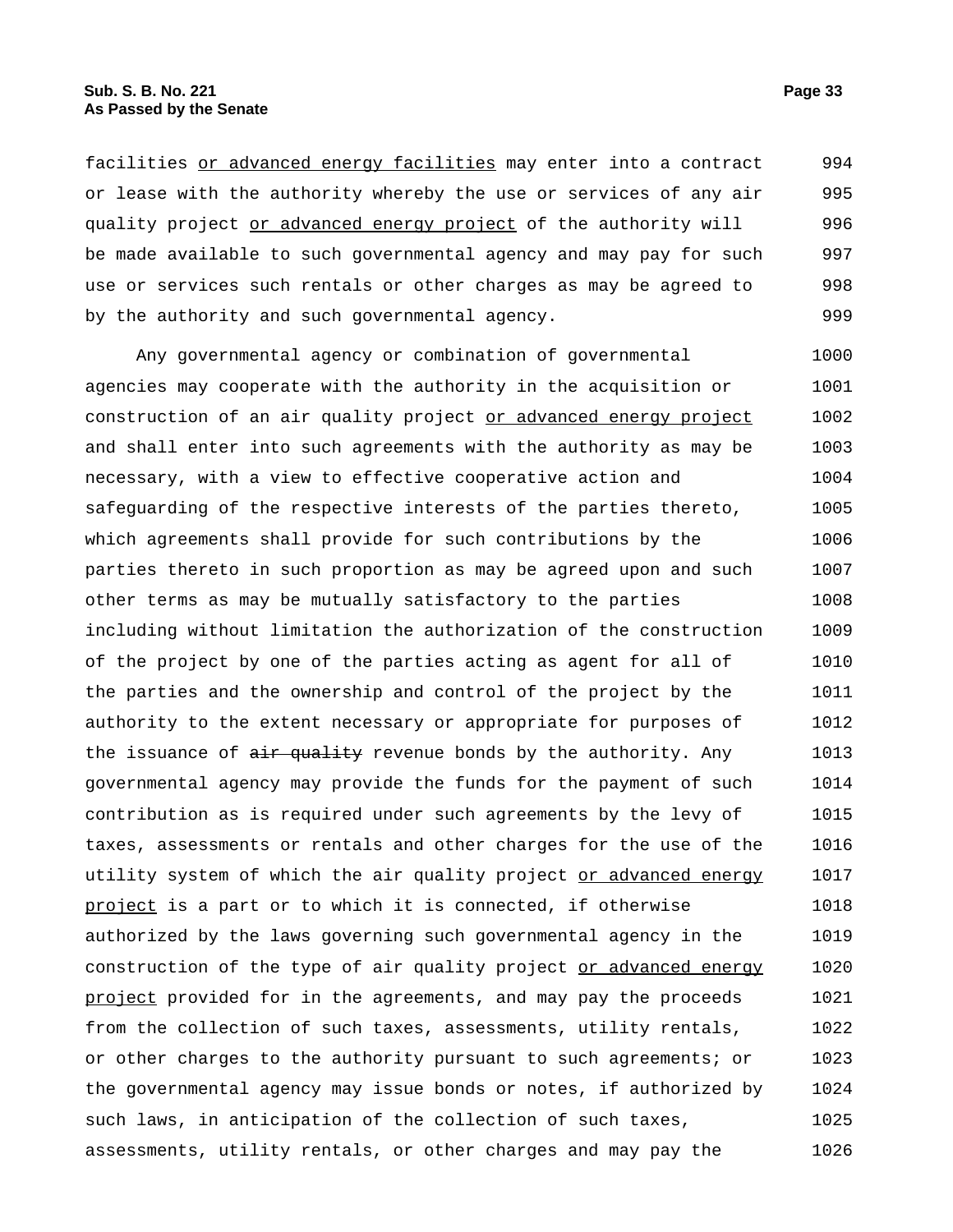facilities or advanced energy facilities may enter into a contract or lease with the authority whereby the use or services of any air quality project or advanced energy project of the authority will be made available to such governmental agency and may pay for such use or services such rentals or other charges as may be agreed to by the authority and such governmental agency. 994 995 996 997 998 999

Any governmental agency or combination of governmental agencies may cooperate with the authority in the acquisition or construction of an air quality project or advanced energy project and shall enter into such agreements with the authority as may be necessary, with a view to effective cooperative action and safeguarding of the respective interests of the parties thereto, which agreements shall provide for such contributions by the parties thereto in such proportion as may be agreed upon and such other terms as may be mutually satisfactory to the parties including without limitation the authorization of the construction of the project by one of the parties acting as agent for all of the parties and the ownership and control of the project by the authority to the extent necessary or appropriate for purposes of the issuance of air quality revenue bonds by the authority. Any governmental agency may provide the funds for the payment of such contribution as is required under such agreements by the levy of taxes, assessments or rentals and other charges for the use of the utility system of which the air quality project or advanced energy project is a part or to which it is connected, if otherwise authorized by the laws governing such governmental agency in the construction of the type of air quality project or advanced energy project provided for in the agreements, and may pay the proceeds from the collection of such taxes, assessments, utility rentals, or other charges to the authority pursuant to such agreements; or the governmental agency may issue bonds or notes, if authorized by such laws, in anticipation of the collection of such taxes, assessments, utility rentals, or other charges and may pay the 1000 1001 1002 1003 1004 1005 1006 1007 1008 1009 1010 1011 1012 1013 1014 1015 1016 1017 1018 1019 1020 1021 1022 1023 1024 1025 1026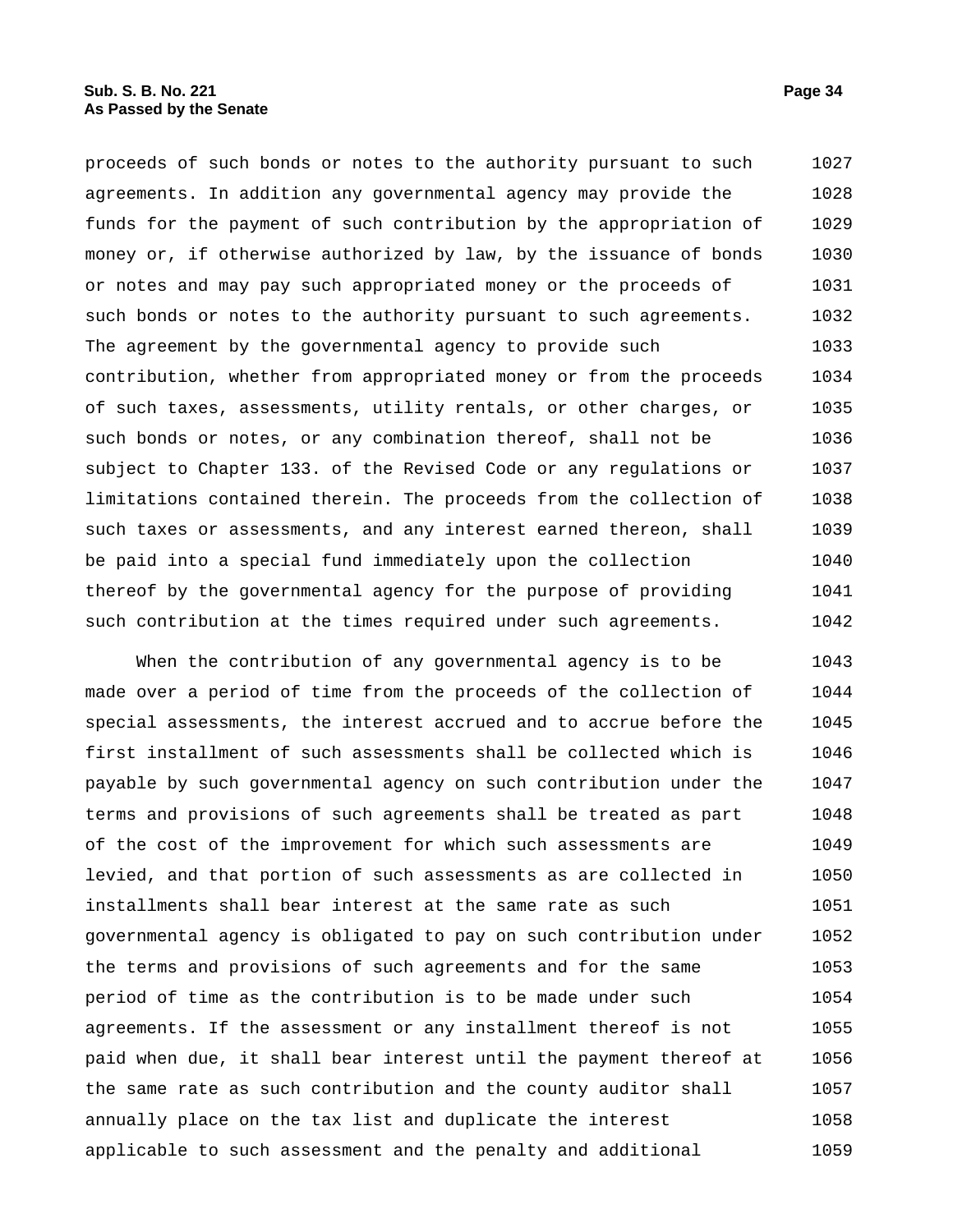proceeds of such bonds or notes to the authority pursuant to such agreements. In addition any governmental agency may provide the funds for the payment of such contribution by the appropriation of money or, if otherwise authorized by law, by the issuance of bonds or notes and may pay such appropriated money or the proceeds of such bonds or notes to the authority pursuant to such agreements. The agreement by the governmental agency to provide such contribution, whether from appropriated money or from the proceeds of such taxes, assessments, utility rentals, or other charges, or such bonds or notes, or any combination thereof, shall not be subject to Chapter 133. of the Revised Code or any regulations or limitations contained therein. The proceeds from the collection of such taxes or assessments, and any interest earned thereon, shall be paid into a special fund immediately upon the collection thereof by the governmental agency for the purpose of providing such contribution at the times required under such agreements. 1027 1028 1029 1030 1031 1032 1033 1034 1035 1036 1037 1038 1039 1040 1041 1042

When the contribution of any governmental agency is to be made over a period of time from the proceeds of the collection of special assessments, the interest accrued and to accrue before the first installment of such assessments shall be collected which is payable by such governmental agency on such contribution under the terms and provisions of such agreements shall be treated as part of the cost of the improvement for which such assessments are levied, and that portion of such assessments as are collected in installments shall bear interest at the same rate as such governmental agency is obligated to pay on such contribution under the terms and provisions of such agreements and for the same period of time as the contribution is to be made under such agreements. If the assessment or any installment thereof is not paid when due, it shall bear interest until the payment thereof at the same rate as such contribution and the county auditor shall annually place on the tax list and duplicate the interest applicable to such assessment and the penalty and additional 1043 1044 1045 1046 1047 1048 1049 1050 1051 1052 1053 1054 1055 1056 1057 1058 1059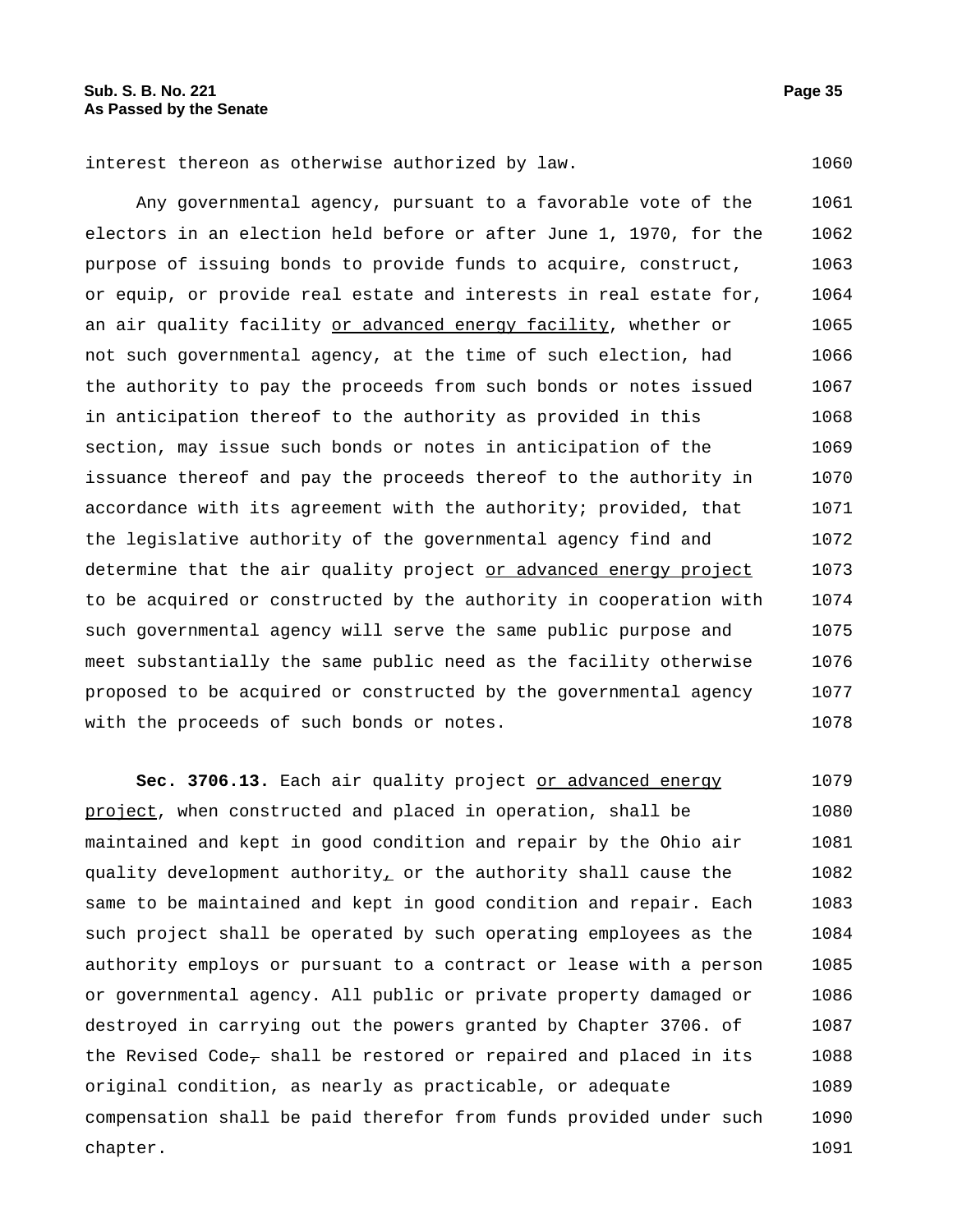interest thereon as otherwise authorized by law. 1060

Any governmental agency, pursuant to a favorable vote of the electors in an election held before or after June 1, 1970, for the purpose of issuing bonds to provide funds to acquire, construct, or equip, or provide real estate and interests in real estate for, an air quality facility or advanced energy facility, whether or not such governmental agency, at the time of such election, had the authority to pay the proceeds from such bonds or notes issued in anticipation thereof to the authority as provided in this section, may issue such bonds or notes in anticipation of the issuance thereof and pay the proceeds thereof to the authority in accordance with its agreement with the authority; provided, that the legislative authority of the governmental agency find and determine that the air quality project or advanced energy project to be acquired or constructed by the authority in cooperation with such governmental agency will serve the same public purpose and meet substantially the same public need as the facility otherwise proposed to be acquired or constructed by the governmental agency with the proceeds of such bonds or notes. 1061 1062 1063 1064 1065 1066 1067 1068 1069 1070 1071 1072 1073 1074 1075 1076 1077 1078

**Sec. 3706.13.** Each air quality project or advanced energy project, when constructed and placed in operation, shall be maintained and kept in good condition and repair by the Ohio air quality development authority<sub> $\perp$ </sub> or the authority shall cause the same to be maintained and kept in good condition and repair. Each such project shall be operated by such operating employees as the authority employs or pursuant to a contract or lease with a person or governmental agency. All public or private property damaged or destroyed in carrying out the powers granted by Chapter 3706. of the Revised Code<sub> $\tau$ </sub> shall be restored or repaired and placed in its original condition, as nearly as practicable, or adequate compensation shall be paid therefor from funds provided under such chapter. 1079 1080 1081 1082 1083 1084 1085 1086 1087 1088 1089 1090 1091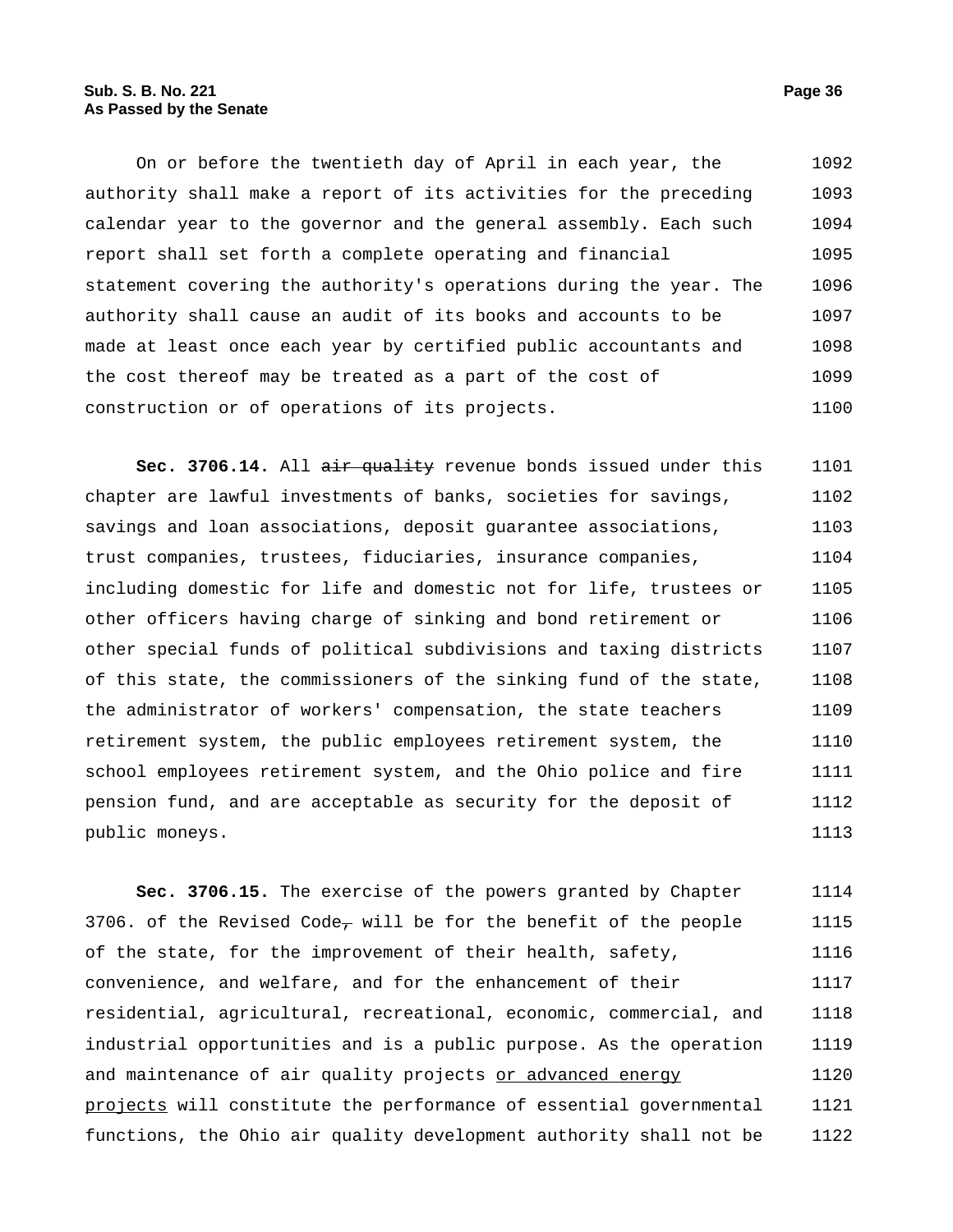On or before the twentieth day of April in each year, the authority shall make a report of its activities for the preceding calendar year to the governor and the general assembly. Each such report shall set forth a complete operating and financial statement covering the authority's operations during the year. The authority shall cause an audit of its books and accounts to be made at least once each year by certified public accountants and the cost thereof may be treated as a part of the cost of construction or of operations of its projects. 1092 1093 1094 1095 1096 1097 1098 1099 1100

Sec. 3706.14. All air quality revenue bonds issued under this chapter are lawful investments of banks, societies for savings, savings and loan associations, deposit guarantee associations, trust companies, trustees, fiduciaries, insurance companies, including domestic for life and domestic not for life, trustees or other officers having charge of sinking and bond retirement or other special funds of political subdivisions and taxing districts of this state, the commissioners of the sinking fund of the state, the administrator of workers' compensation, the state teachers retirement system, the public employees retirement system, the school employees retirement system, and the Ohio police and fire pension fund, and are acceptable as security for the deposit of public moneys. 1101 1102 1103 1104 1105 1106 1107 1108 1109 1110 1111 1112 1113

**Sec. 3706.15.** The exercise of the powers granted by Chapter 3706. of the Revised Code, will be for the benefit of the people of the state, for the improvement of their health, safety, convenience, and welfare, and for the enhancement of their residential, agricultural, recreational, economic, commercial, and industrial opportunities and is a public purpose. As the operation and maintenance of air quality projects or advanced energy projects will constitute the performance of essential governmental functions, the Ohio air quality development authority shall not be 1114 1115 1116 1117 1118 1119 1120 1121 1122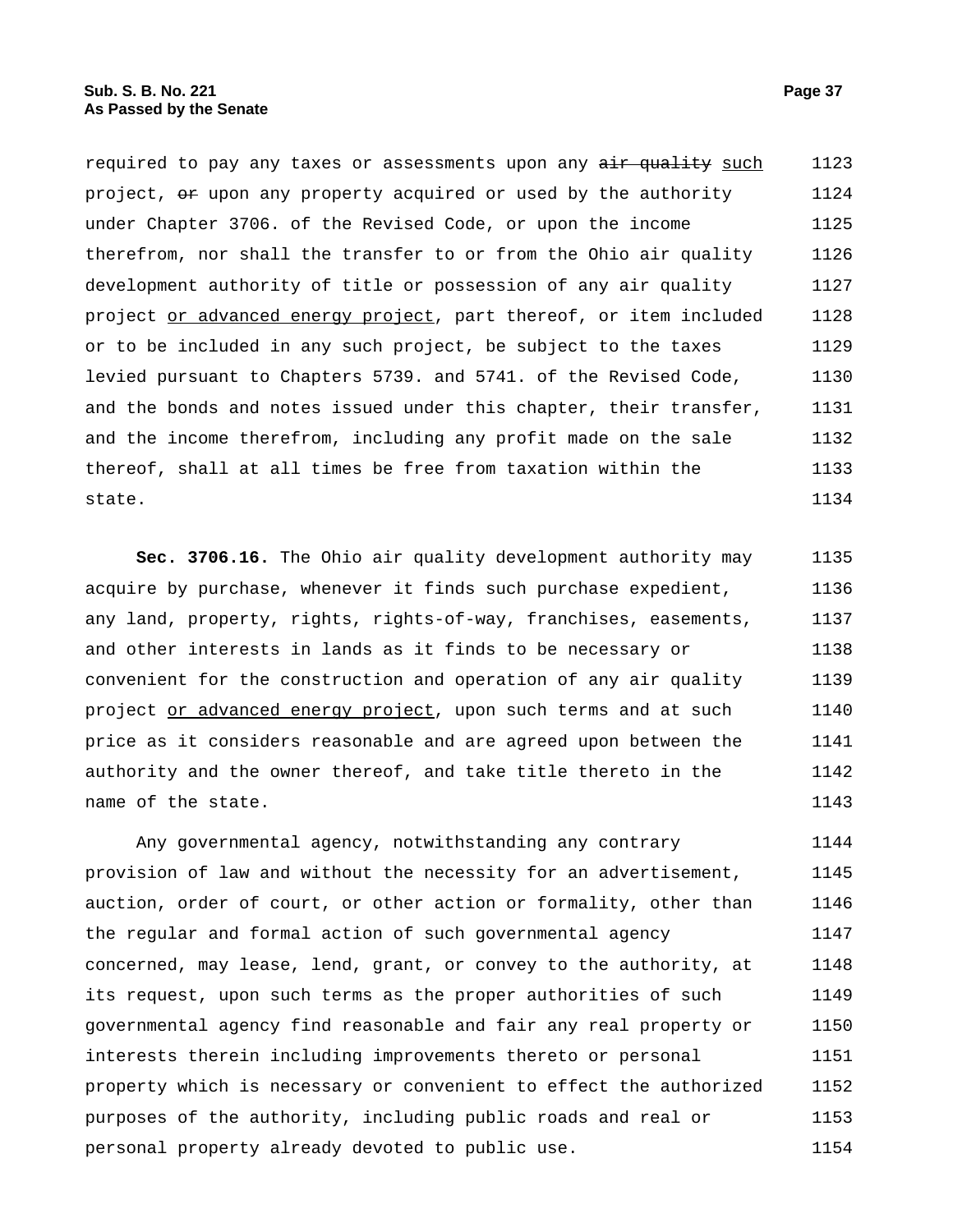required to pay any taxes or assessments upon any air quality such project,  $\Theta$  upon any property acquired or used by the authority under Chapter 3706. of the Revised Code, or upon the income therefrom, nor shall the transfer to or from the Ohio air quality development authority of title or possession of any air quality project or advanced energy project, part thereof, or item included or to be included in any such project, be subject to the taxes levied pursuant to Chapters 5739. and 5741. of the Revised Code, and the bonds and notes issued under this chapter, their transfer, and the income therefrom, including any profit made on the sale thereof, shall at all times be free from taxation within the state. 1123 1124 1125 1126 1127 1128 1129 1130 1131 1132 1133 1134

**Sec. 3706.16.** The Ohio air quality development authority may acquire by purchase, whenever it finds such purchase expedient, any land, property, rights, rights-of-way, franchises, easements, and other interests in lands as it finds to be necessary or convenient for the construction and operation of any air quality project or advanced energy project, upon such terms and at such price as it considers reasonable and are agreed upon between the authority and the owner thereof, and take title thereto in the name of the state. 1135 1136 1137 1138 1139 1140 1141 1142 1143

Any governmental agency, notwithstanding any contrary provision of law and without the necessity for an advertisement, auction, order of court, or other action or formality, other than the regular and formal action of such governmental agency concerned, may lease, lend, grant, or convey to the authority, at its request, upon such terms as the proper authorities of such governmental agency find reasonable and fair any real property or interests therein including improvements thereto or personal property which is necessary or convenient to effect the authorized purposes of the authority, including public roads and real or personal property already devoted to public use. 1144 1145 1146 1147 1148 1149 1150 1151 1152 1153 1154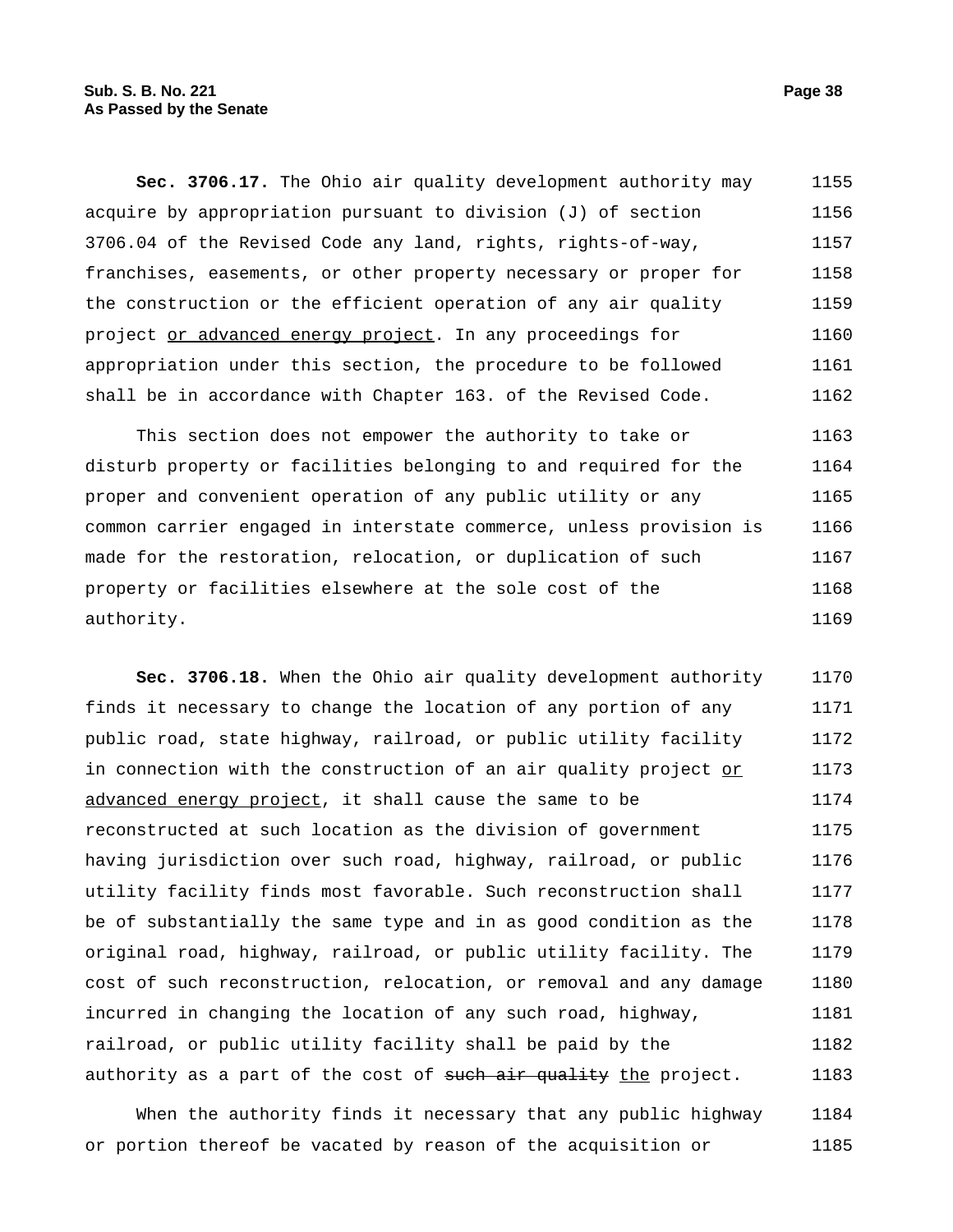**Sec. 3706.17.** The Ohio air quality development authority may acquire by appropriation pursuant to division (J) of section 3706.04 of the Revised Code any land, rights, rights-of-way, franchises, easements, or other property necessary or proper for the construction or the efficient operation of any air quality project or advanced energy project. In any proceedings for appropriation under this section, the procedure to be followed shall be in accordance with Chapter 163. of the Revised Code. 1155 1156 1157 1158 1159 1160 1161 1162

This section does not empower the authority to take or disturb property or facilities belonging to and required for the proper and convenient operation of any public utility or any common carrier engaged in interstate commerce, unless provision is made for the restoration, relocation, or duplication of such property or facilities elsewhere at the sole cost of the authority. 1163 1164 1165 1166 1167 1168 1169

**Sec. 3706.18.** When the Ohio air quality development authority finds it necessary to change the location of any portion of any public road, state highway, railroad, or public utility facility in connection with the construction of an air quality project or advanced energy project, it shall cause the same to be reconstructed at such location as the division of government having jurisdiction over such road, highway, railroad, or public utility facility finds most favorable. Such reconstruction shall be of substantially the same type and in as good condition as the original road, highway, railroad, or public utility facility. The cost of such reconstruction, relocation, or removal and any damage incurred in changing the location of any such road, highway, railroad, or public utility facility shall be paid by the authority as a part of the cost of such air quality the project. 1170 1171 1172 1173 1174 1175 1176 1177 1178 1179 1180 1181 1182 1183

When the authority finds it necessary that any public highway or portion thereof be vacated by reason of the acquisition or 1184 1185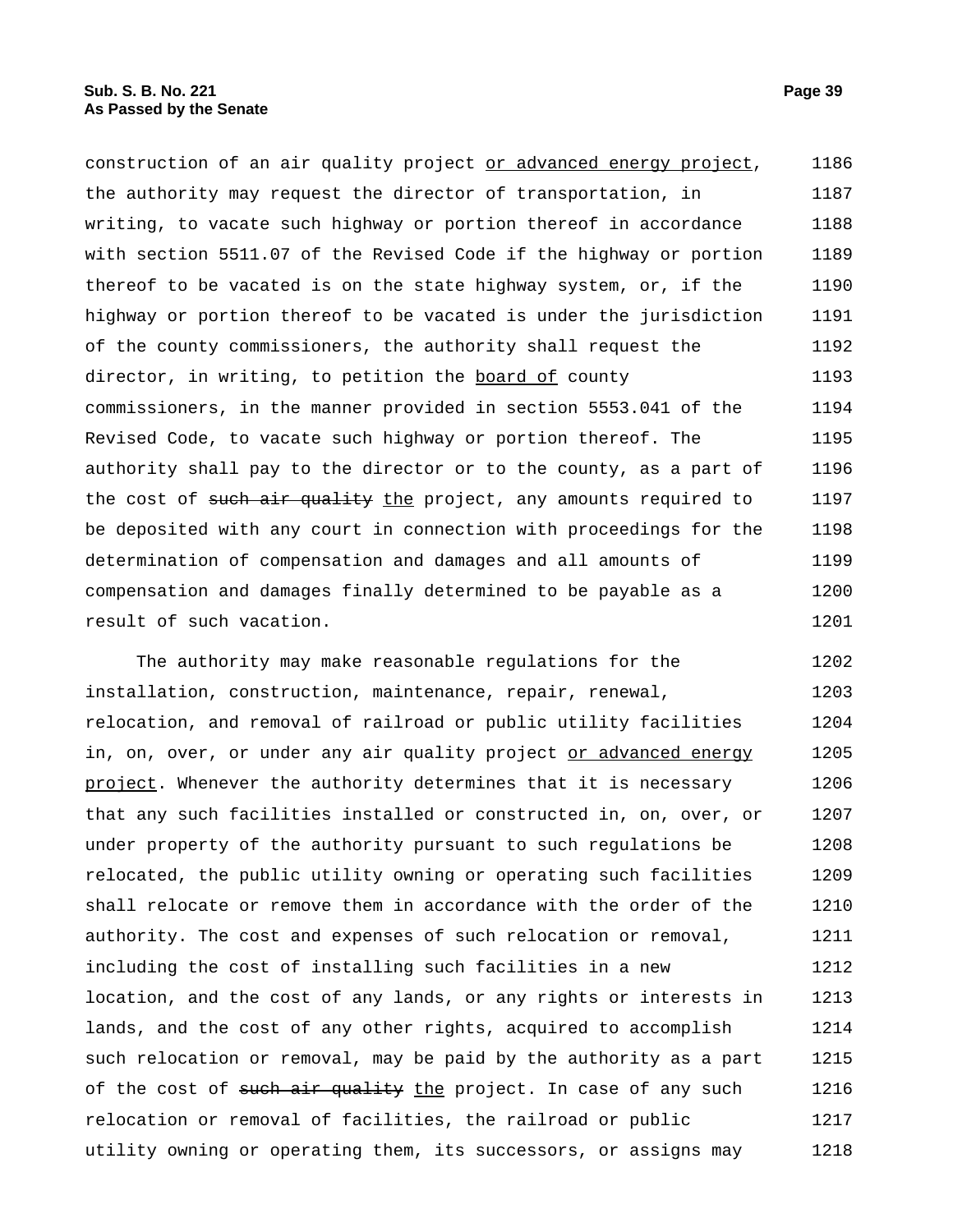construction of an air quality project or advanced energy project, the authority may request the director of transportation, in writing, to vacate such highway or portion thereof in accordance with section 5511.07 of the Revised Code if the highway or portion thereof to be vacated is on the state highway system, or, if the highway or portion thereof to be vacated is under the jurisdiction of the county commissioners, the authority shall request the director, in writing, to petition the board of county commissioners, in the manner provided in section 5553.041 of the Revised Code, to vacate such highway or portion thereof. The authority shall pay to the director or to the county, as a part of the cost of such air quality the project, any amounts required to be deposited with any court in connection with proceedings for the determination of compensation and damages and all amounts of compensation and damages finally determined to be payable as a result of such vacation. 1186 1187 1188 1189 1190 1191 1192 1193 1194 1195 1196 1197 1198 1199 1200 1201

The authority may make reasonable regulations for the installation, construction, maintenance, repair, renewal, relocation, and removal of railroad or public utility facilities in, on, over, or under any air quality project or advanced energy project. Whenever the authority determines that it is necessary that any such facilities installed or constructed in, on, over, or under property of the authority pursuant to such regulations be relocated, the public utility owning or operating such facilities shall relocate or remove them in accordance with the order of the authority. The cost and expenses of such relocation or removal, including the cost of installing such facilities in a new location, and the cost of any lands, or any rights or interests in lands, and the cost of any other rights, acquired to accomplish such relocation or removal, may be paid by the authority as a part of the cost of such air quality the project. In case of any such relocation or removal of facilities, the railroad or public utility owning or operating them, its successors, or assigns may 1202 1203 1204 1205 1206 1207 1208 1209 1210 1211 1212 1213 1214 1215 1216 1217 1218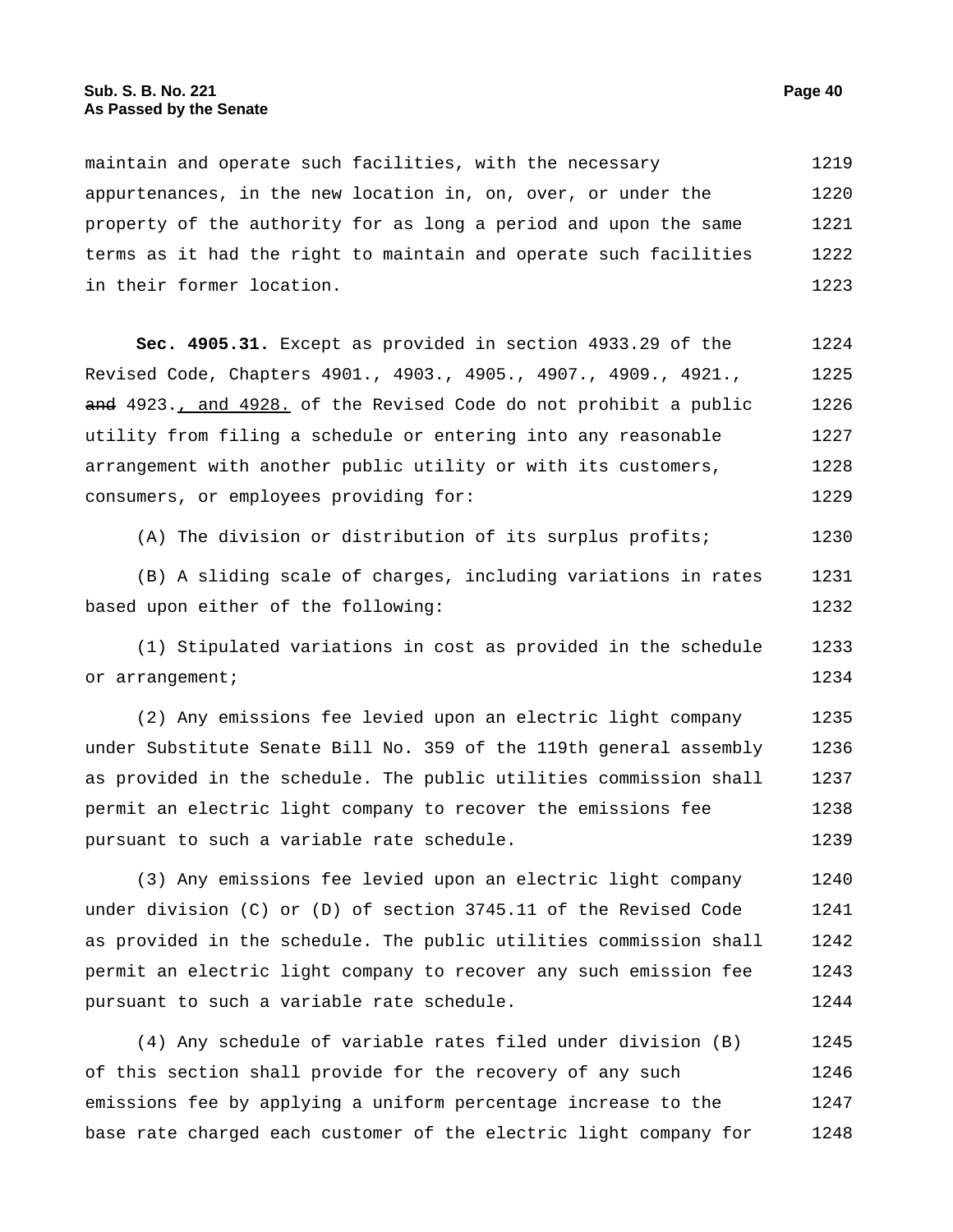maintain and operate such facilities, with the necessary appurtenances, in the new location in, on, over, or under the property of the authority for as long a period and upon the same terms as it had the right to maintain and operate such facilities in their former location. 1219 1220 1221 1222 1223

**Sec. 4905.31.** Except as provided in section 4933.29 of the Revised Code, Chapters 4901., 4903., 4905., 4907., 4909., 4921., and 4923., and 4928. of the Revised Code do not prohibit a public utility from filing a schedule or entering into any reasonable arrangement with another public utility or with its customers, consumers, or employees providing for: 1224 1225 1226 1227 1228 1229

(A) The division or distribution of its surplus profits; 1230

(B) A sliding scale of charges, including variations in rates based upon either of the following: 1231 1232

(1) Stipulated variations in cost as provided in the schedule or arrangement; 1233 1234

(2) Any emissions fee levied upon an electric light company under Substitute Senate Bill No. 359 of the 119th general assembly as provided in the schedule. The public utilities commission shall permit an electric light company to recover the emissions fee pursuant to such a variable rate schedule. 1235 1236 1237 1238 1239

(3) Any emissions fee levied upon an electric light company under division (C) or (D) of section 3745.11 of the Revised Code as provided in the schedule. The public utilities commission shall permit an electric light company to recover any such emission fee pursuant to such a variable rate schedule. 1240 1241 1242 1243 1244

(4) Any schedule of variable rates filed under division (B) of this section shall provide for the recovery of any such emissions fee by applying a uniform percentage increase to the base rate charged each customer of the electric light company for 1245 1246 1247 1248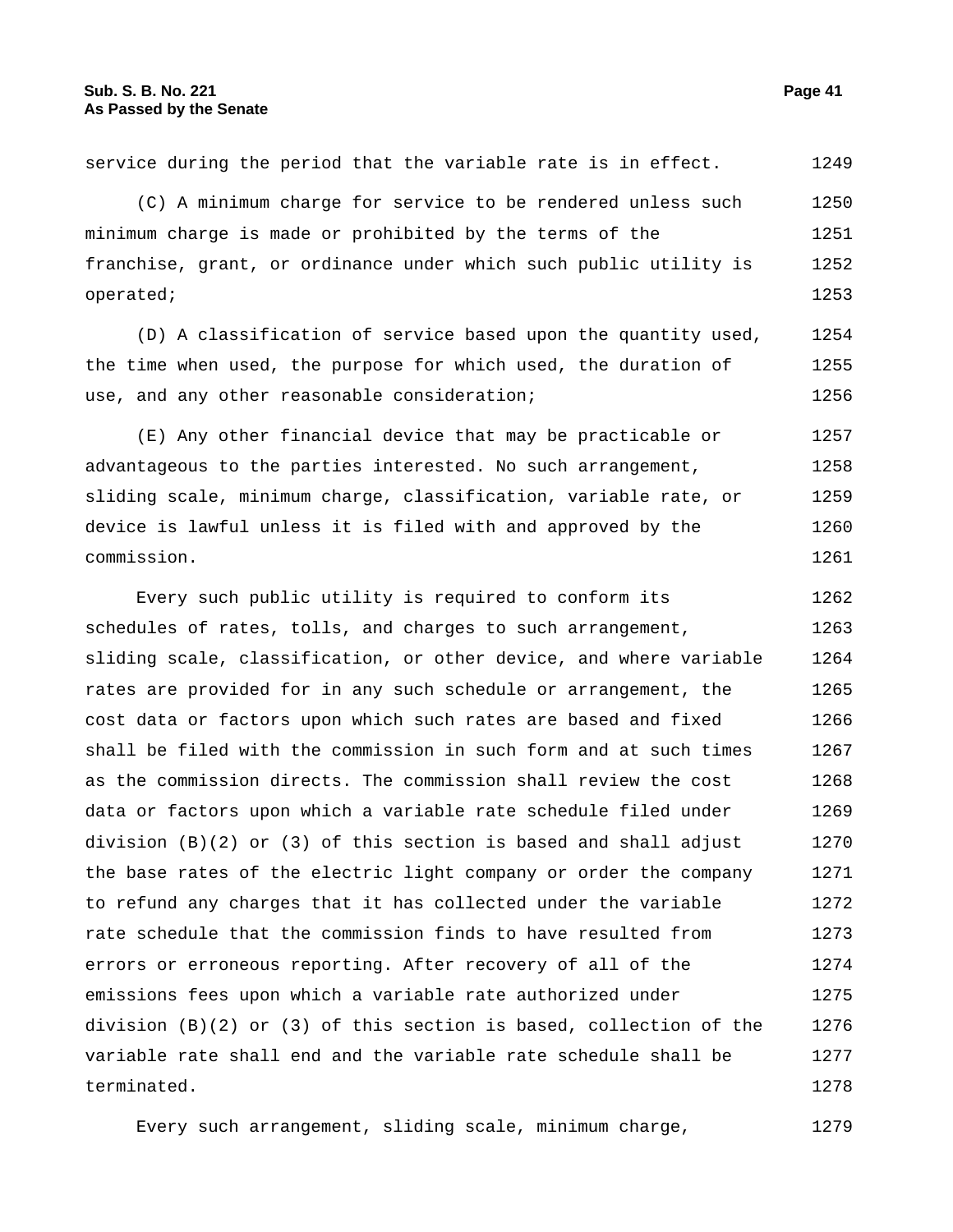service during the period that the variable rate is in effect. 1249

(C) A minimum charge for service to be rendered unless such minimum charge is made or prohibited by the terms of the franchise, grant, or ordinance under which such public utility is operated; 1250 1251 1252 1253

(D) A classification of service based upon the quantity used, the time when used, the purpose for which used, the duration of use, and any other reasonable consideration; 1254 1255 1256

(E) Any other financial device that may be practicable or advantageous to the parties interested. No such arrangement, sliding scale, minimum charge, classification, variable rate, or device is lawful unless it is filed with and approved by the commission. 1257 1258 1259 1260 1261

Every such public utility is required to conform its schedules of rates, tolls, and charges to such arrangement, sliding scale, classification, or other device, and where variable rates are provided for in any such schedule or arrangement, the cost data or factors upon which such rates are based and fixed shall be filed with the commission in such form and at such times as the commission directs. The commission shall review the cost data or factors upon which a variable rate schedule filed under division  $(B)(2)$  or  $(3)$  of this section is based and shall adjust the base rates of the electric light company or order the company to refund any charges that it has collected under the variable rate schedule that the commission finds to have resulted from errors or erroneous reporting. After recovery of all of the emissions fees upon which a variable rate authorized under division (B)(2) or (3) of this section is based, collection of the variable rate shall end and the variable rate schedule shall be terminated. 1262 1263 1264 1265 1266 1267 1268 1269 1270 1271 1272 1273 1274 1275 1276 1277 1278

Every such arrangement, sliding scale, minimum charge, 1279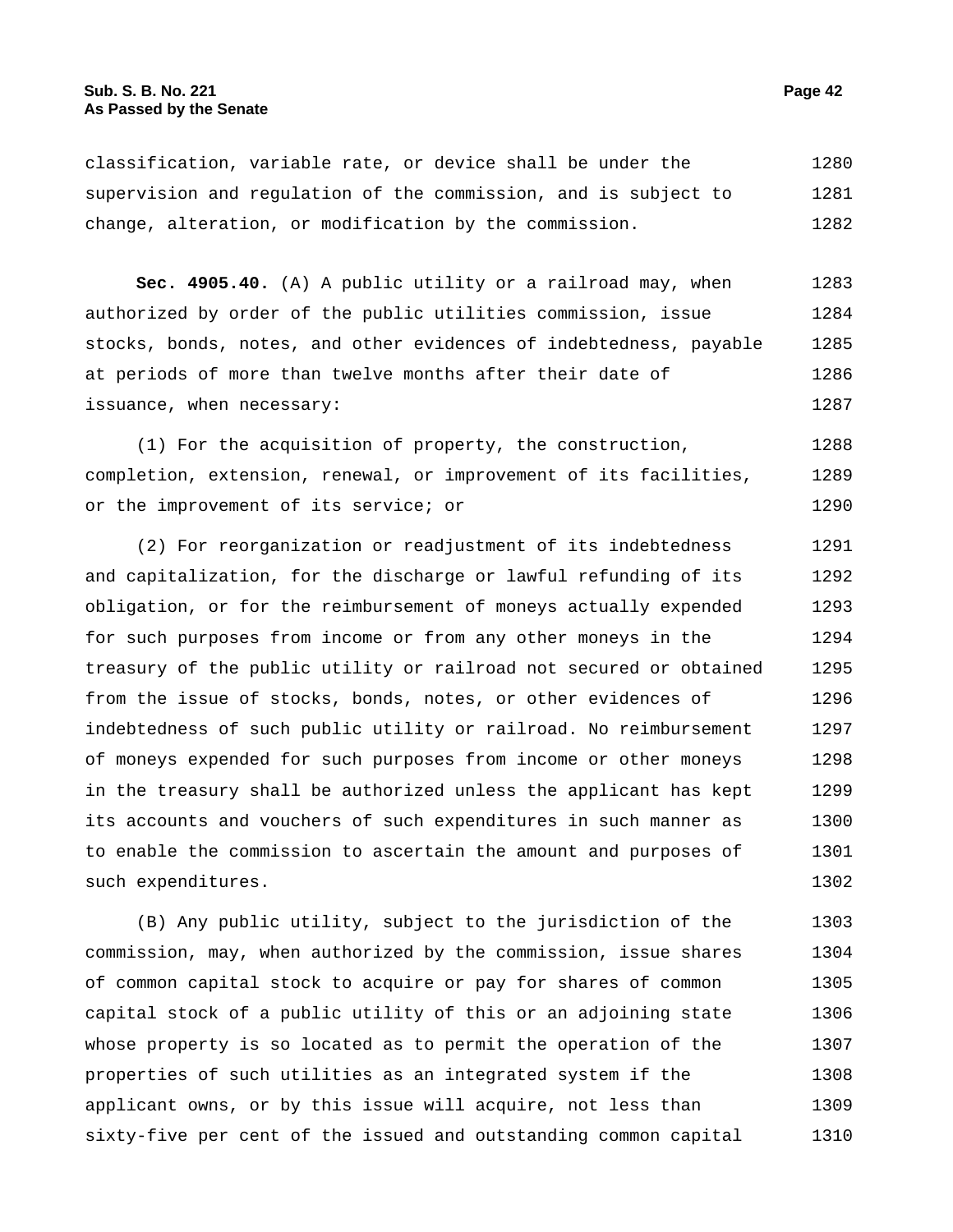## **Sub. S. B. No. 221 Page 42 As Passed by the Senate**

classification, variable rate, or device shall be under the supervision and regulation of the commission, and is subject to change, alteration, or modification by the commission. 1280 1281 1282

**Sec. 4905.40.** (A) A public utility or a railroad may, when authorized by order of the public utilities commission, issue stocks, bonds, notes, and other evidences of indebtedness, payable at periods of more than twelve months after their date of issuance, when necessary: 1283 1284 1285 1286 1287

(1) For the acquisition of property, the construction, completion, extension, renewal, or improvement of its facilities, or the improvement of its service; or 1288 1289 1290

(2) For reorganization or readjustment of its indebtedness and capitalization, for the discharge or lawful refunding of its obligation, or for the reimbursement of moneys actually expended for such purposes from income or from any other moneys in the treasury of the public utility or railroad not secured or obtained from the issue of stocks, bonds, notes, or other evidences of indebtedness of such public utility or railroad. No reimbursement of moneys expended for such purposes from income or other moneys in the treasury shall be authorized unless the applicant has kept its accounts and vouchers of such expenditures in such manner as to enable the commission to ascertain the amount and purposes of such expenditures. 1291 1292 1293 1294 1295 1296 1297 1298 1299 1300 1301 1302

(B) Any public utility, subject to the jurisdiction of the commission, may, when authorized by the commission, issue shares of common capital stock to acquire or pay for shares of common capital stock of a public utility of this or an adjoining state whose property is so located as to permit the operation of the properties of such utilities as an integrated system if the applicant owns, or by this issue will acquire, not less than sixty-five per cent of the issued and outstanding common capital 1303 1304 1305 1306 1307 1308 1309 1310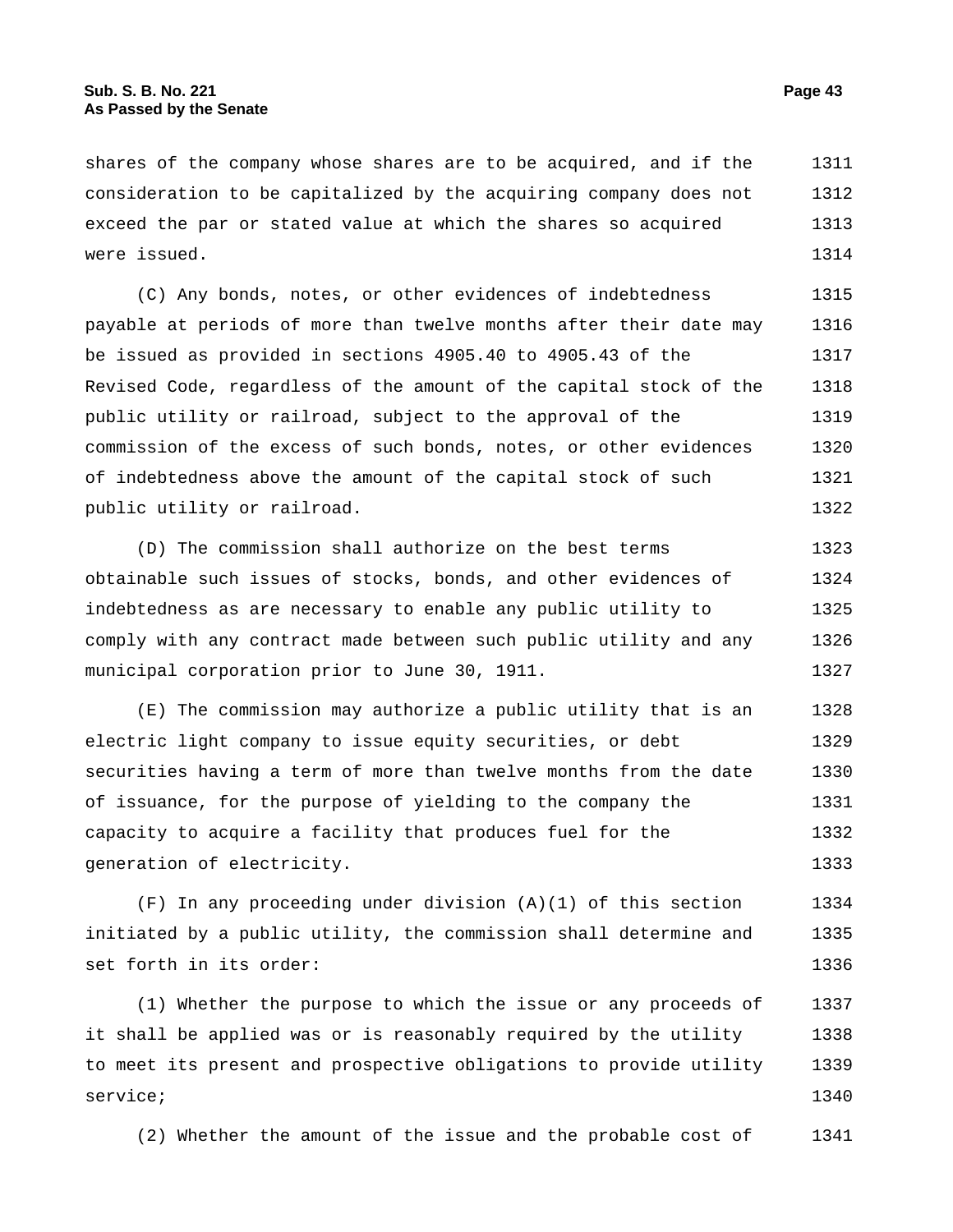shares of the company whose shares are to be acquired, and if the consideration to be capitalized by the acquiring company does not exceed the par or stated value at which the shares so acquired were issued. 1311 1312 1313 1314

(C) Any bonds, notes, or other evidences of indebtedness payable at periods of more than twelve months after their date may be issued as provided in sections 4905.40 to 4905.43 of the Revised Code, regardless of the amount of the capital stock of the public utility or railroad, subject to the approval of the commission of the excess of such bonds, notes, or other evidences of indebtedness above the amount of the capital stock of such public utility or railroad. 1315 1316 1317 1318 1319 1320 1321 1322

(D) The commission shall authorize on the best terms obtainable such issues of stocks, bonds, and other evidences of indebtedness as are necessary to enable any public utility to comply with any contract made between such public utility and any municipal corporation prior to June 30, 1911. 1323 1324 1325 1326 1327

(E) The commission may authorize a public utility that is an electric light company to issue equity securities, or debt securities having a term of more than twelve months from the date of issuance, for the purpose of yielding to the company the capacity to acquire a facility that produces fuel for the generation of electricity. 1328 1329 1330 1331 1332 1333

(F) In any proceeding under division (A)(1) of this section initiated by a public utility, the commission shall determine and set forth in its order: 1334 1335 1336

(1) Whether the purpose to which the issue or any proceeds of it shall be applied was or is reasonably required by the utility to meet its present and prospective obligations to provide utility service; 1337 1338 1339 1340

(2) Whether the amount of the issue and the probable cost of 1341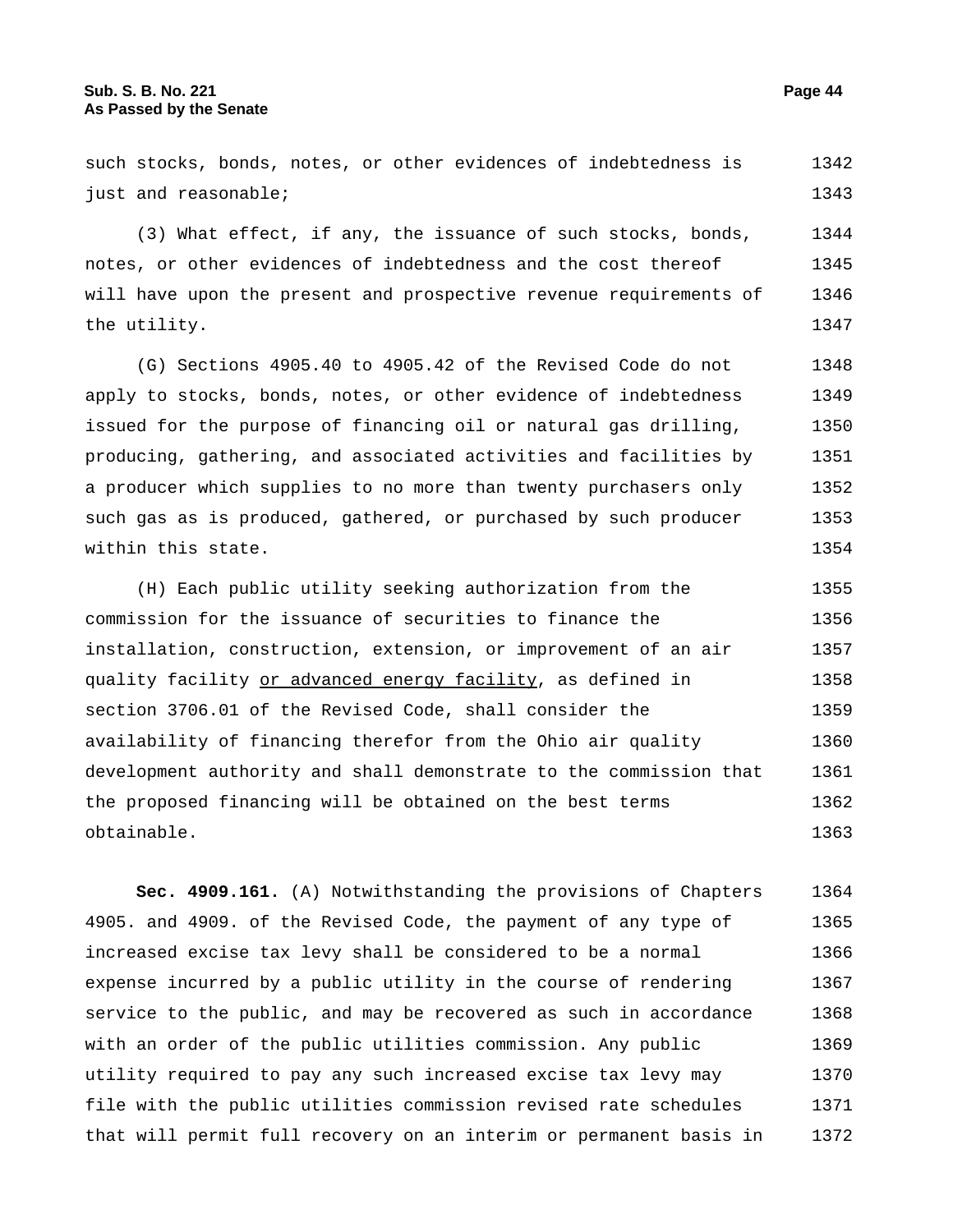such stocks, bonds, notes, or other evidences of indebtedness is just and reasonable; 1342 1343

(3) What effect, if any, the issuance of such stocks, bonds, notes, or other evidences of indebtedness and the cost thereof will have upon the present and prospective revenue requirements of the utility. 1344 1345 1346 1347

(G) Sections 4905.40 to 4905.42 of the Revised Code do not apply to stocks, bonds, notes, or other evidence of indebtedness issued for the purpose of financing oil or natural gas drilling, producing, gathering, and associated activities and facilities by a producer which supplies to no more than twenty purchasers only such gas as is produced, gathered, or purchased by such producer within this state. 1348 1349 1350 1351 1352 1353 1354

(H) Each public utility seeking authorization from the commission for the issuance of securities to finance the installation, construction, extension, or improvement of an air quality facility or advanced energy facility, as defined in section 3706.01 of the Revised Code, shall consider the availability of financing therefor from the Ohio air quality development authority and shall demonstrate to the commission that the proposed financing will be obtained on the best terms obtainable. 1355 1356 1357 1358 1359 1360 1361 1362 1363

**Sec. 4909.161.** (A) Notwithstanding the provisions of Chapters 4905. and 4909. of the Revised Code, the payment of any type of increased excise tax levy shall be considered to be a normal expense incurred by a public utility in the course of rendering service to the public, and may be recovered as such in accordance with an order of the public utilities commission. Any public utility required to pay any such increased excise tax levy may file with the public utilities commission revised rate schedules that will permit full recovery on an interim or permanent basis in 1364 1365 1366 1367 1368 1369 1370 1371 1372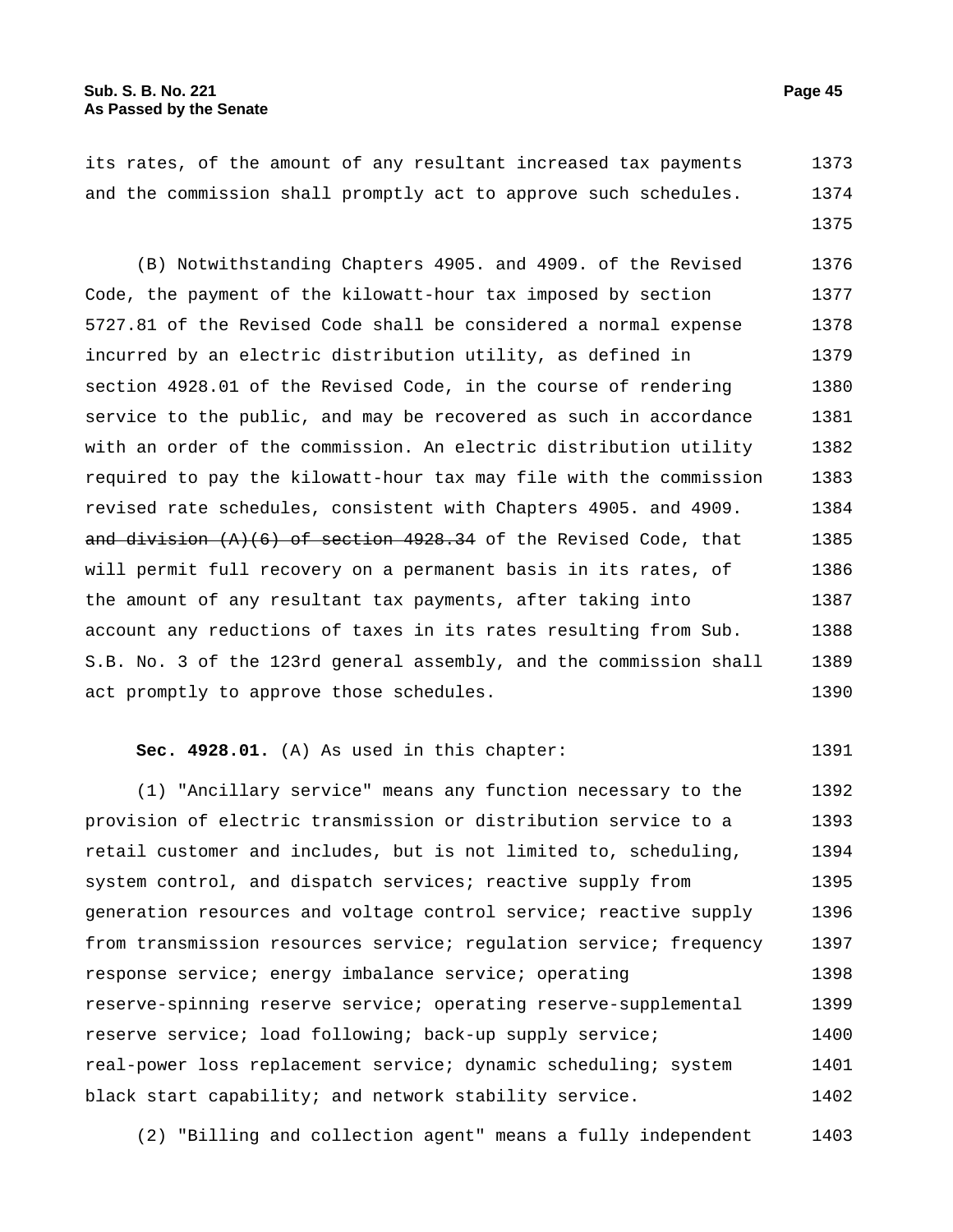its rates, of the amount of any resultant increased tax payments and the commission shall promptly act to approve such schedules. 1373 1374

1375

(B) Notwithstanding Chapters 4905. and 4909. of the Revised Code, the payment of the kilowatt-hour tax imposed by section 5727.81 of the Revised Code shall be considered a normal expense incurred by an electric distribution utility, as defined in section 4928.01 of the Revised Code, in the course of rendering service to the public, and may be recovered as such in accordance with an order of the commission. An electric distribution utility required to pay the kilowatt-hour tax may file with the commission revised rate schedules, consistent with Chapters 4905. and 4909. and division  $(A)(6)$  of section 4928.34 of the Revised Code, that will permit full recovery on a permanent basis in its rates, of the amount of any resultant tax payments, after taking into account any reductions of taxes in its rates resulting from Sub. S.B. No. 3 of the 123rd general assembly, and the commission shall act promptly to approve those schedules. 1376 1377 1378 1379 1380 1381 1382 1383 1384 1385 1386 1387 1388 1389 1390

## **Sec. 4928.01.** (A) As used in this chapter: 1391

(1) "Ancillary service" means any function necessary to the provision of electric transmission or distribution service to a retail customer and includes, but is not limited to, scheduling, system control, and dispatch services; reactive supply from generation resources and voltage control service; reactive supply from transmission resources service; regulation service; frequency response service; energy imbalance service; operating reserve-spinning reserve service; operating reserve-supplemental reserve service; load following; back-up supply service; real-power loss replacement service; dynamic scheduling; system black start capability; and network stability service. 1392 1393 1394 1395 1396 1397 1398 1399 1400 1401 1402

(2) "Billing and collection agent" means a fully independent 1403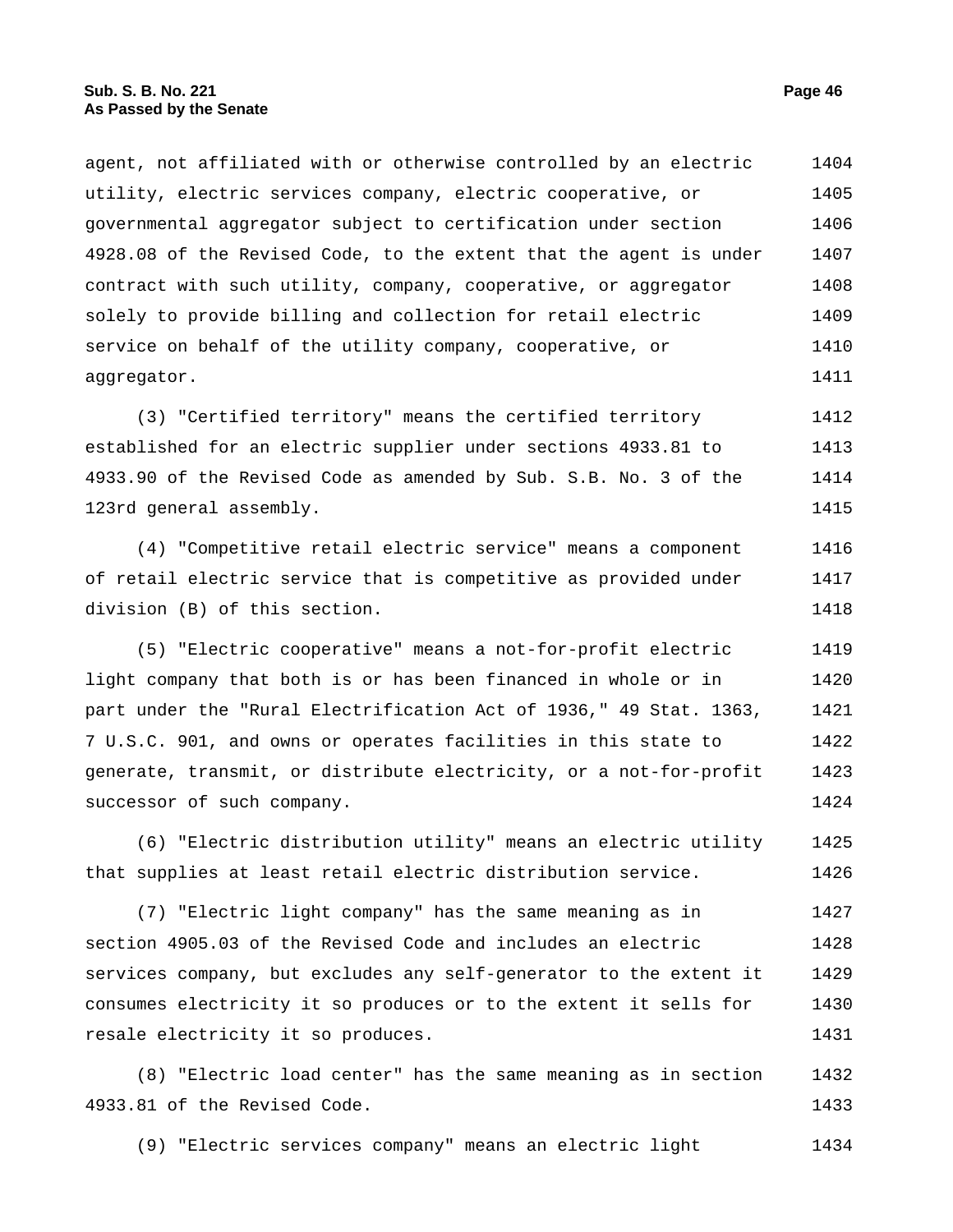agent, not affiliated with or otherwise controlled by an electric utility, electric services company, electric cooperative, or governmental aggregator subject to certification under section 4928.08 of the Revised Code, to the extent that the agent is under contract with such utility, company, cooperative, or aggregator solely to provide billing and collection for retail electric service on behalf of the utility company, cooperative, or aggregator. 1404 1405 1406 1407 1408 1409 1410 1411

(3) "Certified territory" means the certified territory established for an electric supplier under sections 4933.81 to 4933.90 of the Revised Code as amended by Sub. S.B. No. 3 of the 123rd general assembly. 1412 1413 1414 1415

(4) "Competitive retail electric service" means a component of retail electric service that is competitive as provided under division (B) of this section. 1416 1417 1418

(5) "Electric cooperative" means a not-for-profit electric light company that both is or has been financed in whole or in part under the "Rural Electrification Act of 1936," 49 Stat. 1363, 7 U.S.C. 901, and owns or operates facilities in this state to generate, transmit, or distribute electricity, or a not-for-profit successor of such company. 1419 1420 1421 1422 1423 1424

(6) "Electric distribution utility" means an electric utility that supplies at least retail electric distribution service. 1425 1426

(7) "Electric light company" has the same meaning as in section 4905.03 of the Revised Code and includes an electric services company, but excludes any self-generator to the extent it consumes electricity it so produces or to the extent it sells for resale electricity it so produces. 1427 1428 1429 1430 1431

(8) "Electric load center" has the same meaning as in section 4933.81 of the Revised Code. 1432 1433

(9) "Electric services company" means an electric light 1434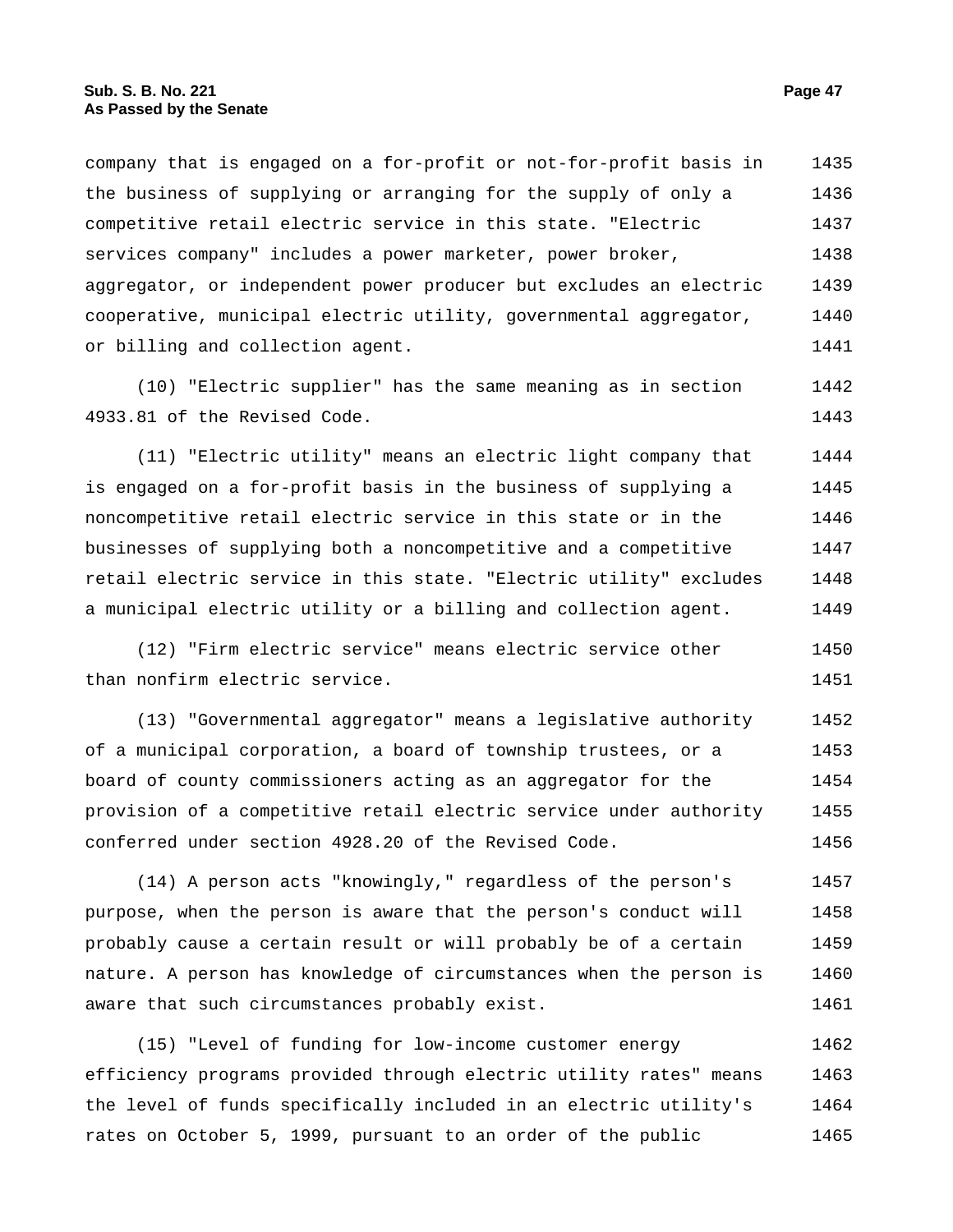company that is engaged on a for-profit or not-for-profit basis in the business of supplying or arranging for the supply of only a competitive retail electric service in this state. "Electric services company" includes a power marketer, power broker, aggregator, or independent power producer but excludes an electric cooperative, municipal electric utility, governmental aggregator, or billing and collection agent. 1435 1436 1437 1438 1439 1440 1441

(10) "Electric supplier" has the same meaning as in section 4933.81 of the Revised Code. 1442 1443

(11) "Electric utility" means an electric light company that is engaged on a for-profit basis in the business of supplying a noncompetitive retail electric service in this state or in the businesses of supplying both a noncompetitive and a competitive retail electric service in this state. "Electric utility" excludes a municipal electric utility or a billing and collection agent. 1444 1445 1446 1447 1448 1449

(12) "Firm electric service" means electric service other than nonfirm electric service. 1450 1451

(13) "Governmental aggregator" means a legislative authority of a municipal corporation, a board of township trustees, or a board of county commissioners acting as an aggregator for the provision of a competitive retail electric service under authority conferred under section 4928.20 of the Revised Code. 1452 1453 1454 1455 1456

(14) A person acts "knowingly," regardless of the person's purpose, when the person is aware that the person's conduct will probably cause a certain result or will probably be of a certain nature. A person has knowledge of circumstances when the person is aware that such circumstances probably exist. 1457 1458 1459 1460 1461

(15) "Level of funding for low-income customer energy efficiency programs provided through electric utility rates" means the level of funds specifically included in an electric utility's rates on October 5, 1999, pursuant to an order of the public 1462 1463 1464 1465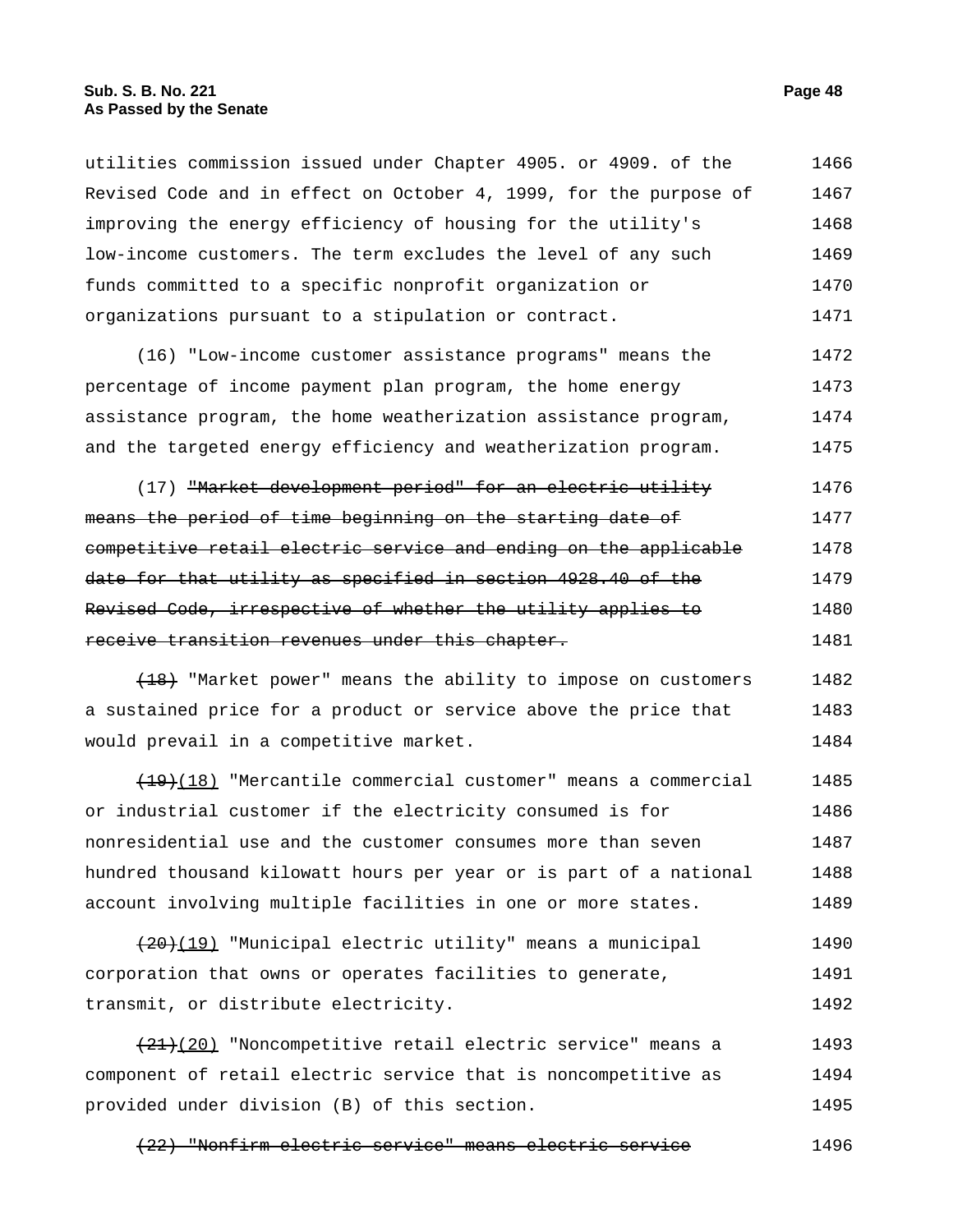utilities commission issued under Chapter 4905. or 4909. of the Revised Code and in effect on October 4, 1999, for the purpose of improving the energy efficiency of housing for the utility's low-income customers. The term excludes the level of any such funds committed to a specific nonprofit organization or organizations pursuant to a stipulation or contract. 1466 1467 1468 1469 1470 1471

(16) "Low-income customer assistance programs" means the percentage of income payment plan program, the home energy assistance program, the home weatherization assistance program, and the targeted energy efficiency and weatherization program. 1472 1473 1474 1475

(17) <del>"Market development period" for an electric utility</del> means the period of time beginning on the starting date of competitive retail electric service and ending on the applicable date for that utility as specified in section 4928.40 of the Revised Code, irrespective of whether the utility applies to receive transition revenues under this chapter. 1476 1477 1478 1479 1480 1481

(18) "Market power" means the ability to impose on customers a sustained price for a product or service above the price that would prevail in a competitive market. 1482 1483 1484

 $(19)(18)$  "Mercantile commercial customer" means a commercial or industrial customer if the electricity consumed is for nonresidential use and the customer consumes more than seven hundred thousand kilowatt hours per year or is part of a national account involving multiple facilities in one or more states. 1485 1486 1487 1488 1489

(20)(19) "Municipal electric utility" means a municipal corporation that owns or operates facilities to generate, transmit, or distribute electricity. 1490 1491 1492

(21)(20) "Noncompetitive retail electric service" means a component of retail electric service that is noncompetitive as provided under division (B) of this section. 1493 1494 1495

(22) "Nonfirm electric service" means electric service 1496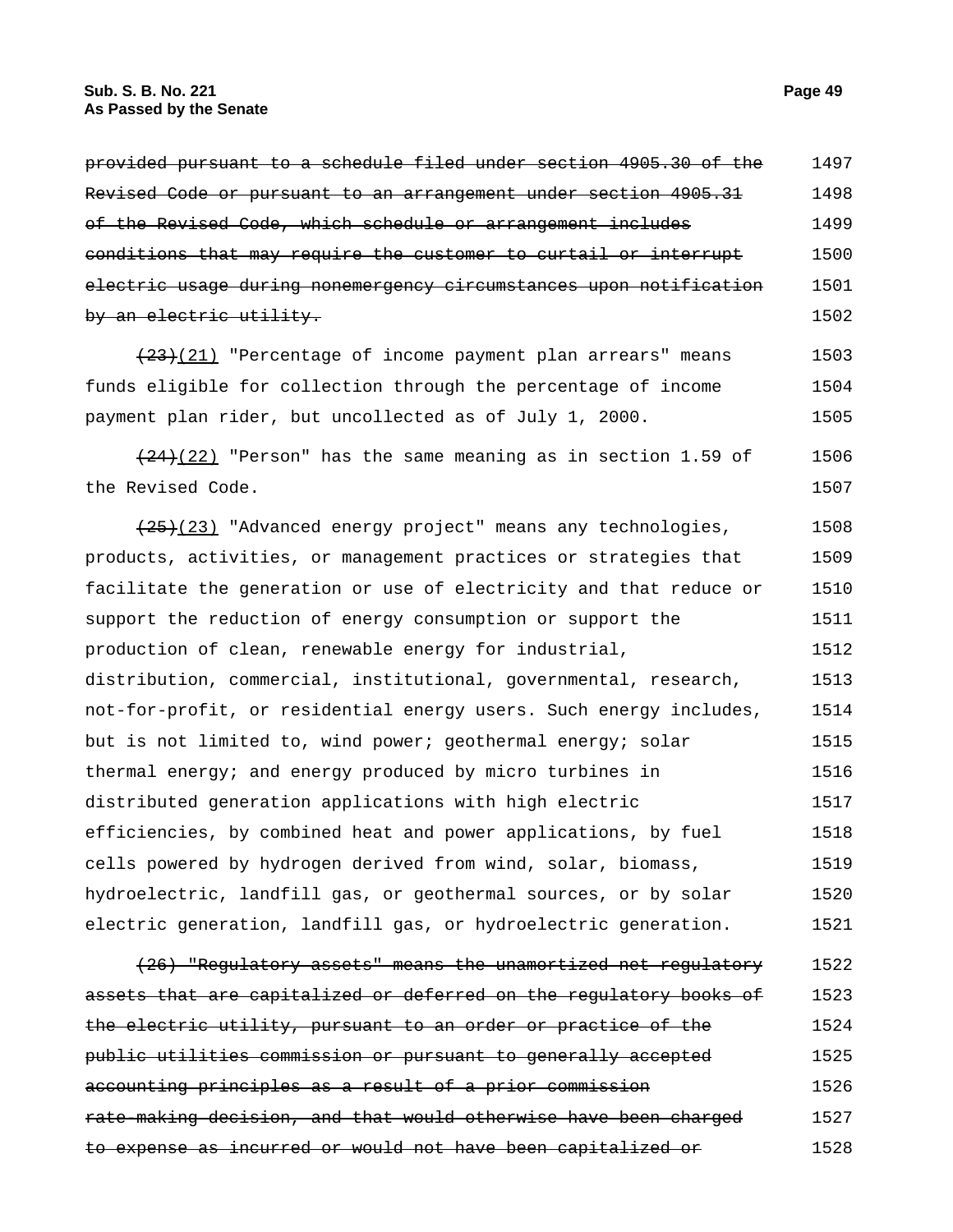## **Sub. S. B. No. 221 Page 49 As Passed by the Senate**

| of the Revised Code, which schedule or arrangement includes             | 1499 |
|-------------------------------------------------------------------------|------|
| conditions that may require the customer to curtail or interrupt        | 1500 |
| electric usage during nonemergency circumstances upon notification      | 1501 |
| <del>by an electric utility.</del>                                      | 1502 |
| (23)(21) "Percentage of income payment plan arrears" means              | 1503 |
| funds eligible for collection through the percentage of income          | 1504 |
| payment plan rider, but uncollected as of July 1, 2000.                 | 1505 |
| $(24)$ (22) "Person" has the same meaning as in section 1.59 of         | 1506 |
| the Revised Code.                                                       | 1507 |
| $\overline{(25)(23)}$ "Advanced energy project" means any technologies, | 1508 |
| products, activities, or management practices or strategies that        | 1509 |
| facilitate the generation or use of electricity and that reduce or      | 1510 |
| support the reduction of energy consumption or support the              | 1511 |
| production of clean, renewable energy for industrial,                   | 1512 |
| distribution, commercial, institutional, governmental, research,        | 1513 |
| not-for-profit, or residential energy users. Such energy includes,      | 1514 |
| but is not limited to, wind power; geothermal energy; solar             | 1515 |
| thermal energy; and energy produced by micro turbines in                | 1516 |
| distributed generation applications with high electric                  | 1517 |
| efficiencies, by combined heat and power applications, by fuel          | 1518 |
| cells powered by hydrogen derived from wind, solar, biomass,            | 1519 |
| hydroelectric, landfill gas, or geothermal sources, or by solar         | 1520 |
| electric generation, landfill gas, or hydroelectric generation.         | 1521 |
| (26) "Regulatory assets" means the unamortized net regulatory           | 1522 |
| assets that are capitalized or deferred on the regulatory books of      | 1523 |
| the electric utility, pursuant to an order or practice of the           | 1524 |
| public utilities commission or pursuant to generally accepted           | 1525 |
| accounting principles as a result of a prior commission                 | 1526 |
| rate-making decision, and that would otherwise have been charged        | 1527 |
| to expense as incurred or would not have been capitalized or            | 1528 |

provided pursuant to a schedule filed under section 4905.30 of the

Revised Code or pursuant to an arrangement under section 4905.31

1497 1498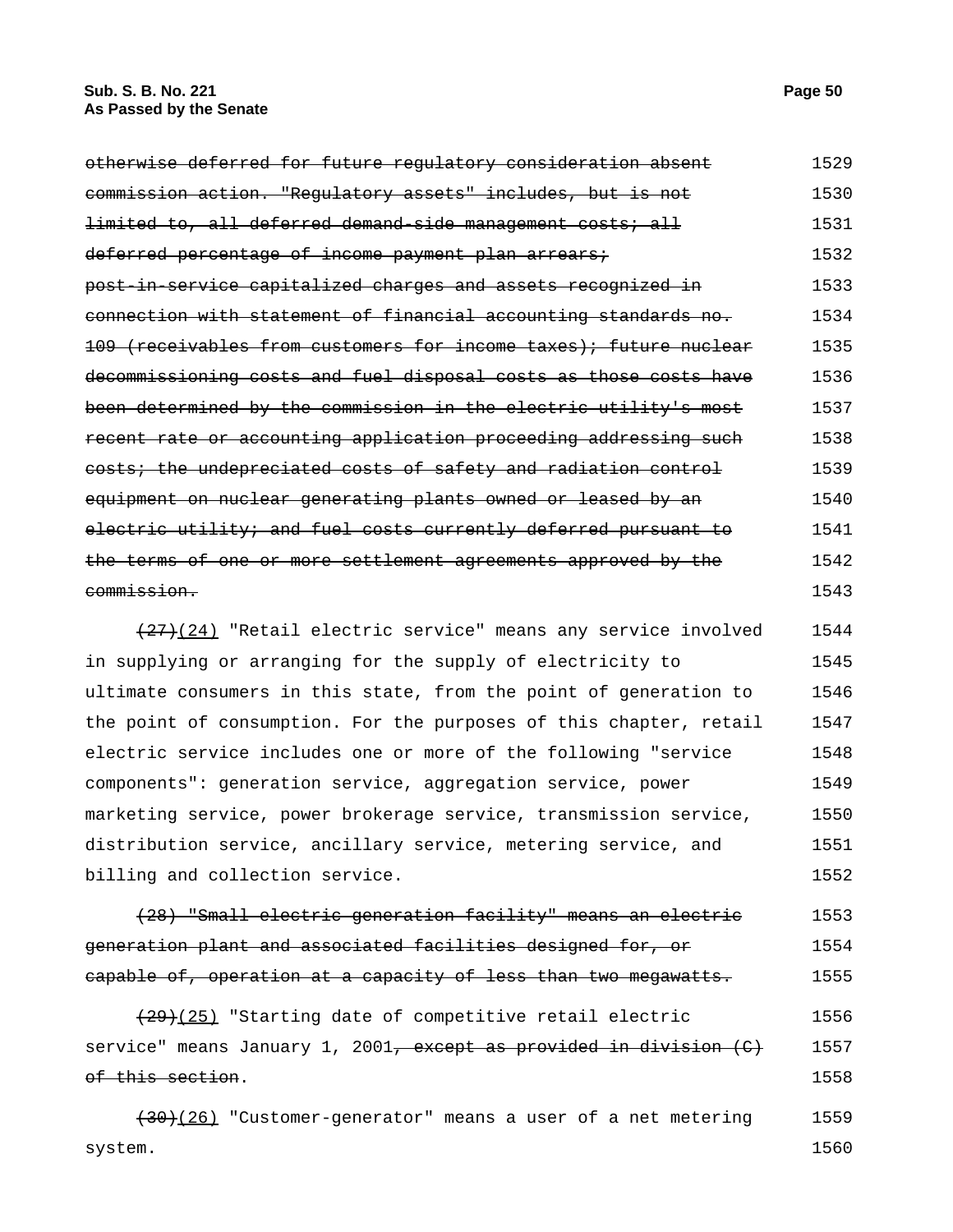| otherwise deferred for future regulatory consideration absent     | 1529 |
|-------------------------------------------------------------------|------|
| commission action. "Regulatory assets" includes, but is not       | 1530 |
| limited to, all deferred demand side management costs; all        | 1531 |
| deferred percentage of income payment plan arrears;               | 1532 |
| post in service capitalized charges and assets recognized in      | 1533 |
| connection with statement of financial accounting standards no.   | 1534 |
| 109 (receivables from customers for income taxes); future nuclear | 1535 |
| decommissioning costs and fuel disposal costs as those costs have | 1536 |
| been determined by the commission in the electric utility's most  | 1537 |
| recent rate or accounting application proceeding addressing such  | 1538 |
| costs; the undepreciated costs of safety and radiation control    | 1539 |
| equipment on nuclear generating plants owned or leased by an      | 1540 |
| electric utility; and fuel costs currently deferred pursuant to   | 1541 |
| terms of one or more settlement agreements approved by the        | 1542 |
| <del>commission.</del>                                            | 1543 |
|                                                                   |      |

 $(27)(24)$  "Retail electric service" means any service involved in supplying or arranging for the supply of electricity to ultimate consumers in this state, from the point of generation to the point of consumption. For the purposes of this chapter, retail electric service includes one or more of the following "service components": generation service, aggregation service, power marketing service, power brokerage service, transmission service, distribution service, ancillary service, metering service, and billing and collection service. 1544 1545 1546 1547 1548 1549 1550 1551 1552

(28) "Small electric generation facility" means an electric generation plant and associated facilities designed for, or capable of, operation at a capacity of less than two megawatts. 1553 1554 1555

 $(29)(25)$  "Starting date of competitive retail electric service" means January 1, 2001<del>, except as provided in division (C)</del> of this section. 1556 1557 1558

 $(30)(26)$  "Customer-generator" means a user of a net metering system. 1559 1560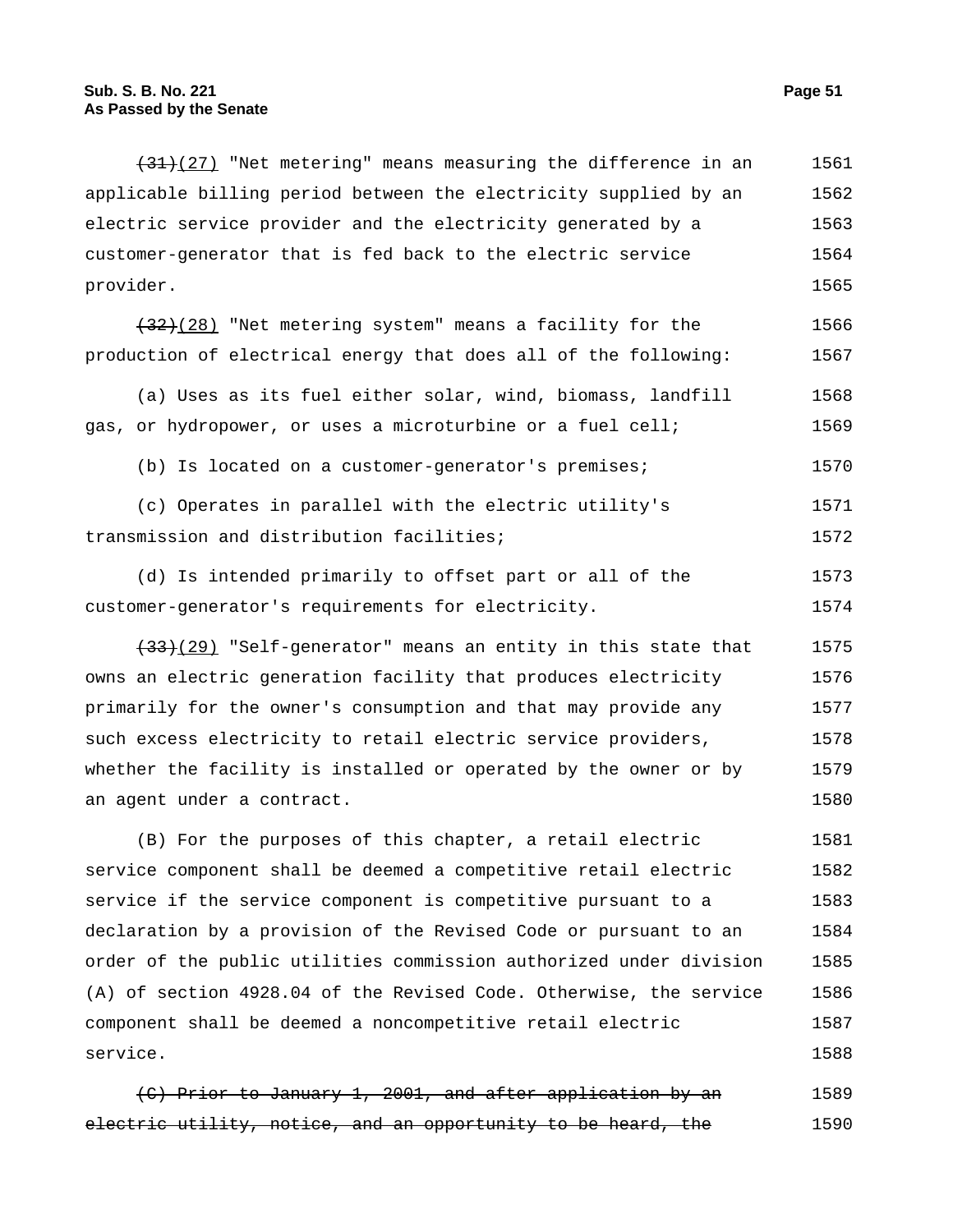$(31)(27)$  "Net metering" means measuring the difference in an applicable billing period between the electricity supplied by an electric service provider and the electricity generated by a customer-generator that is fed back to the electric service provider. 1561 1562 1563 1564 1565

(32)(28) "Net metering system" means a facility for the production of electrical energy that does all of the following: 1566 1567

(a) Uses as its fuel either solar, wind, biomass, landfill gas, or hydropower, or uses a microturbine or a fuel cell; 1568 1569

(b) Is located on a customer-generator's premises; 1570

(c) Operates in parallel with the electric utility's transmission and distribution facilities; 1571 1572

(d) Is intended primarily to offset part or all of the customer-generator's requirements for electricity. 1573 1574

 $(33)(29)$  "Self-generator" means an entity in this state that owns an electric generation facility that produces electricity primarily for the owner's consumption and that may provide any such excess electricity to retail electric service providers, whether the facility is installed or operated by the owner or by an agent under a contract. 1575 1576 1577 1578 1579 1580

(B) For the purposes of this chapter, a retail electric service component shall be deemed a competitive retail electric service if the service component is competitive pursuant to a declaration by a provision of the Revised Code or pursuant to an order of the public utilities commission authorized under division (A) of section 4928.04 of the Revised Code. Otherwise, the service component shall be deemed a noncompetitive retail electric service. 1581 1582 1583 1584 1585 1586 1587 1588

(C) Prior to January 1, 2001, and after application by an electric utility, notice, and an opportunity to be heard, the 1589 1590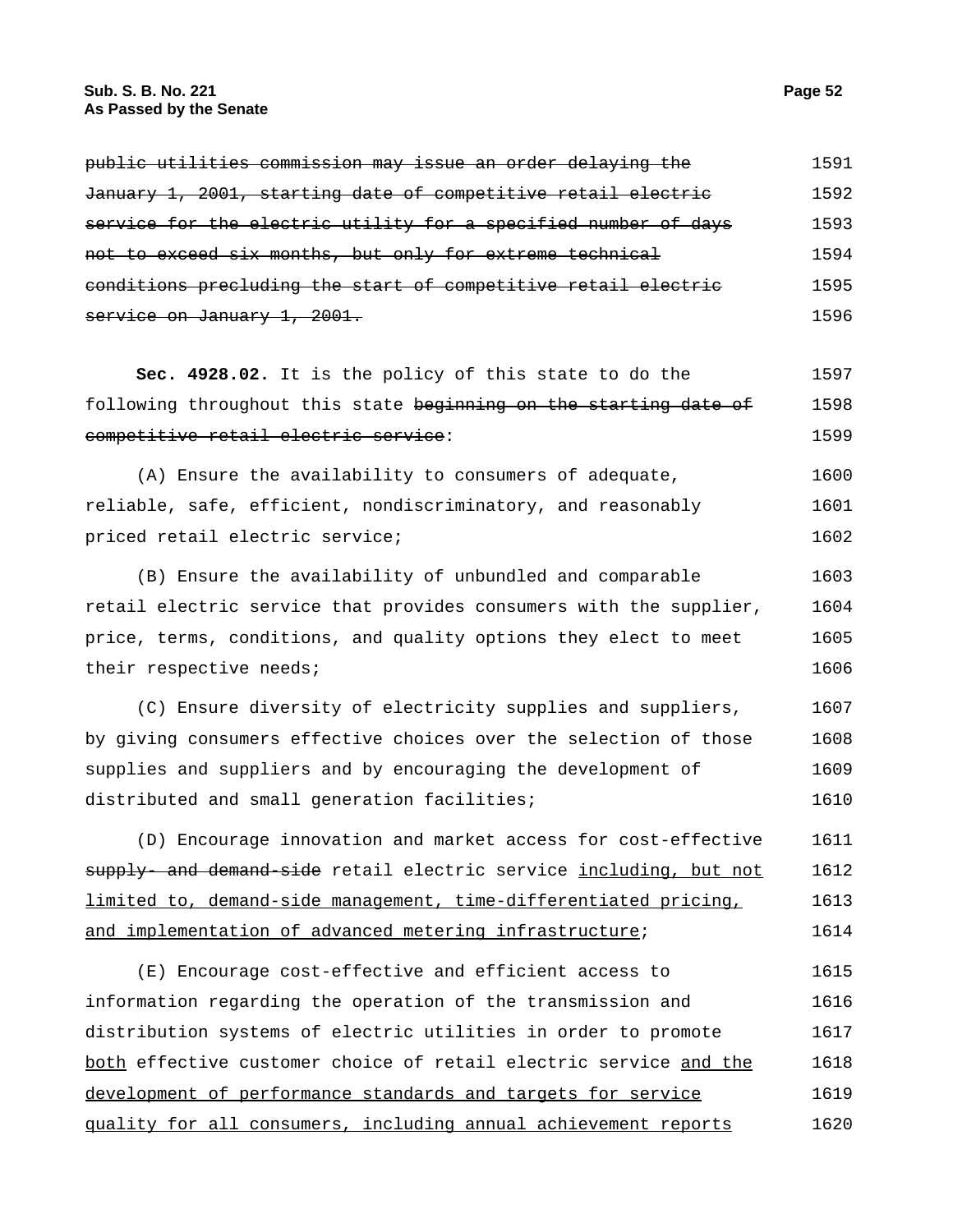| public utilities commission may issue an order delaying the     | 1591 |
|-----------------------------------------------------------------|------|
| January 1, 2001, starting date of competitive retail electric   | 1592 |
| service for the electric utility for a specified number of days | 1593 |
| not to exceed six months, but only for extreme technical        | 1594 |
| conditions precluding the start of competitive retail electric  | 1595 |
| service on January 1, 2001.                                     | 1596 |

**Sec. 4928.02.** It is the policy of this state to do the following throughout this state beginning on the starting date of competitive retail electric service: 1597 1598 1599

(A) Ensure the availability to consumers of adequate, reliable, safe, efficient, nondiscriminatory, and reasonably priced retail electric service; 1600 1601 1602

(B) Ensure the availability of unbundled and comparable retail electric service that provides consumers with the supplier, price, terms, conditions, and quality options they elect to meet their respective needs; 1603 1604 1605 1606

(C) Ensure diversity of electricity supplies and suppliers, by giving consumers effective choices over the selection of those supplies and suppliers and by encouraging the development of distributed and small generation facilities; 1607 1608 1609 1610

(D) Encourage innovation and market access for cost-effective supply- and demand-side retail electric service including, but not limited to, demand-side management, time-differentiated pricing, and implementation of advanced metering infrastructure; 1611 1612 1613 1614

(E) Encourage cost-effective and efficient access to information regarding the operation of the transmission and distribution systems of electric utilities in order to promote both effective customer choice of retail electric service and the development of performance standards and targets for service quality for all consumers, including annual achievement reports 1615 1616 1617 1618 1619 1620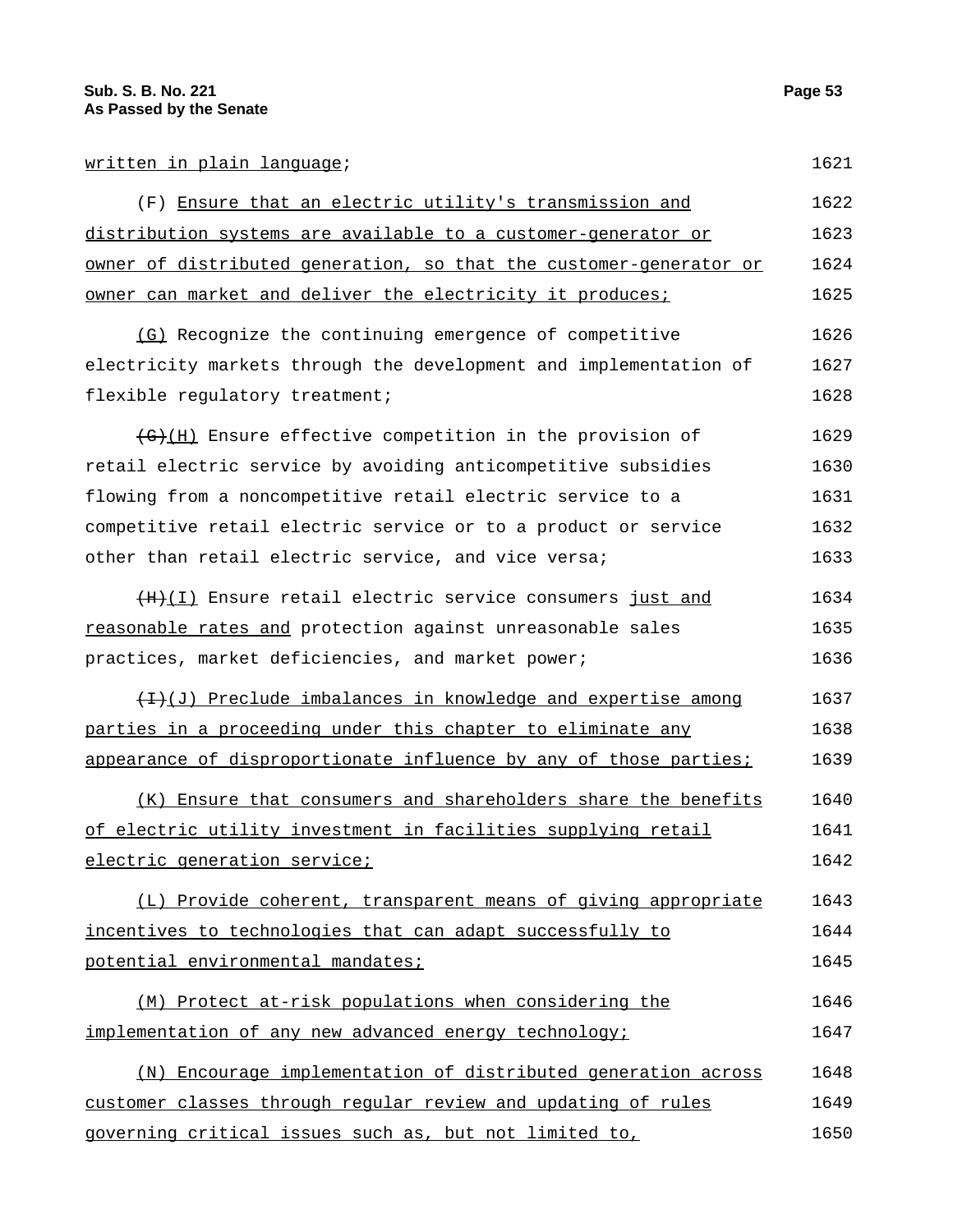## written in plain language; 1621

(F) Ensure that an electric utility's transmission and distribution systems are available to a customer-generator or owner of distributed generation, so that the customer-generator or owner can market and deliver the electricity it produces; 1622 1623 1624 1625

(G) Recognize the continuing emergence of competitive electricity markets through the development and implementation of flexible regulatory treatment; 1626 1627 1628

 $\overline{G}(H)$  Ensure effective competition in the provision of retail electric service by avoiding anticompetitive subsidies flowing from a noncompetitive retail electric service to a competitive retail electric service or to a product or service other than retail electric service, and vice versa; 1629 1630 1631 1632 1633

(H)(I) Ensure retail electric service consumers just and reasonable rates and protection against unreasonable sales practices, market deficiencies, and market power; 1634 1635 1636

 $(H)(J)$  Preclude imbalances in knowledge and expertise among parties in a proceeding under this chapter to eliminate any appearance of disproportionate influence by any of those parties; 1637 1638 1639

(K) Ensure that consumers and shareholders share the benefits of electric utility investment in facilities supplying retail electric generation service; 1640 1641 1642

(L) Provide coherent, transparent means of giving appropriate incentives to technologies that can adapt successfully to potential environmental mandates; 1643 1644 1645

(M) Protect at-risk populations when considering the implementation of any new advanced energy technology; 1646 1647

(N) Encourage implementation of distributed generation across customer classes through regular review and updating of rules governing critical issues such as, but not limited to, 1648 1649 1650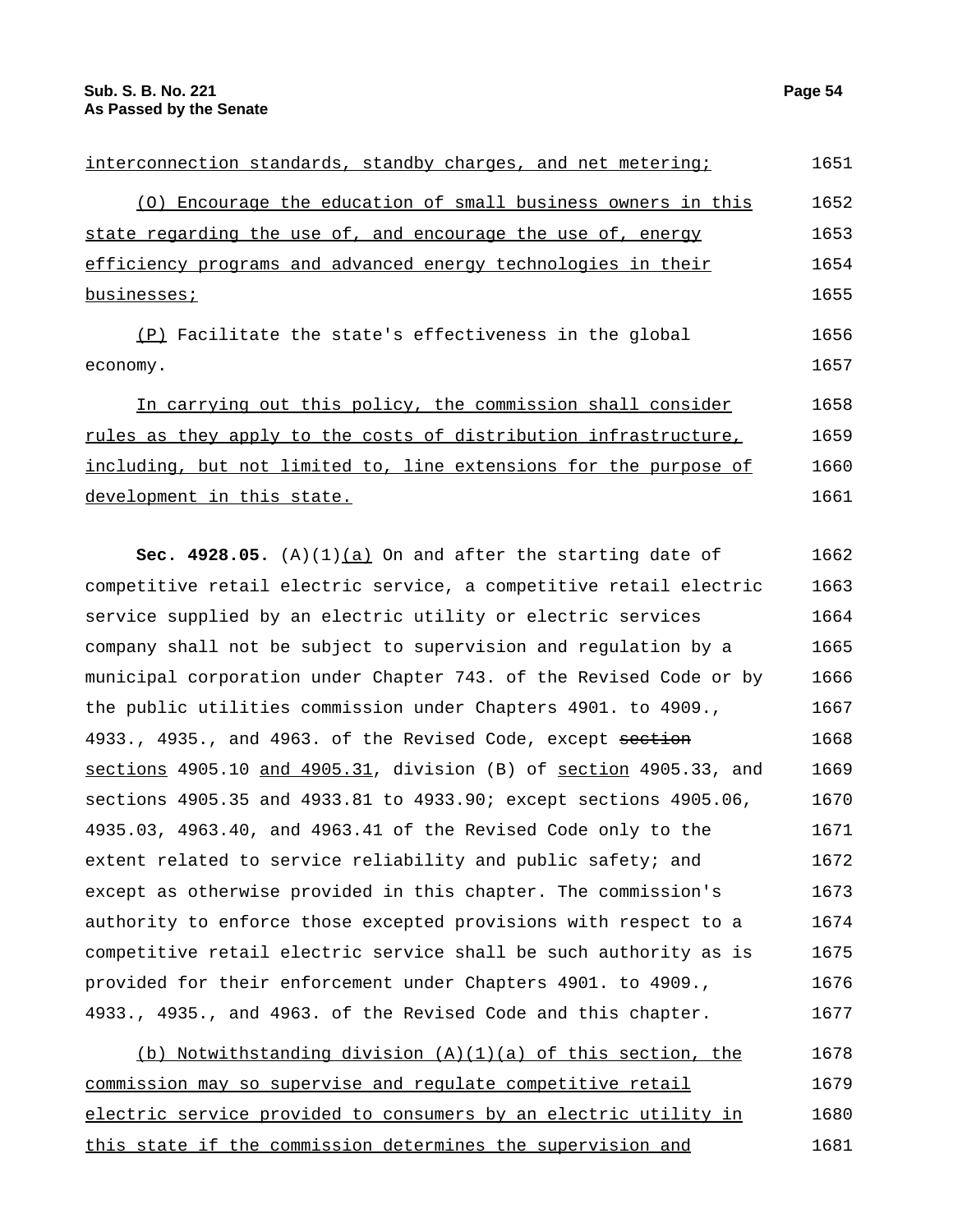| interconnection standards, standby charges, and net metering;     | 1651 |
|-------------------------------------------------------------------|------|
| (0) Encourage the education of small business owners in this      | 1652 |
| state regarding the use of, and encourage the use of, energy      | 1653 |
| efficiency programs and advanced energy technologies in their     | 1654 |
| businesses;                                                       | 1655 |
| (P) Facilitate the state's effectiveness in the global            | 1656 |
| economy.                                                          | 1657 |
| In carrying out this policy, the commission shall consider        | 1658 |
| rules as they apply to the costs of distribution infrastructure,  | 1659 |
| including, but not limited to, line extensions for the purpose of | 1660 |
| development in this state.                                        | 1661 |

**Sec. 4928.05.** (A)(1) $(a)$  On and after the starting date of competitive retail electric service, a competitive retail electric service supplied by an electric utility or electric services company shall not be subject to supervision and regulation by a municipal corporation under Chapter 743. of the Revised Code or by the public utilities commission under Chapters 4901. to 4909., 4933., 4935., and 4963. of the Revised Code, except section sections 4905.10 and 4905.31, division (B) of section 4905.33, and sections 4905.35 and 4933.81 to 4933.90; except sections 4905.06, 4935.03, 4963.40, and 4963.41 of the Revised Code only to the extent related to service reliability and public safety; and except as otherwise provided in this chapter. The commission's authority to enforce those excepted provisions with respect to a competitive retail electric service shall be such authority as is provided for their enforcement under Chapters 4901. to 4909., 4933., 4935., and 4963. of the Revised Code and this chapter. 1662 1663 1664 1665 1666 1667 1668 1669 1670 1671 1672 1673 1674 1675 1676 1677

(b) Notwithstanding division  $(A)(1)(a)$  of this section, the commission may so supervise and regulate competitive retail electric service provided to consumers by an electric utility in this state if the commission determines the supervision and 1678 1679 1680 1681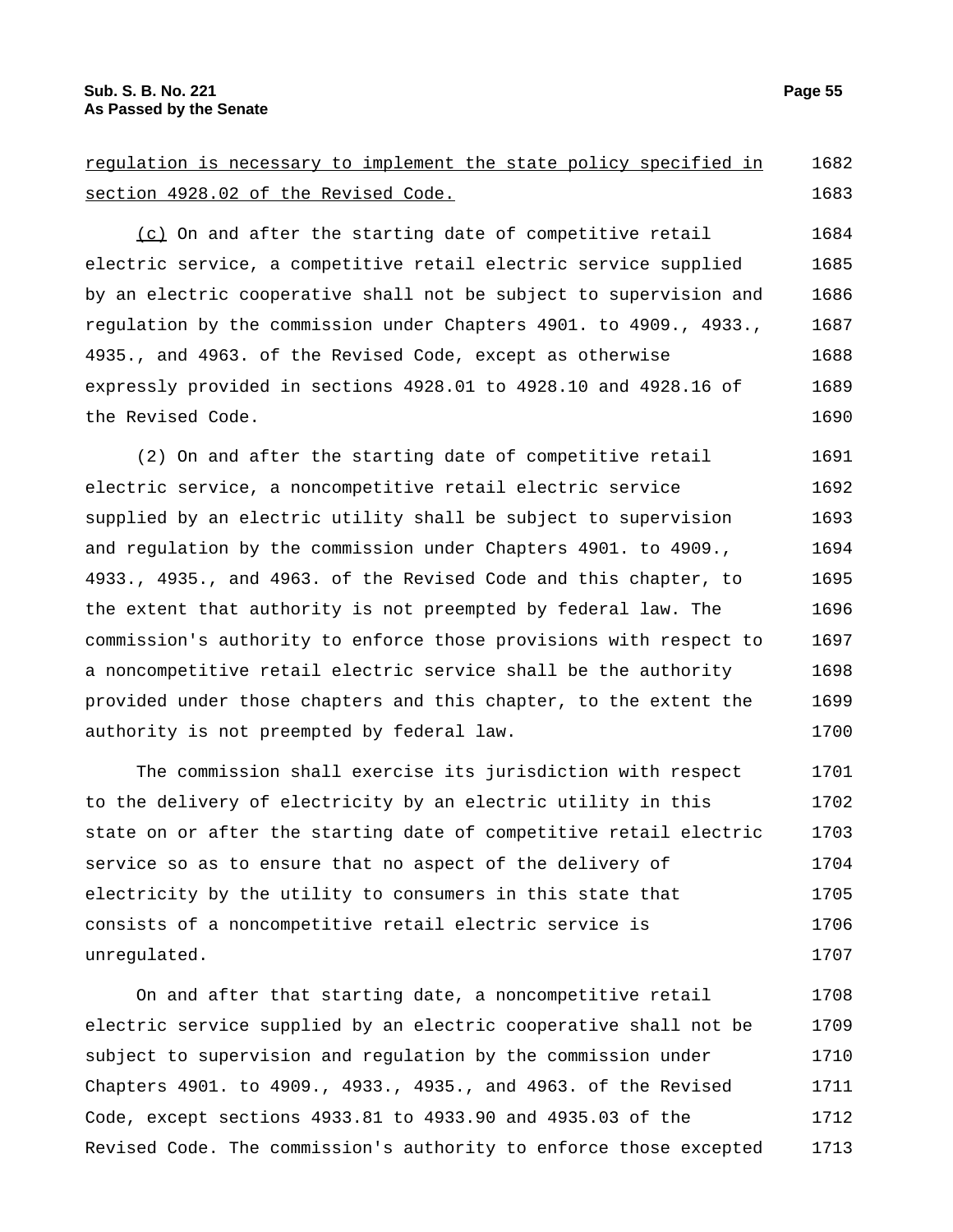| requlation is necessary to implement the state policy specified in | 1682 |
|--------------------------------------------------------------------|------|
| section 4928.02 of the Revised Code.                               | 1683 |
| (c) On and after the starting date of competitive retail           | 1684 |
| electric service, a competitive retail electric service supplied   | 1685 |
| by an electric cooperative shall not be subject to supervision and | 1686 |
| regulation by the commission under Chapters 4901. to 4909., 4933., | 1687 |
| 4935., and 4963. of the Revised Code, except as otherwise          | 1688 |
| expressly provided in sections 4928.01 to 4928.10 and 4928.16 of   | 1689 |
| the Revised Code.                                                  | 1690 |
| (2) On and after the starting date of competitive retail           | 1691 |
|                                                                    |      |
| electric service, a noncompetitive retail electric service         | 1692 |
| supplied by an electric utility shall be subject to supervision    | 1693 |
| and regulation by the commission under Chapters 4901. to 4909.,    | 1694 |
| 4933., 4935., and 4963. of the Revised Code and this chapter, to   | 1695 |
| the extent that authority is not preempted by federal law. The     | 1696 |
| commission's authority to enforce those provisions with respect to | 1697 |
| a noncompetitive retail electric service shall be the authority    | 1698 |
| provided under those chapters and this chapter, to the extent the  | 1699 |
| authority is not preempted by federal law.                         | 1700 |
| The commission shall exercise its jurisdiction with respect        | 1701 |
| to the delivery of electricity by an electric utility in this      | 1702 |
| state on or after the starting date of competitive retail electric | 1703 |
| service so as to ensure that no aspect of the delivery of          | 1704 |

electricity by the utility to consumers in this state that consists of a noncompetitive retail electric service is unregulated. 1705 1706 1707

On and after that starting date, a noncompetitive retail electric service supplied by an electric cooperative shall not be subject to supervision and regulation by the commission under Chapters 4901. to 4909., 4933., 4935., and 4963. of the Revised Code, except sections 4933.81 to 4933.90 and 4935.03 of the Revised Code. The commission's authority to enforce those excepted 1708 1709 1710 1711 1712 1713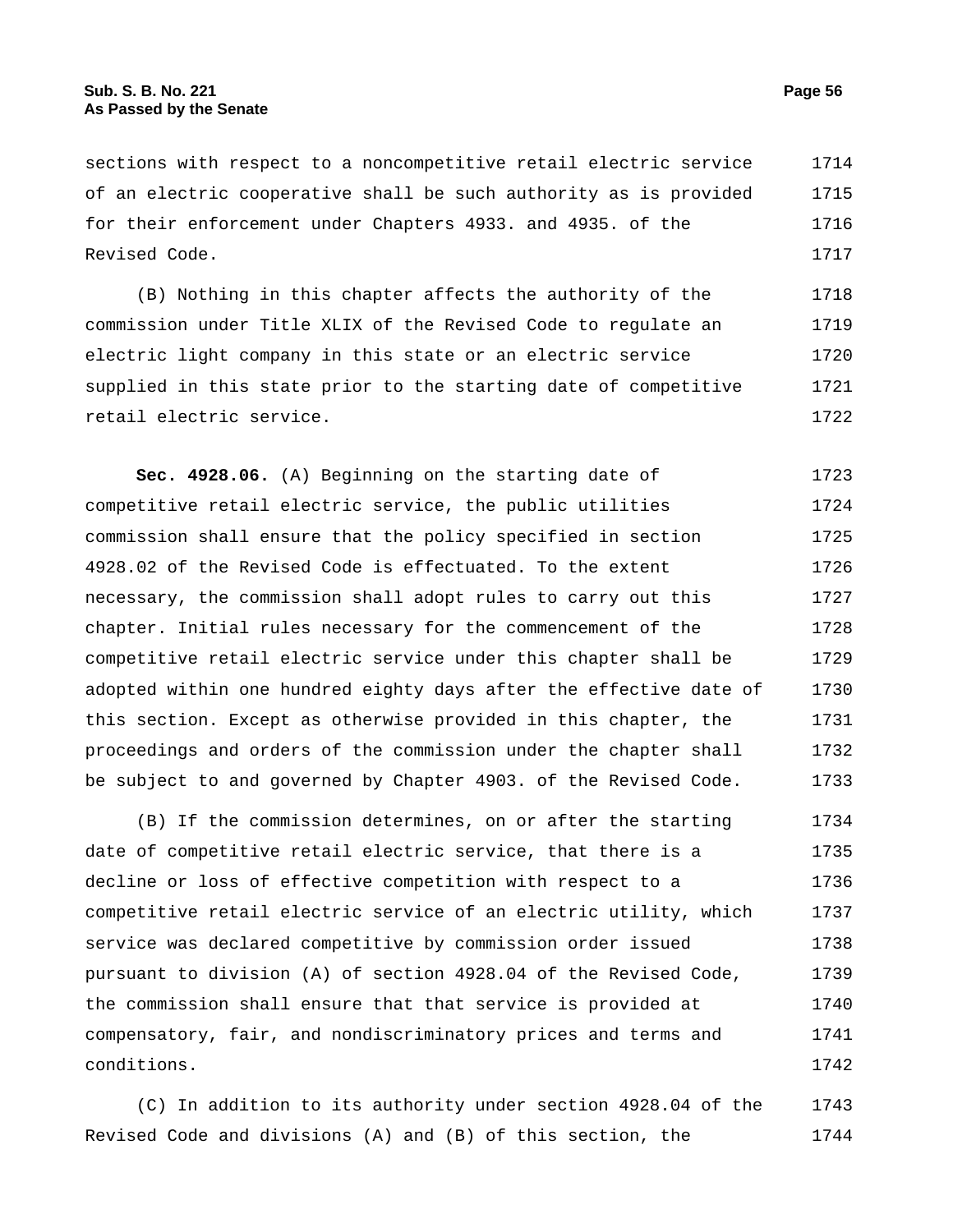sections with respect to a noncompetitive retail electric service of an electric cooperative shall be such authority as is provided for their enforcement under Chapters 4933. and 4935. of the Revised Code. 1714 1715 1716 1717

(B) Nothing in this chapter affects the authority of the commission under Title XLIX of the Revised Code to regulate an electric light company in this state or an electric service supplied in this state prior to the starting date of competitive retail electric service. 1718 1719 1720 1721 1722

**Sec. 4928.06.** (A) Beginning on the starting date of competitive retail electric service, the public utilities commission shall ensure that the policy specified in section 4928.02 of the Revised Code is effectuated. To the extent necessary, the commission shall adopt rules to carry out this chapter. Initial rules necessary for the commencement of the competitive retail electric service under this chapter shall be adopted within one hundred eighty days after the effective date of this section. Except as otherwise provided in this chapter, the proceedings and orders of the commission under the chapter shall be subject to and governed by Chapter 4903. of the Revised Code. 1723 1724 1725 1726 1727 1728 1729 1730 1731 1732 1733

(B) If the commission determines, on or after the starting date of competitive retail electric service, that there is a decline or loss of effective competition with respect to a competitive retail electric service of an electric utility, which service was declared competitive by commission order issued pursuant to division (A) of section 4928.04 of the Revised Code, the commission shall ensure that that service is provided at compensatory, fair, and nondiscriminatory prices and terms and conditions. 1734 1735 1736 1737 1738 1739 1740 1741 1742

(C) In addition to its authority under section 4928.04 of the Revised Code and divisions (A) and (B) of this section, the 1743 1744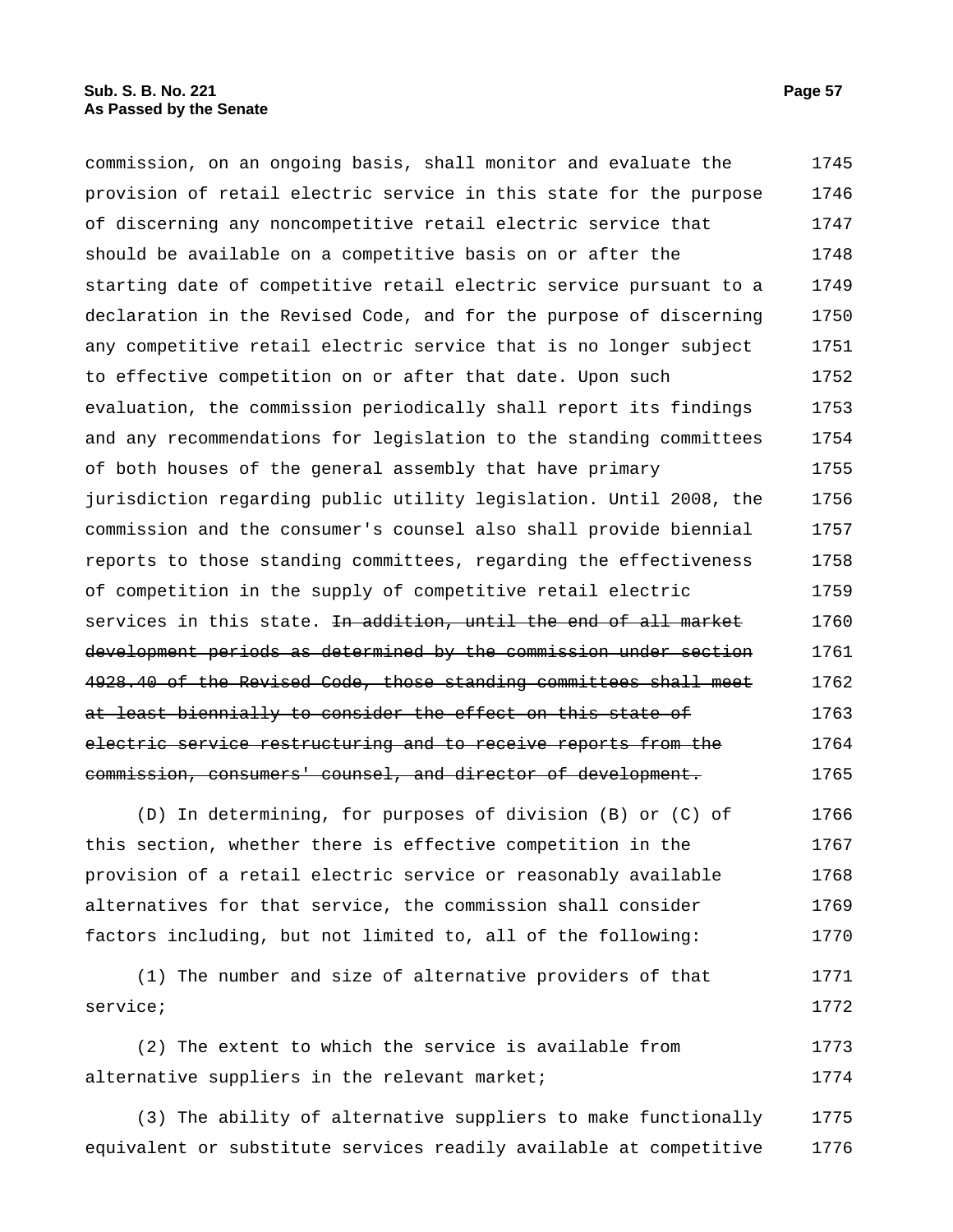commission, on an ongoing basis, shall monitor and evaluate the provision of retail electric service in this state for the purpose of discerning any noncompetitive retail electric service that should be available on a competitive basis on or after the starting date of competitive retail electric service pursuant to a declaration in the Revised Code, and for the purpose of discerning any competitive retail electric service that is no longer subject to effective competition on or after that date. Upon such evaluation, the commission periodically shall report its findings and any recommendations for legislation to the standing committees of both houses of the general assembly that have primary jurisdiction regarding public utility legislation. Until 2008, the commission and the consumer's counsel also shall provide biennial reports to those standing committees, regarding the effectiveness of competition in the supply of competitive retail electric services in this state. <del>In addition, until the end of all market</del> development periods as determined by the commission under section 4928.40 of the Revised Code, those standing committees shall meet at least biennially to consider the effect on this state of electric service restructuring and to receive reports from the commission, consumers' counsel, and director of development. 1745 1746 1747 1748 1749 1750 1751 1752 1753 1754 1755 1756 1757 1758 1759 1760 1761 1762 1763 1764 1765

(D) In determining, for purposes of division (B) or (C) of this section, whether there is effective competition in the provision of a retail electric service or reasonably available alternatives for that service, the commission shall consider factors including, but not limited to, all of the following: 1766 1767 1768 1769 1770

(1) The number and size of alternative providers of that service; 1771 1772

(2) The extent to which the service is available from alternative suppliers in the relevant market; 1773 1774

(3) The ability of alternative suppliers to make functionally equivalent or substitute services readily available at competitive 1775 1776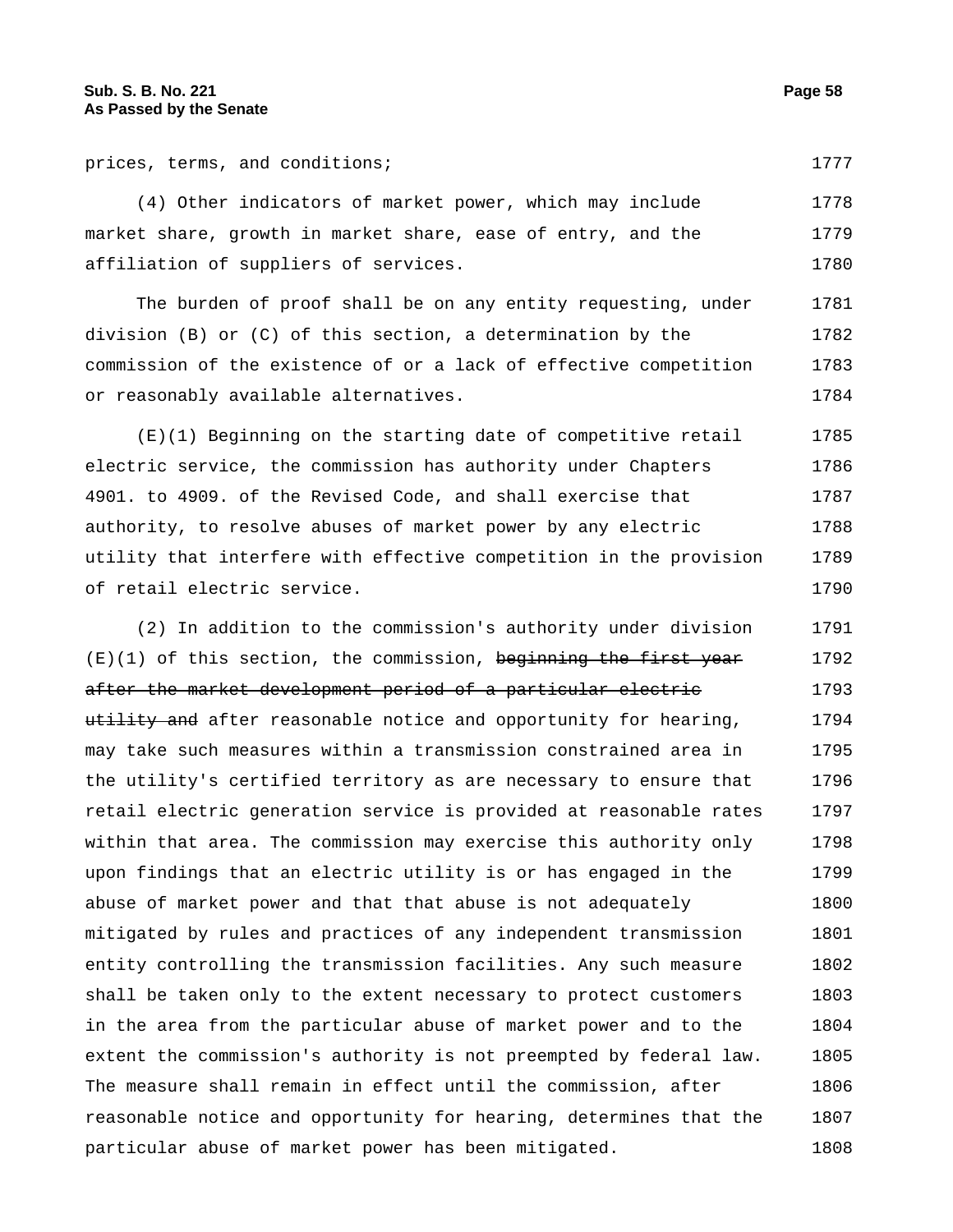prices, terms, and conditions; 1777

(4) Other indicators of market power, which may include market share, growth in market share, ease of entry, and the affiliation of suppliers of services. 1778 1779 1780

The burden of proof shall be on any entity requesting, under division (B) or (C) of this section, a determination by the commission of the existence of or a lack of effective competition or reasonably available alternatives. 1781 1782 1783 1784

(E)(1) Beginning on the starting date of competitive retail electric service, the commission has authority under Chapters 4901. to 4909. of the Revised Code, and shall exercise that authority, to resolve abuses of market power by any electric utility that interfere with effective competition in the provision of retail electric service. 1785 1786 1787 1788 1789 1790

(2) In addition to the commission's authority under division  $(E)(1)$  of this section, the commission, beginning the first year after the market development period of a particular electric utility and after reasonable notice and opportunity for hearing, may take such measures within a transmission constrained area in the utility's certified territory as are necessary to ensure that retail electric generation service is provided at reasonable rates within that area. The commission may exercise this authority only upon findings that an electric utility is or has engaged in the abuse of market power and that that abuse is not adequately mitigated by rules and practices of any independent transmission entity controlling the transmission facilities. Any such measure shall be taken only to the extent necessary to protect customers in the area from the particular abuse of market power and to the extent the commission's authority is not preempted by federal law. The measure shall remain in effect until the commission, after reasonable notice and opportunity for hearing, determines that the particular abuse of market power has been mitigated. 1791 1792 1793 1794 1795 1796 1797 1798 1799 1800 1801 1802 1803 1804 1805 1806 1807 1808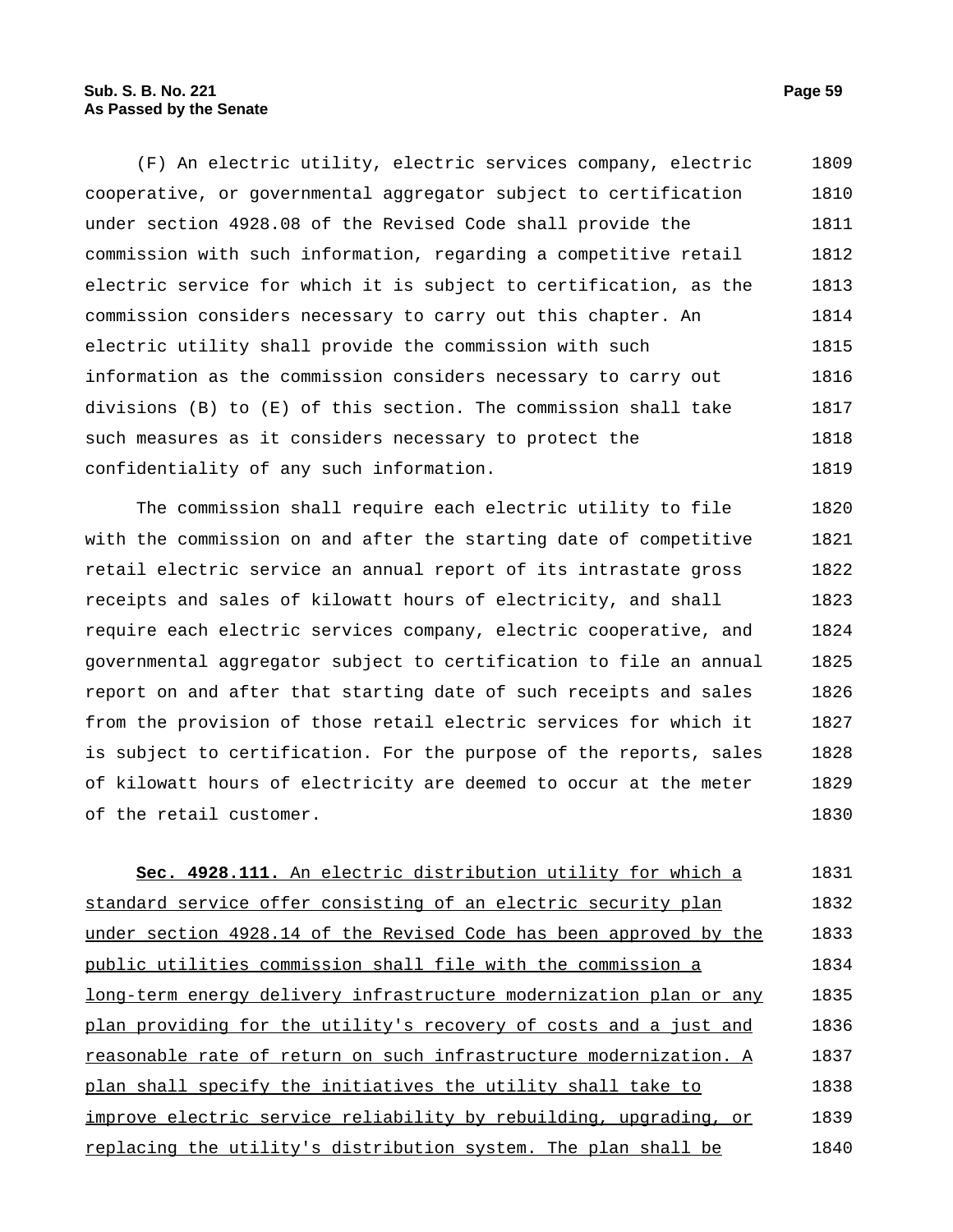(F) An electric utility, electric services company, electric cooperative, or governmental aggregator subject to certification under section 4928.08 of the Revised Code shall provide the commission with such information, regarding a competitive retail electric service for which it is subject to certification, as the commission considers necessary to carry out this chapter. An electric utility shall provide the commission with such information as the commission considers necessary to carry out divisions (B) to (E) of this section. The commission shall take such measures as it considers necessary to protect the confidentiality of any such information. 1809 1810 1811 1812 1813 1814 1815 1816 1817 1818 1819

The commission shall require each electric utility to file with the commission on and after the starting date of competitive retail electric service an annual report of its intrastate gross receipts and sales of kilowatt hours of electricity, and shall require each electric services company, electric cooperative, and governmental aggregator subject to certification to file an annual report on and after that starting date of such receipts and sales from the provision of those retail electric services for which it is subject to certification. For the purpose of the reports, sales of kilowatt hours of electricity are deemed to occur at the meter of the retail customer. 1820 1821 1822 1823 1824 1825 1826 1827 1828 1829 1830

**Sec. 4928.111.** An electric distribution utility for which a standard service offer consisting of an electric security plan under section 4928.14 of the Revised Code has been approved by the public utilities commission shall file with the commission a long-term energy delivery infrastructure modernization plan or any plan providing for the utility's recovery of costs and a just and reasonable rate of return on such infrastructure modernization. A plan shall specify the initiatives the utility shall take to improve electric service reliability by rebuilding, upgrading, or replacing the utility's distribution system. The plan shall be 1831 1832 1833 1834 1835 1836 1837 1838 1839 1840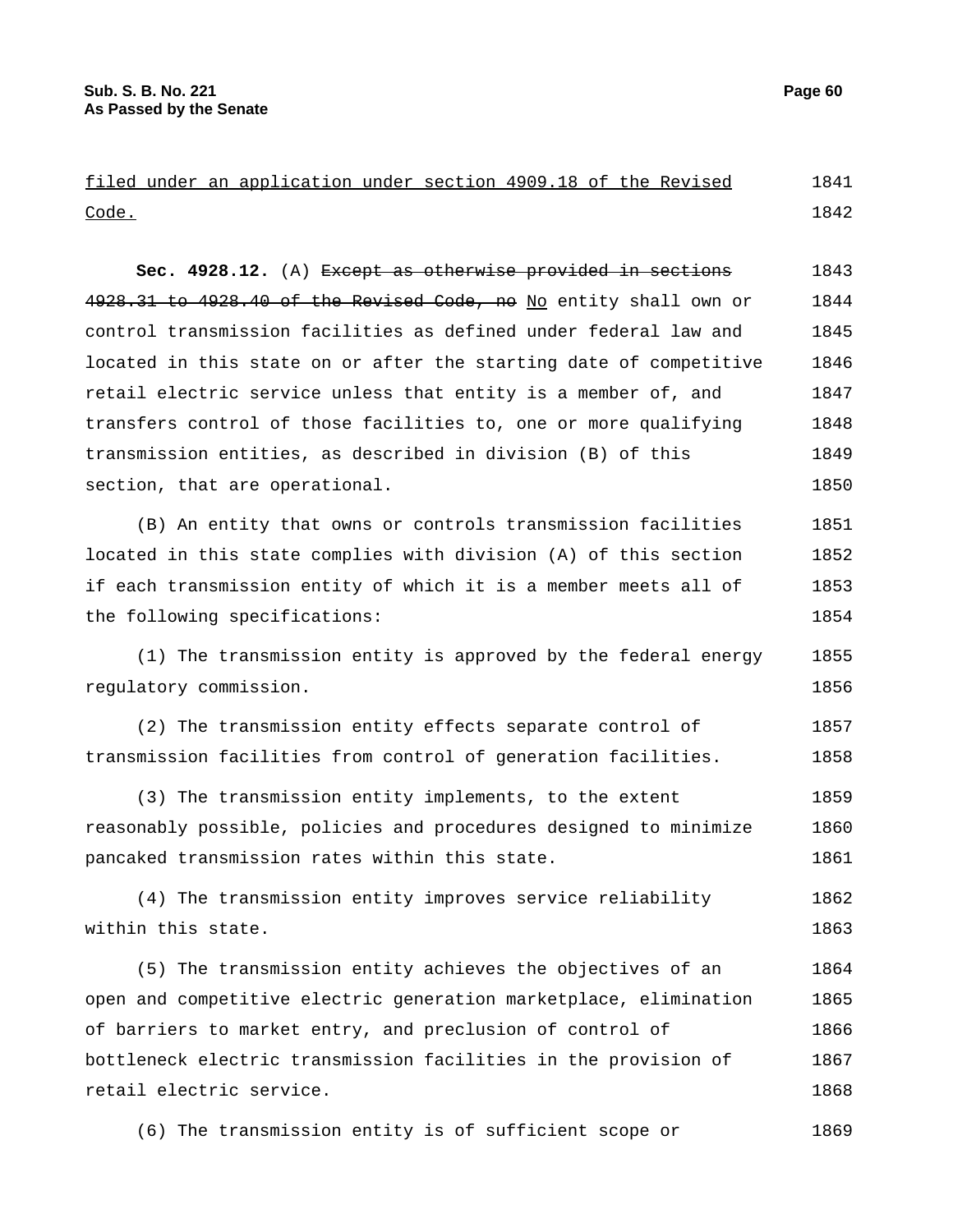|       |  | filed under an application under section 4909.18 of the Revised |  |  |  | 1841 |
|-------|--|-----------------------------------------------------------------|--|--|--|------|
| Code. |  |                                                                 |  |  |  | 1842 |

**Sec. 4928.12.** (A) Except as otherwise provided in sections 4928.31 to 4928.40 of the Revised Code, no No entity shall own or control transmission facilities as defined under federal law and located in this state on or after the starting date of competitive retail electric service unless that entity is a member of, and transfers control of those facilities to, one or more qualifying transmission entities, as described in division (B) of this section, that are operational. 1843 1844 1845 1846 1847 1848 1849 1850

(B) An entity that owns or controls transmission facilities located in this state complies with division (A) of this section if each transmission entity of which it is a member meets all of the following specifications: 1851 1852 1853 1854

(1) The transmission entity is approved by the federal energy regulatory commission. 1855 1856

(2) The transmission entity effects separate control of transmission facilities from control of generation facilities. 1857 1858

(3) The transmission entity implements, to the extent reasonably possible, policies and procedures designed to minimize pancaked transmission rates within this state. 1859 1860 1861

(4) The transmission entity improves service reliability within this state. 1862 1863

(5) The transmission entity achieves the objectives of an open and competitive electric generation marketplace, elimination of barriers to market entry, and preclusion of control of bottleneck electric transmission facilities in the provision of retail electric service. 1864 1865 1866 1867 1868

(6) The transmission entity is of sufficient scope or 1869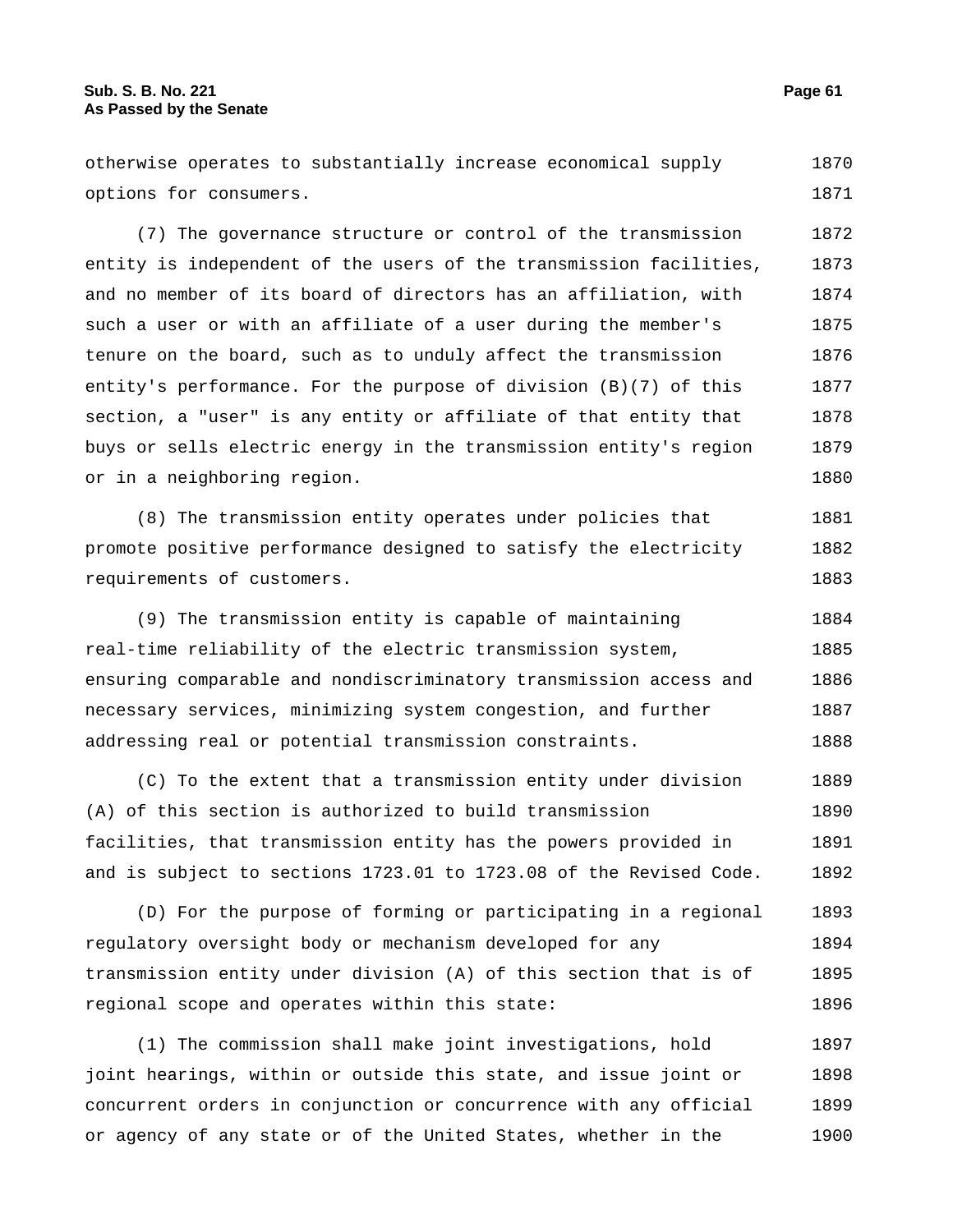otherwise operates to substantially increase economical supply options for consumers. 1870 1871

(7) The governance structure or control of the transmission entity is independent of the users of the transmission facilities, and no member of its board of directors has an affiliation, with such a user or with an affiliate of a user during the member's tenure on the board, such as to unduly affect the transmission entity's performance. For the purpose of division (B)(7) of this section, a "user" is any entity or affiliate of that entity that buys or sells electric energy in the transmission entity's region or in a neighboring region. 1872 1873 1874 1875 1876 1877 1878 1879 1880

(8) The transmission entity operates under policies that promote positive performance designed to satisfy the electricity requirements of customers. 1881 1882 1883

(9) The transmission entity is capable of maintaining real-time reliability of the electric transmission system, ensuring comparable and nondiscriminatory transmission access and necessary services, minimizing system congestion, and further addressing real or potential transmission constraints. 1884 1885 1886 1887 1888

(C) To the extent that a transmission entity under division (A) of this section is authorized to build transmission facilities, that transmission entity has the powers provided in and is subject to sections 1723.01 to 1723.08 of the Revised Code. 1889 1890 1891 1892

(D) For the purpose of forming or participating in a regional regulatory oversight body or mechanism developed for any transmission entity under division (A) of this section that is of regional scope and operates within this state: 1893 1894 1895 1896

(1) The commission shall make joint investigations, hold joint hearings, within or outside this state, and issue joint or concurrent orders in conjunction or concurrence with any official or agency of any state or of the United States, whether in the 1897 1898 1899 1900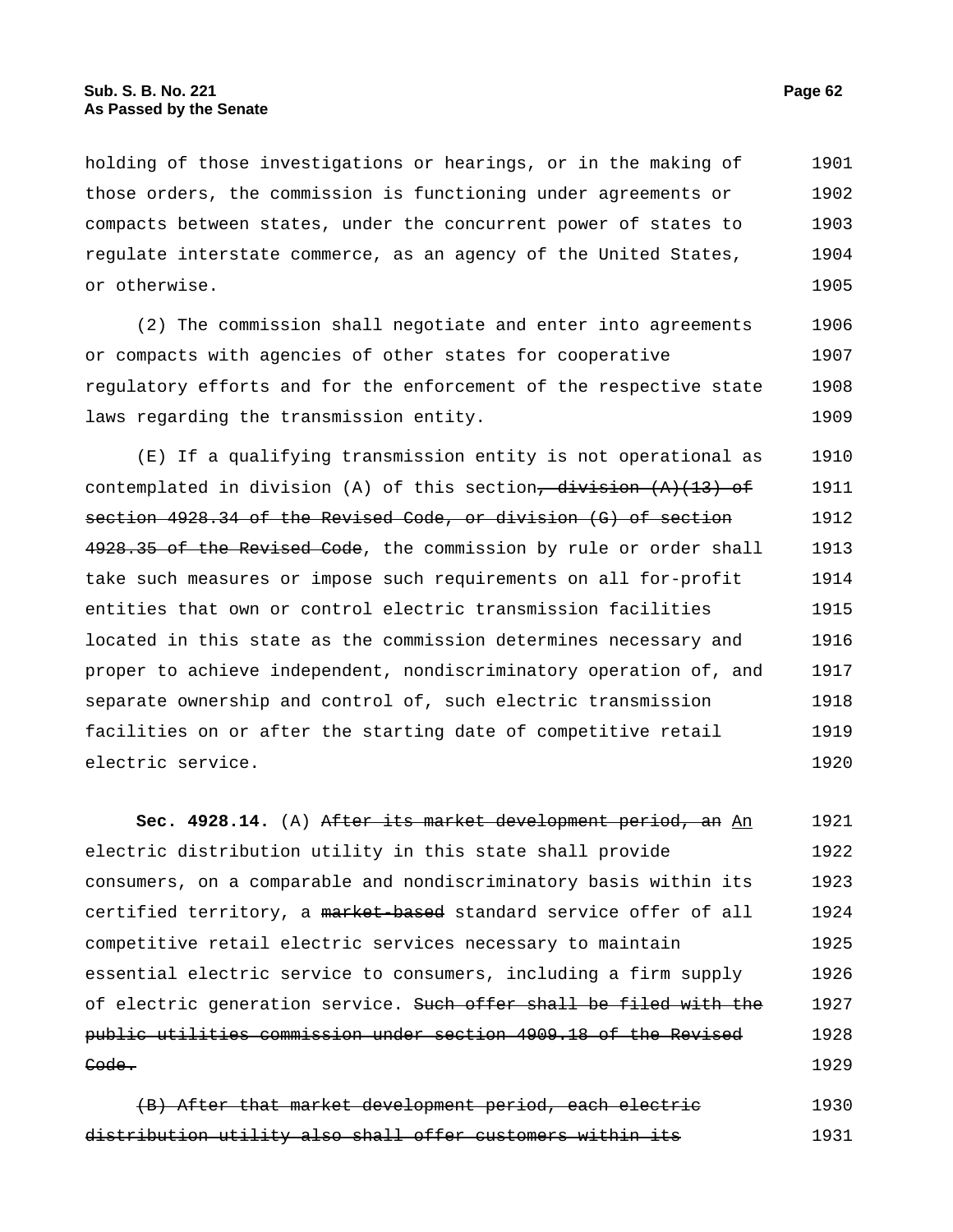holding of those investigations or hearings, or in the making of those orders, the commission is functioning under agreements or compacts between states, under the concurrent power of states to regulate interstate commerce, as an agency of the United States, or otherwise. 1901 1902 1903 1904 1905

(2) The commission shall negotiate and enter into agreements or compacts with agencies of other states for cooperative regulatory efforts and for the enforcement of the respective state laws regarding the transmission entity. 1906 1907 1908 1909

(E) If a qualifying transmission entity is not operational as contemplated in division (A) of this section,  $\frac{division}{(A)(13)-of}$ section 4928.34 of the Revised Code, or division (G) of section 4928.35 of the Revised Code, the commission by rule or order shall take such measures or impose such requirements on all for-profit entities that own or control electric transmission facilities located in this state as the commission determines necessary and proper to achieve independent, nondiscriminatory operation of, and separate ownership and control of, such electric transmission facilities on or after the starting date of competitive retail electric service. 1910 1911 1912 1913 1914 1915 1916 1917 1918 1919 1920

**Sec. 4928.14.** (A) After its market development period, an An electric distribution utility in this state shall provide consumers, on a comparable and nondiscriminatory basis within its certified territory, a market-based standard service offer of all competitive retail electric services necessary to maintain essential electric service to consumers, including a firm supply of electric generation service. Such offer shall be filed with the public utilities commission under section 4909.18 of the Revised Code. 1921 1922 1923 1924 1925 1926 1927 1928 1929

(B) After that market development period, each electric distribution utility also shall offer customers within its 1930 1931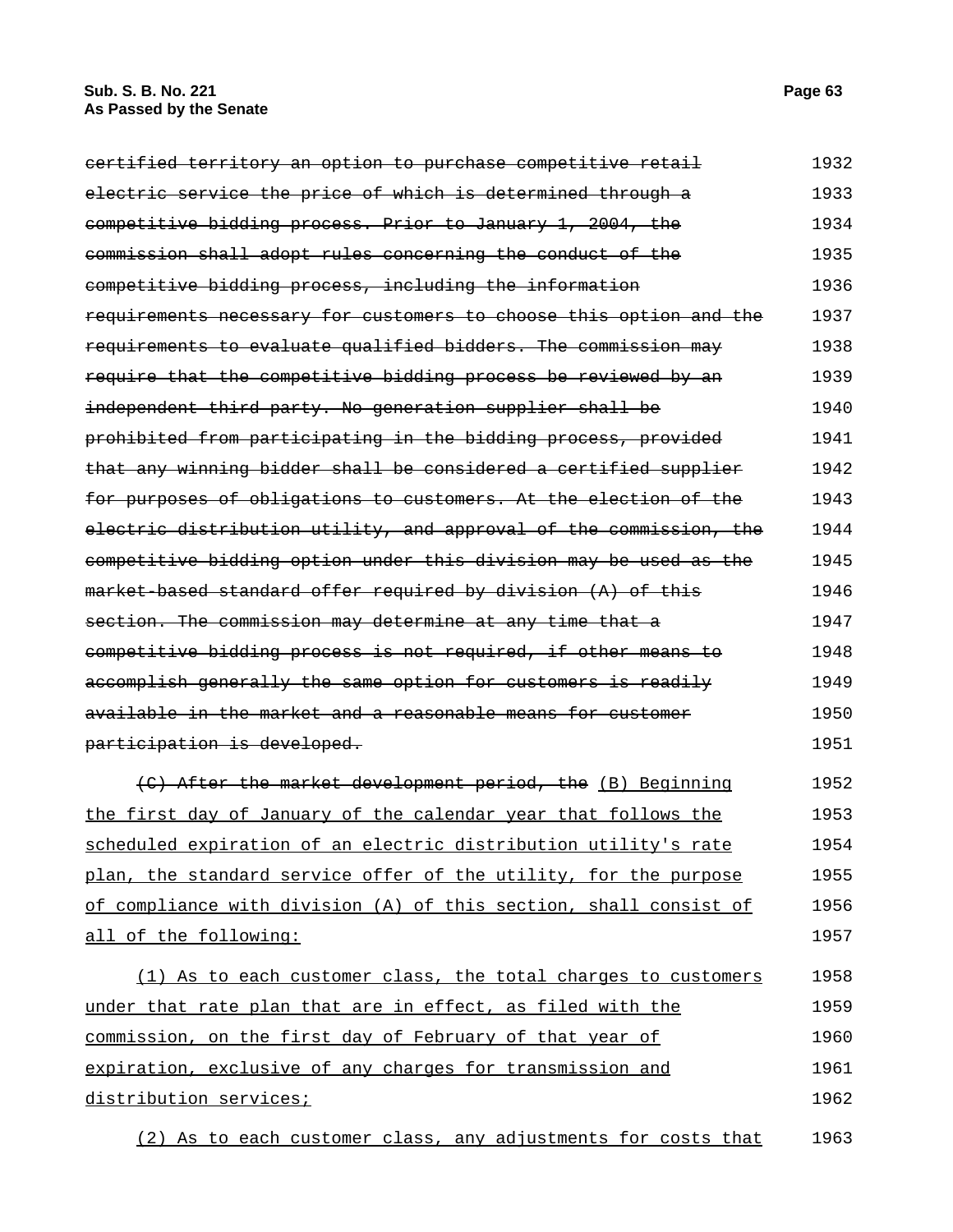| certified territory an option to purchase competitive retail | 1932 |
|--------------------------------------------------------------|------|
| electric service the price of which is determined through a  | 1933 |
| competitive bidding process. Prior to January 1, 2004, the   | 1934 |
| commission shall adopt rules concerning the conduct of the   | 1935 |
| competitive bidding process, including the information       | 1936 |

| competitive bidding process, including the information             | 1936 |
|--------------------------------------------------------------------|------|
| requirements necessary for customers to choose this option and the | 1937 |
| requirements to evaluate qualified bidders. The commission may     | 1938 |
| require that the competitive bidding process be reviewed by an     | 1939 |
| independent third party. No generation supplier shall be           | 1940 |
| prohibited from participating in the bidding process, provided     | 1941 |
| that any winning bidder shall be considered a certified supplier   | 1942 |
| for purposes of obligations to customers. At the election of the   | 1943 |
| electric distribution utility, and approval of the commission, the | 1944 |
| competitive bidding option under this division may be used as the  | 1945 |
| market based standard offer required by division (A) of this       | 1946 |
| section. The commission may determine at any time that a           | 1947 |
| competitive bidding process is not required, if other means to     | 1948 |
| accomplish generally the same option for customers is readily      | 1949 |
| available in the market and a reasonable means for customer        | 1950 |
| participation is developed.                                        | 1951 |

(C) After the market development period, the (B) Beginning the first day of January of the calendar year that follows the scheduled expiration of an electric distribution utility's rate plan, the standard service offer of the utility, for the purpose of compliance with division (A) of this section, shall consist of all of the following: 1952 1953 1954 1955 1956 1957

(1) As to each customer class, the total charges to customers under that rate plan that are in effect, as filed with the commission, on the first day of February of that year of expiration, exclusive of any charges for transmission and distribution services; 1958 1959 1960 1961 1962

(2) As to each customer class, any adjustments for costs that 1963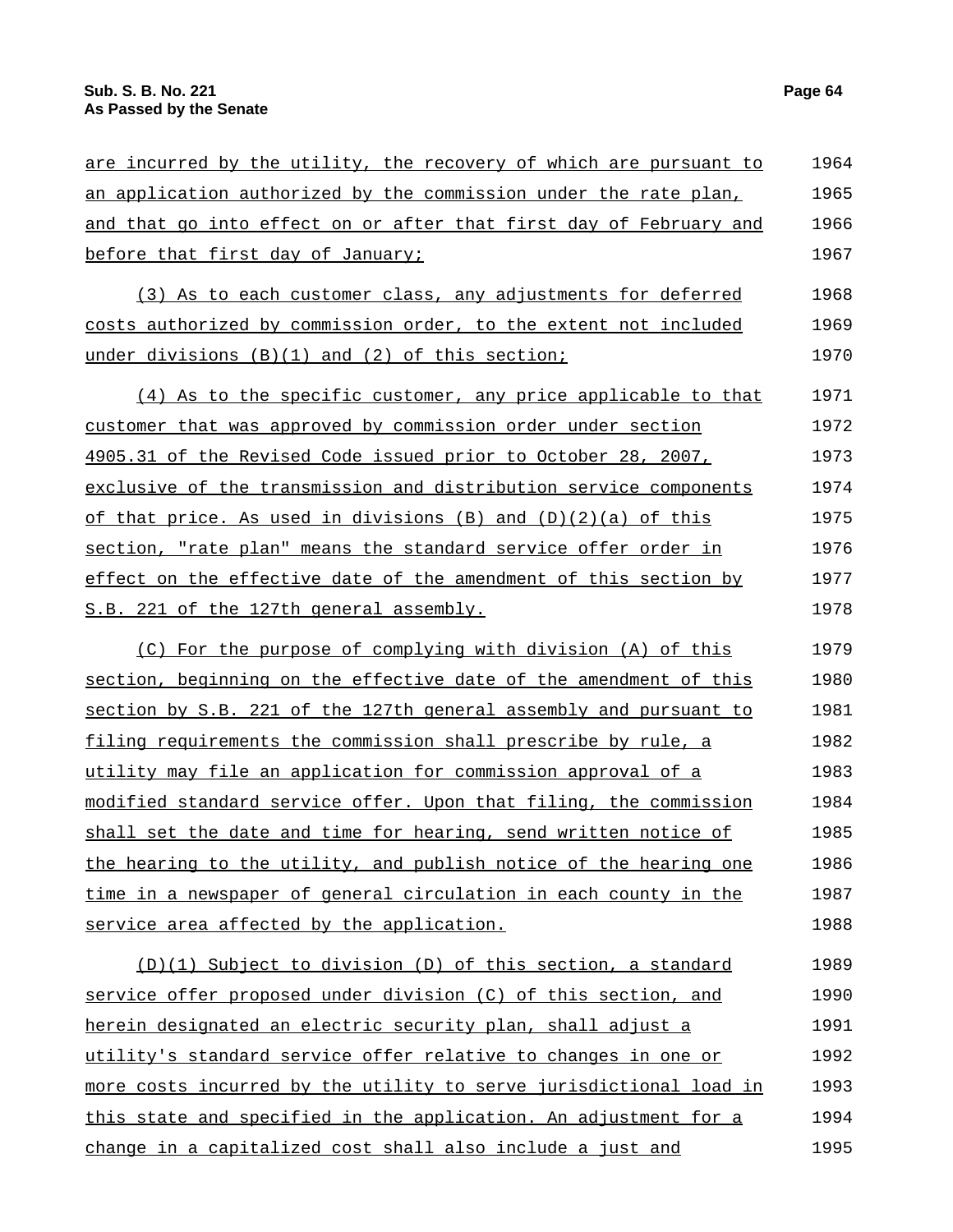| are incurred by the utility, the recovery of which are pursuant to | 1964 |
|--------------------------------------------------------------------|------|
| an application authorized by the commission under the rate plan,   | 1965 |
| and that go into effect on or after that first day of February and | 1966 |
| before that first day of January;                                  | 1967 |
| (3) As to each customer class, any adjustments for deferred        | 1968 |
| costs authorized by commission order, to the extent not included   | 1969 |
| under divisions (B)(1) and (2) of this section;                    | 1970 |
| (4) As to the specific customer, any price applicable to that      | 1971 |
| customer that was approved by commission order under section       | 1972 |
| 4905.31 of the Revised Code issued prior to October 28, 2007,      | 1973 |
| exclusive of the transmission and distribution service components  | 1974 |
| of that price. As used in divisions $(B)$ and $(D)(2)(a)$ of this  | 1975 |
| section, "rate plan" means the standard service offer order in     | 1976 |
| effect on the effective date of the amendment of this section by   | 1977 |
| S.B. 221 of the 127th general assembly.                            | 1978 |
| (C) For the purpose of complying with division (A) of this         | 1979 |
| section, beginning on the effective date of the amendment of this  | 1980 |
| section by S.B. 221 of the 127th general assembly and pursuant to  | 1981 |
| filing requirements the commission shall prescribe by rule, a      | 1982 |
| utility may file an application for commission approval of a       | 1983 |
| modified standard service offer. Upon that filing, the commission  | 1984 |
| shall set the date and time for hearing, send written notice of    | 1985 |
| the hearing to the utility, and publish notice of the hearing one  | 1986 |
| time in a newspaper of general circulation in each county in the   | 1987 |
| service area affected by the application.                          | 1988 |
| (D)(1) Subject to division (D) of this section, a standard         | 1989 |
| service offer proposed under division (C) of this section, and     | 1990 |
| herein designated an electric security plan, shall adjust a        | 1991 |
| utility's standard service offer relative to changes in one or     | 1992 |
| more costs incurred by the utility to serve jurisdictional load in | 1993 |
| this state and specified in the application. An adjustment for a   | 1994 |
| change in a capitalized cost shall also include a just and         | 1995 |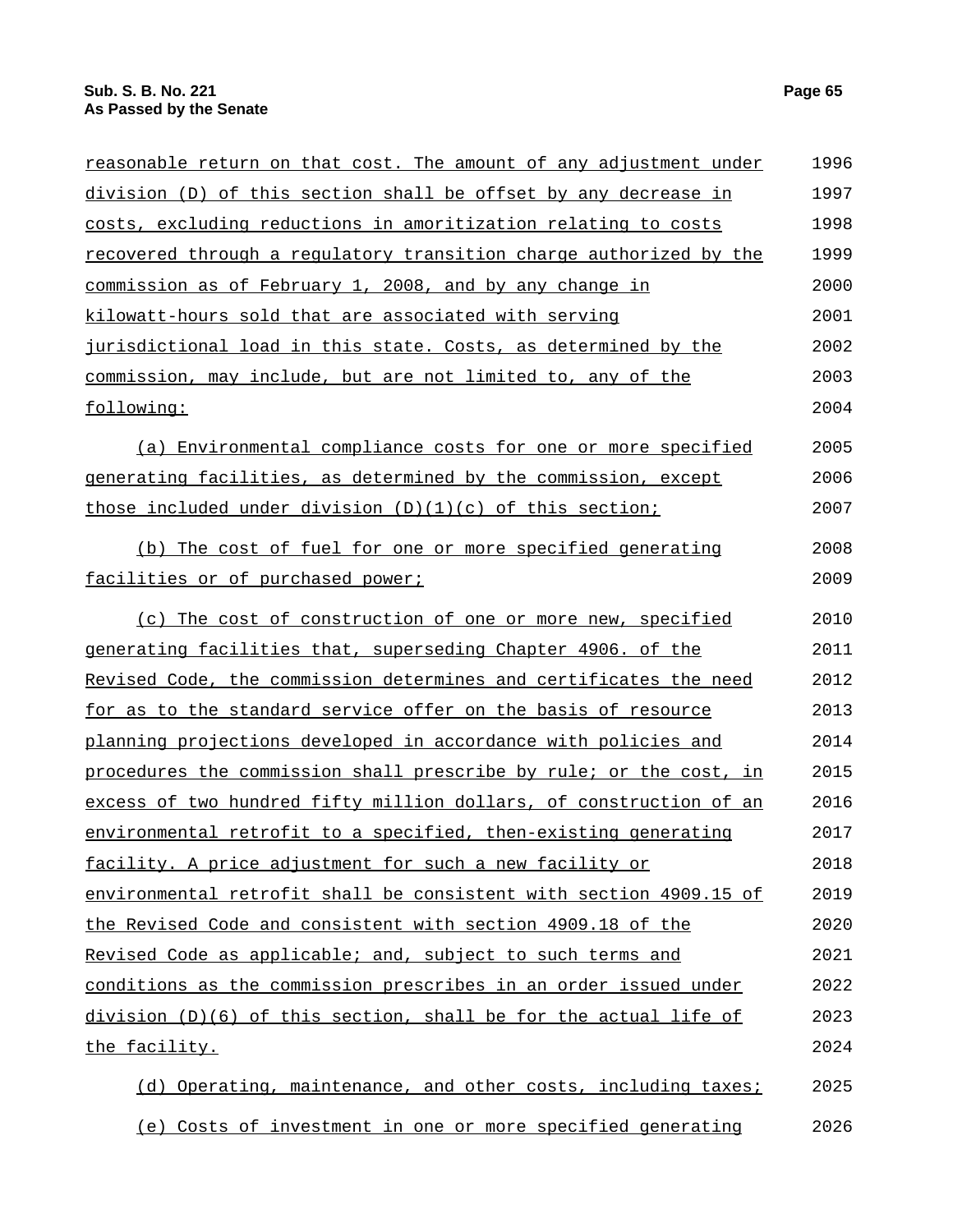| division (D) of this section shall be offset by any decrease in<br>costs, excluding reductions in amoritization relating to costs<br>recovered through a regulatory transition charge authorized by the<br>commission as of February 1, 2008, and by any change in<br>kilowatt-hours sold that are associated with serving<br>jurisdictional load in this state. Costs, as determined by the<br><u>commission, may include, but are not limited to, any of the </u><br>following:<br>(a) Environmental compliance costs for one or more specified<br>generating facilities, as determined by the commission, except<br>those included under division $(D)(1)(c)$ of this section;<br>(b) The cost of fuel for one or more specified generating<br>facilities or of purchased power;<br>(c) The cost of construction of one or more new, specified<br><u>generating facilities that, superseding Chapter 4906. of the </u><br><u>Revised Code, the commission determines and certificates the need</u><br><u>for as to the standard service offer on the basis of resource</u><br><u>planning projections developed in accordance with policies and </u><br>procedures the commission shall prescribe by rule; or the cost, in<br>excess of two hundred fifty million dollars, of construction of an<br>environmental retrofit to a specified, then-existing generating<br><u>facility. A price adjustment for such a new facility or</u><br>environmental retrofit shall be consistent with section 4909.15 of<br>the Revised Code and consistent with section 4909.18 of the<br>Revised Code as applicable; and, subject to such terms and<br><u>conditions as the commission prescribes in an order issued under</u><br>division (D)(6) of this section, shall be for the actual life of<br><u>the facility.</u> | <u>reasonable return on that cost. The amount of any adjustment under</u> | 1996 |
|--------------------------------------------------------------------------------------------------------------------------------------------------------------------------------------------------------------------------------------------------------------------------------------------------------------------------------------------------------------------------------------------------------------------------------------------------------------------------------------------------------------------------------------------------------------------------------------------------------------------------------------------------------------------------------------------------------------------------------------------------------------------------------------------------------------------------------------------------------------------------------------------------------------------------------------------------------------------------------------------------------------------------------------------------------------------------------------------------------------------------------------------------------------------------------------------------------------------------------------------------------------------------------------------------------------------------------------------------------------------------------------------------------------------------------------------------------------------------------------------------------------------------------------------------------------------------------------------------------------------------------------------------------------------------------------------------------------------------------------------------------------------------------------------------------------------|---------------------------------------------------------------------------|------|
|                                                                                                                                                                                                                                                                                                                                                                                                                                                                                                                                                                                                                                                                                                                                                                                                                                                                                                                                                                                                                                                                                                                                                                                                                                                                                                                                                                                                                                                                                                                                                                                                                                                                                                                                                                                                                    |                                                                           | 1997 |
|                                                                                                                                                                                                                                                                                                                                                                                                                                                                                                                                                                                                                                                                                                                                                                                                                                                                                                                                                                                                                                                                                                                                                                                                                                                                                                                                                                                                                                                                                                                                                                                                                                                                                                                                                                                                                    |                                                                           | 1998 |
|                                                                                                                                                                                                                                                                                                                                                                                                                                                                                                                                                                                                                                                                                                                                                                                                                                                                                                                                                                                                                                                                                                                                                                                                                                                                                                                                                                                                                                                                                                                                                                                                                                                                                                                                                                                                                    |                                                                           | 1999 |
|                                                                                                                                                                                                                                                                                                                                                                                                                                                                                                                                                                                                                                                                                                                                                                                                                                                                                                                                                                                                                                                                                                                                                                                                                                                                                                                                                                                                                                                                                                                                                                                                                                                                                                                                                                                                                    |                                                                           | 2000 |
|                                                                                                                                                                                                                                                                                                                                                                                                                                                                                                                                                                                                                                                                                                                                                                                                                                                                                                                                                                                                                                                                                                                                                                                                                                                                                                                                                                                                                                                                                                                                                                                                                                                                                                                                                                                                                    |                                                                           | 2001 |
|                                                                                                                                                                                                                                                                                                                                                                                                                                                                                                                                                                                                                                                                                                                                                                                                                                                                                                                                                                                                                                                                                                                                                                                                                                                                                                                                                                                                                                                                                                                                                                                                                                                                                                                                                                                                                    |                                                                           | 2002 |
|                                                                                                                                                                                                                                                                                                                                                                                                                                                                                                                                                                                                                                                                                                                                                                                                                                                                                                                                                                                                                                                                                                                                                                                                                                                                                                                                                                                                                                                                                                                                                                                                                                                                                                                                                                                                                    |                                                                           | 2003 |
|                                                                                                                                                                                                                                                                                                                                                                                                                                                                                                                                                                                                                                                                                                                                                                                                                                                                                                                                                                                                                                                                                                                                                                                                                                                                                                                                                                                                                                                                                                                                                                                                                                                                                                                                                                                                                    |                                                                           | 2004 |
|                                                                                                                                                                                                                                                                                                                                                                                                                                                                                                                                                                                                                                                                                                                                                                                                                                                                                                                                                                                                                                                                                                                                                                                                                                                                                                                                                                                                                                                                                                                                                                                                                                                                                                                                                                                                                    |                                                                           | 2005 |
|                                                                                                                                                                                                                                                                                                                                                                                                                                                                                                                                                                                                                                                                                                                                                                                                                                                                                                                                                                                                                                                                                                                                                                                                                                                                                                                                                                                                                                                                                                                                                                                                                                                                                                                                                                                                                    |                                                                           | 2006 |
|                                                                                                                                                                                                                                                                                                                                                                                                                                                                                                                                                                                                                                                                                                                                                                                                                                                                                                                                                                                                                                                                                                                                                                                                                                                                                                                                                                                                                                                                                                                                                                                                                                                                                                                                                                                                                    |                                                                           | 2007 |
|                                                                                                                                                                                                                                                                                                                                                                                                                                                                                                                                                                                                                                                                                                                                                                                                                                                                                                                                                                                                                                                                                                                                                                                                                                                                                                                                                                                                                                                                                                                                                                                                                                                                                                                                                                                                                    |                                                                           | 2008 |
|                                                                                                                                                                                                                                                                                                                                                                                                                                                                                                                                                                                                                                                                                                                                                                                                                                                                                                                                                                                                                                                                                                                                                                                                                                                                                                                                                                                                                                                                                                                                                                                                                                                                                                                                                                                                                    |                                                                           | 2009 |
|                                                                                                                                                                                                                                                                                                                                                                                                                                                                                                                                                                                                                                                                                                                                                                                                                                                                                                                                                                                                                                                                                                                                                                                                                                                                                                                                                                                                                                                                                                                                                                                                                                                                                                                                                                                                                    |                                                                           | 2010 |
|                                                                                                                                                                                                                                                                                                                                                                                                                                                                                                                                                                                                                                                                                                                                                                                                                                                                                                                                                                                                                                                                                                                                                                                                                                                                                                                                                                                                                                                                                                                                                                                                                                                                                                                                                                                                                    |                                                                           | 2011 |
|                                                                                                                                                                                                                                                                                                                                                                                                                                                                                                                                                                                                                                                                                                                                                                                                                                                                                                                                                                                                                                                                                                                                                                                                                                                                                                                                                                                                                                                                                                                                                                                                                                                                                                                                                                                                                    |                                                                           | 2012 |
|                                                                                                                                                                                                                                                                                                                                                                                                                                                                                                                                                                                                                                                                                                                                                                                                                                                                                                                                                                                                                                                                                                                                                                                                                                                                                                                                                                                                                                                                                                                                                                                                                                                                                                                                                                                                                    |                                                                           | 2013 |
|                                                                                                                                                                                                                                                                                                                                                                                                                                                                                                                                                                                                                                                                                                                                                                                                                                                                                                                                                                                                                                                                                                                                                                                                                                                                                                                                                                                                                                                                                                                                                                                                                                                                                                                                                                                                                    |                                                                           | 2014 |
|                                                                                                                                                                                                                                                                                                                                                                                                                                                                                                                                                                                                                                                                                                                                                                                                                                                                                                                                                                                                                                                                                                                                                                                                                                                                                                                                                                                                                                                                                                                                                                                                                                                                                                                                                                                                                    |                                                                           | 2015 |
|                                                                                                                                                                                                                                                                                                                                                                                                                                                                                                                                                                                                                                                                                                                                                                                                                                                                                                                                                                                                                                                                                                                                                                                                                                                                                                                                                                                                                                                                                                                                                                                                                                                                                                                                                                                                                    |                                                                           | 2016 |
|                                                                                                                                                                                                                                                                                                                                                                                                                                                                                                                                                                                                                                                                                                                                                                                                                                                                                                                                                                                                                                                                                                                                                                                                                                                                                                                                                                                                                                                                                                                                                                                                                                                                                                                                                                                                                    |                                                                           | 2017 |
|                                                                                                                                                                                                                                                                                                                                                                                                                                                                                                                                                                                                                                                                                                                                                                                                                                                                                                                                                                                                                                                                                                                                                                                                                                                                                                                                                                                                                                                                                                                                                                                                                                                                                                                                                                                                                    |                                                                           | 2018 |
|                                                                                                                                                                                                                                                                                                                                                                                                                                                                                                                                                                                                                                                                                                                                                                                                                                                                                                                                                                                                                                                                                                                                                                                                                                                                                                                                                                                                                                                                                                                                                                                                                                                                                                                                                                                                                    |                                                                           | 2019 |
|                                                                                                                                                                                                                                                                                                                                                                                                                                                                                                                                                                                                                                                                                                                                                                                                                                                                                                                                                                                                                                                                                                                                                                                                                                                                                                                                                                                                                                                                                                                                                                                                                                                                                                                                                                                                                    |                                                                           | 2020 |
|                                                                                                                                                                                                                                                                                                                                                                                                                                                                                                                                                                                                                                                                                                                                                                                                                                                                                                                                                                                                                                                                                                                                                                                                                                                                                                                                                                                                                                                                                                                                                                                                                                                                                                                                                                                                                    |                                                                           | 2021 |
|                                                                                                                                                                                                                                                                                                                                                                                                                                                                                                                                                                                                                                                                                                                                                                                                                                                                                                                                                                                                                                                                                                                                                                                                                                                                                                                                                                                                                                                                                                                                                                                                                                                                                                                                                                                                                    |                                                                           | 2022 |
|                                                                                                                                                                                                                                                                                                                                                                                                                                                                                                                                                                                                                                                                                                                                                                                                                                                                                                                                                                                                                                                                                                                                                                                                                                                                                                                                                                                                                                                                                                                                                                                                                                                                                                                                                                                                                    |                                                                           | 2023 |
|                                                                                                                                                                                                                                                                                                                                                                                                                                                                                                                                                                                                                                                                                                                                                                                                                                                                                                                                                                                                                                                                                                                                                                                                                                                                                                                                                                                                                                                                                                                                                                                                                                                                                                                                                                                                                    |                                                                           | 2024 |
| (d) Operating, maintenance, and other costs, including taxes;                                                                                                                                                                                                                                                                                                                                                                                                                                                                                                                                                                                                                                                                                                                                                                                                                                                                                                                                                                                                                                                                                                                                                                                                                                                                                                                                                                                                                                                                                                                                                                                                                                                                                                                                                      |                                                                           | 2025 |

(e) Costs of investment in one or more specified generating 2026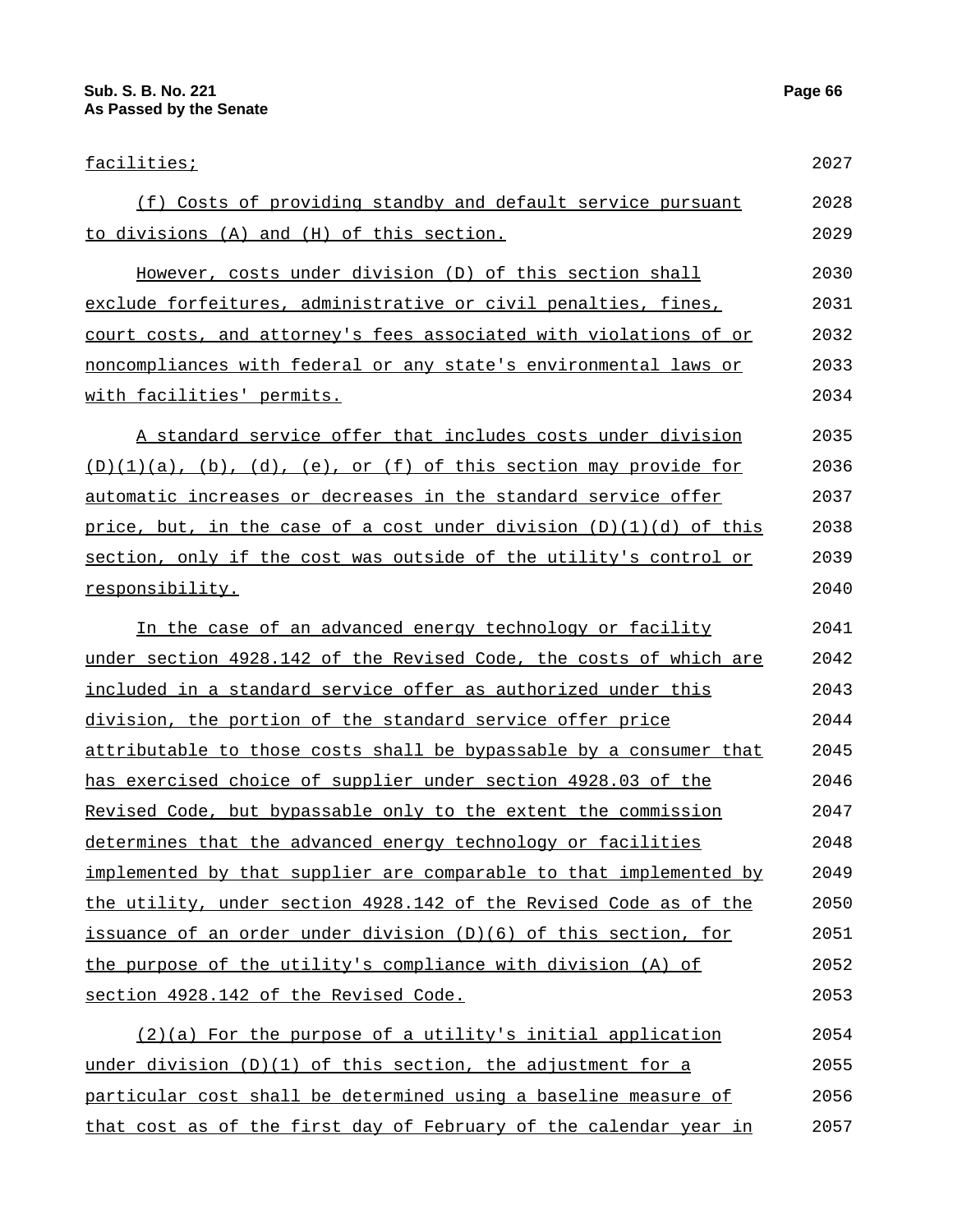2057

| facilities;                                                         | 2027 |
|---------------------------------------------------------------------|------|
| (f) Costs of providing standby and default service pursuant         | 2028 |
| to divisions (A) and (H) of this section.                           | 2029 |
| However, costs under division (D) of this section shall             | 2030 |
| exclude forfeitures, administrative or civil penalties, fines,      | 2031 |
| court costs, and attorney's fees associated with violations of or   | 2032 |
| noncompliances with federal or any state's environmental laws or    | 2033 |
| <u>with facilities' permits.</u>                                    | 2034 |
| A standard service offer that includes costs under division         | 2035 |
| $(D)(1)(a)$ , (b), (d), (e), or (f) of this section may provide for | 2036 |
| automatic increases or decreases in the standard service offer      | 2037 |
| price, but, in the case of a cost under division (D)(1)(d) of this  | 2038 |
| section, only if the cost was outside of the utility's control or   | 2039 |
| responsibility.                                                     | 2040 |
| In the case of an advanced energy technology or facility            | 2041 |
| under section 4928.142 of the Revised Code, the costs of which are  | 2042 |
| included in a standard service offer as authorized under this       | 2043 |
| <u>division, the portion of the standard service offer price</u>    | 2044 |
| attributable to those costs shall be bypassable by a consumer that  | 2045 |
| has exercised choice of supplier under section 4928.03 of the       | 2046 |
| Revised Code, but bypassable only to the extent the commission      | 2047 |
| determines that the advanced energy technology or facilities        | 2048 |
| implemented by that supplier are comparable to that implemented by  | 2049 |
| the utility, under section 4928.142 of the Revised Code as of the   | 2050 |
| issuance of an order under division (D)(6) of this section, for     | 2051 |
| the purpose of the utility's compliance with division (A) of        | 2052 |
| section 4928.142 of the Revised Code.                               | 2053 |
| (2)(a) For the purpose of a utility's initial application           | 2054 |
| under division (D)(1) of this section, the adjustment for a         | 2055 |
| particular cost shall be determined using a baseline measure of     | 2056 |

that cost as of the first day of February of the calendar year in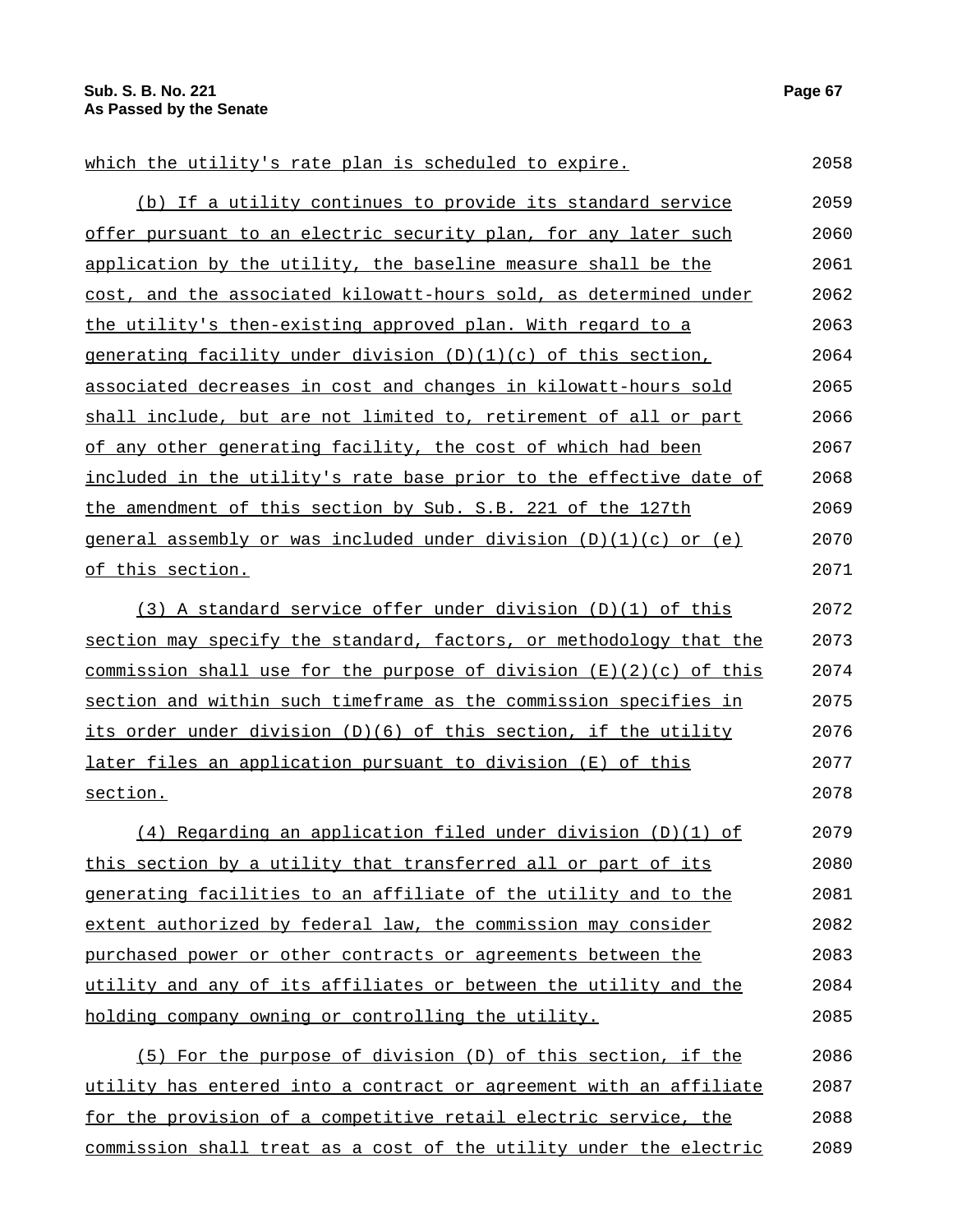| which the utility's rate plan is scheduled to expire.                                  | 2058 |
|----------------------------------------------------------------------------------------|------|
| (b) If a utility continues to provide its standard service                             | 2059 |
| offer pursuant to an electric security plan, for any later such                        | 2060 |
| application by the utility, the baseline measure shall be the                          | 2061 |
| cost, and the associated kilowatt-hours sold, as determined under                      | 2062 |
| the utility's then-existing approved plan. With regard to a                            | 2063 |
| generating facility under division $(D)(1)(c)$ of this section,                        | 2064 |
| associated decreases in cost and changes in kilowatt-hours sold                        | 2065 |
| shall include, but are not limited to, retirement of all or part                       | 2066 |
| of any other generating facility, the cost of which had been                           | 2067 |
| included in the utility's rate base prior to the effective date of                     | 2068 |
| the amendment of this section by Sub. S.B. 221 of the 127th                            | 2069 |
| general assembly or was included under division (D)(1)(c) or (e)                       | 2070 |
| of this section.                                                                       | 2071 |
| (3) A standard service offer under division (D)(1) of this                             | 2072 |
| section may specify the standard, factors, or methodology that the                     | 2073 |
| <u>commission shall use for the purpose of division <math>(E)(2)(c)</math> of this</u> | 2074 |
| section and within such timeframe as the commission specifies in                       | 2075 |
| its order under division (D)(6) of this section, if the utility                        | 2076 |
| later files an application pursuant to division (E) of this                            | 2077 |
| section.                                                                               | 2078 |
| $(4)$ Regarding an application filed under division $(D)(1)$ of                        | 2079 |
| this section by a utility that transferred all or part of its                          | 2080 |
| generating facilities to an affiliate of the utility and to the                        | 2081 |
| extent authorized by federal law, the commission may consider                          | 2082 |
| purchased power or other contracts or agreements between the                           | 2083 |
| utility and any of its affiliates or between the utility and the                       | 2084 |
| holding company owning or controlling the utility.                                     | 2085 |
| (5) For the purpose of division (D) of this section, if the                            | 2086 |
| utility has entered into a contract or agreement with an affiliate                     | 2087 |
| for the provision of a competitive retail electric service, the                        | 2088 |
| commission shall treat as a cost of the utility under the electric                     | 2089 |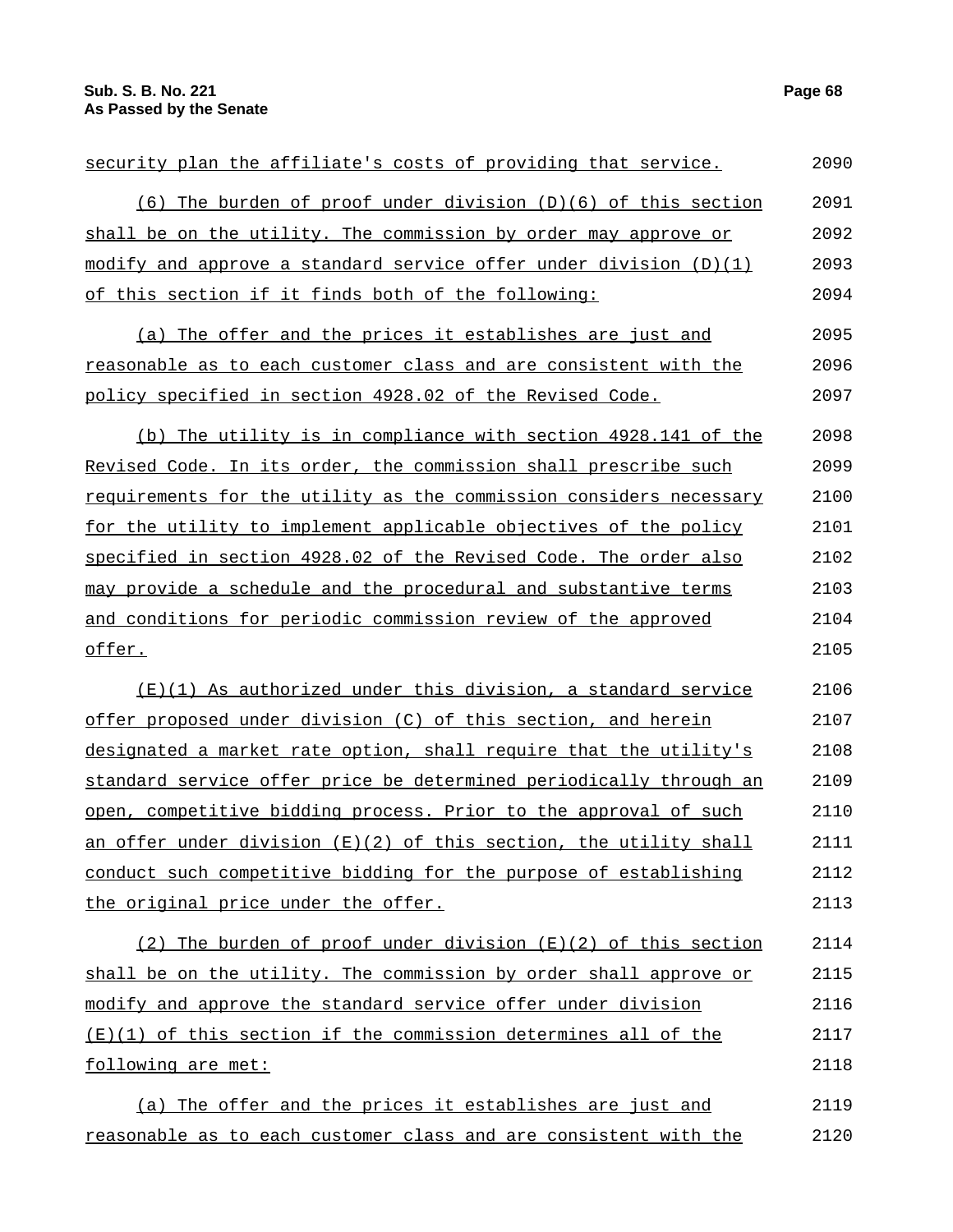| security plan the affiliate's costs of providing that service.      | 2090 |
|---------------------------------------------------------------------|------|
| (6) The burden of proof under division (D)(6) of this section       | 2091 |
| shall be on the utility. The commission by order may approve or     | 2092 |
| modify and approve a standard service offer under division $(D)(1)$ | 2093 |
| of this section if it finds both of the following:                  | 2094 |
| (a) The offer and the prices it establishes are just and            | 2095 |
| reasonable as to each customer class and are consistent with the    | 2096 |
| policy specified in section 4928.02 of the Revised Code.            | 2097 |
| (b) The utility is in compliance with section 4928.141 of the       | 2098 |
| Revised Code. In its order, the commission shall prescribe such     | 2099 |
| requirements for the utility as the commission considers necessary  | 2100 |
| for the utility to implement applicable objectives of the policy    | 2101 |
| specified in section 4928.02 of the Revised Code. The order also    | 2102 |
| may provide a schedule and the procedural and substantive terms     | 2103 |
| and conditions for periodic commission review of the approved       | 2104 |
| offer.                                                              | 2105 |
| (E)(1) As authorized under this division, a standard service        | 2106 |
| offer proposed under division (C) of this section, and herein       | 2107 |
| designated a market rate option, shall require that the utility's   | 2108 |
| standard service offer price be determined periodically through an  | 2109 |
| open, competitive bidding process. Prior to the approval of such    | 2110 |
| an offer under division (E)(2) of this section, the utility shall   | 2111 |
| conduct such competitive bidding for the purpose of establishing    | 2112 |
| the original price under the offer.                                 | 2113 |
| (2) The burden of proof under division $(E)(2)$ of this section     | 2114 |
| shall be on the utility. The commission by order shall approve or   | 2115 |
| modify and approve the standard service offer under division        | 2116 |
| $(E)(1)$ of this section if the commission determines all of the    | 2117 |
| following are met:                                                  | 2118 |
| (a) The offer and the prices it establishes are just and            | 2119 |
| reasonable as to each customer class and are consistent with the    | 2120 |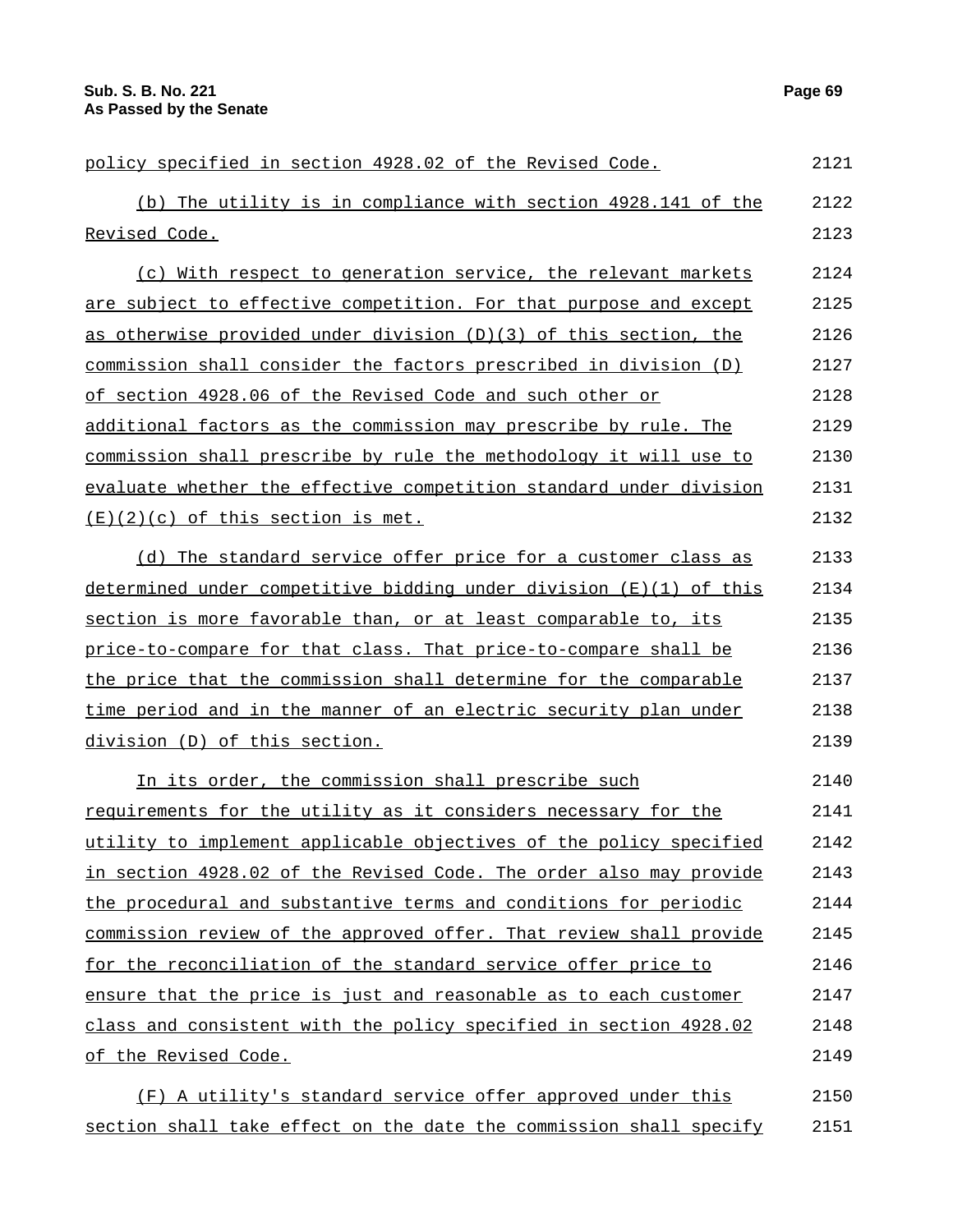| policy specified in section 4928.02 of the Revised Code.             | 2121 |
|----------------------------------------------------------------------|------|
| (b) The utility is in compliance with section 4928.141 of the        | 2122 |
| Revised Code.                                                        | 2123 |
| (c) With respect to generation service, the relevant markets         | 2124 |
| are subject to effective competition. For that purpose and except    | 2125 |
| as otherwise provided under division (D)(3) of this section, the     | 2126 |
| commission shall consider the factors prescribed in division (D)     | 2127 |
| of section 4928.06 of the Revised Code and such other or             | 2128 |
| additional factors as the commission may prescribe by rule. The      | 2129 |
| commission shall prescribe by rule the methodology it will use to    | 2130 |
| evaluate whether the effective competition standard under division   | 2131 |
| $(E)(2)(c)$ of this section is met.                                  | 2132 |
| (d) The standard service offer price for a customer class as         | 2133 |
| determined under competitive bidding under division $(E)(1)$ of this | 2134 |
| section is more favorable than, or at least comparable to, its       | 2135 |
| price-to-compare for that class. That price-to-compare shall be      | 2136 |
| the price that the commission shall determine for the comparable     | 2137 |
| time period and in the manner of an electric security plan under     | 2138 |
| division (D) of this section.                                        | 2139 |
| In its order, the commission shall prescribe such                    | 2140 |
| requirements for the utility as it considers necessary for the       | 2141 |
| utility to implement applicable objectives of the policy specified   | 2142 |
| in section 4928.02 of the Revised Code. The order also may provide   | 2143 |
| the procedural and substantive terms and conditions for periodic     | 2144 |
| commission review of the approved offer. That review shall provide   | 2145 |
| for the reconciliation of the standard service offer price to        | 2146 |
| ensure that the price is just and reasonable as to each customer     | 2147 |
| class and consistent with the policy specified in section 4928.02    | 2148 |
| of the Revised Code.                                                 | 2149 |
| (F) A utility's standard service offer approved under this           | 2150 |
| section shall take effect on the date the commission shall specify   | 2151 |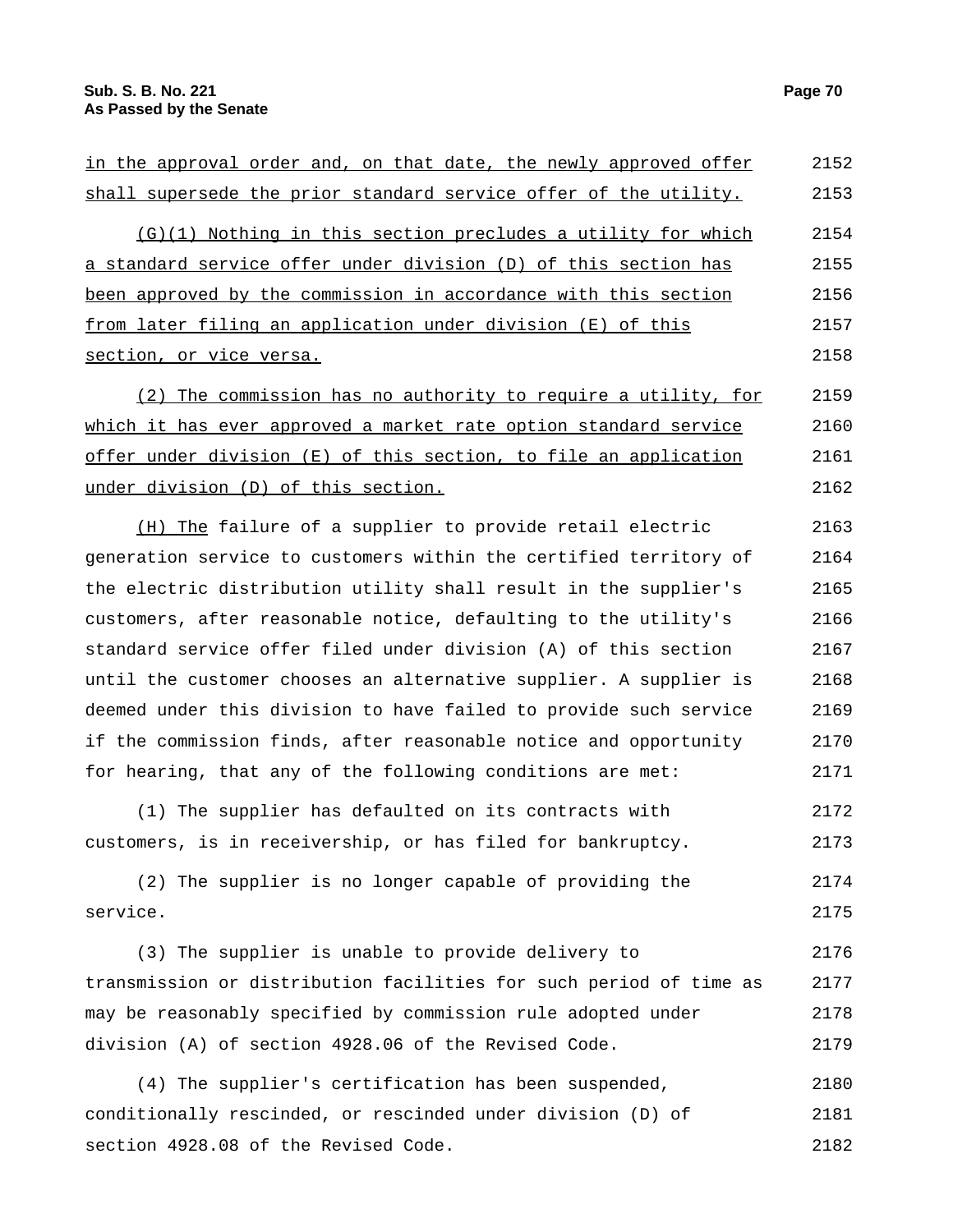| in the approval order and, on that date, the newly approved offer  | 2152 |
|--------------------------------------------------------------------|------|
| shall supersede the prior standard service offer of the utility.   | 2153 |
| Nothing in this section precludes a utility for which<br>(G) (1)   | 2154 |
| a standard service offer under division (D) of this section has    | 2155 |
| been approved by the commission in accordance with this section    | 2156 |
| from later filing an application under division (E) of this        | 2157 |
| section, or vice versa.                                            | 2158 |
| (2) The commission has no authority to require a utility, for      | 2159 |
| which it has ever approved a market rate option standard service   | 2160 |
| offer under division $(E)$ of this section, to file an application | 2161 |
| under division (D) of this section.                                | 2162 |
|                                                                    |      |

(H) The failure of a supplier to provide retail electric generation service to customers within the certified territory of the electric distribution utility shall result in the supplier's customers, after reasonable notice, defaulting to the utility's standard service offer filed under division (A) of this section until the customer chooses an alternative supplier. A supplier is deemed under this division to have failed to provide such service if the commission finds, after reasonable notice and opportunity for hearing, that any of the following conditions are met: 2163 2164 2165 2166 2167 2168 2169 2170 2171

(1) The supplier has defaulted on its contracts with customers, is in receivership, or has filed for bankruptcy. 2172 2173

(2) The supplier is no longer capable of providing the service. 2174 2175

(3) The supplier is unable to provide delivery to transmission or distribution facilities for such period of time as may be reasonably specified by commission rule adopted under division (A) of section 4928.06 of the Revised Code. 2176 2177 2178 2179

(4) The supplier's certification has been suspended, conditionally rescinded, or rescinded under division (D) of section 4928.08 of the Revised Code. 2180 2181 2182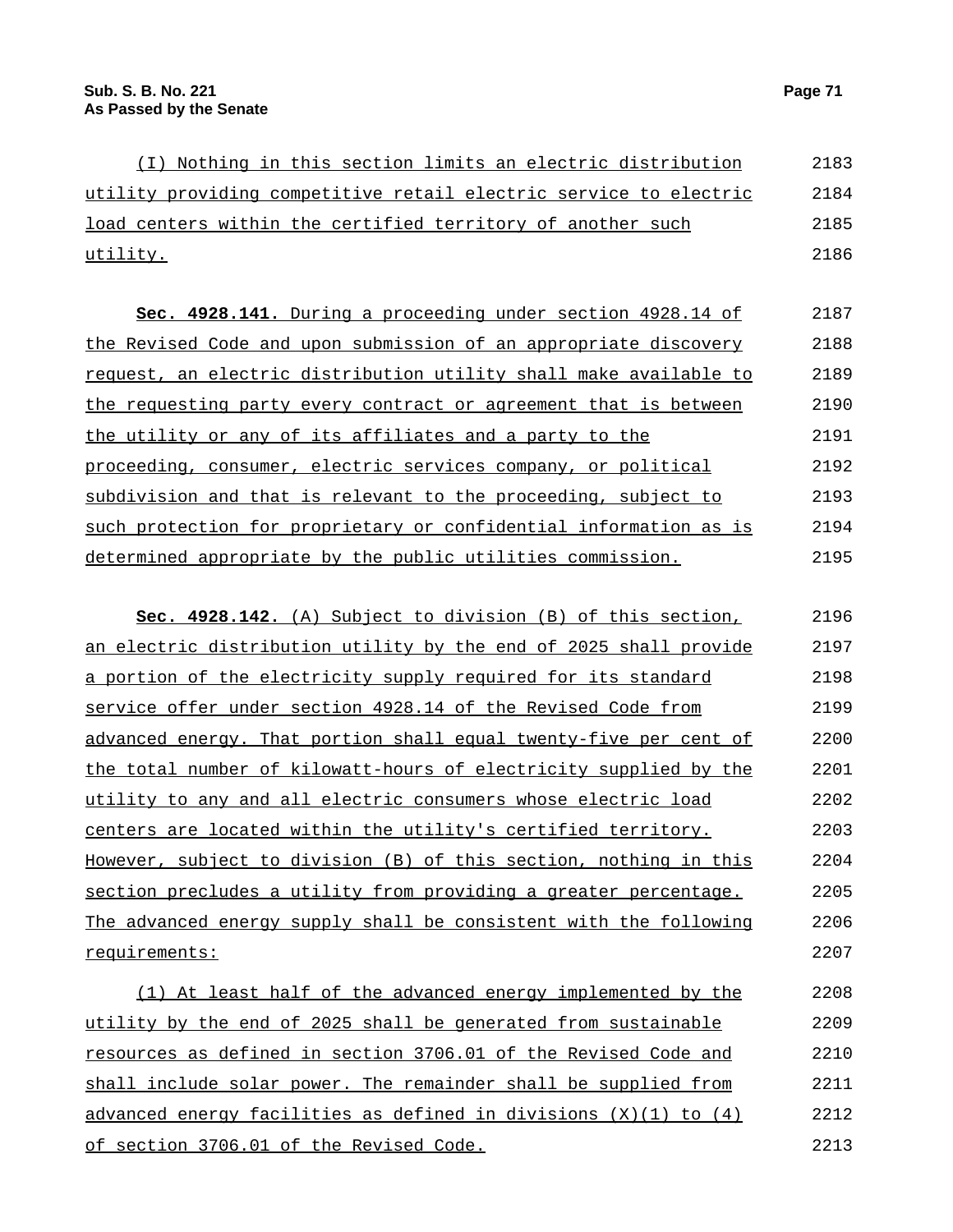(I) Nothing in this section limits an electric distribution utility providing competitive retail electric service to electric load centers within the certified territory of another such utility. 2183 2184 2185 2186

**Sec. 4928.141.** During a proceeding under section 4928.14 of the Revised Code and upon submission of an appropriate discovery request, an electric distribution utility shall make available to the requesting party every contract or agreement that is between the utility or any of its affiliates and a party to the proceeding, consumer, electric services company, or political subdivision and that is relevant to the proceeding, subject to such protection for proprietary or confidential information as is determined appropriate by the public utilities commission. 2187 2188 2189 2190 2191 2192 2193 2194 2195

**Sec. 4928.142.** (A) Subject to division (B) of this section, an electric distribution utility by the end of 2025 shall provide a portion of the electricity supply required for its standard service offer under section 4928.14 of the Revised Code from advanced energy. That portion shall equal twenty-five per cent of the total number of kilowatt-hours of electricity supplied by the utility to any and all electric consumers whose electric load centers are located within the utility's certified territory. However, subject to division (B) of this section, nothing in this section precludes a utility from providing a greater percentage. The advanced energy supply shall be consistent with the following requirements: 2196 2197 2198 2199 2200 2201 2202 2203 2204 2205 2206 2207

(1) At least half of the advanced energy implemented by the utility by the end of 2025 shall be generated from sustainable resources as defined in section 3706.01 of the Revised Code and shall include solar power. The remainder shall be supplied from advanced energy facilities as defined in divisions (X)(1) to (4) of section 3706.01 of the Revised Code. 2208 2209 2210 2211 2212 2213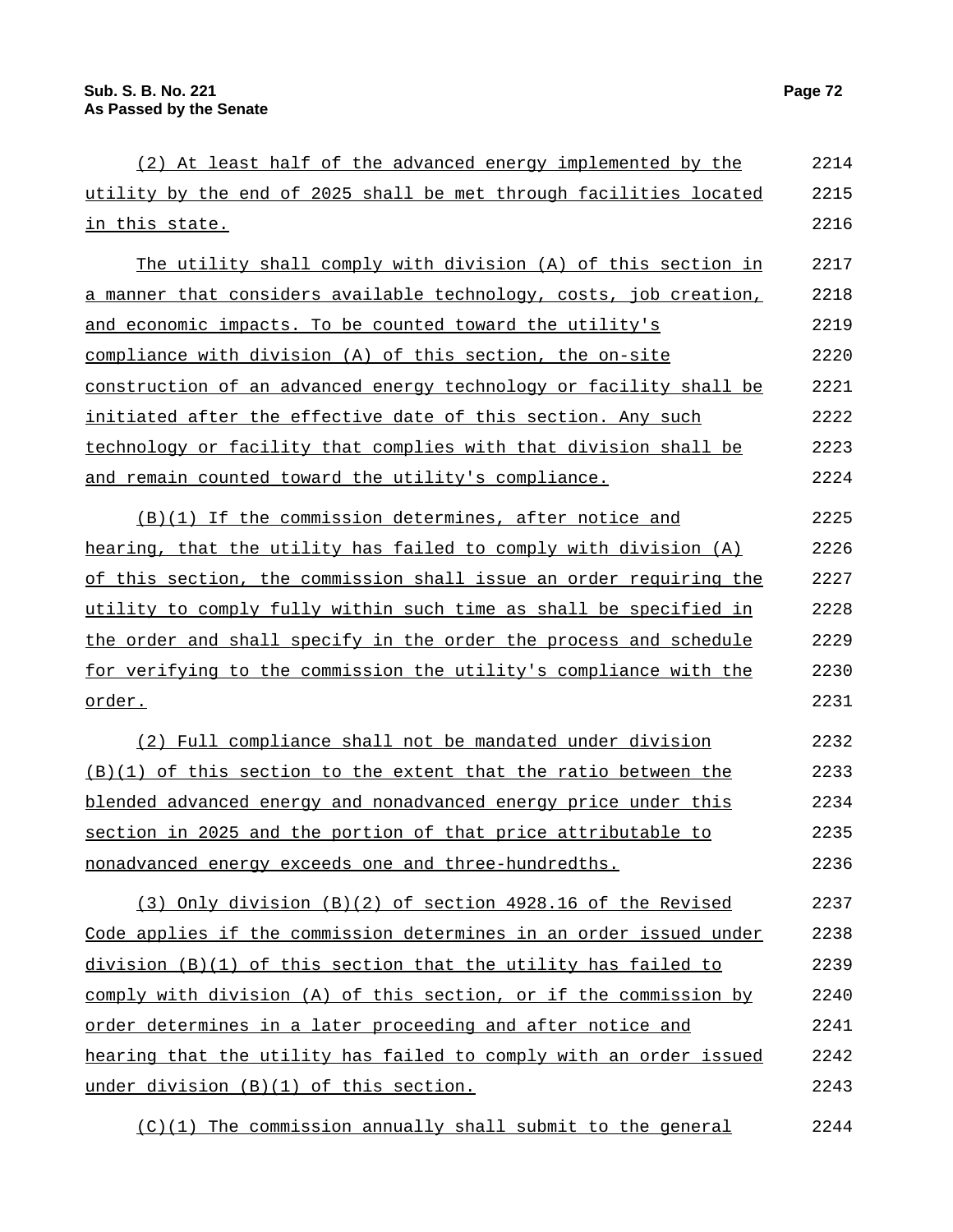| (2) At least half of the advanced energy implemented by the        | 2214 |
|--------------------------------------------------------------------|------|
| utility by the end of 2025 shall be met through facilities located | 2215 |
| <u>in this state.</u>                                              | 2216 |
| The utility shall comply with division (A) of this section in      | 2217 |
| a manner that considers available technology, costs, job creation, | 2218 |
| and economic impacts. To be counted toward the utility's           | 2219 |
| compliance with division (A) of this section, the on-site          | 2220 |
| construction of an advanced energy technology or facility shall be | 2221 |
| initiated after the effective date of this section. Any such       | 2222 |
| technology or facility that complies with that division shall be   | 2223 |
| and remain counted toward the utility's compliance.                | 2224 |
| (B)(1) If the commission determines, after notice and              | 2225 |
| hearing, that the utility has failed to comply with division (A)   | 2226 |
| of this section, the commission shall issue an order requiring the | 2227 |
| utility to comply fully within such time as shall be specified in  | 2228 |
| the order and shall specify in the order the process and schedule  | 2229 |
| for verifying to the commission the utility's compliance with the  | 2230 |
| order.                                                             | 2231 |
| (2) Full compliance shall not be mandated under division           | 2232 |
| (B)(1) of this section to the extent that the ratio between the    | 2233 |
| blended advanced energy and nonadvanced energy price under this    | 2234 |
| section in 2025 and the portion of that price attributable to      | 2235 |
| nonadvanced energy exceeds one and three-hundredths.               | 2236 |
| (3) Only division (B)(2) of section 4928.16 of the Revised         | 2237 |
| Code applies if the commission determines in an order issued under | 2238 |
| division (B)(1) of this section that the utility has failed to     | 2239 |
| comply with division (A) of this section, or if the commission by  | 2240 |
| order determines in a later proceeding and after notice and        | 2241 |
| hearing that the utility has failed to comply with an order issued | 2242 |
| under division (B)(1) of this section.                             | 2243 |
| (C)(1) The commission annually shall submit to the general         | 2244 |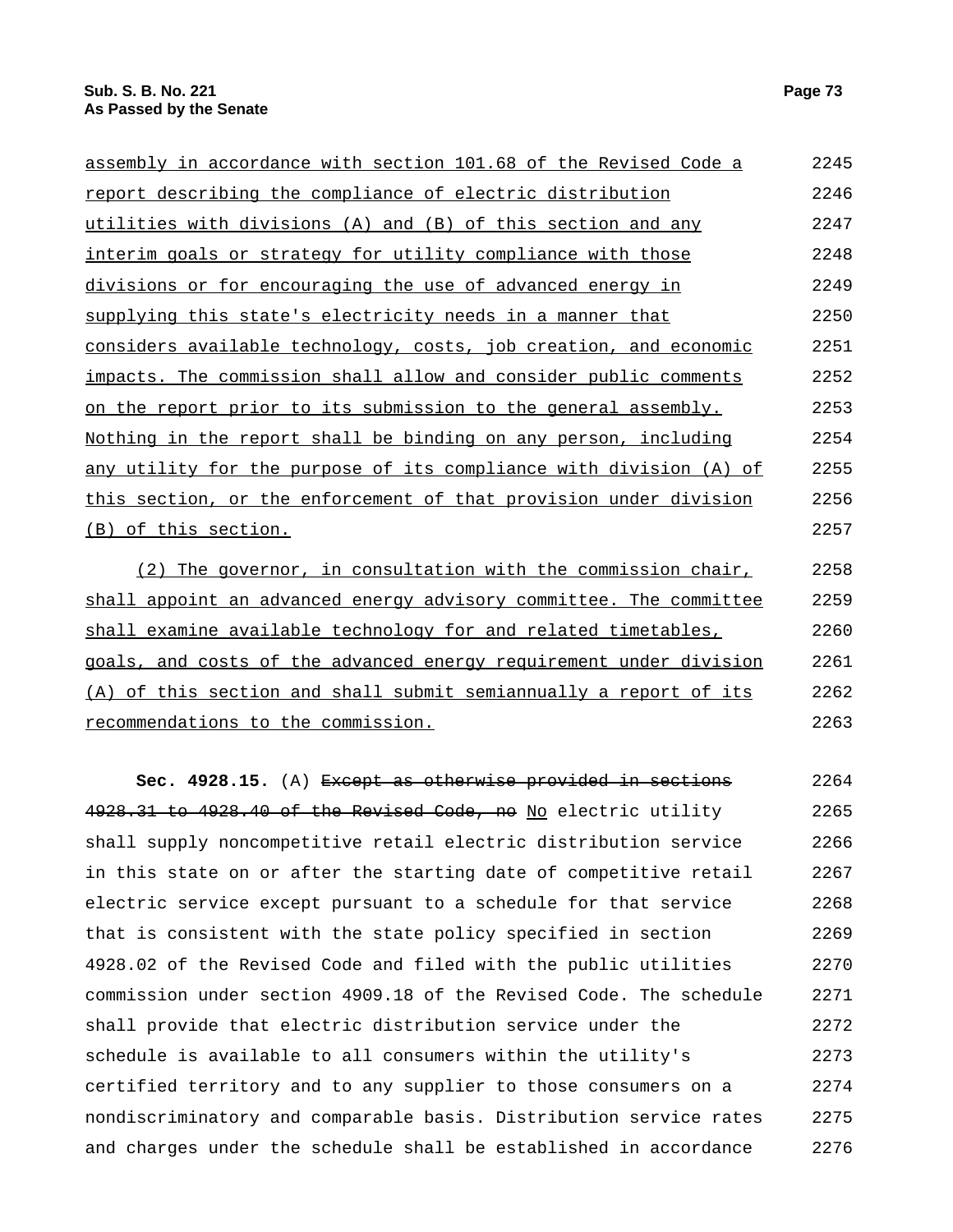| assembly in accordance with section 101.68 of the Revised Code a   | 2245 |
|--------------------------------------------------------------------|------|
| report describing the compliance of electric distribution          | 2246 |
| utilities with divisions (A) and (B) of this section and any       | 2247 |
| interim goals or strategy for utility compliance with those        | 2248 |
| divisions or for encouraging the use of advanced energy in         | 2249 |
| supplying this state's electricity needs in a manner that          | 2250 |
| considers available technology, costs, job creation, and economic  | 2251 |
| impacts. The commission shall allow and consider public comments   | 2252 |
| on the report prior to its submission to the general assembly.     | 2253 |
| Nothing in the report shall be binding on any person, including    | 2254 |
| any utility for the purpose of its compliance with division (A) of | 2255 |
| this section, or the enforcement of that provision under division  | 2256 |
| (B) of this section.                                               | 2257 |
| The governor, in consultation with the commission chair,           | 2258 |

shall appoint an advanced energy advisory committee. The committee shall examine available technology for and related timetables, goals, and costs of the advanced energy requirement under division (A) of this section and shall submit semiannually a report of its recommendations to the commission. 2259 2260 2261 2262 2263

**Sec. 4928.15.** (A) Except as otherwise provided in sections 4928.31 to 4928.40 of the Revised Code, no No electric utility shall supply noncompetitive retail electric distribution service in this state on or after the starting date of competitive retail electric service except pursuant to a schedule for that service that is consistent with the state policy specified in section 4928.02 of the Revised Code and filed with the public utilities commission under section 4909.18 of the Revised Code. The schedule shall provide that electric distribution service under the schedule is available to all consumers within the utility's certified territory and to any supplier to those consumers on a nondiscriminatory and comparable basis. Distribution service rates and charges under the schedule shall be established in accordance 2264 2265 2266 2267 2268 2269 2270 2271 2272 2273 2274 2275 2276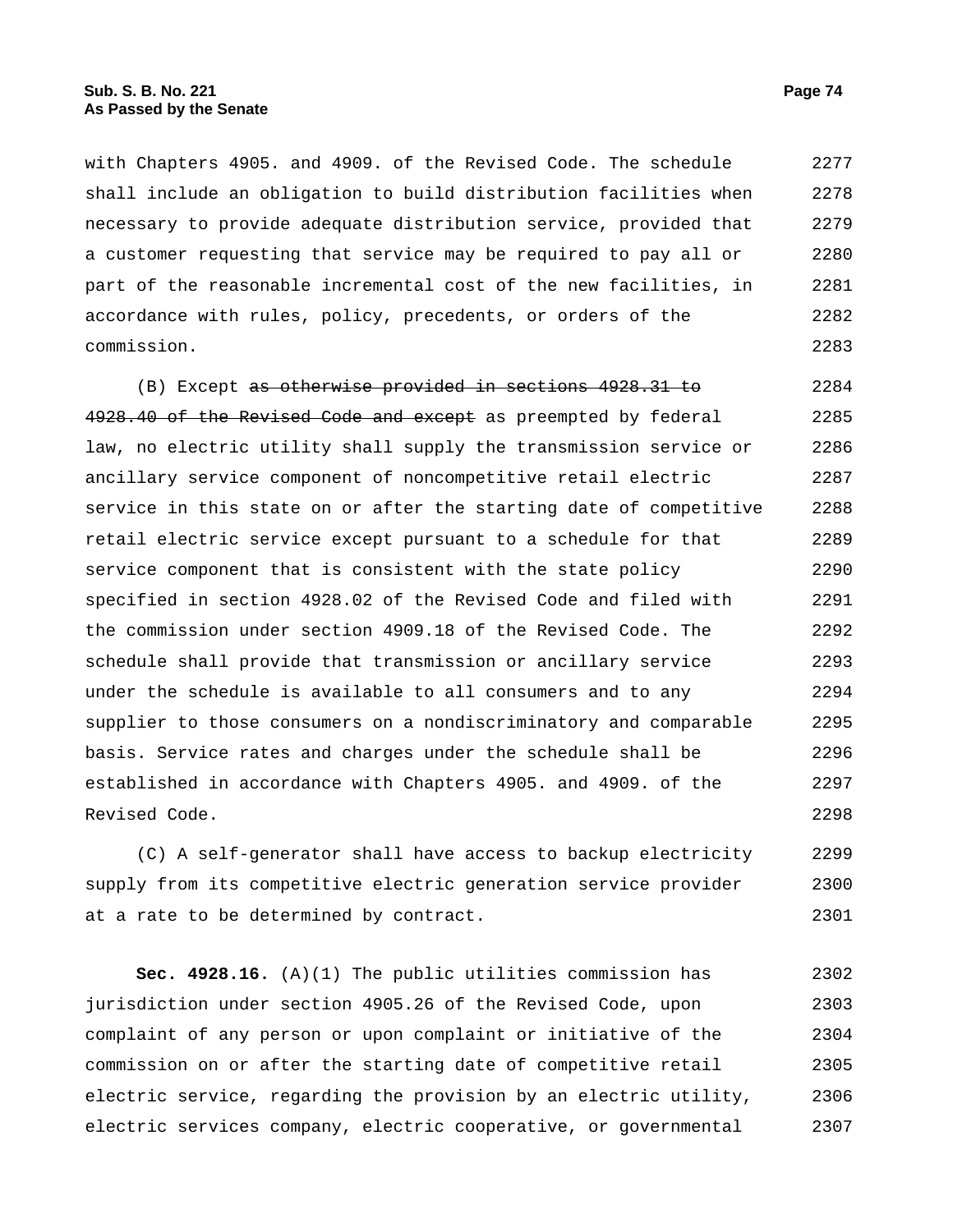with Chapters 4905. and 4909. of the Revised Code. The schedule shall include an obligation to build distribution facilities when necessary to provide adequate distribution service, provided that a customer requesting that service may be required to pay all or part of the reasonable incremental cost of the new facilities, in accordance with rules, policy, precedents, or orders of the commission. 2277 2278 2279 2280 2281 2282 2283

(B) Except as otherwise provided in sections 4928.31 to 4928.40 of the Revised Code and except as preempted by federal law, no electric utility shall supply the transmission service or ancillary service component of noncompetitive retail electric service in this state on or after the starting date of competitive retail electric service except pursuant to a schedule for that service component that is consistent with the state policy specified in section 4928.02 of the Revised Code and filed with the commission under section 4909.18 of the Revised Code. The schedule shall provide that transmission or ancillary service under the schedule is available to all consumers and to any supplier to those consumers on a nondiscriminatory and comparable basis. Service rates and charges under the schedule shall be established in accordance with Chapters 4905. and 4909. of the Revised Code. 2284 2285 2286 2287 2288 2289 2290 2291 2292 2293 2294 2295 2296 2297 2298

(C) A self-generator shall have access to backup electricity supply from its competitive electric generation service provider at a rate to be determined by contract. 2299 2300 2301

**Sec. 4928.16.** (A)(1) The public utilities commission has jurisdiction under section 4905.26 of the Revised Code, upon complaint of any person or upon complaint or initiative of the commission on or after the starting date of competitive retail electric service, regarding the provision by an electric utility, electric services company, electric cooperative, or governmental 2302 2303 2304 2305 2306 2307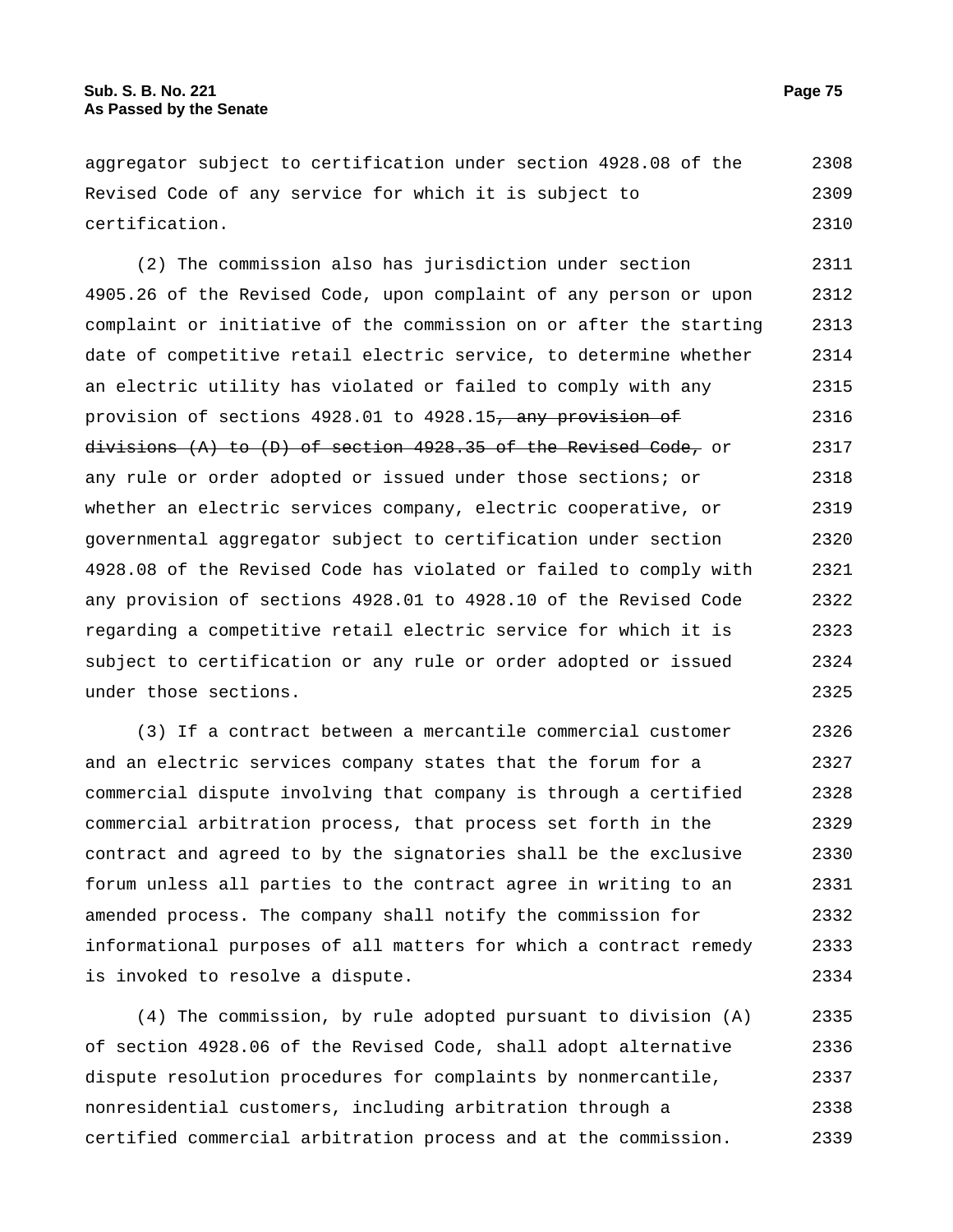aggregator subject to certification under section 4928.08 of the Revised Code of any service for which it is subject to certification. 2308 2309 2310

(2) The commission also has jurisdiction under section 4905.26 of the Revised Code, upon complaint of any person or upon complaint or initiative of the commission on or after the starting date of competitive retail electric service, to determine whether an electric utility has violated or failed to comply with any provision of sections 4928.01 to 4928.15, any provision of divisions (A) to (D) of section 4928.35 of the Revised Code, or any rule or order adopted or issued under those sections; or whether an electric services company, electric cooperative, or governmental aggregator subject to certification under section 4928.08 of the Revised Code has violated or failed to comply with any provision of sections 4928.01 to 4928.10 of the Revised Code regarding a competitive retail electric service for which it is subject to certification or any rule or order adopted or issued under those sections. 2311 2312 2313 2314 2315 2316 2317 2318 2319 2320 2321 2322 2323 2324 2325

(3) If a contract between a mercantile commercial customer and an electric services company states that the forum for a commercial dispute involving that company is through a certified commercial arbitration process, that process set forth in the contract and agreed to by the signatories shall be the exclusive forum unless all parties to the contract agree in writing to an amended process. The company shall notify the commission for informational purposes of all matters for which a contract remedy is invoked to resolve a dispute. 2326 2327 2328 2329 2330 2331 2332 2333 2334

(4) The commission, by rule adopted pursuant to division (A) of section 4928.06 of the Revised Code, shall adopt alternative dispute resolution procedures for complaints by nonmercantile, nonresidential customers, including arbitration through a certified commercial arbitration process and at the commission. 2335 2336 2337 2338 2339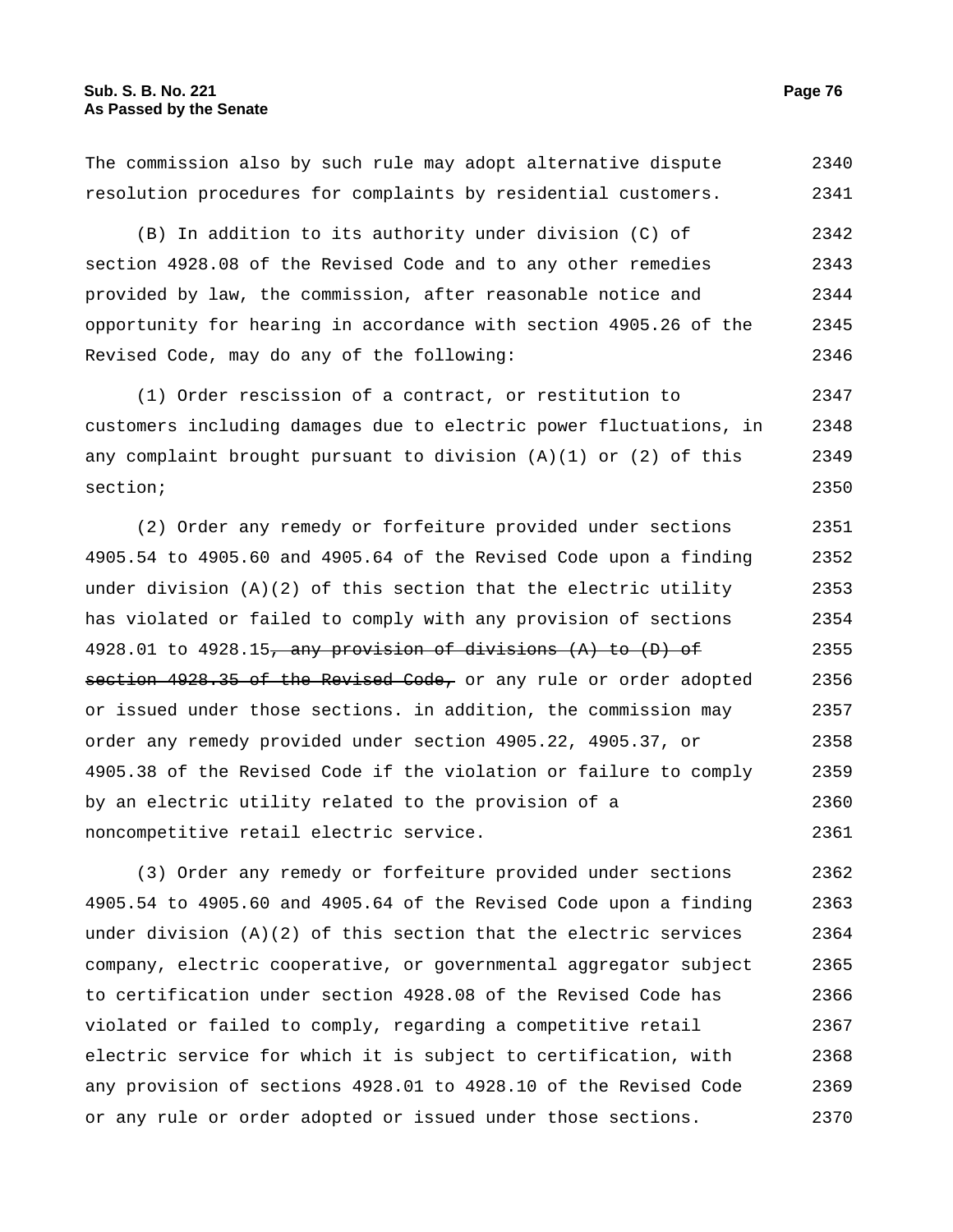The commission also by such rule may adopt alternative dispute resolution procedures for complaints by residential customers. 2340 2341

(B) In addition to its authority under division (C) of section 4928.08 of the Revised Code and to any other remedies provided by law, the commission, after reasonable notice and opportunity for hearing in accordance with section 4905.26 of the Revised Code, may do any of the following: 2342 2343 2344 2345 2346

(1) Order rescission of a contract, or restitution to customers including damages due to electric power fluctuations, in any complaint brought pursuant to division  $(A)(1)$  or  $(2)$  of this section; 2347 2348 2349 2350

(2) Order any remedy or forfeiture provided under sections 4905.54 to 4905.60 and 4905.64 of the Revised Code upon a finding under division  $(A)(2)$  of this section that the electric utility has violated or failed to comply with any provision of sections 4928.01 to 4928.15, any provision of divisions  $(A)$  to  $(D)$  of section 4928.35 of the Revised Code, or any rule or order adopted or issued under those sections. in addition, the commission may order any remedy provided under section 4905.22, 4905.37, or 4905.38 of the Revised Code if the violation or failure to comply by an electric utility related to the provision of a noncompetitive retail electric service. 2351 2352 2353 2354 2355 2356 2357 2358 2359 2360 2361

(3) Order any remedy or forfeiture provided under sections 4905.54 to 4905.60 and 4905.64 of the Revised Code upon a finding under division  $(A)(2)$  of this section that the electric services company, electric cooperative, or governmental aggregator subject to certification under section 4928.08 of the Revised Code has violated or failed to comply, regarding a competitive retail electric service for which it is subject to certification, with any provision of sections 4928.01 to 4928.10 of the Revised Code or any rule or order adopted or issued under those sections. 2362 2363 2364 2365 2366 2367 2368 2369 2370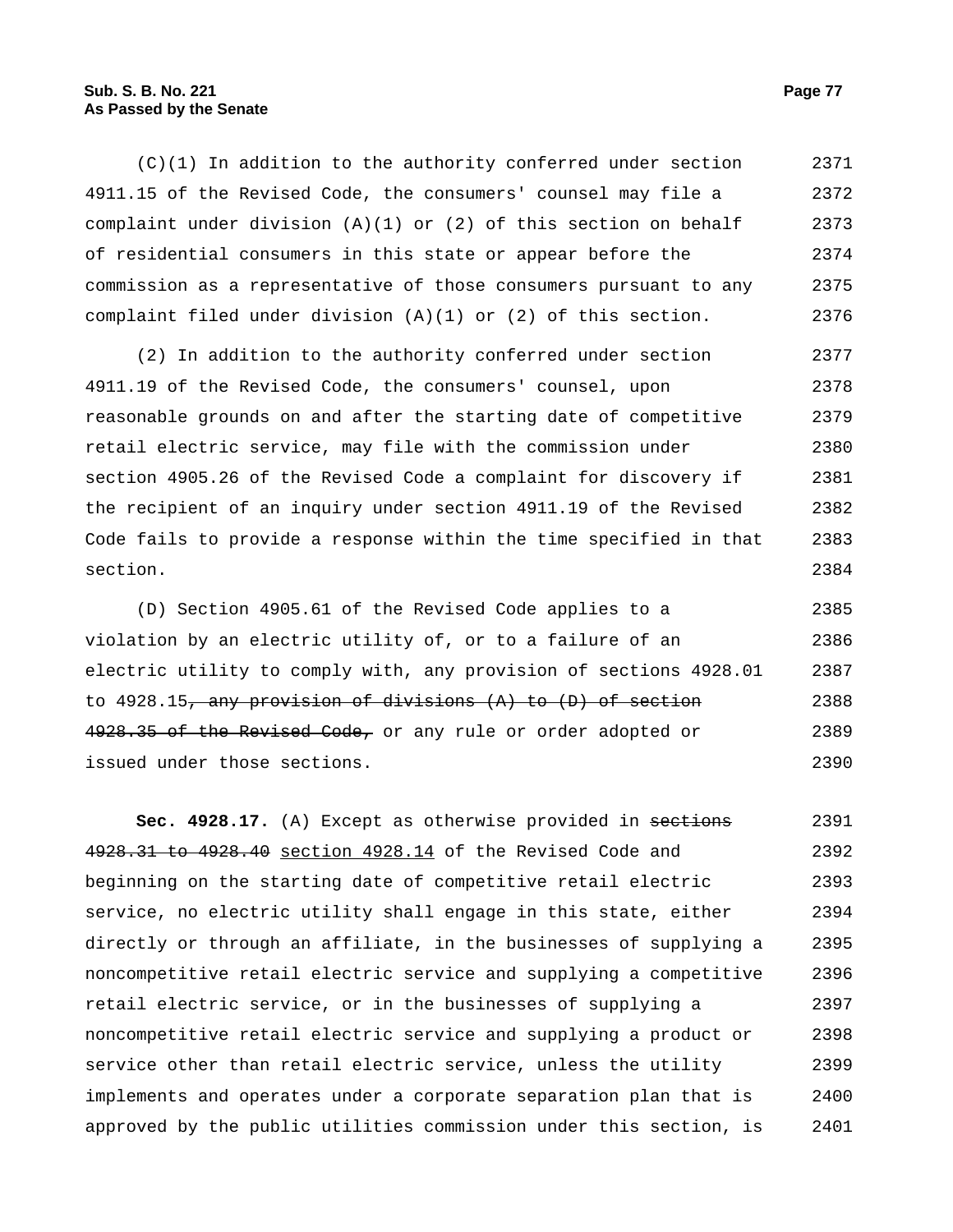## **Sub. S. B. No. 221 Page 77 As Passed by the Senate**

 $(C)(1)$  In addition to the authority conferred under section 4911.15 of the Revised Code, the consumers' counsel may file a complaint under division  $(A)(1)$  or  $(2)$  of this section on behalf of residential consumers in this state or appear before the commission as a representative of those consumers pursuant to any complaint filed under division (A)(1) or (2) of this section. 2371 2372 2373 2374 2375 2376

(2) In addition to the authority conferred under section 4911.19 of the Revised Code, the consumers' counsel, upon reasonable grounds on and after the starting date of competitive retail electric service, may file with the commission under section 4905.26 of the Revised Code a complaint for discovery if the recipient of an inquiry under section 4911.19 of the Revised Code fails to provide a response within the time specified in that section. 2377 2378 2379 2380 2381 2382 2383 2384

(D) Section 4905.61 of the Revised Code applies to a violation by an electric utility of, or to a failure of an electric utility to comply with, any provision of sections 4928.01 to  $4928.15$ , any provision of divisions  $(A)$  to  $(D)$  of section 4928.35 of the Revised Code, or any rule or order adopted or issued under those sections. 2385 2386 2387 2388 2389 2390

Sec. 4928.17. (A) Except as otherwise provided in sections 4928.31 to 4928.40 section 4928.14 of the Revised Code and beginning on the starting date of competitive retail electric service, no electric utility shall engage in this state, either directly or through an affiliate, in the businesses of supplying a noncompetitive retail electric service and supplying a competitive retail electric service, or in the businesses of supplying a noncompetitive retail electric service and supplying a product or service other than retail electric service, unless the utility implements and operates under a corporate separation plan that is approved by the public utilities commission under this section, is 2391 2392 2393 2394 2395 2396 2397 2398 2399 2400 2401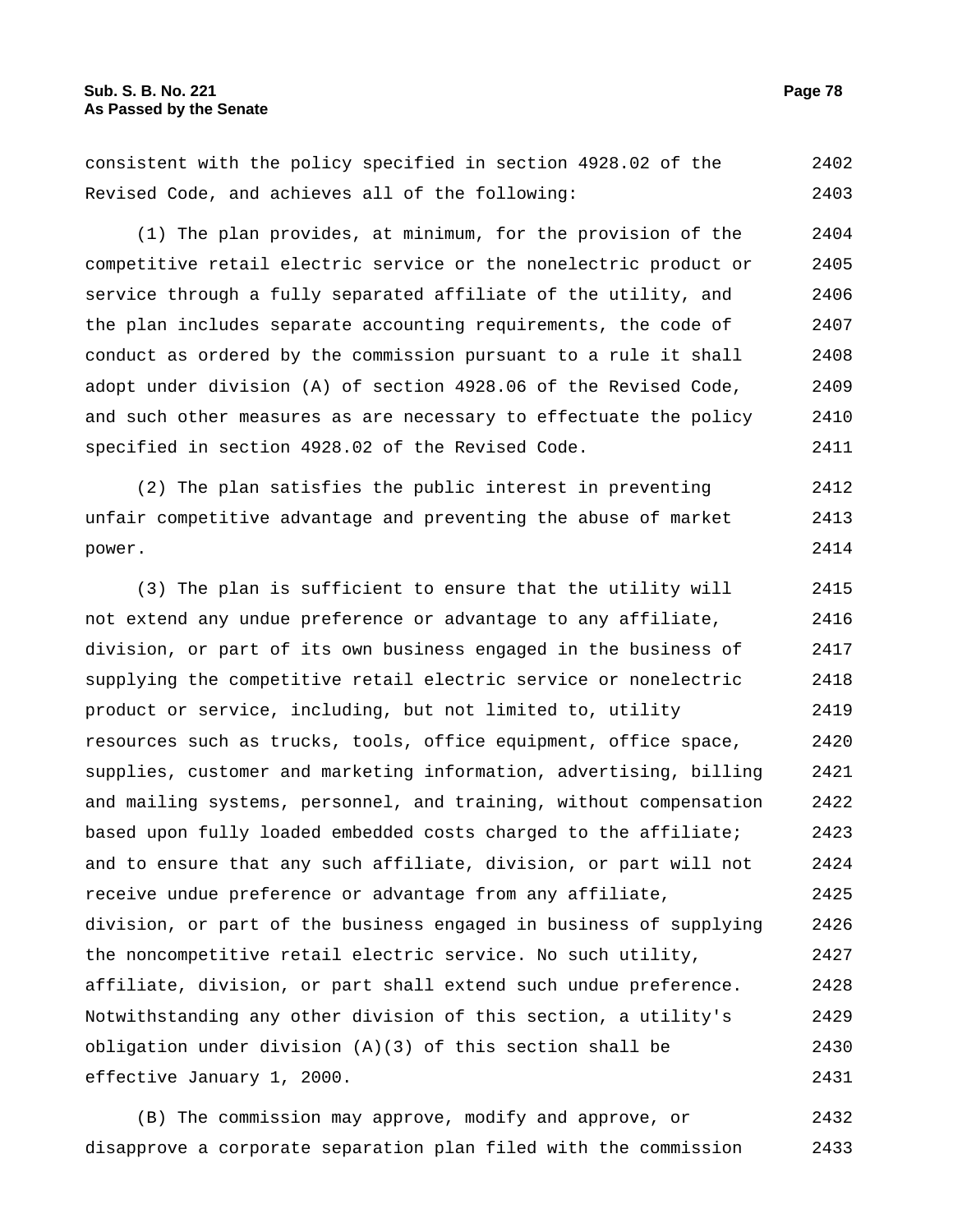consistent with the policy specified in section 4928.02 of the Revised Code, and achieves all of the following: 2402 2403

(1) The plan provides, at minimum, for the provision of the competitive retail electric service or the nonelectric product or service through a fully separated affiliate of the utility, and the plan includes separate accounting requirements, the code of conduct as ordered by the commission pursuant to a rule it shall adopt under division (A) of section 4928.06 of the Revised Code, and such other measures as are necessary to effectuate the policy specified in section 4928.02 of the Revised Code. 2404 2405 2406 2407 2408 2409 2410 2411

(2) The plan satisfies the public interest in preventing unfair competitive advantage and preventing the abuse of market power. 2412 2413 2414

(3) The plan is sufficient to ensure that the utility will not extend any undue preference or advantage to any affiliate, division, or part of its own business engaged in the business of supplying the competitive retail electric service or nonelectric product or service, including, but not limited to, utility resources such as trucks, tools, office equipment, office space, supplies, customer and marketing information, advertising, billing and mailing systems, personnel, and training, without compensation based upon fully loaded embedded costs charged to the affiliate; and to ensure that any such affiliate, division, or part will not receive undue preference or advantage from any affiliate, division, or part of the business engaged in business of supplying the noncompetitive retail electric service. No such utility, affiliate, division, or part shall extend such undue preference. Notwithstanding any other division of this section, a utility's obligation under division (A)(3) of this section shall be effective January 1, 2000. 2415 2416 2417 2418 2419 2420 2421 2422 2423 2424 2425 2426 2427 2428 2429 2430 2431

(B) The commission may approve, modify and approve, or disapprove a corporate separation plan filed with the commission 2432 2433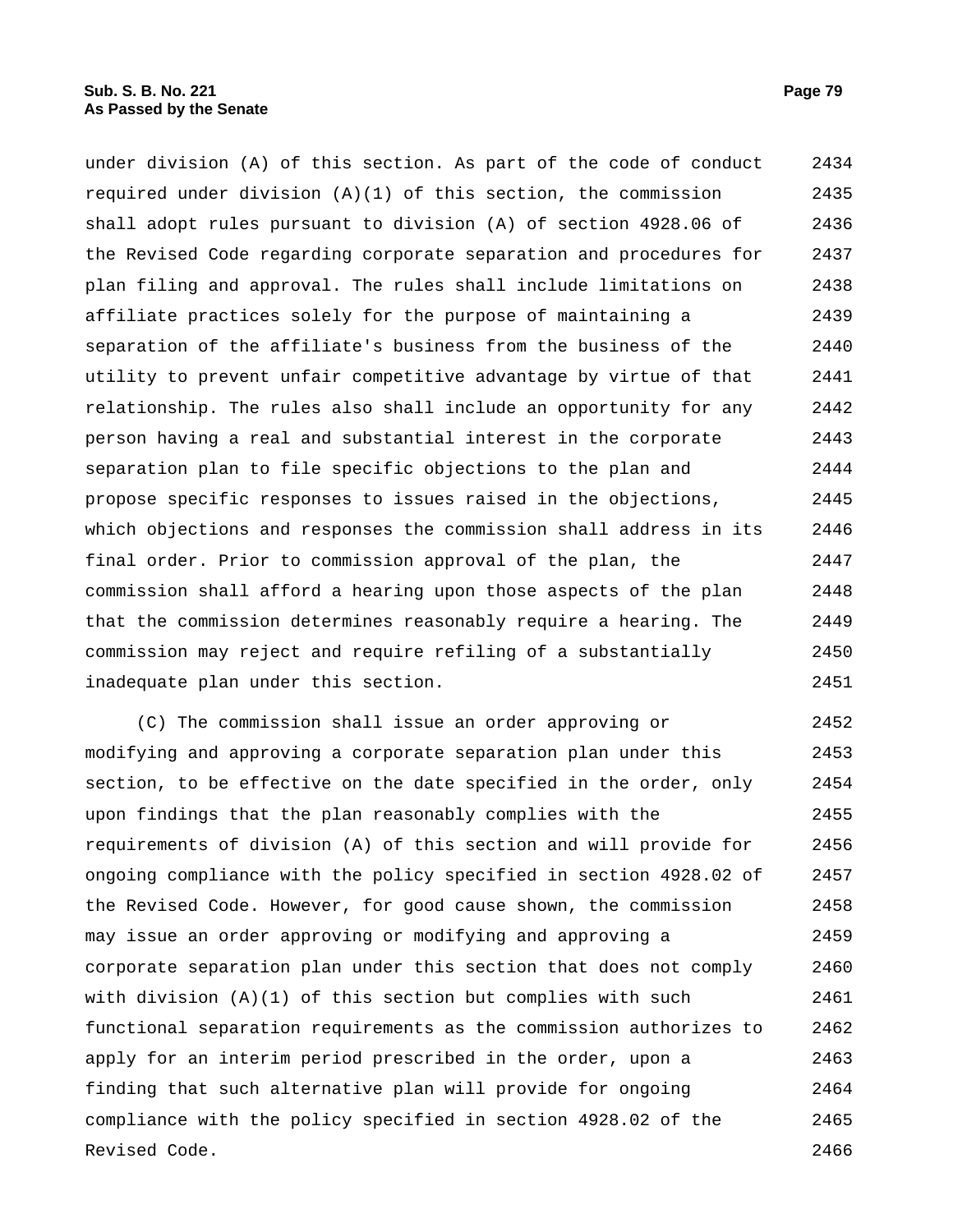under division (A) of this section. As part of the code of conduct required under division  $(A)(1)$  of this section, the commission shall adopt rules pursuant to division (A) of section 4928.06 of the Revised Code regarding corporate separation and procedures for plan filing and approval. The rules shall include limitations on affiliate practices solely for the purpose of maintaining a separation of the affiliate's business from the business of the utility to prevent unfair competitive advantage by virtue of that relationship. The rules also shall include an opportunity for any person having a real and substantial interest in the corporate separation plan to file specific objections to the plan and propose specific responses to issues raised in the objections, which objections and responses the commission shall address in its final order. Prior to commission approval of the plan, the commission shall afford a hearing upon those aspects of the plan that the commission determines reasonably require a hearing. The commission may reject and require refiling of a substantially inadequate plan under this section. 2434 2435 2436 2437 2438 2439 2440 2441 2442 2443 2444 2445 2446 2447 2448 2449 2450 2451

(C) The commission shall issue an order approving or modifying and approving a corporate separation plan under this section, to be effective on the date specified in the order, only upon findings that the plan reasonably complies with the requirements of division (A) of this section and will provide for ongoing compliance with the policy specified in section 4928.02 of the Revised Code. However, for good cause shown, the commission may issue an order approving or modifying and approving a corporate separation plan under this section that does not comply with division  $(A)(1)$  of this section but complies with such functional separation requirements as the commission authorizes to apply for an interim period prescribed in the order, upon a finding that such alternative plan will provide for ongoing compliance with the policy specified in section 4928.02 of the Revised Code. 2452 2453 2454 2455 2456 2457 2458 2459 2460 2461 2462 2463 2464 2465 2466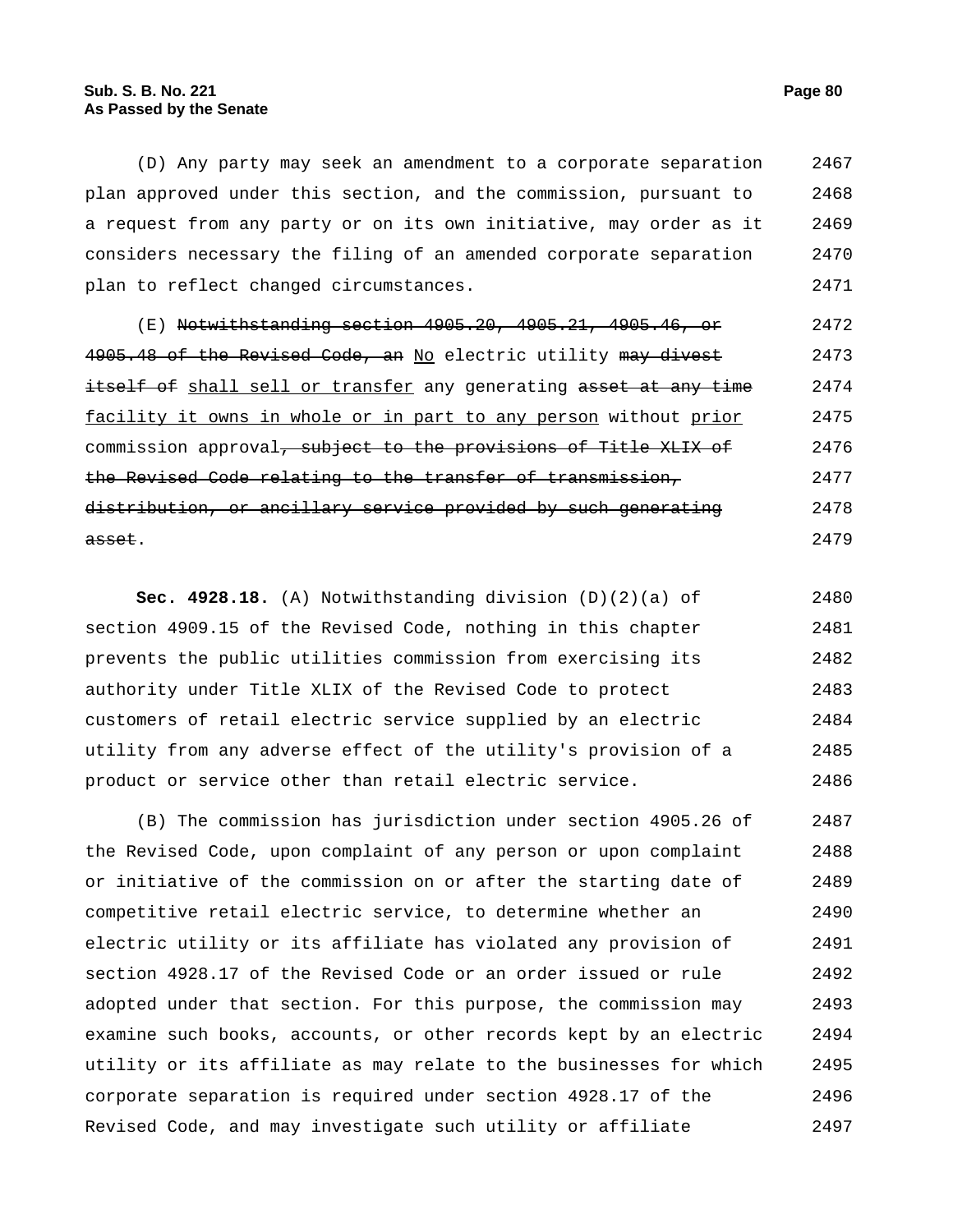(D) Any party may seek an amendment to a corporate separation plan approved under this section, and the commission, pursuant to a request from any party or on its own initiative, may order as it considers necessary the filing of an amended corporate separation plan to reflect changed circumstances. 2467 2468 2469 2470 2471

(E) Notwithstanding section 4905.20, 4905.21, 4905.46, or 4905.48 of the Revised Code, an No electric utility may divest itself of shall sell or transfer any generating asset at any time facility it owns in whole or in part to any person without prior commission approval<del>, subject to the provisions of Title XLIX of</del> the Revised Code relating to the transfer of transmission, distribution, or ancillary service provided by such generating asset. 2472 2473 2474 2475 2476 2477 2478 2479

**Sec. 4928.18.** (A) Notwithstanding division (D)(2)(a) of section 4909.15 of the Revised Code, nothing in this chapter prevents the public utilities commission from exercising its authority under Title XLIX of the Revised Code to protect customers of retail electric service supplied by an electric utility from any adverse effect of the utility's provision of a product or service other than retail electric service. 2480 2481 2482 2483 2484 2485 2486

(B) The commission has jurisdiction under section 4905.26 of the Revised Code, upon complaint of any person or upon complaint or initiative of the commission on or after the starting date of competitive retail electric service, to determine whether an electric utility or its affiliate has violated any provision of section 4928.17 of the Revised Code or an order issued or rule adopted under that section. For this purpose, the commission may examine such books, accounts, or other records kept by an electric utility or its affiliate as may relate to the businesses for which corporate separation is required under section 4928.17 of the Revised Code, and may investigate such utility or affiliate 2487 2488 2489 2490 2491 2492 2493 2494 2495 2496 2497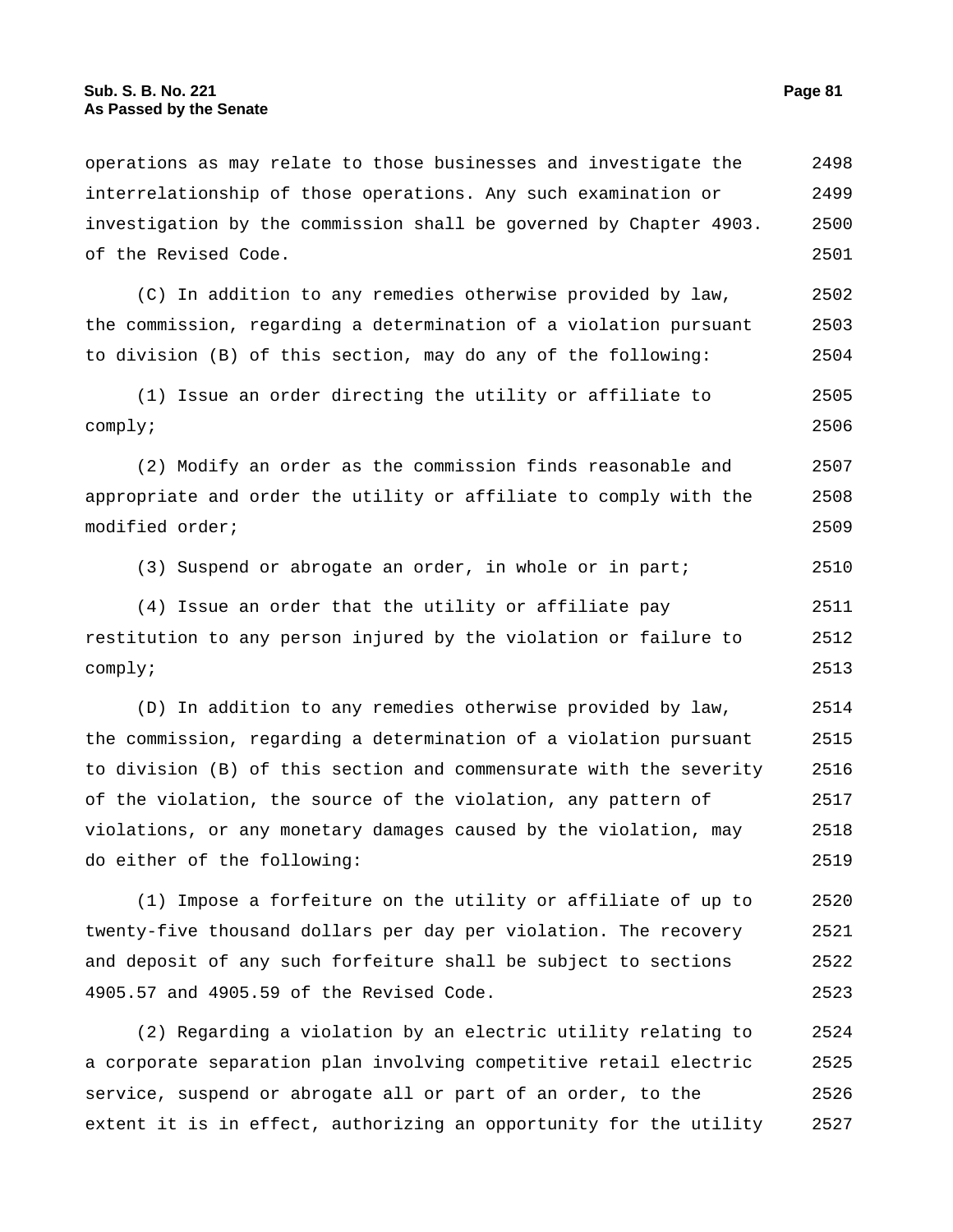operations as may relate to those businesses and investigate the interrelationship of those operations. Any such examination or investigation by the commission shall be governed by Chapter 4903. of the Revised Code. 2498 2499 2500 2501 (C) In addition to any remedies otherwise provided by law, the commission, regarding a determination of a violation pursuant to division (B) of this section, may do any of the following: 2502 2503 2504 (1) Issue an order directing the utility or affiliate to comply; 2505 2506 (2) Modify an order as the commission finds reasonable and appropriate and order the utility or affiliate to comply with the modified order; 2507 2508 2509 (3) Suspend or abrogate an order, in whole or in part; 2510 (4) Issue an order that the utility or affiliate pay restitution to any person injured by the violation or failure to comply; 2511 2512 2513 (D) In addition to any remedies otherwise provided by law, the commission, regarding a determination of a violation pursuant to division (B) of this section and commensurate with the severity of the violation, the source of the violation, any pattern of violations, or any monetary damages caused by the violation, may do either of the following: 2514 2515 2516 2517 2518 2519 (1) Impose a forfeiture on the utility or affiliate of up to 2520

twenty-five thousand dollars per day per violation. The recovery and deposit of any such forfeiture shall be subject to sections 4905.57 and 4905.59 of the Revised Code. 2521 2522 2523

(2) Regarding a violation by an electric utility relating to a corporate separation plan involving competitive retail electric service, suspend or abrogate all or part of an order, to the extent it is in effect, authorizing an opportunity for the utility 2524 2525 2526 2527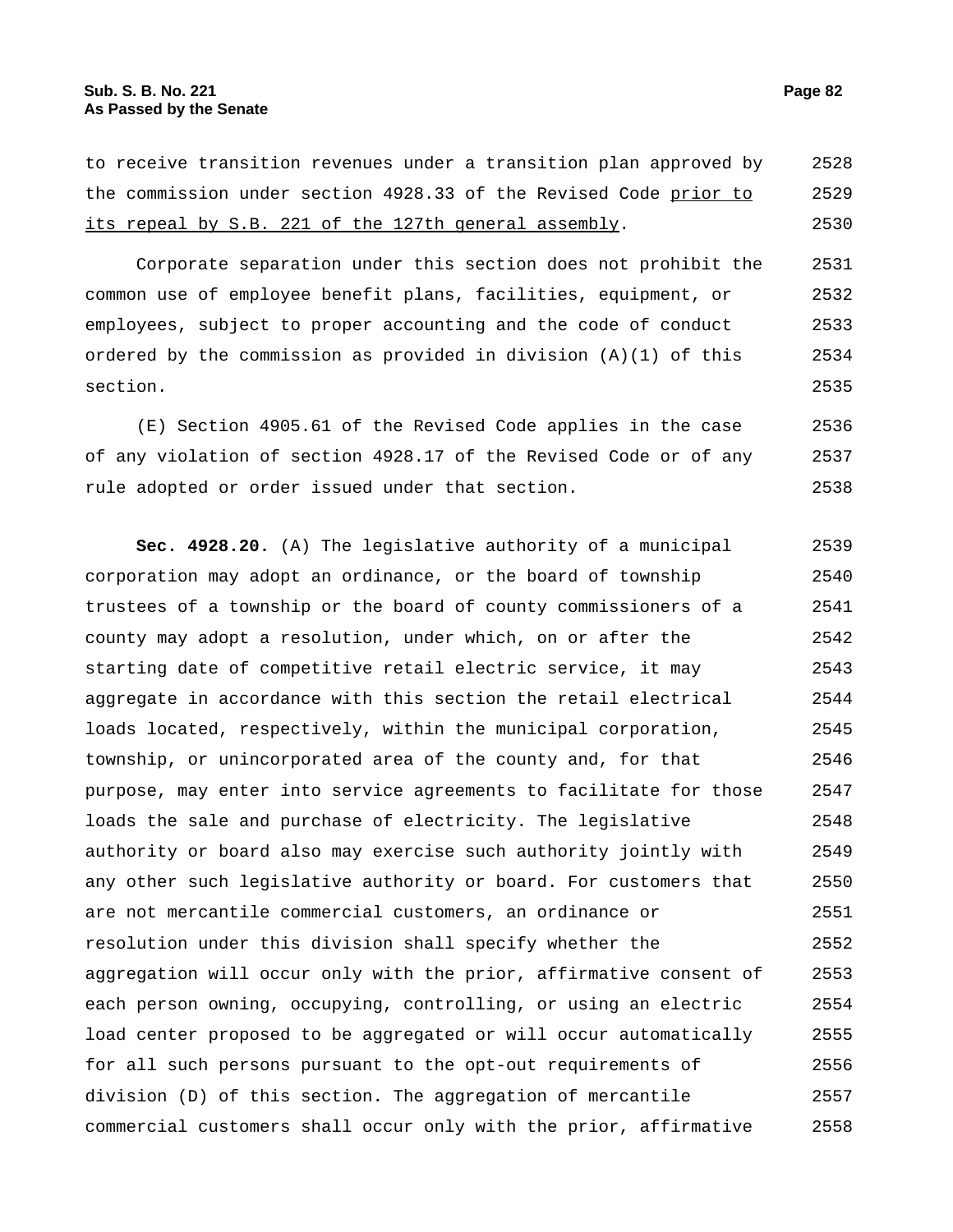to receive transition revenues under a transition plan approved by the commission under section 4928.33 of the Revised Code prior to its repeal by S.B. 221 of the 127th general assembly. 2528 2529 2530

Corporate separation under this section does not prohibit the common use of employee benefit plans, facilities, equipment, or employees, subject to proper accounting and the code of conduct ordered by the commission as provided in division (A)(1) of this section. 2531 2532 2533 2534 2535

(E) Section 4905.61 of the Revised Code applies in the case of any violation of section 4928.17 of the Revised Code or of any rule adopted or order issued under that section. 2536 2537 2538

**Sec. 4928.20.** (A) The legislative authority of a municipal corporation may adopt an ordinance, or the board of township trustees of a township or the board of county commissioners of a county may adopt a resolution, under which, on or after the starting date of competitive retail electric service, it may aggregate in accordance with this section the retail electrical loads located, respectively, within the municipal corporation, township, or unincorporated area of the county and, for that purpose, may enter into service agreements to facilitate for those loads the sale and purchase of electricity. The legislative authority or board also may exercise such authority jointly with any other such legislative authority or board. For customers that are not mercantile commercial customers, an ordinance or resolution under this division shall specify whether the aggregation will occur only with the prior, affirmative consent of each person owning, occupying, controlling, or using an electric load center proposed to be aggregated or will occur automatically for all such persons pursuant to the opt-out requirements of division (D) of this section. The aggregation of mercantile commercial customers shall occur only with the prior, affirmative 2539 2540 2541 2542 2543 2544 2545 2546 2547 2548 2549 2550 2551 2552 2553 2554 2555 2556 2557 2558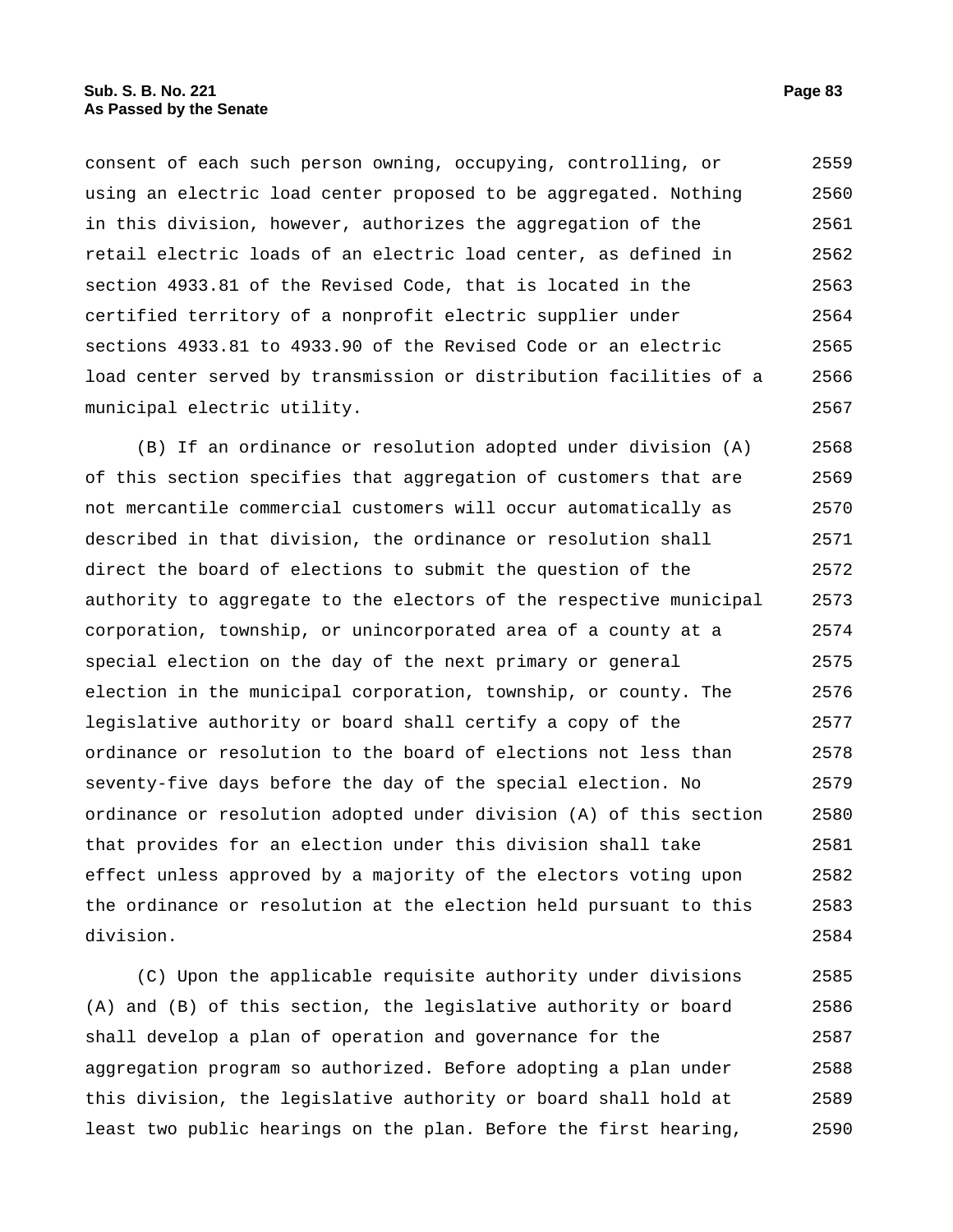consent of each such person owning, occupying, controlling, or using an electric load center proposed to be aggregated. Nothing in this division, however, authorizes the aggregation of the retail electric loads of an electric load center, as defined in section 4933.81 of the Revised Code, that is located in the certified territory of a nonprofit electric supplier under sections 4933.81 to 4933.90 of the Revised Code or an electric load center served by transmission or distribution facilities of a municipal electric utility. 2559 2560 2561 2562 2563 2564 2565 2566 2567

(B) If an ordinance or resolution adopted under division (A) of this section specifies that aggregation of customers that are not mercantile commercial customers will occur automatically as described in that division, the ordinance or resolution shall direct the board of elections to submit the question of the authority to aggregate to the electors of the respective municipal corporation, township, or unincorporated area of a county at a special election on the day of the next primary or general election in the municipal corporation, township, or county. The legislative authority or board shall certify a copy of the ordinance or resolution to the board of elections not less than seventy-five days before the day of the special election. No ordinance or resolution adopted under division (A) of this section that provides for an election under this division shall take effect unless approved by a majority of the electors voting upon the ordinance or resolution at the election held pursuant to this division. 2568 2569 2570 2571 2572 2573 2574 2575 2576 2577 2578 2579 2580 2581 2582 2583 2584

(C) Upon the applicable requisite authority under divisions (A) and (B) of this section, the legislative authority or board shall develop a plan of operation and governance for the aggregation program so authorized. Before adopting a plan under this division, the legislative authority or board shall hold at least two public hearings on the plan. Before the first hearing, 2585 2586 2587 2588 2589 2590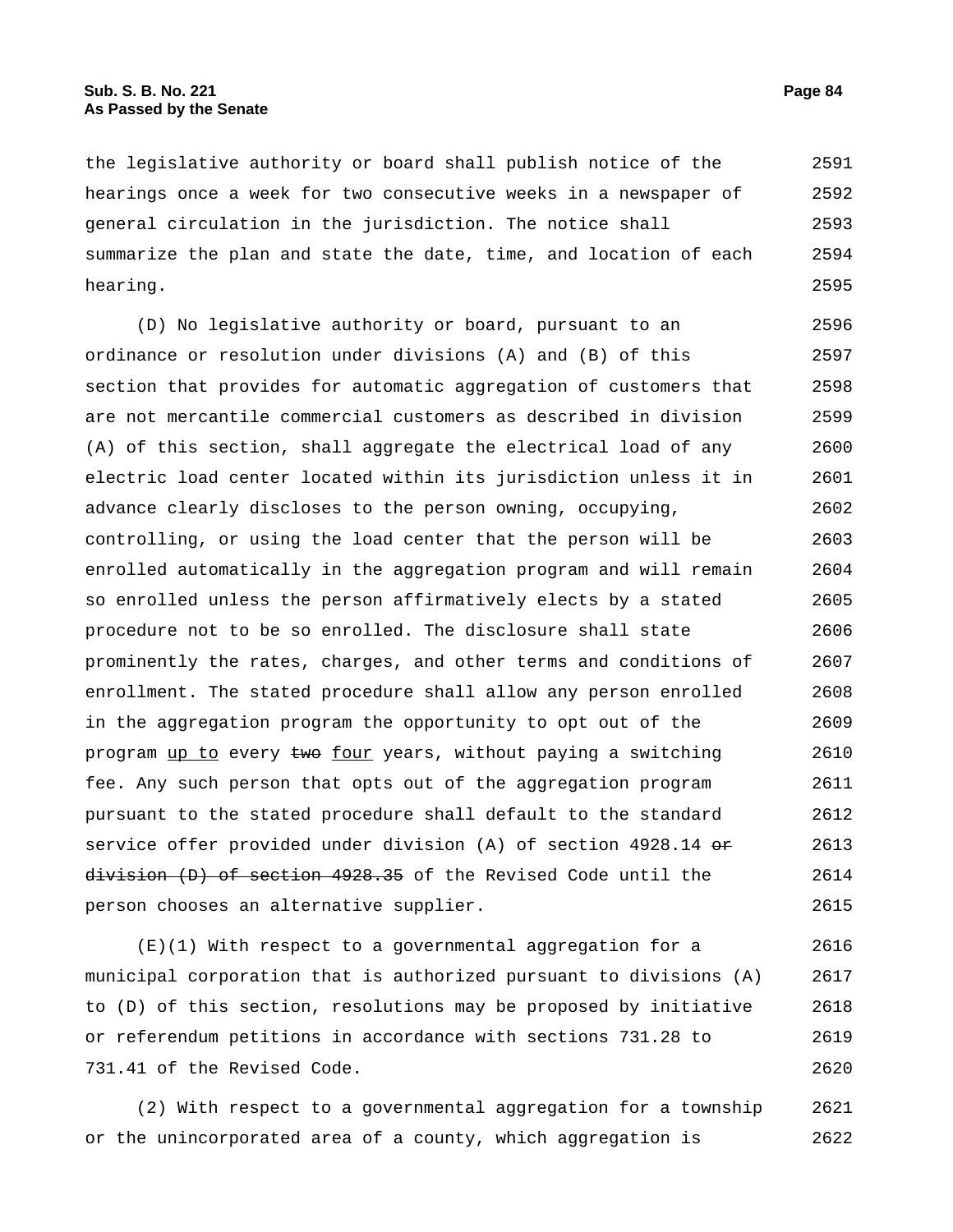the legislative authority or board shall publish notice of the hearings once a week for two consecutive weeks in a newspaper of general circulation in the jurisdiction. The notice shall summarize the plan and state the date, time, and location of each hearing. 2591 2592 2593 2594 2595

(D) No legislative authority or board, pursuant to an ordinance or resolution under divisions (A) and (B) of this section that provides for automatic aggregation of customers that are not mercantile commercial customers as described in division (A) of this section, shall aggregate the electrical load of any electric load center located within its jurisdiction unless it in advance clearly discloses to the person owning, occupying, controlling, or using the load center that the person will be enrolled automatically in the aggregation program and will remain so enrolled unless the person affirmatively elects by a stated procedure not to be so enrolled. The disclosure shall state prominently the rates, charges, and other terms and conditions of enrollment. The stated procedure shall allow any person enrolled in the aggregation program the opportunity to opt out of the program up to every two four years, without paying a switching fee. Any such person that opts out of the aggregation program pursuant to the stated procedure shall default to the standard service offer provided under division (A) of section  $4928.14$  or division (D) of section 4928.35 of the Revised Code until the person chooses an alternative supplier. 2596 2597 2598 2599 2600 2601 2602 2603 2604 2605 2606 2607 2608 2609 2610 2611 2612 2613 2614 2615

(E)(1) With respect to a governmental aggregation for a municipal corporation that is authorized pursuant to divisions (A) to (D) of this section, resolutions may be proposed by initiative or referendum petitions in accordance with sections 731.28 to 731.41 of the Revised Code. 2616 2617 2618 2619 2620

(2) With respect to a governmental aggregation for a township or the unincorporated area of a county, which aggregation is 2621 2622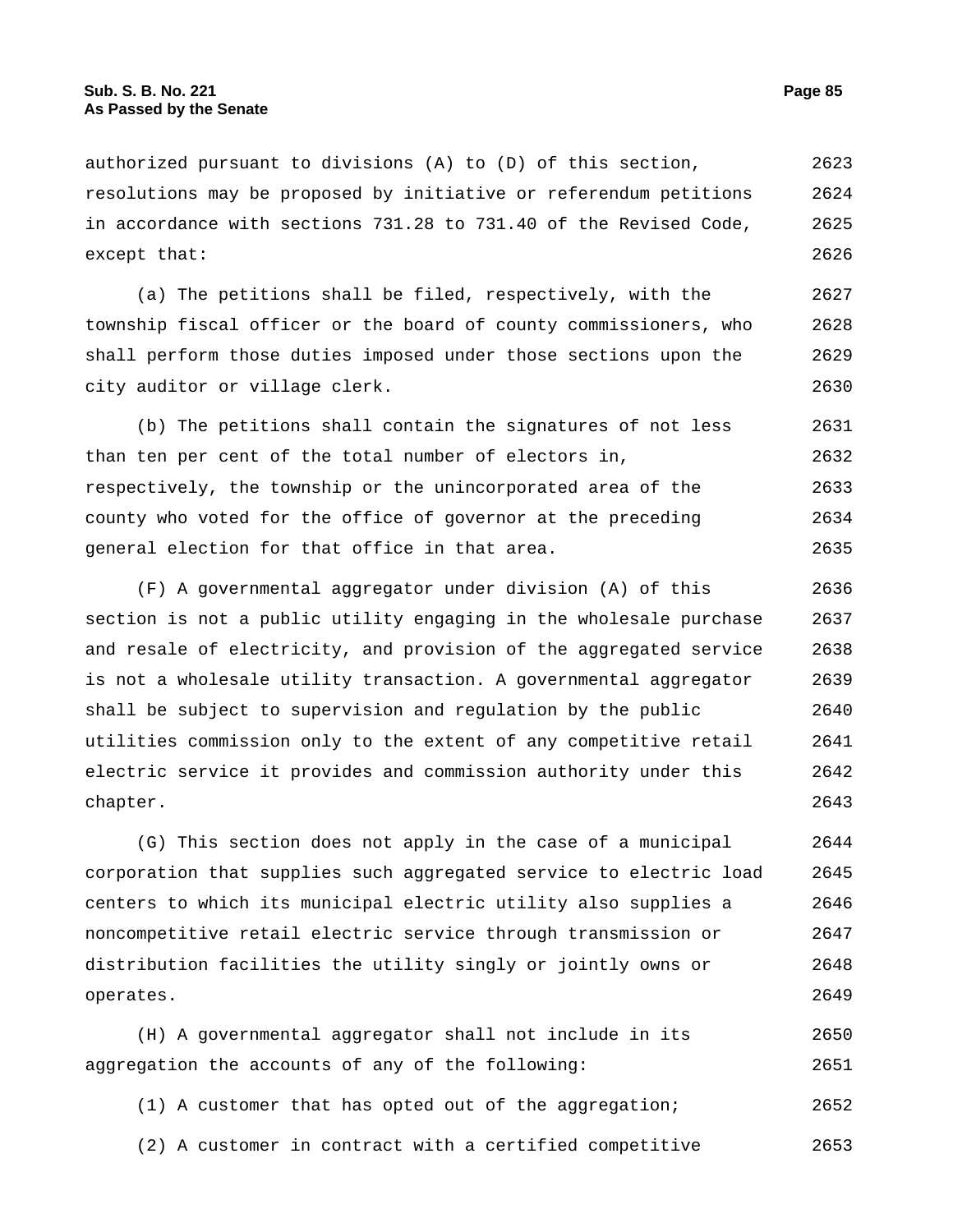authorized pursuant to divisions (A) to (D) of this section, resolutions may be proposed by initiative or referendum petitions in accordance with sections 731.28 to 731.40 of the Revised Code, except that: 2623 2624 2625 2626

(a) The petitions shall be filed, respectively, with the township fiscal officer or the board of county commissioners, who shall perform those duties imposed under those sections upon the city auditor or village clerk. 2627 2628 2629 2630

(b) The petitions shall contain the signatures of not less than ten per cent of the total number of electors in, respectively, the township or the unincorporated area of the county who voted for the office of governor at the preceding general election for that office in that area. 2631 2632 2633 2634 2635

(F) A governmental aggregator under division (A) of this section is not a public utility engaging in the wholesale purchase and resale of electricity, and provision of the aggregated service is not a wholesale utility transaction. A governmental aggregator shall be subject to supervision and regulation by the public utilities commission only to the extent of any competitive retail electric service it provides and commission authority under this chapter. 2636 2637 2638 2639 2640 2641 2642 2643

(G) This section does not apply in the case of a municipal corporation that supplies such aggregated service to electric load centers to which its municipal electric utility also supplies a noncompetitive retail electric service through transmission or distribution facilities the utility singly or jointly owns or operates. 2644 2645 2646 2647 2648 2649

(H) A governmental aggregator shall not include in its aggregation the accounts of any of the following: 2650 2651

- (1) A customer that has opted out of the aggregation; 2652
- (2) A customer in contract with a certified competitive 2653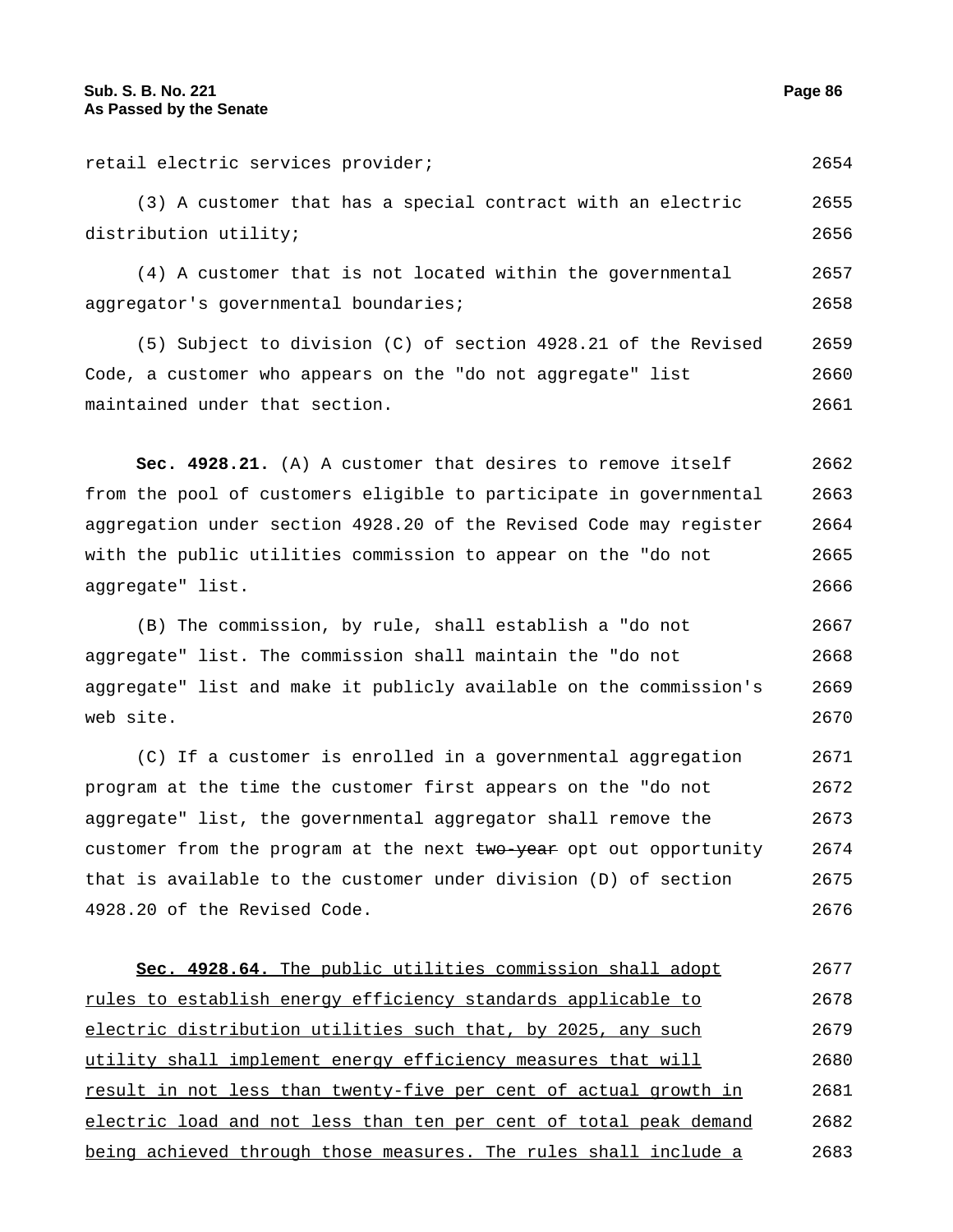| retail electric services provider;                                 | 2654 |
|--------------------------------------------------------------------|------|
| (3) A customer that has a special contract with an electric        | 2655 |
| distribution utility;                                              | 2656 |
| (4) A customer that is not located within the governmental         | 2657 |
| aggregator's governmental boundaries;                              | 2658 |
| (5) Subject to division (C) of section 4928.21 of the Revised      | 2659 |
| Code, a customer who appears on the "do not aggregate" list        | 2660 |
| maintained under that section.                                     | 2661 |
|                                                                    |      |
| Sec. 4928.21. (A) A customer that desires to remove itself         | 2662 |
| from the pool of customers eligible to participate in governmental | 2663 |
| aggregation under section 4928.20 of the Revised Code may register | 2664 |
| with the public utilities commission to appear on the "do not      | 2665 |
| aggregate" list.                                                   | 2666 |

(B) The commission, by rule, shall establish a "do not aggregate" list. The commission shall maintain the "do not aggregate" list and make it publicly available on the commission's web site. 2667 2668 2669 2670

(C) If a customer is enrolled in a governmental aggregation program at the time the customer first appears on the "do not aggregate" list, the governmental aggregator shall remove the customer from the program at the next two year opt out opportunity that is available to the customer under division (D) of section 4928.20 of the Revised Code. 2671 2672 2673 2674 2675 2676

| Sec. 4928.64. The public utilities commission shall adopt         | 2677 |
|-------------------------------------------------------------------|------|
| rules to establish energy efficiency standards applicable to      | 2678 |
| electric distribution utilities such that, by 2025, any such      | 2679 |
| utility shall implement energy efficiency measures that will      | 2680 |
| result in not less than twenty-five per cent of actual growth in  | 2681 |
| electric load and not less than ten per cent of total peak demand | 2682 |
| being achieved through those measures. The rules shall include a  | 2683 |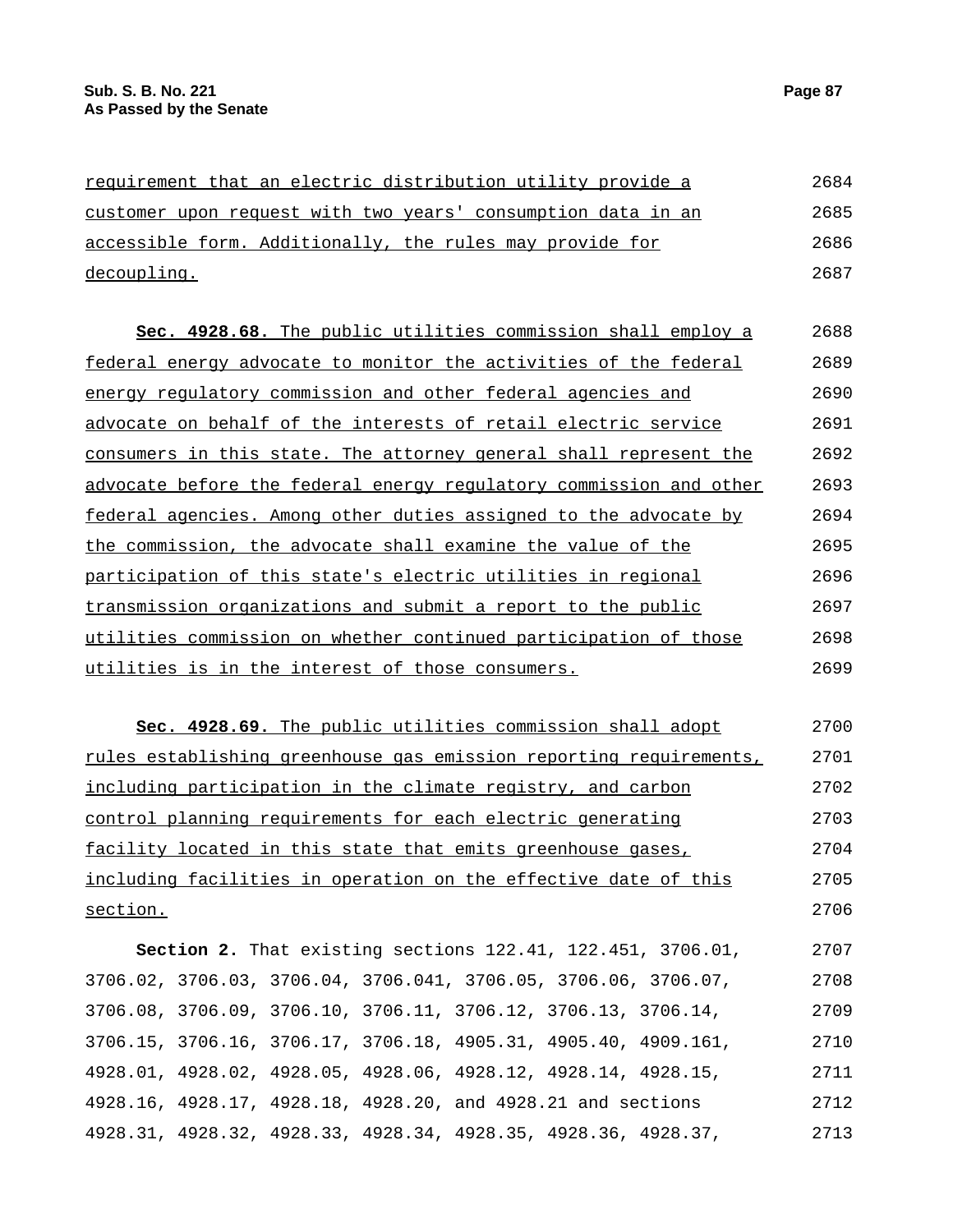| requirement that an electric distribution utility provide a  | 2684 |
|--------------------------------------------------------------|------|
| customer upon request with two years' consumption data in an | 2685 |
| accessible form. Additionally, the rules may provide for     | 2686 |
| decoupling.                                                  | 2687 |
|                                                              |      |

| Sec. 4928.68. The public utilities commission shall employ a       | 2688 |
|--------------------------------------------------------------------|------|
| federal energy advocate to monitor the activities of the federal   | 2689 |
| energy regulatory commission and other federal agencies and        | 2690 |
| advocate on behalf of the interests of retail electric service     | 2691 |
| consumers in this state. The attorney general shall represent the  | 2692 |
| advocate before the federal energy regulatory commission and other | 2693 |
| federal agencies. Among other duties assigned to the advocate by   | 2694 |
| the commission, the advocate shall examine the value of the        | 2695 |
| participation of this state's electric utilities in regional       | 2696 |
| transmission organizations and submit a report to the public       | 2697 |
| utilities commission on whether continued participation of those   | 2698 |
| utilities is in the interest of those consumers.                   | 2699 |

**Sec. 4928.69.** The public utilities commission shall adopt rules establishing greenhouse gas emission reporting requirements, including participation in the climate registry, and carbon control planning requirements for each electric generating facility located in this state that emits greenhouse gases, including facilities in operation on the effective date of this section. 2700 2701 2702 2703 2704 2705 2706

**Section 2.** That existing sections 122.41, 122.451, 3706.01, 3706.02, 3706.03, 3706.04, 3706.041, 3706.05, 3706.06, 3706.07, 3706.08, 3706.09, 3706.10, 3706.11, 3706.12, 3706.13, 3706.14, 3706.15, 3706.16, 3706.17, 3706.18, 4905.31, 4905.40, 4909.161, 4928.01, 4928.02, 4928.05, 4928.06, 4928.12, 4928.14, 4928.15, 4928.16, 4928.17, 4928.18, 4928.20, and 4928.21 and sections 4928.31, 4928.32, 4928.33, 4928.34, 4928.35, 4928.36, 4928.37, 2707 2708 2709 2710 2711 2712 2713